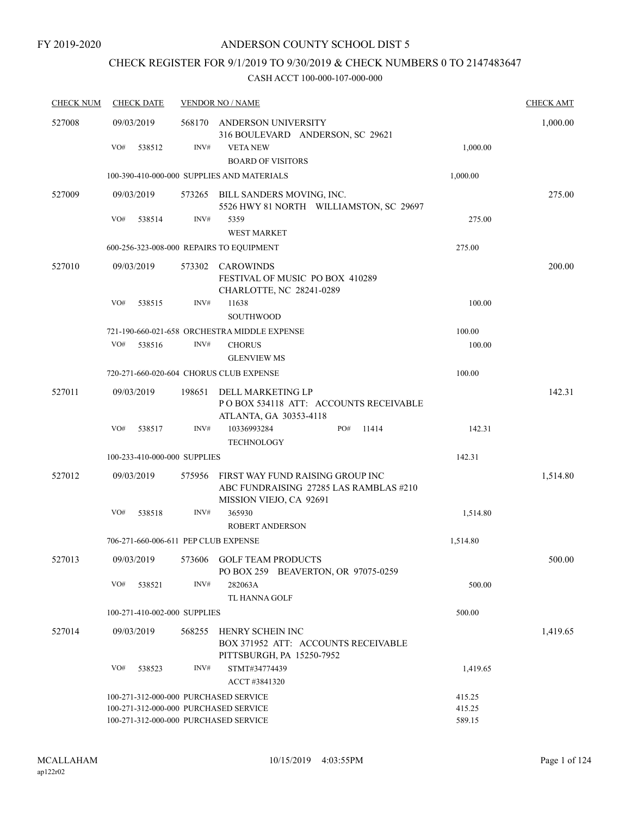# CHECK REGISTER FOR 9/1/2019 TO 9/30/2019 & CHECK NUMBERS 0 TO 2147483647

| <b>CHECK NUM</b> | <b>CHECK DATE</b>                        |                  | <b>VENDOR NO / NAME</b>                                                                               |          | <b>CHECK AMT</b> |
|------------------|------------------------------------------|------------------|-------------------------------------------------------------------------------------------------------|----------|------------------|
| 527008           | 09/03/2019                               |                  | 568170 ANDERSON UNIVERSITY<br>316 BOULEVARD ANDERSON, SC 29621                                        |          | 1,000.00         |
|                  | VO#<br>538512                            | INV#             | <b>VETA NEW</b><br><b>BOARD OF VISITORS</b>                                                           | 1,000.00 |                  |
|                  |                                          |                  | 100-390-410-000-000 SUPPLIES AND MATERIALS                                                            | 1,000.00 |                  |
| 527009           | 09/03/2019                               |                  | 573265 BILL SANDERS MOVING, INC.<br>5526 HWY 81 NORTH WILLIAMSTON, SC 29697                           |          | 275.00           |
|                  | VO#<br>538514                            | $\mathrm{INV}\#$ | 5359<br><b>WEST MARKET</b>                                                                            | 275.00   |                  |
|                  | 600-256-323-008-000 REPAIRS TO EQUIPMENT |                  |                                                                                                       | 275.00   |                  |
| 527010           | 09/03/2019                               | 573302           | CAROWINDS<br>FESTIVAL OF MUSIC PO BOX 410289<br>CHARLOTTE, NC 28241-0289                              |          | 200.00           |
|                  | VO#<br>538515                            | INV#             | 11638<br><b>SOUTHWOOD</b>                                                                             | 100.00   |                  |
|                  |                                          |                  | 721-190-660-021-658 ORCHESTRA MIDDLE EXPENSE                                                          | 100.00   |                  |
|                  | VO#<br>538516                            | INV#             | <b>CHORUS</b>                                                                                         | 100.00   |                  |
|                  |                                          |                  | <b>GLENVIEW MS</b>                                                                                    |          |                  |
|                  | 720-271-660-020-604 CHORUS CLUB EXPENSE  |                  |                                                                                                       | 100.00   |                  |
| 527011           | 09/03/2019                               | 198651           | DELL MARKETING LP<br>PO BOX 534118 ATT: ACCOUNTS RECEIVABLE<br>ATLANTA, GA 30353-4118                 |          | 142.31           |
|                  | VO#<br>538517                            | INV#             | PO#<br>10336993284<br>11414<br><b>TECHNOLOGY</b>                                                      | 142.31   |                  |
|                  | 100-233-410-000-000 SUPPLIES             |                  |                                                                                                       | 142.31   |                  |
| 527012           | 09/03/2019                               | 575956           | FIRST WAY FUND RAISING GROUP INC<br>ABC FUNDRAISING 27285 LAS RAMBLAS #210<br>MISSION VIEJO, CA 92691 |          | 1,514.80         |
|                  | VO#<br>538518                            | INV#             | 365930<br><b>ROBERT ANDERSON</b>                                                                      | 1,514.80 |                  |
|                  | 706-271-660-006-611 PEP CLUB EXPENSE     |                  |                                                                                                       | 1,514.80 |                  |
| 527013           | 09/03/2019                               |                  | 573606 GOLF TEAM PRODUCTS<br>PO BOX 259 BEAVERTON, OR 97075-0259                                      |          | 500.00           |
|                  | VO#<br>538521                            | INV#             | 282063A<br>TL HANNA GOLF                                                                              | 500.00   |                  |
|                  | 100-271-410-002-000 SUPPLIES             |                  |                                                                                                       | 500.00   |                  |
| 527014           | 09/03/2019                               | 568255           | HENRY SCHEIN INC<br>BOX 371952 ATT: ACCOUNTS RECEIVABLE<br>PITTSBURGH, PA 15250-7952                  |          | 1,419.65         |
|                  | VO#<br>538523                            | INV#             | STMT#34774439<br>ACCT #3841320                                                                        | 1,419.65 |                  |
|                  | 100-271-312-000-000 PURCHASED SERVICE    |                  |                                                                                                       | 415.25   |                  |
|                  | 100-271-312-000-000 PURCHASED SERVICE    |                  |                                                                                                       | 415.25   |                  |
|                  | 100-271-312-000-000 PURCHASED SERVICE    |                  |                                                                                                       | 589.15   |                  |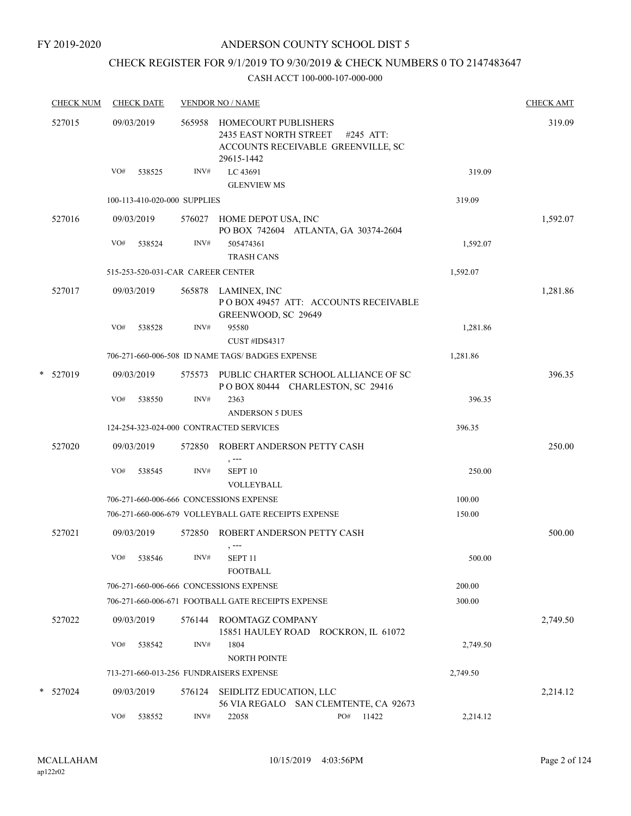FY 2019-2020

### ANDERSON COUNTY SCHOOL DIST 5

# CHECK REGISTER FOR 9/1/2019 TO 9/30/2019 & CHECK NUMBERS 0 TO 2147483647

|   | <b>CHECK NUM</b> |            | <b>CHECK DATE</b> |                              | <b>VENDOR NO / NAME</b>                                      |                                                                          |          | <b>CHECK AMT</b> |
|---|------------------|------------|-------------------|------------------------------|--------------------------------------------------------------|--------------------------------------------------------------------------|----------|------------------|
|   | 527015           | 09/03/2019 |                   | 565958                       | HOMECOURT PUBLISHERS<br>2435 EAST NORTH STREET<br>29615-1442 | #245 ATT:<br>ACCOUNTS RECEIVABLE GREENVILLE, SC                          |          | 319.09           |
|   |                  | VO#        | 538525            | INV#                         | LC 43691<br><b>GLENVIEW MS</b>                               |                                                                          | 319.09   |                  |
|   |                  |            |                   | 100-113-410-020-000 SUPPLIES |                                                              |                                                                          | 319.09   |                  |
|   | 527016           | 09/03/2019 |                   | 576027                       | HOME DEPOT USA, INC                                          | PO BOX 742604 ATLANTA, GA 30374-2604                                     |          | 1,592.07         |
|   |                  | VO#        | 538524            | INV#                         | 505474361<br><b>TRASH CANS</b>                               |                                                                          | 1,592.07 |                  |
|   |                  |            |                   |                              | 515-253-520-031-CAR CAREER CENTER                            |                                                                          | 1,592.07 |                  |
|   | 527017           | 09/03/2019 |                   |                              | 565878 LAMINEX, INC<br>GREENWOOD, SC 29649                   | POBOX 49457 ATT: ACCOUNTS RECEIVABLE                                     |          | 1,281.86         |
|   |                  | VO#        | 538528            | INV#                         | 95580<br>CUST #IDS4317                                       |                                                                          | 1,281.86 |                  |
|   |                  |            |                   |                              | 706-271-660-006-508 ID NAME TAGS/ BADGES EXPENSE             |                                                                          | 1,281.86 |                  |
| * | 527019           | 09/03/2019 |                   | 575573                       |                                                              | PUBLIC CHARTER SCHOOL ALLIANCE OF SC<br>POBOX 80444 CHARLESTON, SC 29416 |          | 396.35           |
|   |                  | VO#        | 538550            | INV#                         | 2363<br><b>ANDERSON 5 DUES</b>                               |                                                                          | 396.35   |                  |
|   |                  |            |                   |                              | 124-254-323-024-000 CONTRACTED SERVICES                      |                                                                          | 396.35   |                  |
|   | 527020           | 09/03/2019 |                   | 572850                       | , ---                                                        | ROBERT ANDERSON PETTY CASH                                               |          | 250.00           |
|   |                  | VO#        | 538545            | INV#                         | SEPT <sub>10</sub><br>VOLLEYBALL                             |                                                                          | 250.00   |                  |
|   |                  |            |                   |                              | 706-271-660-006-666 CONCESSIONS EXPENSE                      |                                                                          | 100.00   |                  |
|   |                  |            |                   |                              | 706-271-660-006-679 VOLLEYBALL GATE RECEIPTS EXPENSE         |                                                                          | 150.00   |                  |
|   | 527021           | 09/03/2019 |                   | 572850                       |                                                              | ROBERT ANDERSON PETTY CASH                                               |          | 500.00           |
|   |                  | VO#        | 538546            | INV#                         | SEPT <sub>11</sub><br><b>FOOTBALL</b>                        |                                                                          | 500.00   |                  |
|   |                  |            |                   |                              | 706-271-660-006-666 CONCESSIONS EXPENSE                      |                                                                          | 200.00   |                  |
|   |                  |            |                   |                              | 706-271-660-006-671 FOOTBALL GATE RECEIPTS EXPENSE           |                                                                          | 300.00   |                  |
|   | 527022           | 09/03/2019 |                   | 576144                       | ROOMTAGZ COMPANY                                             | 15851 HAULEY ROAD ROCKRON, IL 61072                                      |          | 2,749.50         |
|   |                  | VO#        | 538542            | INV#                         | 1804<br><b>NORTH POINTE</b>                                  |                                                                          | 2,749.50 |                  |
|   |                  |            |                   |                              | 713-271-660-013-256 FUNDRAISERS EXPENSE                      |                                                                          | 2,749.50 |                  |
| * | 527024           | 09/03/2019 |                   | 576124                       | SEIDLITZ EDUCATION, LLC                                      | 56 VIA REGALO SAN CLEMTENTE, CA 92673                                    |          | 2,214.12         |
|   |                  | VO#        | 538552            | INV#                         | 22058                                                        | PO#<br>11422                                                             | 2,214.12 |                  |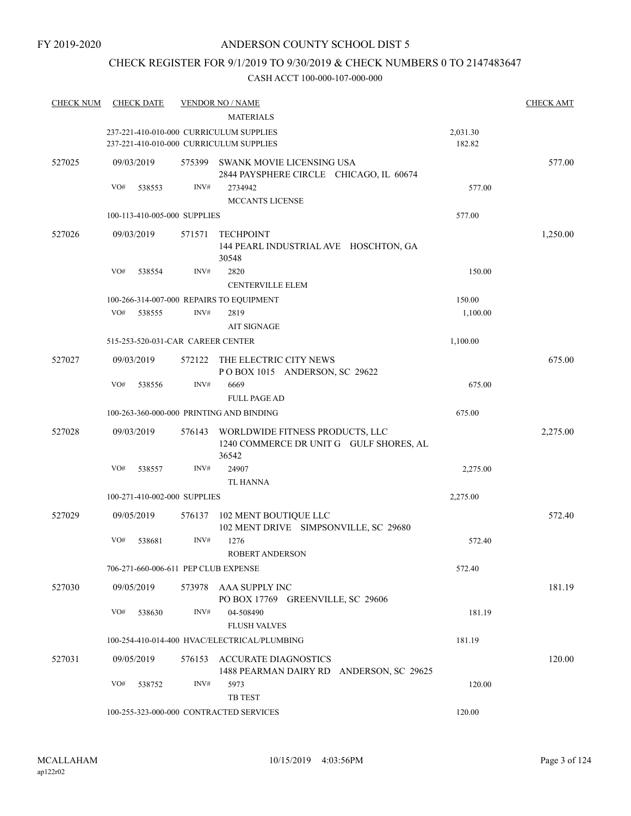# CHECK REGISTER FOR 9/1/2019 TO 9/30/2019 & CHECK NUMBERS 0 TO 2147483647

| <b>CHECK NUM</b> | <b>CHECK DATE</b> |        |                              | <b>VENDOR NO / NAME</b>                                                             |          | <b>CHECK AMT</b> |
|------------------|-------------------|--------|------------------------------|-------------------------------------------------------------------------------------|----------|------------------|
|                  |                   |        |                              | <b>MATERIALS</b>                                                                    |          |                  |
|                  |                   |        |                              | 237-221-410-010-000 CURRICULUM SUPPLIES                                             | 2,031.30 |                  |
|                  |                   |        |                              | 237-221-410-010-000 CURRICULUM SUPPLIES                                             | 182.82   |                  |
| 527025           | 09/03/2019        |        | 575399                       | <b>SWANK MOVIE LICENSING USA</b>                                                    |          | 577.00           |
|                  |                   |        |                              | 2844 PAYSPHERE CIRCLE CHICAGO, IL 60674                                             |          |                  |
|                  | VO#               | 538553 | INV#                         | 2734942                                                                             | 577.00   |                  |
|                  |                   |        |                              | MCCANTS LICENSE                                                                     |          |                  |
|                  |                   |        | 100-113-410-005-000 SUPPLIES |                                                                                     | 577.00   |                  |
| 527026           | 09/03/2019        |        | 571571                       | <b>TECHPOINT</b>                                                                    |          | 1,250.00         |
|                  |                   |        |                              | 144 PEARL INDUSTRIAL AVE HOSCHTON, GA<br>30548                                      |          |                  |
|                  | VO#               | 538554 | INV#                         | 2820                                                                                | 150.00   |                  |
|                  |                   |        |                              | <b>CENTERVILLE ELEM</b>                                                             |          |                  |
|                  |                   |        |                              | 100-266-314-007-000 REPAIRS TO EQUIPMENT                                            | 150.00   |                  |
|                  | VO#               | 538555 | INV#                         | 2819                                                                                | 1,100.00 |                  |
|                  |                   |        |                              | <b>AIT SIGNAGE</b>                                                                  |          |                  |
|                  |                   |        |                              | 515-253-520-031-CAR CAREER CENTER                                                   | 1,100.00 |                  |
| 527027           | 09/03/2019        |        | 572122                       | THE ELECTRIC CITY NEWS                                                              |          | 675.00           |
|                  |                   |        |                              | POBOX 1015 ANDERSON, SC 29622                                                       |          |                  |
|                  | VO#               | 538556 | INV#                         | 6669                                                                                | 675.00   |                  |
|                  |                   |        |                              | <b>FULL PAGE AD</b>                                                                 |          |                  |
|                  |                   |        |                              | 100-263-360-000-000 PRINTING AND BINDING                                            | 675.00   |                  |
| 527028           | 09/03/2019        |        | 576143                       | WORLDWIDE FITNESS PRODUCTS, LLC<br>1240 COMMERCE DR UNIT G GULF SHORES, AL<br>36542 |          | 2,275.00         |
|                  | VO#               | 538557 | INV#                         | 24907                                                                               | 2,275.00 |                  |
|                  |                   |        |                              | <b>TL HANNA</b>                                                                     |          |                  |
|                  |                   |        | 100-271-410-002-000 SUPPLIES |                                                                                     | 2,275.00 |                  |
|                  |                   |        |                              |                                                                                     |          |                  |
| 527029           | 09/05/2019        |        | 576137                       | 102 MENT BOUTIQUE LLC<br>102 MENT DRIVE SIMPSONVILLE, SC 29680                      |          | 572.40           |
|                  | VO#               | 538681 | INV#                         | 1276                                                                                | 572.40   |                  |
|                  |                   |        |                              | <b>ROBERT ANDERSON</b>                                                              |          |                  |
|                  |                   |        |                              | 706-271-660-006-611 PEP CLUB EXPENSE                                                | 572.40   |                  |
| 527030           | 09/05/2019        |        |                              | 573978 AAA SUPPLY INC<br>PO BOX 17769 GREENVILLE, SC 29606                          |          | 181.19           |
|                  | VO#               | 538630 | INV#                         | 04-508490                                                                           | 181.19   |                  |
|                  |                   |        |                              | <b>FLUSH VALVES</b>                                                                 |          |                  |
|                  |                   |        |                              | 100-254-410-014-400 HVAC/ELECTRICAL/PLUMBING                                        | 181.19   |                  |
| 527031           | 09/05/2019        |        |                              | 576153 ACCURATE DIAGNOSTICS                                                         |          | 120.00           |
|                  |                   |        |                              | 1488 PEARMAN DAIRY RD ANDERSON, SC 29625                                            |          |                  |
|                  | VO#               | 538752 | INV#                         | 5973<br>TB TEST                                                                     | 120.00   |                  |
|                  |                   |        |                              | 100-255-323-000-000 CONTRACTED SERVICES                                             | 120.00   |                  |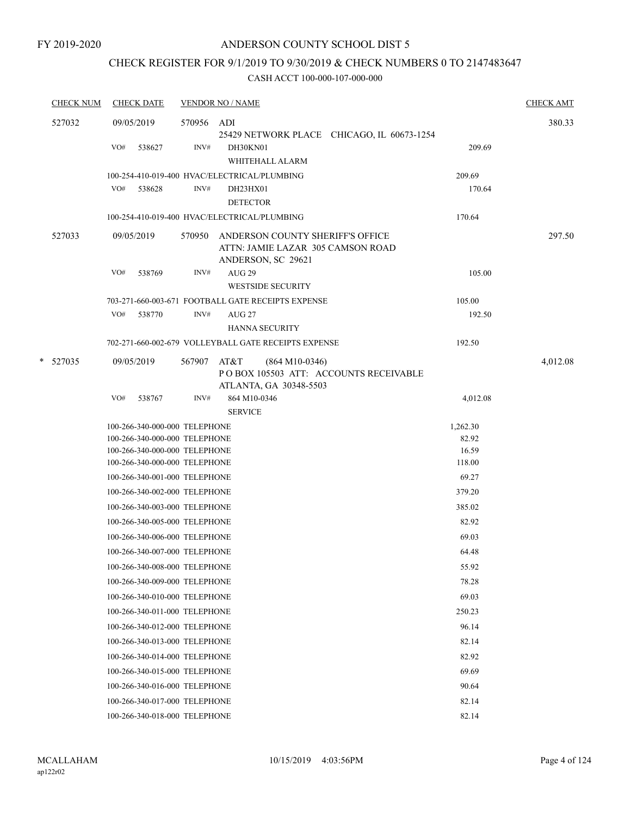# CHECK REGISTER FOR 9/1/2019 TO 9/30/2019 & CHECK NUMBERS 0 TO 2147483647

|   | <b>CHECK NUM</b> |     | <b>CHECK DATE</b>                                              |            | <b>VENDOR NO / NAME</b>                                                                      |                                            |                 | <b>CHECK AMT</b> |
|---|------------------|-----|----------------------------------------------------------------|------------|----------------------------------------------------------------------------------------------|--------------------------------------------|-----------------|------------------|
|   | 527032           |     | 09/05/2019                                                     | 570956 ADI |                                                                                              | 25429 NETWORK PLACE CHICAGO, IL 60673-1254 |                 | 380.33           |
|   |                  | VO# | 538627                                                         | INV#       | DH30KN01<br>WHITEHALL ALARM                                                                  |                                            | 209.69          |                  |
|   |                  |     |                                                                |            | 100-254-410-019-400 HVAC/ELECTRICAL/PLUMBING                                                 |                                            | 209.69          |                  |
|   |                  | VO# | 538628                                                         | INV#       | DH23HX01                                                                                     |                                            | 170.64          |                  |
|   |                  |     |                                                                |            | <b>DETECTOR</b>                                                                              |                                            |                 |                  |
|   |                  |     |                                                                |            | 100-254-410-019-400 HVAC/ELECTRICAL/PLUMBING                                                 |                                            | 170.64          |                  |
|   | 527033           |     | 09/05/2019                                                     | 570950     | ANDERSON COUNTY SHERIFF'S OFFICE<br>ATTN: JAMIE LAZAR 305 CAMSON ROAD<br>ANDERSON, SC 29621  |                                            |                 | 297.50           |
|   |                  | VO# | 538769                                                         | INV#       | <b>AUG 29</b><br><b>WESTSIDE SECURITY</b>                                                    |                                            | 105.00          |                  |
|   |                  |     |                                                                |            | 703-271-660-003-671 FOOTBALL GATE RECEIPTS EXPENSE                                           |                                            | 105.00          |                  |
|   |                  | VO# | 538770                                                         | INV#       | AUG 27                                                                                       |                                            | 192.50          |                  |
|   |                  |     |                                                                |            | <b>HANNA SECURITY</b>                                                                        |                                            |                 |                  |
|   |                  |     |                                                                |            | 702-271-660-002-679 VOLLEYBALL GATE RECEIPTS EXPENSE                                         |                                            | 192.50          |                  |
| * | 527035           |     | 09/05/2019                                                     | 567907     | AT&T<br>$(864 M10-0346)$<br>PO BOX 105503 ATT: ACCOUNTS RECEIVABLE<br>ATLANTA, GA 30348-5503 |                                            |                 | 4,012.08         |
|   |                  | VO# | 538767                                                         | INV#       | 864 M10-0346                                                                                 |                                            | 4,012.08        |                  |
|   |                  |     |                                                                |            | <b>SERVICE</b>                                                                               |                                            |                 |                  |
|   |                  |     | 100-266-340-000-000 TELEPHONE                                  |            |                                                                                              |                                            | 1,262.30        |                  |
|   |                  |     | 100-266-340-000-000 TELEPHONE                                  |            |                                                                                              |                                            | 82.92           |                  |
|   |                  |     | 100-266-340-000-000 TELEPHONE<br>100-266-340-000-000 TELEPHONE |            |                                                                                              |                                            | 16.59<br>118.00 |                  |
|   |                  |     | 100-266-340-001-000 TELEPHONE                                  |            |                                                                                              |                                            | 69.27           |                  |
|   |                  |     | 100-266-340-002-000 TELEPHONE                                  |            |                                                                                              |                                            | 379.20          |                  |
|   |                  |     |                                                                |            |                                                                                              |                                            |                 |                  |
|   |                  |     | 100-266-340-003-000 TELEPHONE                                  |            |                                                                                              |                                            | 385.02          |                  |
|   |                  |     | 100-266-340-005-000 TELEPHONE                                  |            |                                                                                              |                                            | 82.92           |                  |
|   |                  |     | 100-266-340-006-000 TELEPHONE                                  |            |                                                                                              |                                            | 69.03           |                  |
|   |                  |     | 100-266-340-007-000 TELEPHONE                                  |            |                                                                                              |                                            | 64.48           |                  |
|   |                  |     | 100-266-340-008-000 TELEPHONE                                  |            |                                                                                              |                                            | 55.92           |                  |
|   |                  |     | 100-266-340-009-000 TELEPHONE                                  |            |                                                                                              |                                            | 78.28           |                  |
|   |                  |     | 100-266-340-010-000 TELEPHONE                                  |            |                                                                                              |                                            | 69.03           |                  |
|   |                  |     | 100-266-340-011-000 TELEPHONE                                  |            |                                                                                              |                                            | 250.23          |                  |
|   |                  |     | 100-266-340-012-000 TELEPHONE                                  |            |                                                                                              |                                            | 96.14           |                  |
|   |                  |     | 100-266-340-013-000 TELEPHONE                                  |            |                                                                                              |                                            | 82.14           |                  |
|   |                  |     | 100-266-340-014-000 TELEPHONE                                  |            |                                                                                              |                                            | 82.92           |                  |
|   |                  |     | 100-266-340-015-000 TELEPHONE                                  |            |                                                                                              |                                            | 69.69           |                  |
|   |                  |     | 100-266-340-016-000 TELEPHONE                                  |            |                                                                                              |                                            | 90.64           |                  |
|   |                  |     | 100-266-340-017-000 TELEPHONE                                  |            |                                                                                              |                                            | 82.14           |                  |
|   |                  |     | 100-266-340-018-000 TELEPHONE                                  |            |                                                                                              |                                            | 82.14           |                  |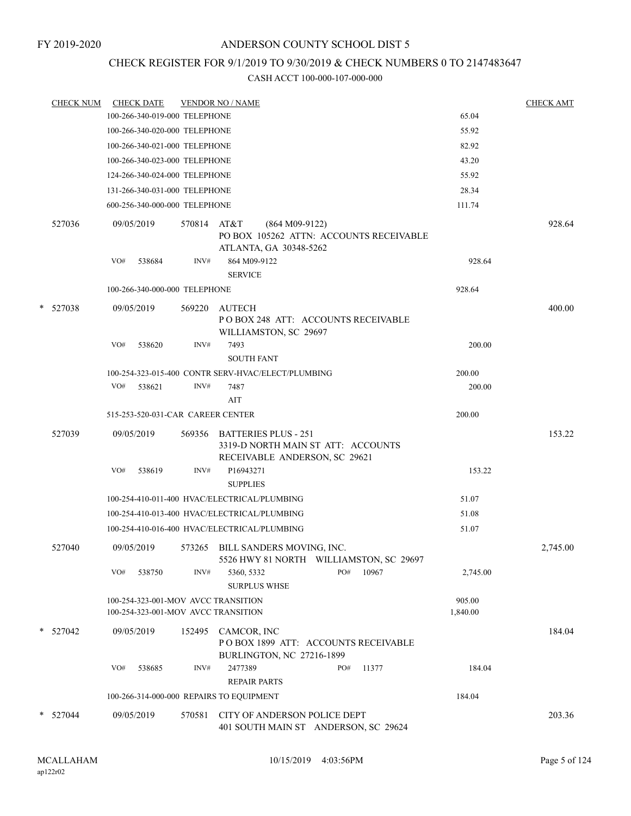# CHECK REGISTER FOR 9/1/2019 TO 9/30/2019 & CHECK NUMBERS 0 TO 2147483647

|   | <b>CHECK NUM</b> |     | <b>CHECK DATE</b>                 |             | <b>VENDOR NO / NAME</b>                                                                            |  |     |       |          | <b>CHECK AMT</b> |
|---|------------------|-----|-----------------------------------|-------------|----------------------------------------------------------------------------------------------------|--|-----|-------|----------|------------------|
|   |                  |     | 100-266-340-019-000 TELEPHONE     |             |                                                                                                    |  |     |       | 65.04    |                  |
|   |                  |     | 100-266-340-020-000 TELEPHONE     |             |                                                                                                    |  |     |       | 55.92    |                  |
|   |                  |     | 100-266-340-021-000 TELEPHONE     |             |                                                                                                    |  |     |       | 82.92    |                  |
|   |                  |     | 100-266-340-023-000 TELEPHONE     |             |                                                                                                    |  |     |       | 43.20    |                  |
|   |                  |     | 124-266-340-024-000 TELEPHONE     |             |                                                                                                    |  |     |       | 55.92    |                  |
|   |                  |     | 131-266-340-031-000 TELEPHONE     |             |                                                                                                    |  |     |       | 28.34    |                  |
|   |                  |     | 600-256-340-000-000 TELEPHONE     |             |                                                                                                    |  |     |       | 111.74   |                  |
|   | 527036           |     | 09/05/2019                        | 570814 AT&T | $(864 M09-9122)$<br>PO BOX 105262 ATTN: ACCOUNTS RECEIVABLE<br>ATLANTA, GA 30348-5262              |  |     |       |          | 928.64           |
|   |                  | VO# | 538684                            | INV#        | 864 M09-9122<br><b>SERVICE</b>                                                                     |  |     |       | 928.64   |                  |
|   |                  |     | 100-266-340-000-000 TELEPHONE     |             |                                                                                                    |  |     |       | 928.64   |                  |
| * | 527038           |     | 09/05/2019                        | 569220      | AUTECH                                                                                             |  |     |       |          | 400.00           |
|   |                  |     |                                   |             | POBOX 248 ATT: ACCOUNTS RECEIVABLE<br>WILLIAMSTON, SC 29697                                        |  |     |       |          |                  |
|   |                  | VO# | 538620                            | INV#        | 7493                                                                                               |  |     |       | 200.00   |                  |
|   |                  |     |                                   |             | <b>SOUTH FANT</b>                                                                                  |  |     |       |          |                  |
|   |                  |     |                                   |             | 100-254-323-015-400 CONTR SERV-HVAC/ELECT/PLUMBING                                                 |  |     |       | 200.00   |                  |
|   |                  |     | VO# 538621                        | INV#        | 7487                                                                                               |  |     |       | 200.00   |                  |
|   |                  |     |                                   |             | AIT                                                                                                |  |     |       |          |                  |
|   |                  |     | 515-253-520-031-CAR CAREER CENTER |             |                                                                                                    |  |     |       | 200.00   |                  |
|   | 527039           |     | 09/05/2019                        |             | 569356 BATTERIES PLUS - 251<br>3319-D NORTH MAIN ST ATT: ACCOUNTS<br>RECEIVABLE ANDERSON, SC 29621 |  |     |       |          | 153.22           |
|   |                  | VO# | 538619                            | INV#        | P16943271<br><b>SUPPLIES</b>                                                                       |  |     |       | 153.22   |                  |
|   |                  |     |                                   |             | 100-254-410-011-400 HVAC/ELECTRICAL/PLUMBING                                                       |  |     |       | 51.07    |                  |
|   |                  |     |                                   |             | 100-254-410-013-400 HVAC/ELECTRICAL/PLUMBING                                                       |  |     |       | 51.08    |                  |
|   |                  |     |                                   |             | 100-254-410-016-400 HVAC/ELECTRICAL/PLUMBING                                                       |  |     |       | 51.07    |                  |
|   | 527040           |     | 09/05/2019                        |             | 573265 BILL SANDERS MOVING, INC.<br>5526 HWY 81 NORTH WILLIAMSTON, SC 29697                        |  |     |       |          | 2,745.00         |
|   |                  | VO# | 538750                            | INV#        | 5360, 5332<br><b>SURPLUS WHSE</b>                                                                  |  | PO# | 10967 | 2,745.00 |                  |
|   |                  |     |                                   |             | 100-254-323-001-MOV AVCC TRANSITION                                                                |  |     |       | 905.00   |                  |
|   |                  |     |                                   |             | 100-254-323-001-MOV AVCC TRANSITION                                                                |  |     |       | 1,840.00 |                  |
|   | * 527042         |     | 09/05/2019                        |             | 152495 CAMCOR, INC<br>POBOX 1899 ATT: ACCOUNTS RECEIVABLE<br><b>BURLINGTON, NC 27216-1899</b>      |  |     |       |          | 184.04           |
|   |                  | VO# | 538685                            | INV#        | 2477389<br><b>REPAIR PARTS</b>                                                                     |  | PO# | 11377 | 184.04   |                  |
|   |                  |     |                                   |             | 100-266-314-000-000 REPAIRS TO EQUIPMENT                                                           |  |     |       | 184.04   |                  |
|   | * 527044         |     | 09/05/2019                        | 570581      | CITY OF ANDERSON POLICE DEPT<br>401 SOUTH MAIN ST ANDERSON, SC 29624                               |  |     |       |          | 203.36           |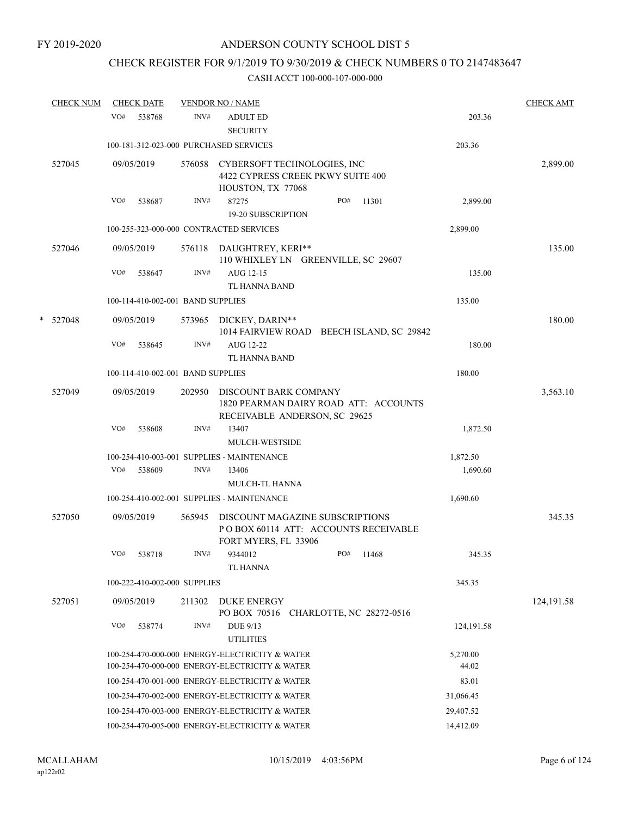# CHECK REGISTER FOR 9/1/2019 TO 9/30/2019 & CHECK NUMBERS 0 TO 2147483647

|   | <u>CHECK NUM</u> |     | <b>CHECK DATE</b>                 |                | <b>VENDOR NO / NAME</b>                                                                          |     |                          |                   | <b>CHECK AMT</b> |
|---|------------------|-----|-----------------------------------|----------------|--------------------------------------------------------------------------------------------------|-----|--------------------------|-------------------|------------------|
|   |                  | VO# | 538768                            | INV#           | <b>ADULT ED</b><br><b>SECURITY</b>                                                               |     |                          | 203.36            |                  |
|   |                  |     |                                   |                | 100-181-312-023-000 PURCHASED SERVICES                                                           |     |                          | 203.36            |                  |
|   | 527045           |     | 09/05/2019                        | 576058         | CYBERSOFT TECHNOLOGIES, INC<br>4422 CYPRESS CREEK PKWY SUITE 400<br>HOUSTON, TX 77068            |     |                          |                   | 2,899.00         |
|   |                  | VO# | 538687                            | INV#           | 87275<br><b>19-20 SUBSCRIPTION</b>                                                               | PO# | 11301                    | 2,899.00          |                  |
|   |                  |     |                                   |                | 100-255-323-000-000 CONTRACTED SERVICES                                                          |     |                          | 2,899.00          |                  |
|   | 527046           |     | 09/05/2019                        | 576118         | DAUGHTREY, KERI**                                                                                |     |                          |                   | 135.00           |
|   |                  | VO# | 538647                            | INV#           | 110 WHIXLEY LN GREENVILLE, SC 29607<br>AUG 12-15                                                 |     |                          | 135.00            |                  |
|   |                  |     | 100-114-410-002-001 BAND SUPPLIES |                | TL HANNA BAND                                                                                    |     |                          | 135.00            |                  |
|   |                  |     |                                   |                |                                                                                                  |     |                          |                   |                  |
| * | 527048           | VO# | 09/05/2019<br>538645              | 573965<br>INV# | DICKEY, DARIN**<br>1014 FAIRVIEW ROAD BEECH ISLAND, SC 29842<br>AUG 12-22<br>TL HANNA BAND       |     |                          | 180.00            | 180.00           |
|   |                  |     | 100-114-410-002-001 BAND SUPPLIES |                |                                                                                                  |     |                          | 180.00            |                  |
|   | 527049           |     | 09/05/2019                        | 202950         | DISCOUNT BARK COMPANY<br>1820 PEARMAN DAIRY ROAD ATT: ACCOUNTS                                   |     |                          |                   | 3,563.10         |
|   |                  | VO# | 538608                            | INV#           | RECEIVABLE ANDERSON, SC 29625<br>13407<br>MULCH-WESTSIDE                                         |     |                          | 1,872.50          |                  |
|   |                  |     |                                   |                | 100-254-410-003-001 SUPPLIES - MAINTENANCE                                                       |     |                          | 1,872.50          |                  |
|   |                  | VO# | 538609                            | INV#           | 13406<br><b>MULCH-TL HANNA</b>                                                                   |     |                          | 1,690.60          |                  |
|   |                  |     |                                   |                | 100-254-410-002-001 SUPPLIES - MAINTENANCE                                                       |     |                          | 1,690.60          |                  |
|   | 527050           |     | 09/05/2019                        | 565945         | DISCOUNT MAGAZINE SUBSCRIPTIONS<br>POBOX 60114 ATT: ACCOUNTS RECEIVABLE<br>FORT MYERS, FL 33906  |     |                          |                   | 345.35           |
|   |                  | VO# | 538718                            | INV#           | 9344012<br><b>TL HANNA</b>                                                                       | PO# | 11468                    | 345.35            |                  |
|   |                  |     | 100-222-410-002-000 SUPPLIES      |                |                                                                                                  |     |                          | 345.35            |                  |
|   | 527051           |     | 09/05/2019                        | 211302         | <b>DUKE ENERGY</b><br>PO BOX 70516                                                               |     | CHARLOTTE, NC 28272-0516 |                   | 124, 191.58      |
|   |                  | VO# | 538774                            | INV#           | DUE 9/13                                                                                         |     |                          | 124, 191.58       |                  |
|   |                  |     |                                   |                | <b>UTILITIES</b>                                                                                 |     |                          |                   |                  |
|   |                  |     |                                   |                | 100-254-470-000-000 ENERGY-ELECTRICITY & WATER<br>100-254-470-000-000 ENERGY-ELECTRICITY & WATER |     |                          | 5,270.00<br>44.02 |                  |
|   |                  |     |                                   |                | 100-254-470-001-000 ENERGY-ELECTRICITY & WATER                                                   |     |                          | 83.01             |                  |
|   |                  |     |                                   |                | 100-254-470-002-000 ENERGY-ELECTRICITY & WATER                                                   |     |                          | 31,066.45         |                  |
|   |                  |     |                                   |                | 100-254-470-003-000 ENERGY-ELECTRICITY & WATER                                                   |     |                          | 29,407.52         |                  |
|   |                  |     |                                   |                | 100-254-470-005-000 ENERGY-ELECTRICITY & WATER                                                   |     |                          | 14,412.09         |                  |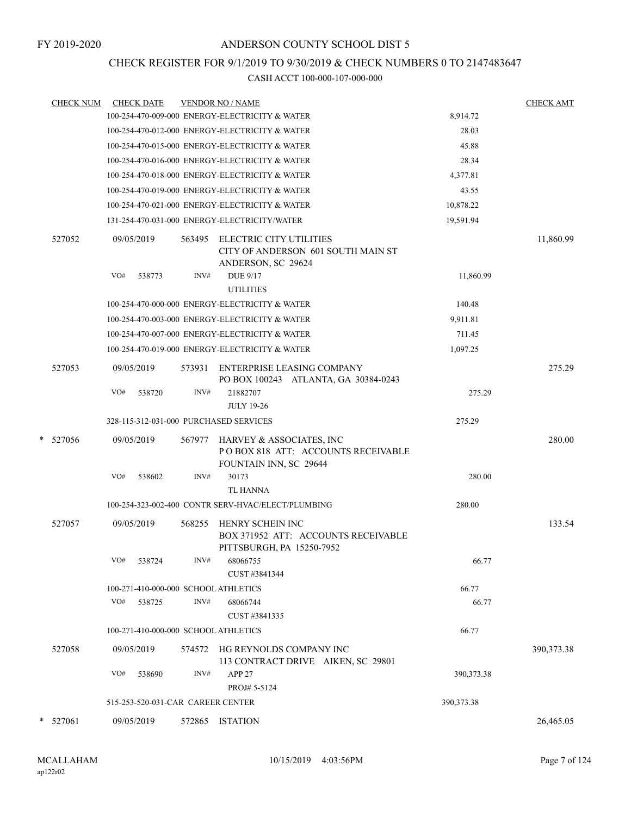### CHECK REGISTER FOR 9/1/2019 TO 9/30/2019 & CHECK NUMBERS 0 TO 2147483647

|   | <b>CHECK NUM</b> | <b>CHECK DATE</b>                      |        | <b>VENDOR NO / NAME</b>                                                                                       |              | <b>CHECK AMT</b> |
|---|------------------|----------------------------------------|--------|---------------------------------------------------------------------------------------------------------------|--------------|------------------|
|   |                  |                                        |        | 100-254-470-009-000 ENERGY-ELECTRICITY & WATER                                                                | 8,914.72     |                  |
|   |                  |                                        |        | 100-254-470-012-000 ENERGY-ELECTRICITY & WATER                                                                | 28.03        |                  |
|   |                  |                                        |        | 100-254-470-015-000 ENERGY-ELECTRICITY & WATER                                                                | 45.88        |                  |
|   |                  |                                        |        | 100-254-470-016-000 ENERGY-ELECTRICITY & WATER                                                                | 28.34        |                  |
|   |                  |                                        |        | 100-254-470-018-000 ENERGY-ELECTRICITY & WATER                                                                | 4,377.81     |                  |
|   |                  |                                        |        | 100-254-470-019-000 ENERGY-ELECTRICITY & WATER                                                                | 43.55        |                  |
|   |                  |                                        |        | 100-254-470-021-000 ENERGY-ELECTRICITY & WATER                                                                | 10,878.22    |                  |
|   |                  |                                        |        | 131-254-470-031-000 ENERGY-ELECTRICITY/WATER                                                                  | 19,591.94    |                  |
|   | 527052           | 09/05/2019<br>VO#<br>538773            | INV#   | 563495 ELECTRIC CITY UTILITIES<br>CITY OF ANDERSON 601 SOUTH MAIN ST<br>ANDERSON, SC 29624<br><b>DUE 9/17</b> | 11,860.99    | 11,860.99        |
|   |                  |                                        |        | <b>UTILITIES</b>                                                                                              |              |                  |
|   |                  |                                        |        | 100-254-470-000-000 ENERGY-ELECTRICITY & WATER                                                                | 140.48       |                  |
|   |                  |                                        |        | 100-254-470-003-000 ENERGY-ELECTRICITY & WATER                                                                | 9,911.81     |                  |
|   |                  |                                        |        | 100-254-470-007-000 ENERGY-ELECTRICITY & WATER                                                                | 711.45       |                  |
|   |                  |                                        |        | 100-254-470-019-000 ENERGY-ELECTRICITY & WATER                                                                | 1,097.25     |                  |
|   | 527053           | 09/05/2019                             | 573931 | <b>ENTERPRISE LEASING COMPANY</b><br>PO BOX 100243 ATLANTA, GA 30384-0243                                     |              | 275.29           |
|   |                  | VO#<br>538720                          | INV#   | 21882707<br><b>JULY 19-26</b>                                                                                 | 275.29       |                  |
|   |                  | 328-115-312-031-000 PURCHASED SERVICES |        |                                                                                                               | 275.29       |                  |
|   | * 527056         | 09/05/2019                             |        | 567977 HARVEY & ASSOCIATES, INC<br>POBOX 818 ATT: ACCOUNTS RECEIVABLE<br>FOUNTAIN INN, SC 29644               |              | 280.00           |
|   |                  | VO#<br>538602                          | INV#   | 30173<br><b>TL HANNA</b>                                                                                      | 280.00       |                  |
|   |                  |                                        |        | 100-254-323-002-400 CONTR SERV-HVAC/ELECT/PLUMBING                                                            | 280.00       |                  |
|   | 527057           | 09/05/2019                             | 568255 | HENRY SCHEIN INC<br>BOX 371952 ATT: ACCOUNTS RECEIVABLE<br>PITTSBURGH, PA 15250-7952                          |              | 133.54           |
|   |                  | 538724<br>VO#                          | INV#   | 68066755<br>CUST #3841344                                                                                     | 66.77        |                  |
|   |                  | 100-271-410-000-000 SCHOOL ATHLETICS   |        |                                                                                                               | 66.77        |                  |
|   |                  | VO#<br>538725                          | INV#   | 68066744<br>CUST #3841335                                                                                     | 66.77        |                  |
|   |                  | 100-271-410-000-000 SCHOOL ATHLETICS   |        |                                                                                                               | 66.77        |                  |
|   | 527058           | 09/05/2019                             | 574572 | HG REYNOLDS COMPANY INC<br>113 CONTRACT DRIVE AIKEN, SC 29801                                                 |              | 390, 373. 38     |
|   |                  | VO#<br>538690                          | INV#   | <b>APP 27</b><br>PROJ# 5-5124                                                                                 | 390, 373. 38 |                  |
|   |                  | 515-253-520-031-CAR CAREER CENTER      |        |                                                                                                               | 390, 373. 38 |                  |
| * | 527061           | 09/05/2019                             | 572865 | ISTATION                                                                                                      |              | 26,465.05        |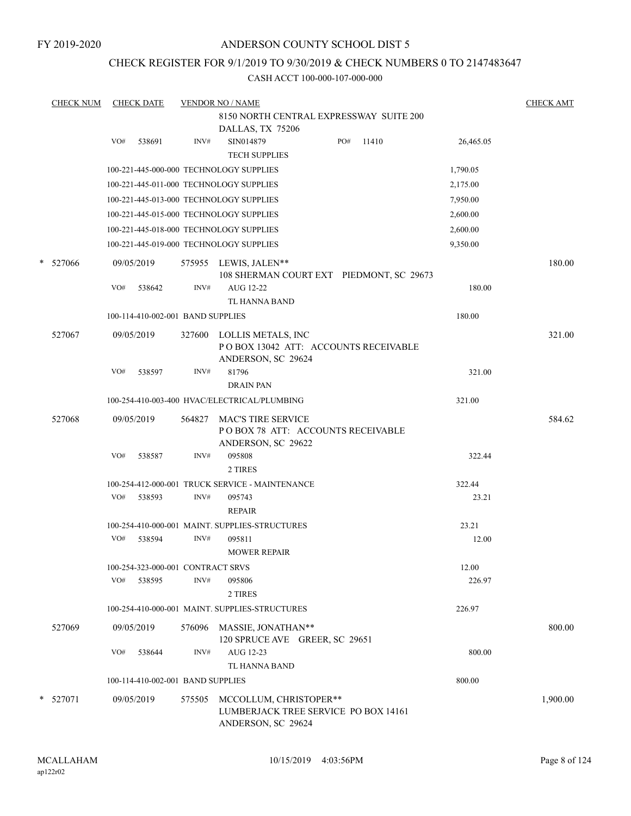FY 2019-2020

### ANDERSON COUNTY SCHOOL DIST 5

### CHECK REGISTER FOR 9/1/2019 TO 9/30/2019 & CHECK NUMBERS 0 TO 2147483647

|   | <b>CHECK NUM</b> |     | <b>CHECK DATE</b>                 |        | <b>VENDOR NO / NAME</b>                                                              |     |       |           | <b>CHECK AMT</b> |
|---|------------------|-----|-----------------------------------|--------|--------------------------------------------------------------------------------------|-----|-------|-----------|------------------|
|   |                  |     |                                   |        | 8150 NORTH CENTRAL EXPRESSWAY SUITE 200                                              |     |       |           |                  |
|   |                  |     |                                   |        | DALLAS, TX 75206                                                                     |     |       |           |                  |
|   |                  | VO# | 538691                            | INV#   | SIN014879                                                                            | PO# | 11410 | 26,465.05 |                  |
|   |                  |     |                                   |        | <b>TECH SUPPLIES</b>                                                                 |     |       |           |                  |
|   |                  |     |                                   |        | 100-221-445-000-000 TECHNOLOGY SUPPLIES                                              |     |       | 1,790.05  |                  |
|   |                  |     |                                   |        | 100-221-445-011-000 TECHNOLOGY SUPPLIES                                              |     |       | 2,175.00  |                  |
|   |                  |     |                                   |        | 100-221-445-013-000 TECHNOLOGY SUPPLIES                                              |     |       | 7,950.00  |                  |
|   |                  |     |                                   |        | 100-221-445-015-000 TECHNOLOGY SUPPLIES                                              |     |       | 2,600.00  |                  |
|   |                  |     |                                   |        | 100-221-445-018-000 TECHNOLOGY SUPPLIES                                              |     |       | 2,600.00  |                  |
|   |                  |     |                                   |        | 100-221-445-019-000 TECHNOLOGY SUPPLIES                                              |     |       | 9,350.00  |                  |
| * | 527066           |     | 09/05/2019                        |        | 575955 LEWIS, JALEN**<br>108 SHERMAN COURT EXT PIEDMONT, SC 29673                    |     |       |           | 180.00           |
|   |                  | VO# | 538642                            | INV#   | AUG 12-22<br>TL HANNA BAND                                                           |     |       | 180.00    |                  |
|   |                  |     | 100-114-410-002-001 BAND SUPPLIES |        |                                                                                      |     |       | 180.00    |                  |
|   | 527067           |     | 09/05/2019                        | 327600 | LOLLIS METALS, INC<br>POBOX 13042 ATT: ACCOUNTS RECEIVABLE<br>ANDERSON, SC 29624     |     |       |           | 321.00           |
|   |                  | VO# | 538597                            | INV#   | 81796<br><b>DRAIN PAN</b>                                                            |     |       | 321.00    |                  |
|   |                  |     |                                   |        | 100-254-410-003-400 HVAC/ELECTRICAL/PLUMBING                                         |     |       | 321.00    |                  |
|   | 527068           |     | 09/05/2019                        | 564827 | <b>MAC'S TIRE SERVICE</b><br>POBOX 78 ATT: ACCOUNTS RECEIVABLE<br>ANDERSON, SC 29622 |     |       |           | 584.62           |
|   |                  | VO# | 538587                            | INV#   | 095808<br>2 TIRES                                                                    |     |       | 322.44    |                  |
|   |                  |     |                                   |        | 100-254-412-000-001 TRUCK SERVICE - MAINTENANCE                                      |     |       | 322.44    |                  |
|   |                  | VO# | 538593                            | INV#   | 095743<br><b>REPAIR</b>                                                              |     |       | 23.21     |                  |
|   |                  |     |                                   |        | 100-254-410-000-001 MAINT. SUPPLIES-STRUCTURES                                       |     |       | 23.21     |                  |
|   |                  | VO# | 538594                            | INV#   | 095811                                                                               |     |       | 12.00     |                  |
|   |                  |     |                                   |        | <b>MOWER REPAIR</b>                                                                  |     |       |           |                  |
|   |                  |     | 100-254-323-000-001 CONTRACT SRVS |        |                                                                                      |     |       | 12.00     |                  |
|   |                  | VO# | 538595                            | INV#   | 095806<br>2 TIRES                                                                    |     |       | 226.97    |                  |
|   |                  |     |                                   |        | 100-254-410-000-001 MAINT. SUPPLIES-STRUCTURES                                       |     |       | 226.97    |                  |
|   | 527069           |     | 09/05/2019                        | 576096 | MASSIE, JONATHAN**<br>120 SPRUCE AVE GREER, SC 29651                                 |     |       |           | 800.00           |
|   |                  | VO# | 538644                            | INV#   | AUG 12-23<br>TL HANNA BAND                                                           |     |       | 800.00    |                  |
|   |                  |     | 100-114-410-002-001 BAND SUPPLIES |        |                                                                                      |     |       | 800.00    |                  |
|   | * 527071         |     | 09/05/2019                        | 575505 | MCCOLLUM, CHRISTOPER**<br>LUMBERJACK TREE SERVICE PO BOX 14161<br>ANDERSON, SC 29624 |     |       |           | 1,900.00         |
|   |                  |     |                                   |        |                                                                                      |     |       |           |                  |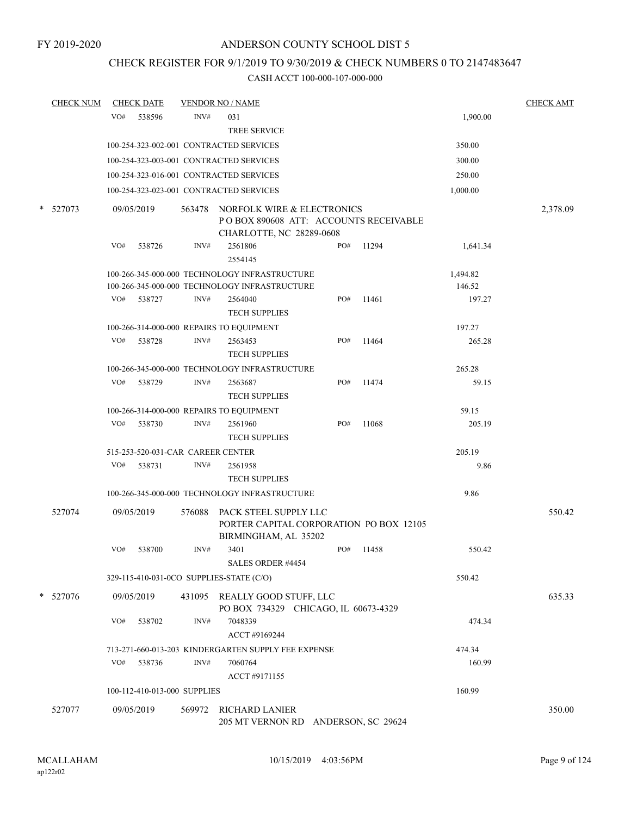# CHECK REGISTER FOR 9/1/2019 TO 9/30/2019 & CHECK NUMBERS 0 TO 2147483647

| <b>CHECK NUM</b> |     | <b>CHECK DATE</b>                 |        | <b>VENDOR NO / NAME</b>                                                                          |     |       |          | <b>CHECK AMT</b> |
|------------------|-----|-----------------------------------|--------|--------------------------------------------------------------------------------------------------|-----|-------|----------|------------------|
|                  | VO# | 538596                            | INV#   | 031                                                                                              |     |       | 1,900.00 |                  |
|                  |     |                                   |        | <b>TREE SERVICE</b>                                                                              |     |       |          |                  |
|                  |     |                                   |        | 100-254-323-002-001 CONTRACTED SERVICES                                                          |     |       | 350.00   |                  |
|                  |     |                                   |        | 100-254-323-003-001 CONTRACTED SERVICES                                                          |     |       | 300.00   |                  |
|                  |     |                                   |        | 100-254-323-016-001 CONTRACTED SERVICES                                                          |     |       | 250.00   |                  |
|                  |     |                                   |        | 100-254-323-023-001 CONTRACTED SERVICES                                                          |     |       | 1,000.00 |                  |
| * 527073         |     | 09/05/2019                        | 563478 | NORFOLK WIRE & ELECTRONICS<br>PO BOX 890608 ATT: ACCOUNTS RECEIVABLE<br>CHARLOTTE, NC 28289-0608 |     |       |          | 2,378.09         |
|                  | VO# | 538726                            | INV#   | 2561806<br>2554145                                                                               | PO# | 11294 | 1,641.34 |                  |
|                  |     |                                   |        | 100-266-345-000-000 TECHNOLOGY INFRASTRUCTURE                                                    |     |       | 1,494.82 |                  |
|                  |     |                                   |        | 100-266-345-000-000 TECHNOLOGY INFRASTRUCTURE                                                    |     |       | 146.52   |                  |
|                  | VO# | 538727                            | INV#   | 2564040<br><b>TECH SUPPLIES</b>                                                                  | PO# | 11461 | 197.27   |                  |
|                  |     |                                   |        | 100-266-314-000-000 REPAIRS TO EQUIPMENT                                                         |     |       | 197.27   |                  |
|                  | VO# | 538728                            | INV#   | 2563453<br><b>TECH SUPPLIES</b>                                                                  | PO# | 11464 | 265.28   |                  |
|                  |     |                                   |        | 100-266-345-000-000 TECHNOLOGY INFRASTRUCTURE                                                    |     |       | 265.28   |                  |
|                  | VO# | 538729                            | INV#   | 2563687<br><b>TECH SUPPLIES</b>                                                                  | PO# | 11474 | 59.15    |                  |
|                  |     |                                   |        | 100-266-314-000-000 REPAIRS TO EQUIPMENT                                                         |     |       | 59.15    |                  |
|                  | VO# | 538730                            | INV#   | 2561960<br><b>TECH SUPPLIES</b>                                                                  | PO# | 11068 | 205.19   |                  |
|                  |     | 515-253-520-031-CAR CAREER CENTER |        |                                                                                                  |     |       | 205.19   |                  |
|                  | VO# | 538731                            | INV#   | 2561958<br><b>TECH SUPPLIES</b>                                                                  |     |       | 9.86     |                  |
|                  |     |                                   |        | 100-266-345-000-000 TECHNOLOGY INFRASTRUCTURE                                                    |     |       | 9.86     |                  |
| 527074           |     | 09/05/2019                        | 576088 | PACK STEEL SUPPLY LLC<br>PORTER CAPITAL CORPORATION PO BOX 12105<br>BIRMINGHAM, AL 35202         |     |       |          | 550.42           |
|                  | VO# | 538700                            | INV#   | 3401<br><b>SALES ORDER #4454</b>                                                                 | PO# | 11458 | 550.42   |                  |
|                  |     |                                   |        | 329-115-410-031-0CO SUPPLIES-STATE (C/O)                                                         |     |       | 550.42   |                  |
| * 527076         |     | 09/05/2019                        |        | 431095 REALLY GOOD STUFF, LLC<br>PO BOX 734329 CHICAGO, IL 60673-4329                            |     |       |          | 635.33           |
|                  | VO# | 538702                            | INV#   | 7048339<br>ACCT #9169244                                                                         |     |       | 474.34   |                  |
|                  |     |                                   |        | 713-271-660-013-203 KINDERGARTEN SUPPLY FEE EXPENSE                                              |     |       | 474.34   |                  |
|                  | VO# | 538736                            | INV#   | 7060764<br>ACCT #9171155                                                                         |     |       | 160.99   |                  |
|                  |     | 100-112-410-013-000 SUPPLIES      |        |                                                                                                  |     |       | 160.99   |                  |
| 527077           |     | 09/05/2019                        |        | 569972 RICHARD LANIER<br>205 MT VERNON RD ANDERSON, SC 29624                                     |     |       |          | 350.00           |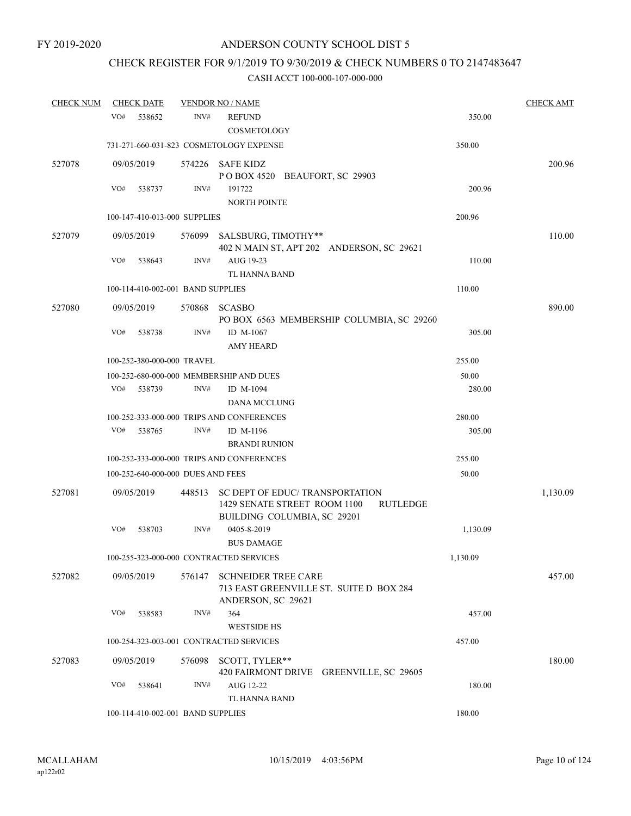# CHECK REGISTER FOR 9/1/2019 TO 9/30/2019 & CHECK NUMBERS 0 TO 2147483647

| <b>CHECK NUM</b> | <b>CHECK DATE</b> |                                   | <b>VENDOR NO / NAME</b>                                                                        |                 | <b>CHECK AMT</b> |
|------------------|-------------------|-----------------------------------|------------------------------------------------------------------------------------------------|-----------------|------------------|
|                  | VO#<br>538652     | INV#                              | <b>REFUND</b><br><b>COSMETOLOGY</b>                                                            | 350.00          |                  |
|                  |                   |                                   | 731-271-660-031-823 COSMETOLOGY EXPENSE                                                        | 350.00          |                  |
| 527078           | 09/05/2019        | 574226                            | SAFE KIDZ<br>POBOX 4520 BEAUFORT, SC 29903                                                     |                 | 200.96           |
|                  | VO#<br>538737     | INV#                              | 191722<br><b>NORTH POINTE</b>                                                                  | 200.96          |                  |
|                  |                   | 100-147-410-013-000 SUPPLIES      |                                                                                                | 200.96          |                  |
| 527079           | 09/05/2019        | 576099                            | SALSBURG, TIMOTHY**<br>402 N MAIN ST, APT 202 ANDERSON, SC 29621                               |                 | 110.00           |
|                  | VO#<br>538643     | INV#                              | AUG 19-23<br>TL HANNA BAND                                                                     | 110.00          |                  |
|                  |                   | 100-114-410-002-001 BAND SUPPLIES |                                                                                                | 110.00          |                  |
| 527080           | 09/05/2019        | 570868                            | <b>SCASBO</b><br>PO BOX 6563 MEMBERSHIP COLUMBIA, SC 29260                                     |                 | 890.00           |
|                  | VO#<br>538738     | INV#                              | ID M-1067<br><b>AMY HEARD</b>                                                                  | 305.00          |                  |
|                  |                   | 100-252-380-000-000 TRAVEL        |                                                                                                | 255.00          |                  |
|                  |                   |                                   | 100-252-680-000-000 MEMBERSHIP AND DUES                                                        | 50.00           |                  |
|                  | VO#<br>538739     | INV#                              | ID M-1094<br>DANA MCCLUNG                                                                      | 280.00          |                  |
|                  |                   |                                   | 100-252-333-000-000 TRIPS AND CONFERENCES                                                      | 280.00          |                  |
|                  | VO#<br>538765     | INV#                              | ID M-1196                                                                                      | 305.00          |                  |
|                  |                   |                                   | <b>BRANDI RUNION</b>                                                                           |                 |                  |
|                  |                   |                                   | 100-252-333-000-000 TRIPS AND CONFERENCES                                                      | 255.00          |                  |
|                  |                   | 100-252-640-000-000 DUES AND FEES |                                                                                                | 50.00           |                  |
| 527081           | 09/05/2019        | 448513                            | SC DEPT OF EDUC/ TRANSPORTATION<br>1429 SENATE STREET ROOM 1100<br>BUILDING COLUMBIA, SC 29201 | <b>RUTLEDGE</b> | 1,130.09         |
|                  | VO#<br>538703     | INV#                              | 0405-8-2019<br><b>BUS DAMAGE</b>                                                               | 1,130.09        |                  |
|                  |                   |                                   | 100-255-323-000-000 CONTRACTED SERVICES                                                        | 1,130.09        |                  |
| 527082           | 09/05/2019        | 576147                            | <b>SCHNEIDER TREE CARE</b><br>713 EAST GREENVILLE ST. SUITE D BOX 284<br>ANDERSON, SC 29621    |                 | 457.00           |
|                  | VO#<br>538583     | INV#                              | 364<br><b>WESTSIDE HS</b>                                                                      | 457.00          |                  |
|                  |                   |                                   | 100-254-323-003-001 CONTRACTED SERVICES                                                        | 457.00          |                  |
| 527083           | 09/05/2019        | 576098                            | SCOTT, TYLER**<br>420 FAIRMONT DRIVE GREENVILLE, SC 29605                                      |                 | 180.00           |
|                  | VO#<br>538641     | INV#                              | AUG 12-22<br>TL HANNA BAND                                                                     | 180.00          |                  |
|                  |                   | 100-114-410-002-001 BAND SUPPLIES |                                                                                                | 180.00          |                  |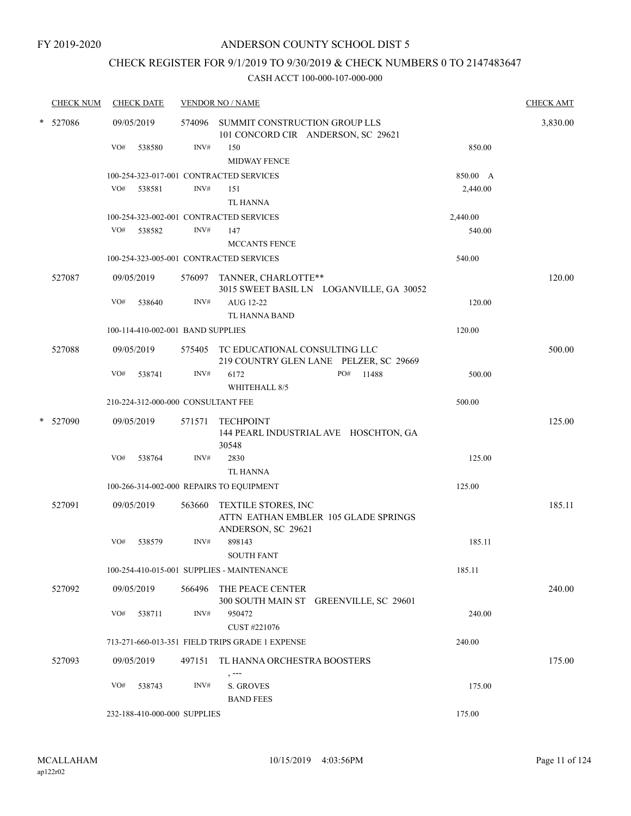# CHECK REGISTER FOR 9/1/2019 TO 9/30/2019 & CHECK NUMBERS 0 TO 2147483647

| <b>CHECK NUM</b> |            | <b>CHECK DATE</b>                  |        | <b>VENDOR NO / NAME</b>                                                        |          | <b>CHECK AMT</b> |
|------------------|------------|------------------------------------|--------|--------------------------------------------------------------------------------|----------|------------------|
| * 527086         | 09/05/2019 |                                    |        | 574096 SUMMIT CONSTRUCTION GROUP LLS<br>101 CONCORD CIR ANDERSON, SC 29621     |          | 3,830.00         |
|                  | VO#        | 538580                             | INV#   | 150                                                                            | 850.00   |                  |
|                  |            |                                    |        | <b>MIDWAY FENCE</b>                                                            |          |                  |
|                  |            |                                    |        | 100-254-323-017-001 CONTRACTED SERVICES                                        | 850.00 A |                  |
|                  | VO#        | 538581                             | INV#   | 151<br><b>TL HANNA</b>                                                         | 2,440.00 |                  |
|                  |            |                                    |        | 100-254-323-002-001 CONTRACTED SERVICES                                        | 2,440.00 |                  |
|                  | VO#        | 538582                             | INV#   | 147                                                                            | 540.00   |                  |
|                  |            |                                    |        | <b>MCCANTS FENCE</b>                                                           |          |                  |
|                  |            |                                    |        | 100-254-323-005-001 CONTRACTED SERVICES                                        | 540.00   |                  |
| 527087           | 09/05/2019 |                                    |        | 576097 TANNER, CHARLOTTE**<br>3015 SWEET BASIL LN LOGANVILLE, GA 30052         |          | 120.00           |
|                  | VO#        | 538640                             | INV#   | AUG 12-22                                                                      | 120.00   |                  |
|                  |            |                                    |        | TL HANNA BAND                                                                  |          |                  |
|                  |            | 100-114-410-002-001 BAND SUPPLIES  |        |                                                                                | 120.00   |                  |
| 527088           | 09/05/2019 |                                    |        | 575405 TC EDUCATIONAL CONSULTING LLC<br>219 COUNTRY GLEN LANE PELZER, SC 29669 |          | 500.00           |
|                  | VO#        | 538741                             | INV#   | 6172<br>PO#<br>11488<br>WHITEHALL 8/5                                          | 500.00   |                  |
|                  |            | 210-224-312-000-000 CONSULTANT FEE |        |                                                                                | 500.00   |                  |
| * 527090         | 09/05/2019 |                                    | 571571 | TECHPOINT<br>144 PEARL INDUSTRIAL AVE HOSCHTON, GA<br>30548                    |          | 125.00           |
|                  | VO#        | 538764                             | INV#   | 2830<br><b>TL HANNA</b>                                                        | 125.00   |                  |
|                  |            |                                    |        | 100-266-314-002-000 REPAIRS TO EQUIPMENT                                       | 125.00   |                  |
| 527091           | 09/05/2019 |                                    | 563660 | TEXTILE STORES, INC<br>ATTN EATHAN EMBLER 105 GLADE SPRINGS                    |          | 185.11           |
|                  |            |                                    |        | ANDERSON, SC 29621                                                             |          |                  |
|                  | VO#        | 538579                             | INV#   | 898143<br><b>SOUTH FANT</b>                                                    | 185.11   |                  |
|                  |            |                                    |        | 100-254-410-015-001 SUPPLIES - MAINTENANCE                                     | 185.11   |                  |
| 527092           | 09/05/2019 |                                    | 566496 | THE PEACE CENTER<br>300 SOUTH MAIN ST GREENVILLE, SC 29601                     |          | 240.00           |
|                  | VO#        | 538711                             | INV#   | 950472<br>CUST #221076                                                         | 240.00   |                  |
|                  |            |                                    |        | 713-271-660-013-351 FIELD TRIPS GRADE 1 EXPENSE                                | 240.00   |                  |
| 527093           | 09/05/2019 |                                    | 497151 | TL HANNA ORCHESTRA BOOSTERS                                                    |          | 175.00           |
|                  | VO#        | 538743                             | INV#   | , ---<br>S. GROVES<br><b>BAND FEES</b>                                         | 175.00   |                  |
|                  |            | 232-188-410-000-000 SUPPLIES       |        |                                                                                | 175.00   |                  |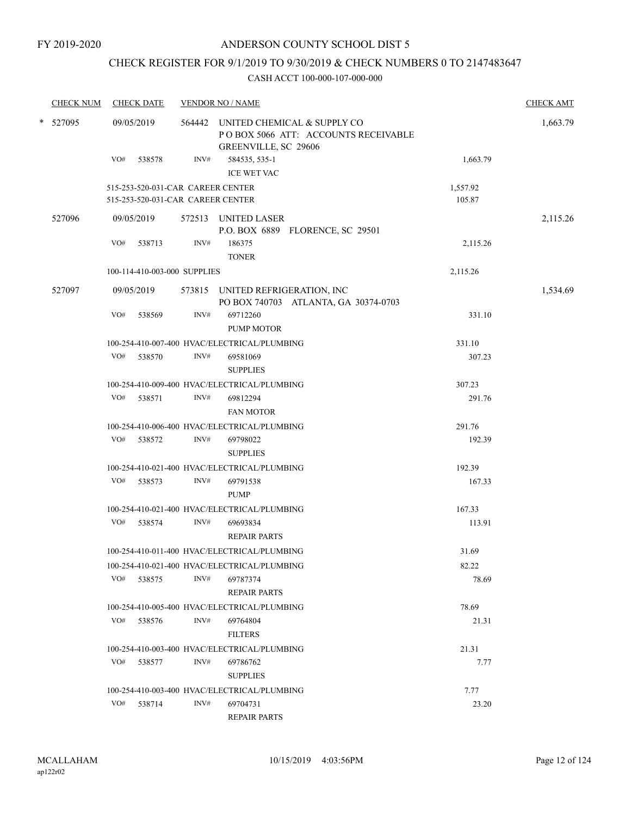# CHECK REGISTER FOR 9/1/2019 TO 9/30/2019 & CHECK NUMBERS 0 TO 2147483647

| <b>CHECK NUM</b> |          | <b>CHECK DATE</b> |                                                                        |      | <b>VENDOR NO / NAME</b>                                                                           |                    | <b>CHECK AMT</b> |
|------------------|----------|-------------------|------------------------------------------------------------------------|------|---------------------------------------------------------------------------------------------------|--------------------|------------------|
|                  | * 527095 |                   | 09/05/2019                                                             |      | 564442 UNITED CHEMICAL & SUPPLY CO<br>POBOX 5066 ATT: ACCOUNTS RECEIVABLE<br>GREENVILLE, SC 29606 |                    | 1,663.79         |
|                  |          | VO#               | 538578                                                                 | INV# | 584535, 535-1<br><b>ICE WET VAC</b>                                                               | 1,663.79           |                  |
|                  |          |                   | 515-253-520-031-CAR CAREER CENTER<br>515-253-520-031-CAR CAREER CENTER |      |                                                                                                   | 1,557.92<br>105.87 |                  |
|                  | 527096   |                   | 09/05/2019                                                             |      | 572513 UNITED LASER<br>P.O. BOX 6889 FLORENCE, SC 29501                                           |                    | 2,115.26         |
|                  |          | VO#               | 538713                                                                 | INV# | 186375<br><b>TONER</b>                                                                            | 2,115.26           |                  |
|                  |          |                   | 100-114-410-003-000 SUPPLIES                                           |      |                                                                                                   | 2,115.26           |                  |
|                  | 527097   |                   | 09/05/2019                                                             |      | 573815 UNITED REFRIGERATION, INC<br>PO BOX 740703 ATLANTA, GA 30374-0703                          |                    | 1,534.69         |
|                  |          | VO#               | 538569                                                                 | INV# | 69712260<br><b>PUMP MOTOR</b>                                                                     | 331.10             |                  |
|                  |          |                   |                                                                        |      | 100-254-410-007-400 HVAC/ELECTRICAL/PLUMBING                                                      | 331.10             |                  |
|                  |          | VO#               | 538570                                                                 | INV# | 69581069<br><b>SUPPLIES</b>                                                                       | 307.23             |                  |
|                  |          |                   |                                                                        |      | 100-254-410-009-400 HVAC/ELECTRICAL/PLUMBING                                                      | 307.23             |                  |
|                  |          | VO#               | 538571                                                                 | INV# | 69812294<br><b>FAN MOTOR</b>                                                                      | 291.76             |                  |
|                  |          |                   |                                                                        |      | 100-254-410-006-400 HVAC/ELECTRICAL/PLUMBING                                                      | 291.76             |                  |
|                  |          | VO#               | 538572                                                                 | INV# | 69798022<br><b>SUPPLIES</b>                                                                       | 192.39             |                  |
|                  |          |                   |                                                                        |      | 100-254-410-021-400 HVAC/ELECTRICAL/PLUMBING                                                      | 192.39             |                  |
|                  |          | VO#               | 538573                                                                 | INV# | 69791538<br><b>PUMP</b>                                                                           | 167.33             |                  |
|                  |          |                   |                                                                        |      | 100-254-410-021-400 HVAC/ELECTRICAL/PLUMBING                                                      | 167.33             |                  |
|                  |          |                   | VO# 538574                                                             | INV# | 69693834<br><b>REPAIR PARTS</b>                                                                   | 113.91             |                  |
|                  |          |                   |                                                                        |      | 100-254-410-011-400 HVAC/ELECTRICAL/PLUMBING                                                      | 31.69              |                  |
|                  |          |                   |                                                                        |      | 100-254-410-021-400 HVAC/ELECTRICAL/PLUMBING                                                      | 82.22              |                  |
|                  |          | VO#               | 538575                                                                 | INV# | 69787374<br><b>REPAIR PARTS</b>                                                                   | 78.69              |                  |
|                  |          |                   |                                                                        |      | 100-254-410-005-400 HVAC/ELECTRICAL/PLUMBING                                                      | 78.69              |                  |
|                  |          | VO#               | 538576                                                                 | INV# | 69764804<br><b>FILTERS</b>                                                                        | 21.31              |                  |
|                  |          |                   |                                                                        |      | 100-254-410-003-400 HVAC/ELECTRICAL/PLUMBING                                                      | 21.31              |                  |
|                  |          | VO#               | 538577                                                                 | INV# | 69786762<br><b>SUPPLIES</b>                                                                       | 7.77               |                  |
|                  |          |                   |                                                                        |      | 100-254-410-003-400 HVAC/ELECTRICAL/PLUMBING                                                      | 7.77               |                  |
|                  |          |                   | VO# 538714                                                             | INV# | 69704731<br><b>REPAIR PARTS</b>                                                                   | 23.20              |                  |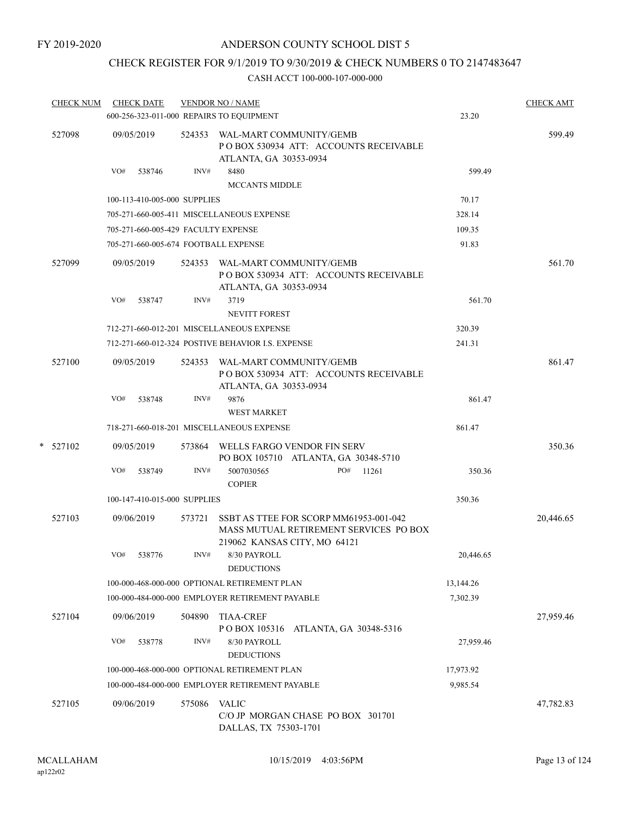# CHECK REGISTER FOR 9/1/2019 TO 9/30/2019 & CHECK NUMBERS 0 TO 2147483647

|   | <b>CHECK NUM</b> | <b>CHECK DATE</b><br>600-256-323-011-000 REPAIRS TO EQUIPMENT |        | <b>VENDOR NO / NAME</b>                                                                                          | 23.20     | <b>CHECK AMT</b> |
|---|------------------|---------------------------------------------------------------|--------|------------------------------------------------------------------------------------------------------------------|-----------|------------------|
|   | 527098           | 09/05/2019                                                    | 524353 | WAL-MART COMMUNITY/GEMB<br>PO BOX 530934 ATT: ACCOUNTS RECEIVABLE<br>ATLANTA, GA 30353-0934                      |           | 599.49           |
|   |                  | VO#<br>538746                                                 | INV#   | 8480<br><b>MCCANTS MIDDLE</b>                                                                                    | 599.49    |                  |
|   |                  | 100-113-410-005-000 SUPPLIES                                  |        |                                                                                                                  | 70.17     |                  |
|   |                  |                                                               |        | 705-271-660-005-411 MISCELLANEOUS EXPENSE                                                                        | 328.14    |                  |
|   |                  | 705-271-660-005-429 FACULTY EXPENSE                           |        |                                                                                                                  | 109.35    |                  |
|   |                  | 705-271-660-005-674 FOOTBALL EXPENSE                          |        |                                                                                                                  | 91.83     |                  |
|   | 527099           | 09/05/2019                                                    | 524353 | WAL-MART COMMUNITY/GEMB<br>PO BOX 530934 ATT: ACCOUNTS RECEIVABLE<br>ATLANTA, GA 30353-0934                      |           | 561.70           |
|   |                  | VO#<br>538747                                                 | INV#   | 3719                                                                                                             | 561.70    |                  |
|   |                  |                                                               |        | <b>NEVITT FOREST</b>                                                                                             |           |                  |
|   |                  |                                                               |        | 712-271-660-012-201 MISCELLANEOUS EXPENSE                                                                        | 320.39    |                  |
|   |                  |                                                               |        | 712-271-660-012-324 POSTIVE BEHAVIOR I.S. EXPENSE                                                                | 241.31    |                  |
|   | 527100           | 09/05/2019                                                    | 524353 | WAL-MART COMMUNITY/GEMB<br>PO BOX 530934 ATT: ACCOUNTS RECEIVABLE<br>ATLANTA, GA 30353-0934                      |           | 861.47           |
|   |                  | VO#<br>538748                                                 | INV#   | 9876<br><b>WEST MARKET</b>                                                                                       | 861.47    |                  |
|   |                  |                                                               |        | 718-271-660-018-201 MISCELLANEOUS EXPENSE                                                                        | 861.47    |                  |
| * | 527102           | 09/05/2019                                                    |        | 573864 WELLS FARGO VENDOR FIN SERV<br>PO BOX 105710 ATLANTA, GA 30348-5710                                       |           | 350.36           |
|   |                  | VO#<br>538749                                                 | INV#   | 5007030565<br>PO#<br>11261<br><b>COPIER</b>                                                                      | 350.36    |                  |
|   |                  | 100-147-410-015-000 SUPPLIES                                  |        |                                                                                                                  | 350.36    |                  |
|   | 527103           | 09/06/2019                                                    | 573721 | SSBT AS TTEE FOR SCORP MM61953-001-042<br>MASS MUTUAL RETIREMENT SERVICES PO BOX<br>219062 KANSAS CITY, MO 64121 |           | 20,446.65        |
|   |                  | VO#<br>538776                                                 | INV#   | 8/30 PAYROLL<br><b>DEDUCTIONS</b>                                                                                | 20,446.65 |                  |
|   |                  |                                                               |        | 100-000-468-000-000 OPTIONAL RETIREMENT PLAN                                                                     | 13,144.26 |                  |
|   |                  |                                                               |        | 100-000-484-000-000 EMPLOYER RETIREMENT PAYABLE                                                                  | 7,302.39  |                  |
|   | 527104           | 09/06/2019                                                    | 504890 | <b>TIAA-CREF</b><br>PO BOX 105316<br>ATLANTA, GA 30348-5316                                                      |           | 27,959.46        |
|   |                  | VO#<br>538778                                                 | INV#   | 8/30 PAYROLL<br><b>DEDUCTIONS</b>                                                                                | 27,959.46 |                  |
|   |                  |                                                               |        | 100-000-468-000-000 OPTIONAL RETIREMENT PLAN                                                                     | 17,973.92 |                  |
|   |                  |                                                               |        | 100-000-484-000-000 EMPLOYER RETIREMENT PAYABLE                                                                  | 9,985.54  |                  |
|   | 527105           | 09/06/2019                                                    | 575086 | <b>VALIC</b><br>C/O JP MORGAN CHASE PO BOX 301701<br>DALLAS, TX 75303-1701                                       |           | 47,782.83        |
|   |                  |                                                               |        |                                                                                                                  |           |                  |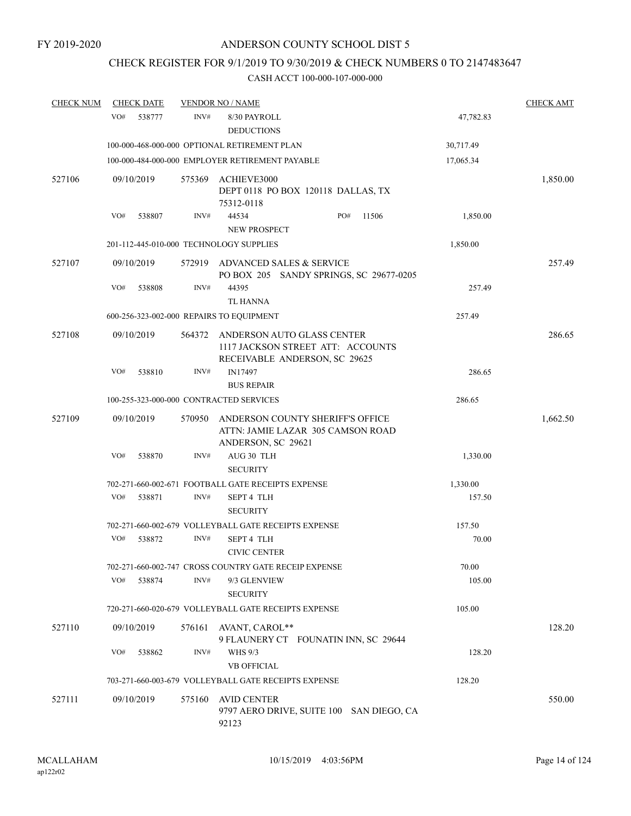# CHECK REGISTER FOR 9/1/2019 TO 9/30/2019 & CHECK NUMBERS 0 TO 2147483647

| <b>CHECK NUM</b> | <b>CHECK DATE</b>                        |        | <b>VENDOR NO / NAME</b>                                                                          |           | <b>CHECK AMT</b> |
|------------------|------------------------------------------|--------|--------------------------------------------------------------------------------------------------|-----------|------------------|
|                  | VO#<br>538777                            | INV#   | 8/30 PAYROLL<br><b>DEDUCTIONS</b>                                                                | 47,782.83 |                  |
|                  |                                          |        | 100-000-468-000-000 OPTIONAL RETIREMENT PLAN                                                     | 30,717.49 |                  |
|                  |                                          |        | 100-000-484-000-000 EMPLOYER RETIREMENT PAYABLE                                                  | 17,065.34 |                  |
| 527106           | 09/10/2019                               | 575369 | ACHIEVE3000<br>DEPT 0118 PO BOX 120118 DALLAS, TX<br>75312-0118                                  |           | 1,850.00         |
|                  | VO#<br>538807                            | INV#   | PO#<br>44534<br>11506                                                                            | 1,850.00  |                  |
|                  |                                          |        | NEW PROSPECT                                                                                     |           |                  |
|                  | 201-112-445-010-000 TECHNOLOGY SUPPLIES  |        |                                                                                                  | 1,850.00  |                  |
| 527107           | 09/10/2019                               | 572919 | ADVANCED SALES & SERVICE<br>PO BOX 205 SANDY SPRINGS, SC 29677-0205                              |           | 257.49           |
|                  | VO#<br>538808                            | INV#   | 44395<br>TL HANNA                                                                                | 257.49    |                  |
|                  | 600-256-323-002-000 REPAIRS TO EQUIPMENT |        |                                                                                                  | 257.49    |                  |
| 527108           | 09/10/2019                               | 564372 | ANDERSON AUTO GLASS CENTER<br>1117 JACKSON STREET ATT: ACCOUNTS<br>RECEIVABLE ANDERSON, SC 29625 |           | 286.65           |
|                  | VO#<br>538810                            | INV#   | IN17497                                                                                          | 286.65    |                  |
|                  |                                          |        | <b>BUS REPAIR</b>                                                                                |           |                  |
|                  | 100-255-323-000-000 CONTRACTED SERVICES  |        |                                                                                                  | 286.65    |                  |
| 527109           | 09/10/2019                               | 570950 | ANDERSON COUNTY SHERIFF'S OFFICE<br>ATTN: JAMIE LAZAR 305 CAMSON ROAD<br>ANDERSON, SC 29621      |           | 1,662.50         |
|                  | VO#<br>538870                            | INV#   | AUG 30 TLH<br><b>SECURITY</b>                                                                    | 1,330.00  |                  |
|                  |                                          |        | 702-271-660-002-671 FOOTBALL GATE RECEIPTS EXPENSE                                               | 1,330.00  |                  |
|                  | VO#<br>538871                            | INV#   | <b>SEPT 4 TLH</b><br><b>SECURITY</b>                                                             | 157.50    |                  |
|                  |                                          |        | 702-271-660-002-679 VOLLEYBALL GATE RECEIPTS EXPENSE                                             | 157.50    |                  |
|                  | VO#<br>538872                            | INV#   | <b>SEPT 4 TLH</b><br><b>CIVIC CENTER</b>                                                         | 70.00     |                  |
|                  |                                          |        | 702-271-660-002-747 CROSS COUNTRY GATE RECEIP EXPENSE                                            | 70.00     |                  |
|                  | VO#<br>538874                            | INV#   | 9/3 GLENVIEW<br><b>SECURITY</b>                                                                  | 105.00    |                  |
|                  |                                          |        | 720-271-660-020-679 VOLLEYBALL GATE RECEIPTS EXPENSE                                             | 105.00    |                  |
| 527110           | 09/10/2019                               | 576161 | AVANT, CAROL**<br>9 FLAUNERY CT FOUNATIN INN, SC 29644                                           |           | 128.20           |
|                  | VO#<br>538862                            | INV#   | <b>WHS 9/3</b><br><b>VB OFFICIAL</b>                                                             | 128.20    |                  |
|                  |                                          |        | 703-271-660-003-679 VOLLEYBALL GATE RECEIPTS EXPENSE                                             | 128.20    |                  |
| 527111           | 09/10/2019                               | 575160 | <b>AVID CENTER</b><br>9797 AERO DRIVE, SUITE 100 SAN DIEGO, CA<br>92123                          |           | 550.00           |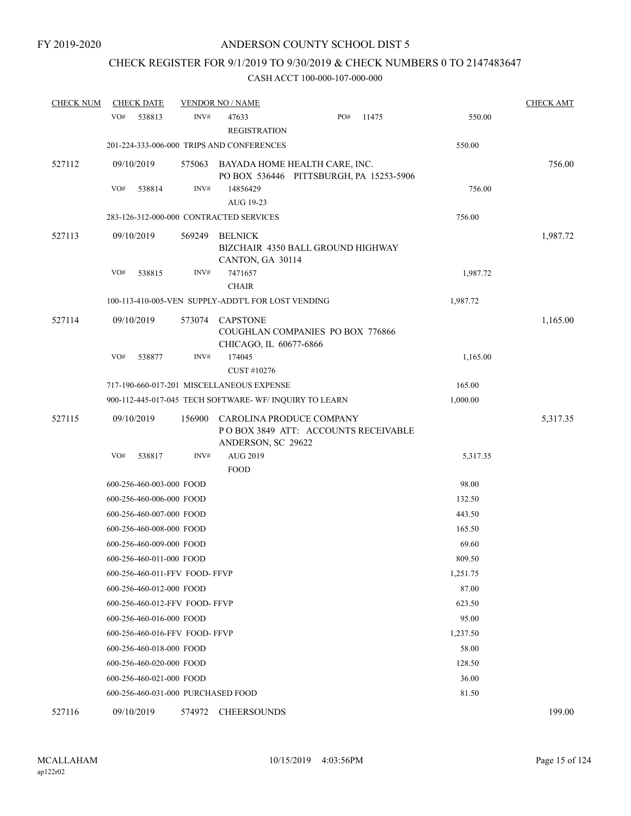## CHECK REGISTER FOR 9/1/2019 TO 9/30/2019 & CHECK NUMBERS 0 TO 2147483647

| <b>CHECK NUM</b> | <b>CHECK DATE</b>                       |        | <b>VENDOR NO / NAME</b>                            |                                                                          |       |          | <b>CHECK AMT</b> |
|------------------|-----------------------------------------|--------|----------------------------------------------------|--------------------------------------------------------------------------|-------|----------|------------------|
|                  | VO#<br>538813                           | INV#   | 47633<br><b>REGISTRATION</b>                       | PO#                                                                      | 11475 | 550.00   |                  |
|                  |                                         |        | 201-224-333-006-000 TRIPS AND CONFERENCES          |                                                                          |       | 550.00   |                  |
| 527112           | 09/10/2019                              | 575063 |                                                    | BAYADA HOME HEALTH CARE, INC.<br>PO BOX 536446 PITTSBURGH, PA 15253-5906 |       |          | 756.00           |
|                  | VO#<br>538814                           | INV#   | 14856429<br>AUG 19-23                              |                                                                          |       | 756.00   |                  |
|                  | 283-126-312-000-000 CONTRACTED SERVICES |        |                                                    |                                                                          |       | 756.00   |                  |
| 527113           | 09/10/2019                              | 569249 | <b>BELNICK</b><br>CANTON, GA 30114                 | BIZCHAIR 4350 BALL GROUND HIGHWAY                                        |       |          | 1,987.72         |
|                  | VO#<br>538815                           | INV#   | 7471657<br><b>CHAIR</b>                            |                                                                          |       | 1,987.72 |                  |
|                  |                                         |        | 100-113-410-005-VEN SUPPLY-ADDT'L FOR LOST VENDING |                                                                          |       | 1,987.72 |                  |
| 527114           | 09/10/2019                              | 573074 | <b>CAPSTONE</b><br>CHICAGO, IL 60677-6866          | COUGHLAN COMPANIES PO BOX 776866                                         |       |          | 1,165.00         |
|                  | VO#<br>538877                           | INV#   | 174045<br>CUST #10276                              |                                                                          |       | 1,165.00 |                  |
|                  |                                         |        | 717-190-660-017-201 MISCELLANEOUS EXPENSE          |                                                                          |       | 165.00   |                  |
|                  |                                         |        |                                                    | 900-112-445-017-045 TECH SOFTWARE-WF/INQUIRY TO LEARN                    |       | 1,000.00 |                  |
| 527115           | 09/10/2019                              | 156900 | ANDERSON, SC 29622                                 | CAROLINA PRODUCE COMPANY<br>POBOX 3849 ATT: ACCOUNTS RECEIVABLE          |       |          | 5,317.35         |
|                  | VO#<br>538817                           | INV#   | AUG 2019<br><b>FOOD</b>                            |                                                                          |       | 5,317.35 |                  |
|                  | 600-256-460-003-000 FOOD                |        |                                                    |                                                                          |       | 98.00    |                  |
|                  | 600-256-460-006-000 FOOD                |        |                                                    |                                                                          |       | 132.50   |                  |
|                  | 600-256-460-007-000 FOOD                |        |                                                    |                                                                          |       | 443.50   |                  |
|                  | 600-256-460-008-000 FOOD                |        |                                                    |                                                                          |       | 165.50   |                  |
|                  | 600-256-460-009-000 FOOD                |        |                                                    |                                                                          |       | 69.60    |                  |
|                  | 600-256-460-011-000 FOOD                |        |                                                    |                                                                          |       | 809.50   |                  |
|                  | 600-256-460-011-FFV FOOD-FFVP           |        |                                                    |                                                                          |       | 1,251.75 |                  |
|                  | 600-256-460-012-000 FOOD                |        |                                                    |                                                                          |       | 87.00    |                  |
|                  | 600-256-460-012-FFV FOOD-FFVP           |        |                                                    |                                                                          |       | 623.50   |                  |
|                  | 600-256-460-016-000 FOOD                |        |                                                    |                                                                          |       | 95.00    |                  |
|                  | 600-256-460-016-FFV FOOD-FFVP           |        |                                                    |                                                                          |       | 1,237.50 |                  |
|                  | 600-256-460-018-000 FOOD                |        |                                                    |                                                                          |       | 58.00    |                  |
|                  | 600-256-460-020-000 FOOD                |        |                                                    |                                                                          |       | 128.50   |                  |
|                  | 600-256-460-021-000 FOOD                |        |                                                    |                                                                          |       | 36.00    |                  |
|                  | 600-256-460-031-000 PURCHASED FOOD      |        |                                                    |                                                                          |       | 81.50    |                  |
| 527116           | 09/10/2019                              | 574972 | <b>CHEERSOUNDS</b>                                 |                                                                          |       |          | 199.00           |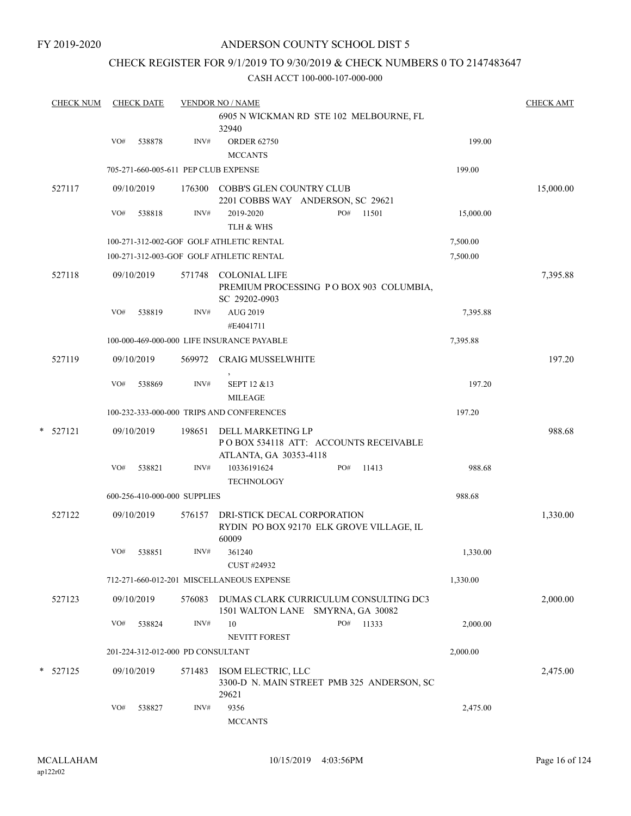### CHECK REGISTER FOR 9/1/2019 TO 9/30/2019 & CHECK NUMBERS 0 TO 2147483647

| <b>CHECK NUM</b> |     | <b>CHECK DATE</b> |                                   | <b>VENDOR NO / NAME</b>                                                              |              |           | <b>CHECK AMT</b> |
|------------------|-----|-------------------|-----------------------------------|--------------------------------------------------------------------------------------|--------------|-----------|------------------|
|                  |     |                   |                                   | 6905 N WICKMAN RD STE 102 MELBOURNE, FL<br>32940                                     |              |           |                  |
|                  | VO# | 538878            | INV#                              | <b>ORDER 62750</b><br><b>MCCANTS</b>                                                 |              | 199.00    |                  |
|                  |     |                   |                                   | 705-271-660-005-611 PEP CLUB EXPENSE                                                 |              | 199.00    |                  |
| 527117           |     | 09/10/2019        | 176300                            | COBB'S GLEN COUNTRY CLUB<br>2201 COBBS WAY ANDERSON, SC 29621                        |              |           | 15,000.00        |
|                  | VO# | 538818            | INV#                              | 2019-2020<br>TLH & WHS                                                               | PO#<br>11501 | 15,000.00 |                  |
|                  |     |                   |                                   | 100-271-312-002-GOF GOLF ATHLETIC RENTAL                                             |              | 7,500.00  |                  |
|                  |     |                   |                                   | 100-271-312-003-GOF GOLF ATHLETIC RENTAL                                             |              | 7,500.00  |                  |
| 527118           |     | 09/10/2019        | 571748                            | <b>COLONIAL LIFE</b><br>PREMIUM PROCESSING PO BOX 903 COLUMBIA,<br>SC 29202-0903     |              |           | 7,395.88         |
|                  | VO# | 538819            | INV#                              | AUG 2019<br>#E4041711                                                                |              | 7,395.88  |                  |
|                  |     |                   |                                   | 100-000-469-000-000 LIFE INSURANCE PAYABLE                                           |              | 7,395.88  |                  |
| 527119           |     | 09/10/2019        | 569972                            | <b>CRAIG MUSSELWHITE</b>                                                             |              |           | 197.20           |
|                  | VO# | 538869            | INV#                              | SEPT 12 & 13<br><b>MILEAGE</b>                                                       |              | 197.20    |                  |
|                  |     |                   |                                   | 100-232-333-000-000 TRIPS AND CONFERENCES                                            |              | 197.20    |                  |
| *<br>527121      |     | 09/10/2019        | 198651                            | DELL MARKETING LP<br>POBOX 534118 ATT: ACCOUNTS RECEIVABLE<br>ATLANTA, GA 30353-4118 |              |           | 988.68           |
|                  | VO# | 538821            | INV#                              | 10336191624<br><b>TECHNOLOGY</b>                                                     | PO#<br>11413 | 988.68    |                  |
|                  |     |                   | 600-256-410-000-000 SUPPLIES      |                                                                                      |              | 988.68    |                  |
| 527122           |     | 09/10/2019        | 576157                            | DRI-STICK DECAL CORPORATION<br>RYDIN PO BOX 92170 ELK GROVE VILLAGE, IL<br>60009     |              |           | 1,330.00         |
|                  | VO# | 538851            | INV#                              | 361240<br>CUST #24932                                                                |              | 1,330.00  |                  |
|                  |     |                   |                                   | 712-271-660-012-201 MISCELLANEOUS EXPENSE                                            |              | 1,330.00  |                  |
| 527123           |     | 09/10/2019        | 576083                            | DUMAS CLARK CURRICULUM CONSULTING DC3<br>1501 WALTON LANE SMYRNA, GA 30082           |              |           | 2,000.00         |
|                  | VO# | 538824            | INV#                              | 10<br><b>NEVITT FOREST</b>                                                           | PO#<br>11333 | 2,000.00  |                  |
|                  |     |                   | 201-224-312-012-000 PD CONSULTANT |                                                                                      |              | 2,000.00  |                  |
| * 527125         |     | 09/10/2019        | 571483                            | ISOM ELECTRIC, LLC<br>3300-D N. MAIN STREET PMB 325 ANDERSON, SC<br>29621            |              |           | 2,475.00         |
|                  | VO# | 538827            | INV#                              | 9356<br><b>MCCANTS</b>                                                               |              | 2,475.00  |                  |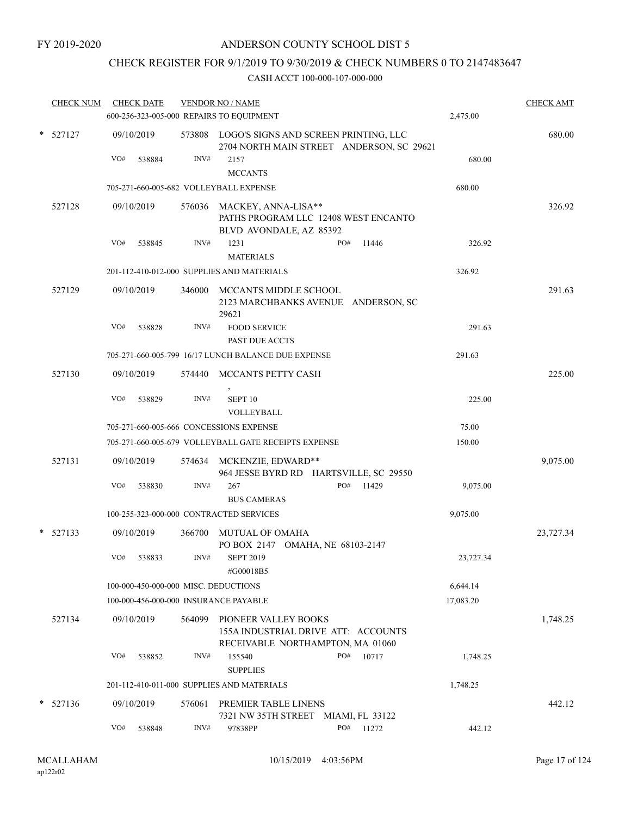# CHECK REGISTER FOR 9/1/2019 TO 9/30/2019 & CHECK NUMBERS 0 TO 2147483647

|        | <b>CHECK NUM</b> |     | <b>CHECK DATE</b> |        | <b>VENDOR NO / NAME</b>                                                                       |           | <b>CHECK AMT</b> |
|--------|------------------|-----|-------------------|--------|-----------------------------------------------------------------------------------------------|-----------|------------------|
|        |                  |     |                   |        | 600-256-323-005-000 REPAIRS TO EQUIPMENT                                                      | 2,475.00  |                  |
| *      | 527127           |     | 09/10/2019        |        | 573808 LOGO'S SIGNS AND SCREEN PRINTING, LLC<br>2704 NORTH MAIN STREET ANDERSON, SC 29621     |           | 680.00           |
|        |                  | VO# | 538884            | INV#   | 2157<br><b>MCCANTS</b>                                                                        | 680.00    |                  |
|        |                  |     |                   |        | 705-271-660-005-682 VOLLEYBALL EXPENSE                                                        | 680.00    |                  |
|        | 527128           |     | 09/10/2019        |        | 576036 MACKEY, ANNA-LISA**<br>PATHS PROGRAM LLC 12408 WEST ENCANTO<br>BLVD AVONDALE, AZ 85392 |           | 326.92           |
|        |                  | VO# | 538845            | INV#   | 1231<br>PO#<br>11446<br><b>MATERIALS</b>                                                      | 326.92    |                  |
|        |                  |     |                   |        | 201-112-410-012-000 SUPPLIES AND MATERIALS                                                    | 326.92    |                  |
|        | 527129           |     | 09/10/2019        | 346000 | MCCANTS MIDDLE SCHOOL<br>2123 MARCHBANKS AVENUE ANDERSON, SC<br>29621                         |           | 291.63           |
|        |                  | VO# | 538828            | INV#   | <b>FOOD SERVICE</b><br>PAST DUE ACCTS                                                         | 291.63    |                  |
|        |                  |     |                   |        | 705-271-660-005-799 16/17 LUNCH BALANCE DUE EXPENSE                                           | 291.63    |                  |
|        | 527130           |     | 09/10/2019        | 574440 | MCCANTS PETTY CASH                                                                            |           | 225.00           |
|        |                  | VO# | 538829            | INV#   | SEPT <sub>10</sub><br>VOLLEYBALL                                                              | 225.00    |                  |
|        |                  |     |                   |        | 705-271-660-005-666 CONCESSIONS EXPENSE                                                       | 75.00     |                  |
|        |                  |     |                   |        | 705-271-660-005-679 VOLLEYBALL GATE RECEIPTS EXPENSE                                          | 150.00    |                  |
|        | 527131           |     | 09/10/2019        | 574634 | MCKENZIE, EDWARD**<br>964 JESSE BYRD RD HARTSVILLE, SC 29550                                  |           | 9,075.00         |
|        |                  | VO# | 538830            | INV#   | PO#<br>267<br>11429<br><b>BUS CAMERAS</b>                                                     | 9,075.00  |                  |
|        |                  |     |                   |        | 100-255-323-000-000 CONTRACTED SERVICES                                                       | 9,075.00  |                  |
| $\ast$ | 527133           |     | 09/10/2019        | 366700 | <b>MUTUAL OF OMAHA</b><br>PO BOX 2147 OMAHA, NE 68103-2147                                    |           | 23,727.34        |
|        |                  | VO# | 538833            | INV#   | <b>SEPT 2019</b><br>#G00018B5                                                                 | 23,727.34 |                  |
|        |                  |     |                   |        | 100-000-450-000-000 MISC. DEDUCTIONS                                                          | 6,644.14  |                  |
|        |                  |     |                   |        | 100-000-456-000-000 INSURANCE PAYABLE                                                         | 17,083.20 |                  |
|        | 527134           |     | 09/10/2019        | 564099 | PIONEER VALLEY BOOKS<br>155A INDUSTRIAL DRIVE ATT: ACCOUNTS                                   |           | 1,748.25         |
|        |                  | VO# | 538852            | INV#   | RECEIVABLE NORTHAMPTON, MA 01060<br>155540<br>PO#<br>10717<br><b>SUPPLIES</b>                 | 1,748.25  |                  |
|        |                  |     |                   |        | 201-112-410-011-000 SUPPLIES AND MATERIALS                                                    | 1,748.25  |                  |
| *      | 527136           |     | 09/10/2019        | 576061 | PREMIER TABLE LINENS<br>7321 NW 35TH STREET MIAMI, FL 33122                                   |           | 442.12           |
|        |                  | VO# | 538848            | INV#   | PO#<br>97838PP<br>11272                                                                       | 442.12    |                  |
|        |                  |     |                   |        |                                                                                               |           |                  |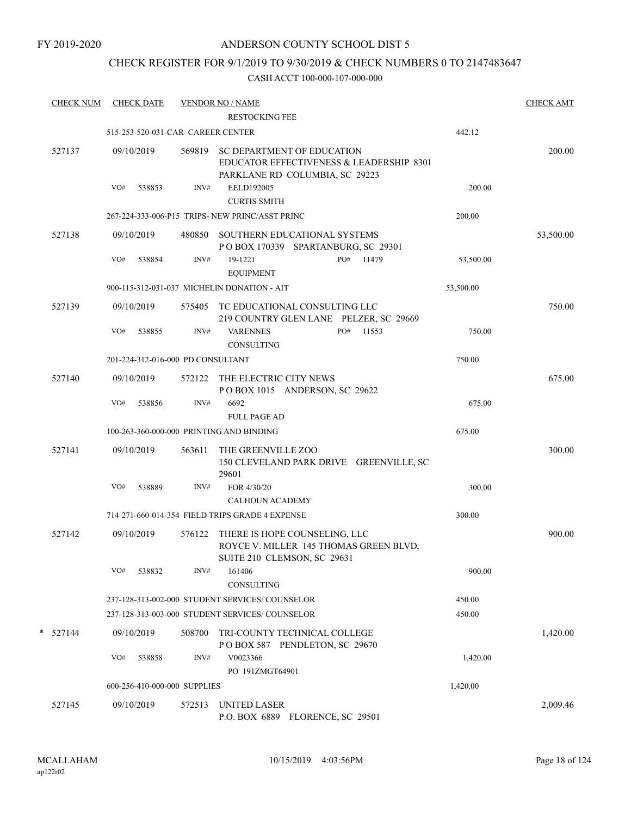### CHECK REGISTER FOR 9/1/2019 TO 9/30/2019 & CHECK NUMBERS 0 TO 2147483647

| <b>CHECK NUM</b> | <b>CHECK DATE</b>                 |        | <b>VENDOR NO / NAME</b><br><b>RESTOCKING FEE</b>                                                                |           | <b>CHECK AMT</b> |
|------------------|-----------------------------------|--------|-----------------------------------------------------------------------------------------------------------------|-----------|------------------|
|                  | 515-253-520-031-CAR CAREER CENTER |        |                                                                                                                 | 442.12    |                  |
| 527137           | 09/10/2019                        | 569819 | <b>SC DEPARTMENT OF EDUCATION</b><br>EDUCATOR EFFECTIVENESS & LEADERSHIP 8301<br>PARKLANE RD COLUMBIA, SC 29223 |           | 200.00           |
|                  | VO#<br>538853                     | INV#   | EELD192005<br><b>CURTIS SMITH</b>                                                                               | 200.00    |                  |
|                  |                                   |        | 267-224-333-006-P15 TRIPS- NEW PRINC/ASST PRINC                                                                 | 200.00    |                  |
| 527138           | 09/10/2019                        |        | 480850 SOUTHERN EDUCATIONAL SYSTEMS<br>POBOX 170339 SPARTANBURG, SC 29301                                       |           | 53,500.00        |
|                  | VO#<br>538854                     | INV#   | PO# 11479<br>19-1221<br><b>EQUIPMENT</b>                                                                        | 53,500.00 |                  |
|                  |                                   |        | 900-115-312-031-037 MICHELIN DONATION - AIT                                                                     | 53,500.00 |                  |
| 527139           | 09/10/2019                        |        | 575405 TC EDUCATIONAL CONSULTING LLC<br>219 COUNTRY GLEN LANE PELZER, SC 29669                                  |           | 750.00           |
|                  | VO#<br>538855                     | INV#   | PO#<br><b>VARENNES</b><br>11553<br><b>CONSULTING</b>                                                            | 750.00    |                  |
|                  | 201-224-312-016-000 PD CONSULTANT |        |                                                                                                                 | 750.00    |                  |
| 527140           | 09/10/2019                        | 572122 | THE ELECTRIC CITY NEWS<br>POBOX 1015 ANDERSON, SC 29622                                                         |           | 675.00           |
|                  | VO#<br>538856                     | INV#   | 6692<br><b>FULL PAGE AD</b>                                                                                     | 675.00    |                  |
|                  |                                   |        | 100-263-360-000-000 PRINTING AND BINDING                                                                        | 675.00    |                  |
| 527141           | 09/10/2019                        | 563611 | THE GREENVILLE ZOO<br>150 CLEVELAND PARK DRIVE GREENVILLE, SC<br>29601                                          |           | 300.00           |
|                  | VO#<br>538889                     | INV#   | FOR 4/30/20                                                                                                     | 300.00    |                  |
|                  |                                   |        | <b>CALHOUN ACADEMY</b>                                                                                          |           |                  |
|                  |                                   |        | 714-271-660-014-354 FIELD TRIPS GRADE 4 EXPENSE                                                                 | 300.00    |                  |
| 527142           | 09/10/2019                        | 576122 | THERE IS HOPE COUNSELING, LLC<br>ROYCE V. MILLER 145 THOMAS GREEN BLVD,<br>SUITE 210 CLEMSON, SC 29631          |           | 900.00           |
|                  | VO#<br>538832                     | INV#   | 161406<br>CONSULTING                                                                                            | 900.00    |                  |
|                  |                                   |        | 237-128-313-002-000 STUDENT SERVICES/COUNSELOR                                                                  | 450.00    |                  |
|                  |                                   |        | 237-128-313-003-000 STUDENT SERVICES/COUNSELOR                                                                  | 450.00    |                  |
| $*$ 527144       | 09/10/2019                        | 508700 | TRI-COUNTY TECHNICAL COLLEGE<br>POBOX 587 PENDLETON, SC 29670                                                   |           | 1,420.00         |
|                  | VO#<br>538858                     | INV#   | V0023366                                                                                                        | 1,420.00  |                  |
|                  |                                   |        | PO 191ZMGT64901                                                                                                 |           |                  |
|                  | 600-256-410-000-000 SUPPLIES      |        |                                                                                                                 | 1,420.00  |                  |
| 527145           | 09/10/2019                        | 572513 | UNITED LASER<br>P.O. BOX 6889 FLORENCE, SC 29501                                                                |           | 2,009.46         |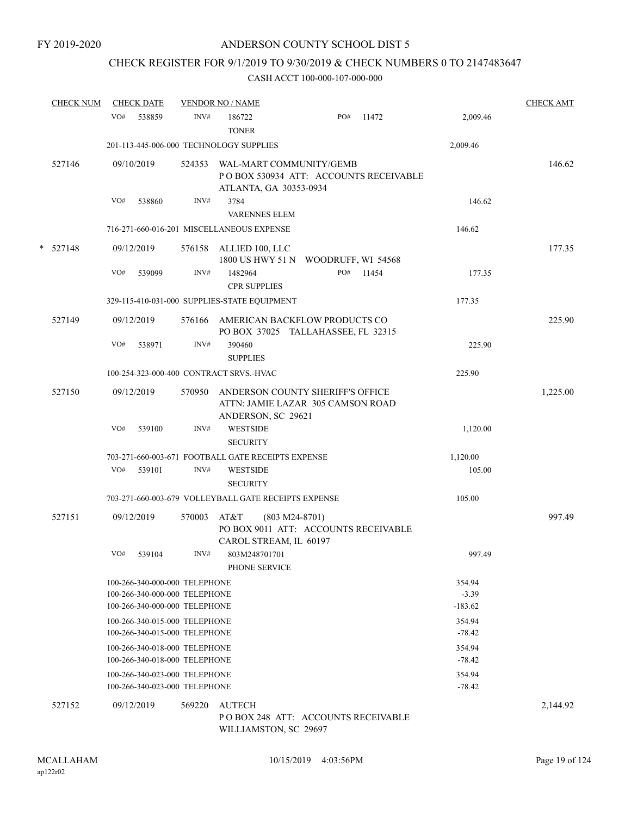# CHECK REGISTER FOR 9/1/2019 TO 9/30/2019 & CHECK NUMBERS 0 TO 2147483647

|   | <b>CHECK NUM</b> | <b>CHECK DATE</b>                                              |        | <b>VENDOR NO / NAME</b>                              |                                                                            |       |                      | <b>CHECK AMT</b> |
|---|------------------|----------------------------------------------------------------|--------|------------------------------------------------------|----------------------------------------------------------------------------|-------|----------------------|------------------|
|   |                  | VO#<br>538859                                                  | INV#   | 186722<br><b>TONER</b>                               | PO#                                                                        | 11472 | 2,009.46             |                  |
|   |                  |                                                                |        | 201-113-445-006-000 TECHNOLOGY SUPPLIES              |                                                                            |       | 2,009.46             |                  |
|   | 527146           | 09/10/2019                                                     | 524353 | ATLANTA, GA 30353-0934                               | WAL-MART COMMUNITY/GEMB<br>POBOX 530934 ATT: ACCOUNTS RECEIVABLE           |       |                      | 146.62           |
|   |                  | VO#<br>538860                                                  | INV#   | 3784<br><b>VARENNES ELEM</b>                         |                                                                            |       | 146.62               |                  |
|   |                  |                                                                |        | 716-271-660-016-201 MISCELLANEOUS EXPENSE            |                                                                            |       | 146.62               |                  |
| * | 527148           | 09/12/2019                                                     | 576158 | ALLIED 100, LLC                                      | 1800 US HWY 51 N  WOODRUFF, WI 54568                                       |       |                      | 177.35           |
|   |                  | VO#<br>539099                                                  | INV#   | 1482964<br><b>CPR SUPPLIES</b>                       | PO#                                                                        | 11454 | 177.35               |                  |
|   |                  |                                                                |        | 329-115-410-031-000 SUPPLIES-STATE EQUIPMENT         |                                                                            |       | 177.35               |                  |
|   | 527149           | 09/12/2019                                                     |        |                                                      | 576166 AMERICAN BACKFLOW PRODUCTS CO<br>PO BOX 37025 TALLAHASSEE, FL 32315 |       |                      | 225.90           |
|   |                  | VO#<br>538971                                                  | INV#   | 390460<br><b>SUPPLIES</b>                            |                                                                            |       | 225.90               |                  |
|   |                  |                                                                |        | 100-254-323-000-400 CONTRACT SRVS.-HVAC              |                                                                            |       | 225.90               |                  |
|   | 527150           | 09/12/2019                                                     | 570950 | ANDERSON, SC 29621                                   | ANDERSON COUNTY SHERIFF'S OFFICE<br>ATTN: JAMIE LAZAR 305 CAMSON ROAD      |       |                      | 1,225.00         |
|   |                  | VO#<br>539100                                                  | INV#   | <b>WESTSIDE</b><br><b>SECURITY</b>                   |                                                                            |       | 1,120.00             |                  |
|   |                  |                                                                |        | 703-271-660-003-671 FOOTBALL GATE RECEIPTS EXPENSE   |                                                                            |       | 1,120.00             |                  |
|   |                  | VO#<br>539101                                                  | INV#   | <b>WESTSIDE</b><br><b>SECURITY</b>                   |                                                                            |       | 105.00               |                  |
|   |                  |                                                                |        | 703-271-660-003-679 VOLLEYBALL GATE RECEIPTS EXPENSE |                                                                            |       | 105.00               |                  |
|   | 527151           | 09/12/2019                                                     | 570003 | AT&T<br>CAROL STREAM, IL 60197                       | $(803 M24-8701)$<br>PO BOX 9011 ATT: ACCOUNTS RECEIVABLE                   |       |                      | 997.49           |
|   |                  | VO#<br>539104                                                  | INV#   | 803M248701701<br>PHONE SERVICE                       |                                                                            |       | 997.49               |                  |
|   |                  | 100-266-340-000-000 TELEPHONE                                  |        |                                                      |                                                                            |       | 354.94               |                  |
|   |                  | 100-266-340-000-000 TELEPHONE<br>100-266-340-000-000 TELEPHONE |        |                                                      |                                                                            |       | $-3.39$<br>$-183.62$ |                  |
|   |                  | 100-266-340-015-000 TELEPHONE<br>100-266-340-015-000 TELEPHONE |        |                                                      |                                                                            |       | 354.94<br>$-78.42$   |                  |
|   |                  | 100-266-340-018-000 TELEPHONE                                  |        |                                                      |                                                                            |       | 354.94               |                  |
|   |                  | 100-266-340-018-000 TELEPHONE                                  |        |                                                      |                                                                            |       | $-78.42$             |                  |
|   |                  | 100-266-340-023-000 TELEPHONE<br>100-266-340-023-000 TELEPHONE |        |                                                      |                                                                            |       | 354.94<br>$-78.42$   |                  |
|   | 527152           | 09/12/2019                                                     | 569220 | AUTECH<br>WILLIAMSTON, SC 29697                      | PO BOX 248 ATT: ACCOUNTS RECEIVABLE                                        |       |                      | 2,144.92         |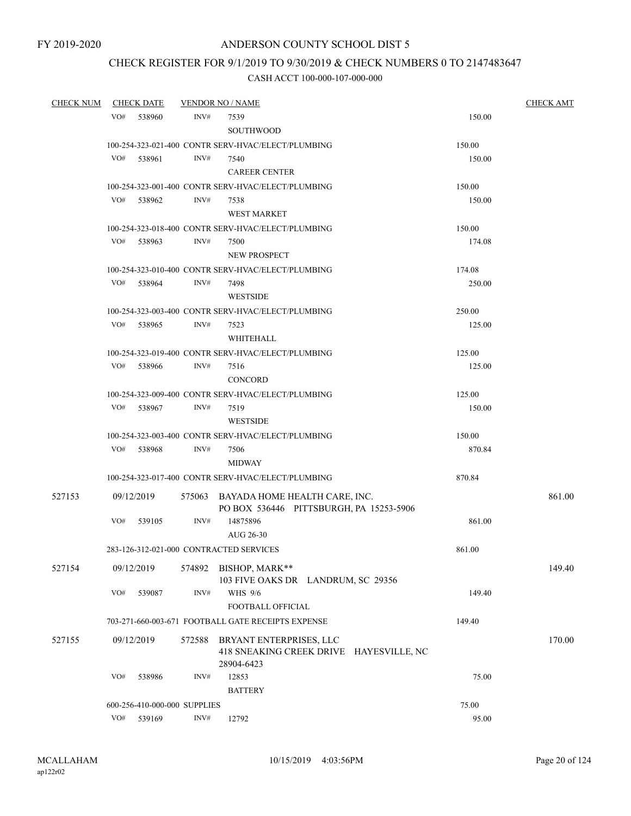# CHECK REGISTER FOR 9/1/2019 TO 9/30/2019 & CHECK NUMBERS 0 TO 2147483647

| <b>CHECK NUM</b> | <b>CHECK DATE</b>                       |        | <b>VENDOR NO / NAME</b>                                                          |        | <b>CHECK AMT</b> |
|------------------|-----------------------------------------|--------|----------------------------------------------------------------------------------|--------|------------------|
|                  | VO# 538960                              | INV#   | 7539<br>SOUTHWOOD                                                                | 150.00 |                  |
|                  |                                         |        | 100-254-323-021-400 CONTR SERV-HVAC/ELECT/PLUMBING                               | 150.00 |                  |
|                  | VO# 538961                              | INV#   | 7540<br><b>CAREER CENTER</b>                                                     | 150.00 |                  |
|                  |                                         |        | 100-254-323-001-400 CONTR SERV-HVAC/ELECT/PLUMBING                               | 150.00 |                  |
|                  | VO#<br>538962                           | INV#   | 7538<br><b>WEST MARKET</b>                                                       | 150.00 |                  |
|                  |                                         |        | 100-254-323-018-400 CONTR SERV-HVAC/ELECT/PLUMBING                               | 150.00 |                  |
|                  | VO#<br>538963                           | INV#   | 7500<br>NEW PROSPECT                                                             | 174.08 |                  |
|                  |                                         |        | 100-254-323-010-400 CONTR SERV-HVAC/ELECT/PLUMBING                               | 174.08 |                  |
|                  | VO#<br>538964                           | INV#   | 7498<br><b>WESTSIDE</b>                                                          | 250.00 |                  |
|                  |                                         |        | 100-254-323-003-400 CONTR SERV-HVAC/ELECT/PLUMBING                               | 250.00 |                  |
|                  | VO# 538965                              | INV#   | 7523<br>WHITEHALL                                                                | 125.00 |                  |
|                  |                                         |        | 100-254-323-019-400 CONTR SERV-HVAC/ELECT/PLUMBING                               | 125.00 |                  |
|                  | VO#<br>538966                           | INV#   | 7516<br><b>CONCORD</b>                                                           | 125.00 |                  |
|                  |                                         |        | 100-254-323-009-400 CONTR SERV-HVAC/ELECT/PLUMBING                               | 125.00 |                  |
|                  | VO#<br>538967                           | INV#   | 7519<br><b>WESTSIDE</b>                                                          | 150.00 |                  |
|                  |                                         |        | 100-254-323-003-400 CONTR SERV-HVAC/ELECT/PLUMBING                               | 150.00 |                  |
|                  | VO# 538968                              | INV#   | 7506<br>MIDWAY                                                                   | 870.84 |                  |
|                  |                                         |        | 100-254-323-017-400 CONTR SERV-HVAC/ELECT/PLUMBING                               | 870.84 |                  |
| 527153           | 09/12/2019                              |        | 575063 BAYADA HOME HEALTH CARE, INC.<br>PO BOX 536446 PITTSBURGH, PA 15253-5906  |        | 861.00           |
|                  | VO#<br>539105                           | INV#   | 14875896<br>AUG 26-30                                                            | 861.00 |                  |
|                  | 283-126-312-021-000 CONTRACTED SERVICES |        |                                                                                  | 861.00 |                  |
| 527154           | 09/12/2019                              |        | 574892 BISHOP, MARK**<br>103 FIVE OAKS DR LANDRUM, SC 29356                      |        | 149.40           |
|                  | VO#<br>539087                           | INV#   | WHS 9/6<br>FOOTBALL OFFICIAL                                                     | 149.40 |                  |
|                  |                                         |        | 703-271-660-003-671 FOOTBALL GATE RECEIPTS EXPENSE                               | 149.40 |                  |
| 527155           | 09/12/2019                              | 572588 | BRYANT ENTERPRISES, LLC<br>418 SNEAKING CREEK DRIVE HAYESVILLE, NC<br>28904-6423 |        | 170.00           |
|                  | VO#<br>538986                           | INV#   | 12853<br><b>BATTERY</b>                                                          | 75.00  |                  |
|                  | 600-256-410-000-000 SUPPLIES            |        |                                                                                  | 75.00  |                  |
|                  | VO#<br>539169                           | INV#   | 12792                                                                            | 95.00  |                  |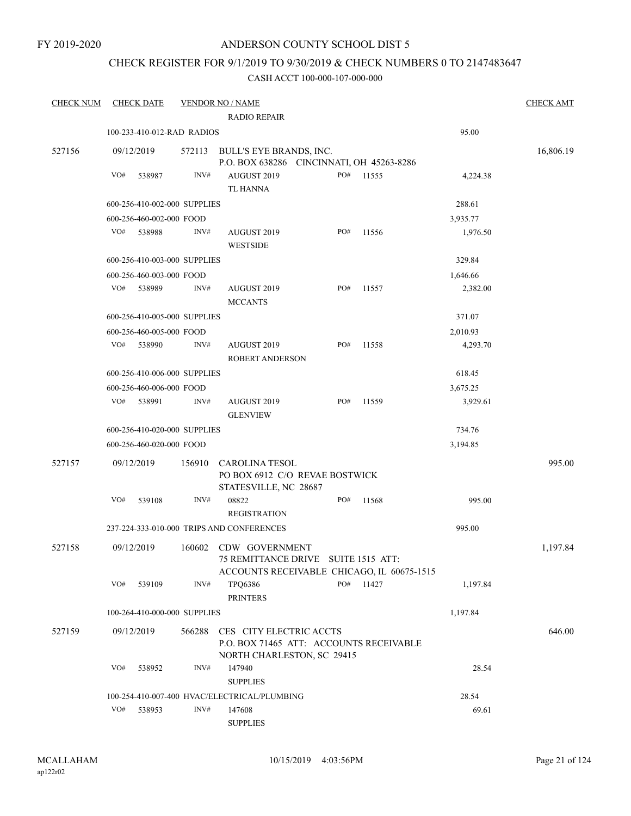FY 2019-2020

### ANDERSON COUNTY SCHOOL DIST 5

# CHECK REGISTER FOR 9/1/2019 TO 9/30/2019 & CHECK NUMBERS 0 TO 2147483647

| <b>CHECK NUM</b> |            | <b>CHECK DATE</b>            |        | <b>VENDOR NO / NAME</b>                                                                                    |     |       |          | <b>CHECK AMT</b> |
|------------------|------------|------------------------------|--------|------------------------------------------------------------------------------------------------------------|-----|-------|----------|------------------|
|                  |            |                              |        | <b>RADIO REPAIR</b>                                                                                        |     |       |          |                  |
|                  |            | 100-233-410-012-RAD RADIOS   |        |                                                                                                            |     |       | 95.00    |                  |
| 527156           | 09/12/2019 |                              | 572113 | BULL'S EYE BRANDS, INC.<br>P.O. BOX 638286 CINCINNATI, OH 45263-8286                                       |     |       |          | 16,806.19        |
|                  | VO#        | 538987                       | INV#   | AUGUST 2019                                                                                                | PO# | 11555 | 4,224.38 |                  |
|                  |            |                              |        | <b>TL HANNA</b>                                                                                            |     |       |          |                  |
|                  |            | 600-256-410-002-000 SUPPLIES |        |                                                                                                            |     |       | 288.61   |                  |
|                  |            | 600-256-460-002-000 FOOD     |        |                                                                                                            |     |       | 3,935.77 |                  |
|                  | VO#        | 538988                       | INV#   | AUGUST 2019                                                                                                | PO# | 11556 | 1,976.50 |                  |
|                  |            |                              |        | <b>WESTSIDE</b>                                                                                            |     |       |          |                  |
|                  |            | 600-256-410-003-000 SUPPLIES |        |                                                                                                            |     |       | 329.84   |                  |
|                  |            | 600-256-460-003-000 FOOD     |        |                                                                                                            |     |       | 1,646.66 |                  |
|                  | VO#        | 538989                       | INV#   | AUGUST 2019<br><b>MCCANTS</b>                                                                              | PO# | 11557 | 2,382.00 |                  |
|                  |            | 600-256-410-005-000 SUPPLIES |        |                                                                                                            |     |       | 371.07   |                  |
|                  |            | 600-256-460-005-000 FOOD     |        |                                                                                                            |     |       | 2,010.93 |                  |
|                  | VO#        | 538990                       | INV#   | AUGUST 2019<br><b>ROBERT ANDERSON</b>                                                                      | PO# | 11558 | 4,293.70 |                  |
|                  |            | 600-256-410-006-000 SUPPLIES |        |                                                                                                            |     |       | 618.45   |                  |
|                  |            | 600-256-460-006-000 FOOD     |        |                                                                                                            |     |       | 3,675.25 |                  |
|                  |            | VO# 538991                   | INV#   | AUGUST 2019<br><b>GLENVIEW</b>                                                                             | PO# | 11559 | 3,929.61 |                  |
|                  |            | 600-256-410-020-000 SUPPLIES |        |                                                                                                            |     |       | 734.76   |                  |
|                  |            | 600-256-460-020-000 FOOD     |        |                                                                                                            |     |       | 3,194.85 |                  |
| 527157           | 09/12/2019 |                              | 156910 | <b>CAROLINA TESOL</b>                                                                                      |     |       |          | 995.00           |
|                  |            |                              |        | PO BOX 6912 C/O REVAE BOSTWICK<br>STATESVILLE, NC 28687                                                    |     |       |          |                  |
|                  | VO#        | 539108                       | INV#   | 08822<br><b>REGISTRATION</b>                                                                               | PO# | 11568 | 995.00   |                  |
|                  |            |                              |        | 237-224-333-010-000 TRIPS AND CONFERENCES                                                                  |     |       | 995.00   |                  |
| 527158           | 09/12/2019 |                              |        | 160602 CDW GOVERNMENT<br>75 REMITTANCE DRIVE SUITE 1515 ATT:<br>ACCOUNTS RECEIVABLE CHICAGO, IL 60675-1515 |     |       |          | 1,197.84         |
|                  | VO#        | 539109                       | INV#   | TPQ6386<br><b>PRINTERS</b>                                                                                 | PO# | 11427 | 1,197.84 |                  |
|                  |            | 100-264-410-000-000 SUPPLIES |        |                                                                                                            |     |       | 1,197.84 |                  |
| 527159           | 09/12/2019 |                              | 566288 | CES CITY ELECTRIC ACCTS<br>P.O. BOX 71465 ATT: ACCOUNTS RECEIVABLE<br>NORTH CHARLESTON, SC 29415           |     |       |          | 646.00           |
|                  | VO#        | 538952                       | INV#   | 147940<br><b>SUPPLIES</b>                                                                                  |     |       | 28.54    |                  |
|                  |            |                              |        | 100-254-410-007-400 HVAC/ELECTRICAL/PLUMBING                                                               |     |       | 28.54    |                  |
|                  | VO#        | 538953                       | INV#   | 147608                                                                                                     |     |       | 69.61    |                  |
|                  |            |                              |        | <b>SUPPLIES</b>                                                                                            |     |       |          |                  |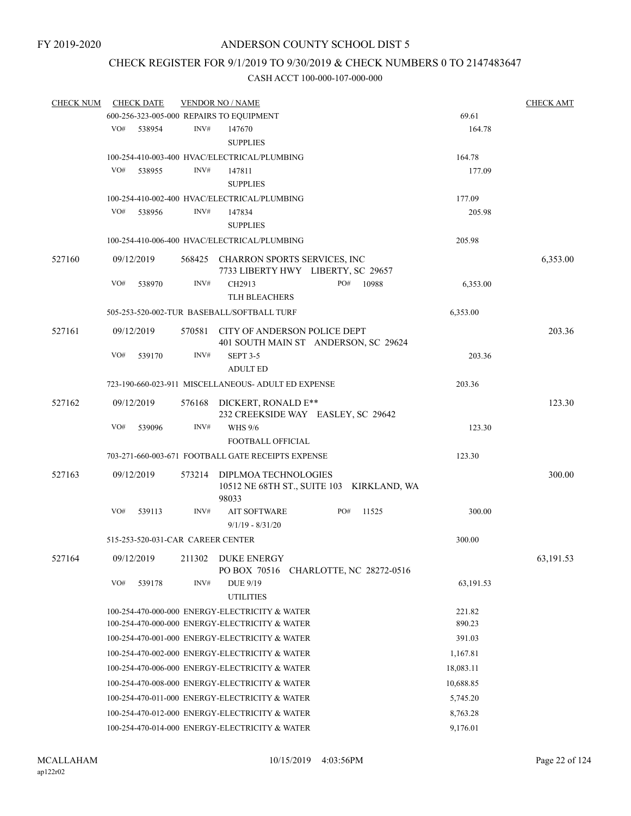### CHECK REGISTER FOR 9/1/2019 TO 9/30/2019 & CHECK NUMBERS 0 TO 2147483647

| <b>CHECK NUM</b> |     | <b>CHECK DATE</b>                 |        | <b>VENDOR NO / NAME</b>                                                     |     |       |           | <b>CHECK AMT</b> |
|------------------|-----|-----------------------------------|--------|-----------------------------------------------------------------------------|-----|-------|-----------|------------------|
|                  |     |                                   |        | 600-256-323-005-000 REPAIRS TO EQUIPMENT                                    |     |       | 69.61     |                  |
|                  | VO# | 538954                            | INV#   | 147670                                                                      |     |       | 164.78    |                  |
|                  |     |                                   |        | <b>SUPPLIES</b>                                                             |     |       |           |                  |
|                  |     |                                   |        | 100-254-410-003-400 HVAC/ELECTRICAL/PLUMBING                                |     |       | 164.78    |                  |
|                  | VO# | 538955                            | INV#   | 147811                                                                      |     |       | 177.09    |                  |
|                  |     |                                   |        | <b>SUPPLIES</b>                                                             |     |       |           |                  |
|                  |     |                                   |        | 100-254-410-002-400 HVAC/ELECTRICAL/PLUMBING                                |     |       | 177.09    |                  |
|                  | VO# | 538956                            | INV#   | 147834                                                                      |     |       | 205.98    |                  |
|                  |     |                                   |        | <b>SUPPLIES</b>                                                             |     |       |           |                  |
|                  |     |                                   |        | 100-254-410-006-400 HVAC/ELECTRICAL/PLUMBING                                |     |       | 205.98    |                  |
| 527160           |     | 09/12/2019                        |        | 568425 CHARRON SPORTS SERVICES, INC                                         |     |       |           | 6,353.00         |
|                  |     |                                   |        | 7733 LIBERTY HWY LIBERTY, SC 29657                                          |     |       |           |                  |
|                  | VO# | 538970                            | INV#   | CH2913                                                                      | PO# | 10988 | 6,353.00  |                  |
|                  |     |                                   |        | <b>TLH BLEACHERS</b>                                                        |     |       |           |                  |
|                  |     |                                   |        | 505-253-520-002-TUR BASEBALL/SOFTBALL TURF                                  |     |       | 6,353.00  |                  |
| 527161           |     | 09/12/2019                        |        | 570581 CITY OF ANDERSON POLICE DEPT<br>401 SOUTH MAIN ST ANDERSON, SC 29624 |     |       |           | 203.36           |
|                  | VO# | 539170                            | INV#   | <b>SEPT 3-5</b>                                                             |     |       | 203.36    |                  |
|                  |     |                                   |        | <b>ADULT ED</b>                                                             |     |       |           |                  |
|                  |     |                                   |        | 723-190-660-023-911 MISCELLANEOUS- ADULT ED EXPENSE                         |     |       | 203.36    |                  |
| 527162           |     | 09/12/2019                        |        | 576168 DICKERT, RONALD E**                                                  |     |       |           | 123.30           |
|                  |     |                                   |        | 232 CREEKSIDE WAY EASLEY, SC 29642                                          |     |       |           |                  |
|                  | VO# | 539096                            | INV#   | <b>WHS 9/6</b>                                                              |     |       | 123.30    |                  |
|                  |     |                                   |        | FOOTBALL OFFICIAL                                                           |     |       |           |                  |
|                  |     |                                   |        | 703-271-660-003-671 FOOTBALL GATE RECEIPTS EXPENSE                          |     |       | 123.30    |                  |
| 527163           |     | 09/12/2019                        | 573214 | DIPLMOA TECHNOLOGIES                                                        |     |       |           | 300.00           |
|                  |     |                                   |        | 10512 NE 68TH ST., SUITE 103 KIRKLAND, WA<br>98033                          |     |       |           |                  |
|                  | VO# | 539113                            | INV#   | <b>AIT SOFTWARE</b>                                                         | PO# | 11525 | 300.00    |                  |
|                  |     |                                   |        | $9/1/19 - 8/31/20$                                                          |     |       |           |                  |
|                  |     | 515-253-520-031-CAR CAREER CENTER |        |                                                                             |     |       | 300.00    |                  |
| 527164           |     |                                   |        | 09/12/2019 211302 DUKE ENERGY                                               |     |       |           | 63, 191.53       |
|                  |     |                                   |        | PO BOX 70516 CHARLOTTE, NC 28272-0516                                       |     |       |           |                  |
|                  | VO# | 539178                            | INV#   | DUE 9/19                                                                    |     |       | 63,191.53 |                  |
|                  |     |                                   |        | <b>UTILITIES</b>                                                            |     |       |           |                  |
|                  |     |                                   |        | 100-254-470-000-000 ENERGY-ELECTRICITY & WATER                              |     |       | 221.82    |                  |
|                  |     |                                   |        | 100-254-470-000-000 ENERGY-ELECTRICITY & WATER                              |     |       | 890.23    |                  |
|                  |     |                                   |        | 100-254-470-001-000 ENERGY-ELECTRICITY & WATER                              |     |       | 391.03    |                  |
|                  |     |                                   |        | 100-254-470-002-000 ENERGY-ELECTRICITY & WATER                              |     |       | 1,167.81  |                  |
|                  |     |                                   |        | 100-254-470-006-000 ENERGY-ELECTRICITY & WATER                              |     |       | 18,083.11 |                  |
|                  |     |                                   |        |                                                                             |     |       |           |                  |
|                  |     |                                   |        | 100-254-470-008-000 ENERGY-ELECTRICITY & WATER                              |     |       | 10,688.85 |                  |
|                  |     |                                   |        | 100-254-470-011-000 ENERGY-ELECTRICITY & WATER                              |     |       | 5,745.20  |                  |
|                  |     |                                   |        | 100-254-470-012-000 ENERGY-ELECTRICITY & WATER                              |     |       | 8,763.28  |                  |
|                  |     |                                   |        | 100-254-470-014-000 ENERGY-ELECTRICITY & WATER                              |     |       | 9,176.01  |                  |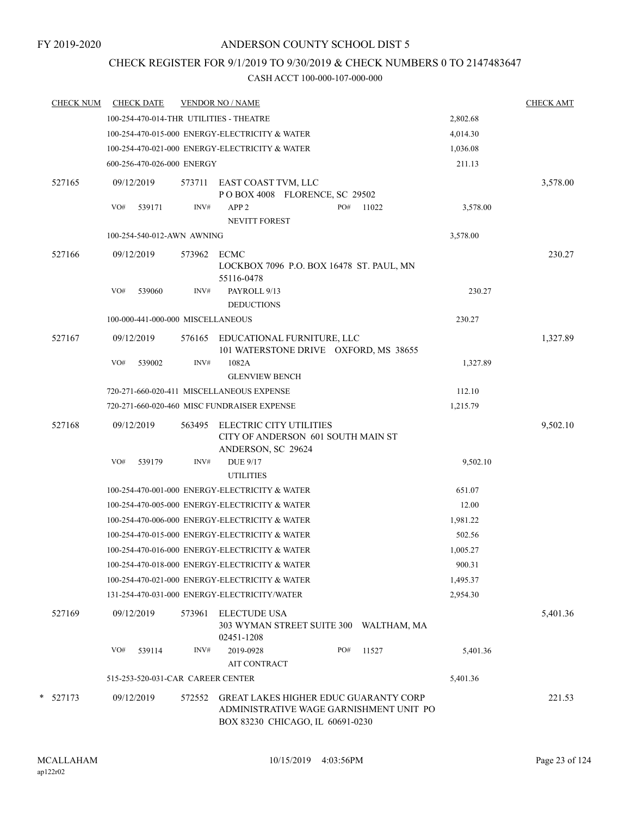# CHECK REGISTER FOR 9/1/2019 TO 9/30/2019 & CHECK NUMBERS 0 TO 2147483647

| <b>CHECK NUM</b> | <b>CHECK DATE</b>                              |        | <b>VENDOR NO / NAME</b>                                                                                                     |          |             |          | <b>CHECK AMT</b> |
|------------------|------------------------------------------------|--------|-----------------------------------------------------------------------------------------------------------------------------|----------|-------------|----------|------------------|
|                  | 100-254-470-014-THR UTILITIES - THEATRE        |        |                                                                                                                             |          |             | 2,802.68 |                  |
|                  | 100-254-470-015-000 ENERGY-ELECTRICITY & WATER |        |                                                                                                                             | 4,014.30 |             |          |                  |
|                  |                                                |        | 100-254-470-021-000 ENERGY-ELECTRICITY & WATER                                                                              |          |             | 1,036.08 |                  |
|                  | 600-256-470-026-000 ENERGY                     |        |                                                                                                                             |          |             | 211.13   |                  |
| 527165           | 09/12/2019                                     | 573711 | EAST COAST TVM, LLC<br>POBOX 4008 FLORENCE, SC 29502                                                                        |          |             |          | 3,578.00         |
|                  | VO#<br>539171                                  | INV#   | APP <sub>2</sub><br>NEVITT FOREST                                                                                           | PO#      | 11022       | 3,578.00 |                  |
|                  | 100-254-540-012-AWN AWNING                     |        |                                                                                                                             |          |             | 3,578.00 |                  |
| 527166           | 09/12/2019                                     | 573962 | ECMC<br>LOCKBOX 7096 P.O. BOX 16478 ST. PAUL, MN                                                                            |          |             |          | 230.27           |
|                  | VO#<br>539060                                  | INV#   | 55116-0478<br>PAYROLL 9/13<br><b>DEDUCTIONS</b>                                                                             |          |             | 230.27   |                  |
|                  | 100-000-441-000-000 MISCELLANEOUS              |        |                                                                                                                             |          |             | 230.27   |                  |
| 527167           | 09/12/2019                                     | 576165 | EDUCATIONAL FURNITURE, LLC<br>101 WATERSTONE DRIVE OXFORD, MS 38655                                                         |          |             |          | 1,327.89         |
|                  | VO#<br>539002                                  | INV#   | 1082A<br><b>GLENVIEW BENCH</b>                                                                                              |          |             | 1,327.89 |                  |
|                  |                                                |        | 720-271-660-020-411 MISCELLANEOUS EXPENSE                                                                                   |          |             | 112.10   |                  |
|                  |                                                |        | 720-271-660-020-460 MISC FUNDRAISER EXPENSE                                                                                 |          |             | 1,215.79 |                  |
| 527168           | 09/12/2019                                     | 563495 | ELECTRIC CITY UTILITIES<br>CITY OF ANDERSON 601 SOUTH MAIN ST<br>ANDERSON, SC 29624                                         |          |             |          | 9,502.10         |
|                  | VO#<br>539179                                  | INV#   | <b>DUE 9/17</b><br><b>UTILITIES</b>                                                                                         |          |             | 9,502.10 |                  |
|                  |                                                |        | 100-254-470-001-000 ENERGY-ELECTRICITY & WATER                                                                              |          |             | 651.07   |                  |
|                  |                                                |        | 100-254-470-005-000 ENERGY-ELECTRICITY & WATER                                                                              |          |             | 12.00    |                  |
|                  |                                                |        | 100-254-470-006-000 ENERGY-ELECTRICITY & WATER                                                                              |          |             | 1,981.22 |                  |
|                  |                                                |        | 100-254-470-015-000 ENERGY-ELECTRICITY & WATER                                                                              |          |             | 502.56   |                  |
|                  |                                                |        | 100-254-470-016-000 ENERGY-ELECTRICITY & WATER                                                                              |          |             | 1,005.27 |                  |
|                  |                                                |        | 100-254-470-018-000 ENERGY-ELECTRICITY & WATER                                                                              |          |             | 900.31   |                  |
|                  |                                                |        | 100-254-470-021-000 ENERGY-ELECTRICITY & WATER                                                                              |          |             | 1,495.37 |                  |
|                  |                                                |        | 131-254-470-031-000 ENERGY-ELECTRICITY/WATER                                                                                |          |             | 2,954.30 |                  |
| 527169           | 09/12/2019                                     | 573961 | <b>ELECTUDE USA</b><br>303 WYMAN STREET SUITE 300<br>02451-1208                                                             |          | WALTHAM, MA |          | 5,401.36         |
|                  | VO#<br>539114                                  | INV#   | 2019-0928<br><b>AIT CONTRACT</b>                                                                                            | PO#      | 11527       | 5,401.36 |                  |
|                  | 515-253-520-031-CAR CAREER CENTER              |        |                                                                                                                             |          |             | 5,401.36 |                  |
| $\ast$<br>527173 | 09/12/2019                                     | 572552 | <b>GREAT LAKES HIGHER EDUC GUARANTY CORP</b><br>ADMINISTRATIVE WAGE GARNISHMENT UNIT PO<br>BOX 83230 CHICAGO, IL 60691-0230 |          |             |          | 221.53           |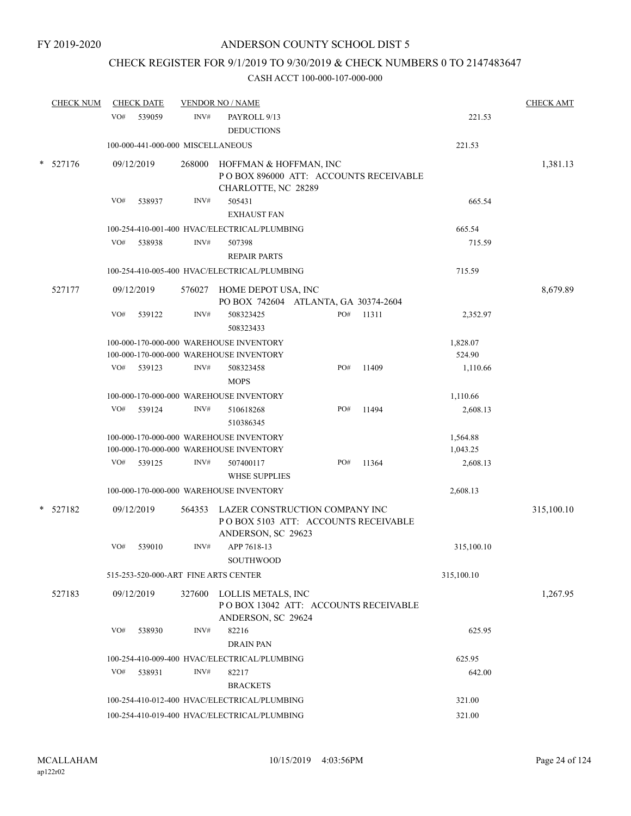# CHECK REGISTER FOR 9/1/2019 TO 9/30/2019 & CHECK NUMBERS 0 TO 2147483647

| <b>CHECK NUM</b> |     | <b>CHECK DATE</b>                 |        | <b>VENDOR NO / NAME</b>                                                                     |     |       |                    | <b>CHECK AMT</b> |
|------------------|-----|-----------------------------------|--------|---------------------------------------------------------------------------------------------|-----|-------|--------------------|------------------|
|                  | VO# | 539059                            | INV#   | PAYROLL 9/13<br><b>DEDUCTIONS</b>                                                           |     |       | 221.53             |                  |
|                  |     | 100-000-441-000-000 MISCELLANEOUS |        |                                                                                             |     |       | 221.53             |                  |
| 527176           |     | 09/12/2019                        | 268000 | HOFFMAN & HOFFMAN, INC<br>POBOX 896000 ATT: ACCOUNTS RECEIVABLE<br>CHARLOTTE, NC 28289      |     |       |                    | 1,381.13         |
|                  | VO# | 538937                            | INV#   | 505431<br><b>EXHAUST FAN</b>                                                                |     |       | 665.54             |                  |
|                  |     |                                   |        | 100-254-410-001-400 HVAC/ELECTRICAL/PLUMBING                                                |     |       | 665.54             |                  |
|                  | VO# | 538938                            | INV#   | 507398<br><b>REPAIR PARTS</b>                                                               |     |       | 715.59             |                  |
|                  |     |                                   |        | 100-254-410-005-400 HVAC/ELECTRICAL/PLUMBING                                                |     |       | 715.59             |                  |
| 527177           |     | 09/12/2019                        |        | 576027 HOME DEPOT USA, INC<br>PO BOX 742604 ATLANTA, GA 30374-2604                          |     |       |                    | 8,679.89         |
|                  | VO# | 539122                            | INV#   | 508323425<br>508323433                                                                      | PO# | 11311 | 2,352.97           |                  |
|                  |     |                                   |        | 100-000-170-000-000 WAREHOUSE INVENTORY<br>100-000-170-000-000 WAREHOUSE INVENTORY          |     |       | 1,828.07<br>524.90 |                  |
|                  | VO# | 539123                            | INV#   | 508323458<br><b>MOPS</b>                                                                    | PO# | 11409 | 1,110.66           |                  |
|                  |     |                                   |        | 100-000-170-000-000 WAREHOUSE INVENTORY                                                     |     |       | 1,110.66           |                  |
|                  | VO# | 539124                            | INV#   | 510618268<br>510386345                                                                      | PO# | 11494 | 2,608.13           |                  |
|                  |     |                                   |        | 100-000-170-000-000 WAREHOUSE INVENTORY                                                     |     |       | 1,564.88           |                  |
|                  |     |                                   |        | 100-000-170-000-000 WAREHOUSE INVENTORY                                                     |     |       | 1,043.25           |                  |
|                  | VO# | 539125                            | INV#   | 507400117<br><b>WHSE SUPPLIES</b>                                                           | PO# | 11364 | 2,608.13           |                  |
|                  |     |                                   |        | 100-000-170-000-000 WAREHOUSE INVENTORY                                                     |     |       | 2,608.13           |                  |
| $*$ 527182       |     | 09/12/2019                        | 564353 | LAZER CONSTRUCTION COMPANY INC<br>POBOX 5103 ATT: ACCOUNTS RECEIVABLE<br>ANDERSON, SC 29623 |     |       |                    | 315,100.10       |
|                  | VO# | 539010                            | INV#   | APP 7618-13<br>SOUTHWOOD                                                                    |     |       | 315,100.10         |                  |
|                  |     |                                   |        | 515-253-520-000-ART FINE ARTS CENTER                                                        |     |       | 315,100.10         |                  |
| 527183           |     | 09/12/2019                        |        | 327600 LOLLIS METALS, INC<br>POBOX 13042 ATT: ACCOUNTS RECEIVABLE                           |     |       |                    | 1,267.95         |
|                  | VO# | 538930                            | INV#   | ANDERSON, SC 29624<br>82216<br><b>DRAIN PAN</b>                                             |     |       | 625.95             |                  |
|                  |     |                                   |        | 100-254-410-009-400 HVAC/ELECTRICAL/PLUMBING                                                |     |       | 625.95             |                  |
|                  | VO# | 538931                            | INV#   | 82217<br><b>BRACKETS</b>                                                                    |     |       | 642.00             |                  |
|                  |     |                                   |        | 100-254-410-012-400 HVAC/ELECTRICAL/PLUMBING                                                |     |       | 321.00             |                  |
|                  |     |                                   |        | 100-254-410-019-400 HVAC/ELECTRICAL/PLUMBING                                                |     |       | 321.00             |                  |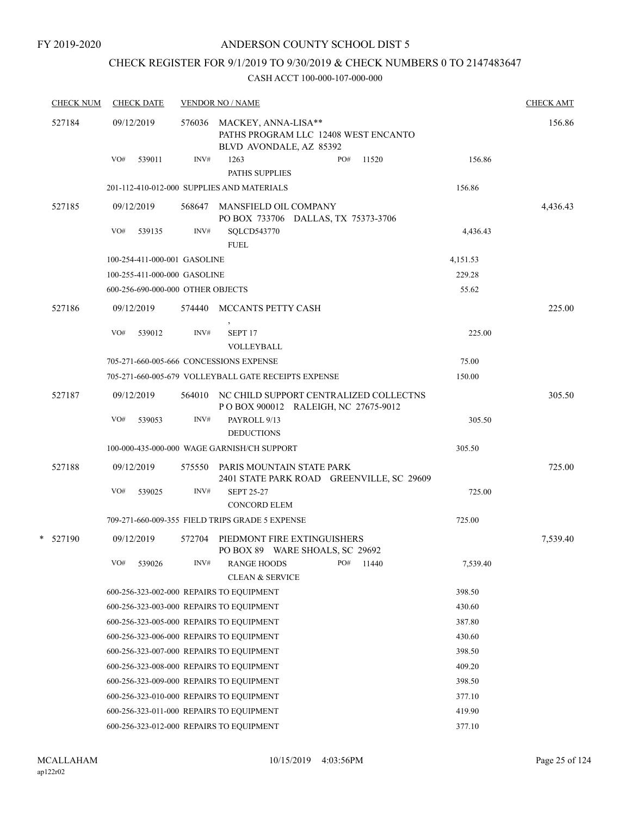# CHECK REGISTER FOR 9/1/2019 TO 9/30/2019 & CHECK NUMBERS 0 TO 2147483647

| <b>CHECK NUM</b> | <b>CHECK DATE</b>                        |        | <b>VENDOR NO / NAME</b>                                                                |          | <b>CHECK AMT</b> |
|------------------|------------------------------------------|--------|----------------------------------------------------------------------------------------|----------|------------------|
| 527184           | 09/12/2019                               | 576036 | MACKEY, ANNA-LISA**<br>PATHS PROGRAM LLC 12408 WEST ENCANTO<br>BLVD AVONDALE, AZ 85392 |          | 156.86           |
|                  | VO#<br>539011                            | INV#   | 1263<br>PO#<br>11520<br>PATHS SUPPLIES                                                 | 156.86   |                  |
|                  |                                          |        | 201-112-410-012-000 SUPPLIES AND MATERIALS                                             | 156.86   |                  |
| 527185           | 09/12/2019                               | 568647 | MANSFIELD OIL COMPANY<br>PO BOX 733706 DALLAS, TX 75373-3706                           |          | 4,436.43         |
|                  | VO#<br>539135                            | INV#   | SQLCD543770<br><b>FUEL</b>                                                             | 4,436.43 |                  |
|                  | 100-254-411-000-001 GASOLINE             |        |                                                                                        | 4,151.53 |                  |
|                  | 100-255-411-000-000 GASOLINE             |        |                                                                                        | 229.28   |                  |
|                  | 600-256-690-000-000 OTHER OBJECTS        |        |                                                                                        | 55.62    |                  |
| 527186           | 09/12/2019                               | 574440 | MCCANTS PETTY CASH                                                                     |          | 225.00           |
|                  | VO#<br>539012                            | INV#   | $\,$<br>SEPT <sub>17</sub><br>VOLLEYBALL                                               | 225.00   |                  |
|                  | 705-271-660-005-666 CONCESSIONS EXPENSE  |        |                                                                                        | 75.00    |                  |
|                  |                                          |        | 705-271-660-005-679 VOLLEYBALL GATE RECEIPTS EXPENSE                                   | 150.00   |                  |
| 527187           | 09/12/2019                               |        | 564010 NC CHILD SUPPORT CENTRALIZED COLLECTNS<br>POBOX 900012 RALEIGH, NC 27675-9012   |          | 305.50           |
|                  | VO#<br>539053                            | INV#   | PAYROLL 9/13<br><b>DEDUCTIONS</b>                                                      | 305.50   |                  |
|                  |                                          |        | 100-000-435-000-000 WAGE GARNISH/CH SUPPORT                                            | 305.50   |                  |
| 527188           | 09/12/2019                               |        | 575550 PARIS MOUNTAIN STATE PARK<br>2401 STATE PARK ROAD GREENVILLE, SC 29609          |          | 725.00           |
|                  | VO#<br>539025                            | INV#   | <b>SEPT 25-27</b><br><b>CONCORD ELEM</b>                                               | 725.00   |                  |
|                  |                                          |        | 709-271-660-009-355 FIELD TRIPS GRADE 5 EXPENSE                                        | 725.00   |                  |
| * 527190         | 09/12/2019                               | 572704 | PIEDMONT FIRE EXTINGUISHERS<br>PO BOX 89 WARE SHOALS, SC 29692                         |          | 7,539.40         |
|                  | VO#<br>539026                            | INV#   | <b>RANGE HOODS</b><br>PO#<br>11440<br><b>CLEAN &amp; SERVICE</b>                       | 7,539.40 |                  |
|                  | 600-256-323-002-000 REPAIRS TO EQUIPMENT |        |                                                                                        | 398.50   |                  |
|                  | 600-256-323-003-000 REPAIRS TO EQUIPMENT |        |                                                                                        | 430.60   |                  |
|                  | 600-256-323-005-000 REPAIRS TO EQUIPMENT |        |                                                                                        | 387.80   |                  |
|                  | 600-256-323-006-000 REPAIRS TO EQUIPMENT |        |                                                                                        | 430.60   |                  |
|                  | 600-256-323-007-000 REPAIRS TO EQUIPMENT |        |                                                                                        | 398.50   |                  |
|                  | 600-256-323-008-000 REPAIRS TO EQUIPMENT |        |                                                                                        | 409.20   |                  |
|                  | 600-256-323-009-000 REPAIRS TO EQUIPMENT |        |                                                                                        | 398.50   |                  |
|                  | 600-256-323-010-000 REPAIRS TO EQUIPMENT |        |                                                                                        | 377.10   |                  |
|                  | 600-256-323-011-000 REPAIRS TO EQUIPMENT |        |                                                                                        | 419.90   |                  |
|                  | 600-256-323-012-000 REPAIRS TO EQUIPMENT |        |                                                                                        | 377.10   |                  |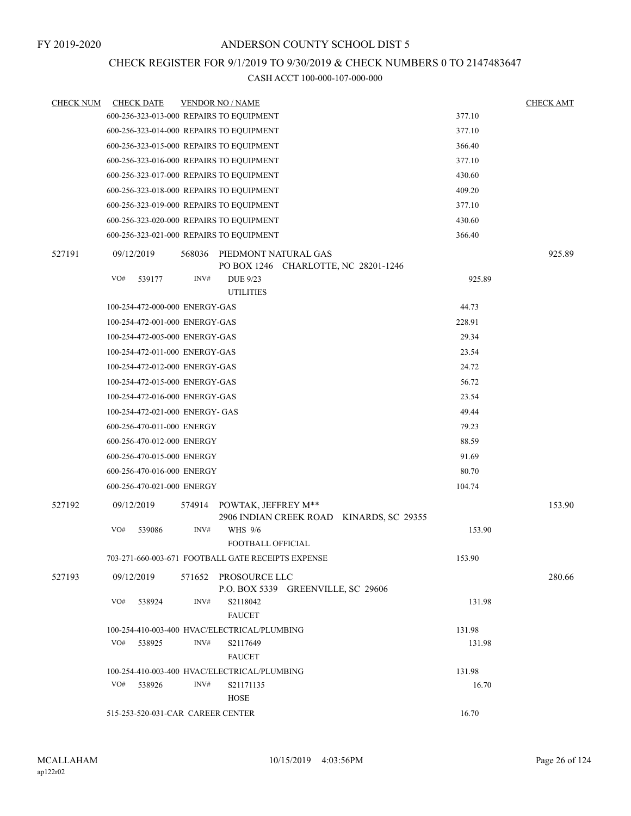## CHECK REGISTER FOR 9/1/2019 TO 9/30/2019 & CHECK NUMBERS 0 TO 2147483647

| <b>CHECK NUM</b> | <b>CHECK DATE</b>                        |        | <b>VENDOR NO / NAME</b>                                                |        | <b>CHECK AMT</b> |
|------------------|------------------------------------------|--------|------------------------------------------------------------------------|--------|------------------|
|                  | 600-256-323-013-000 REPAIRS TO EQUIPMENT |        |                                                                        | 377.10 |                  |
|                  | 600-256-323-014-000 REPAIRS TO EQUIPMENT |        |                                                                        | 377.10 |                  |
|                  | 600-256-323-015-000 REPAIRS TO EQUIPMENT |        |                                                                        | 366.40 |                  |
|                  | 600-256-323-016-000 REPAIRS TO EQUIPMENT |        |                                                                        | 377.10 |                  |
|                  | 600-256-323-017-000 REPAIRS TO EQUIPMENT |        |                                                                        | 430.60 |                  |
|                  | 600-256-323-018-000 REPAIRS TO EQUIPMENT |        |                                                                        | 409.20 |                  |
|                  | 600-256-323-019-000 REPAIRS TO EQUIPMENT |        |                                                                        | 377.10 |                  |
|                  | 600-256-323-020-000 REPAIRS TO EQUIPMENT |        |                                                                        | 430.60 |                  |
|                  | 600-256-323-021-000 REPAIRS TO EQUIPMENT |        |                                                                        | 366.40 |                  |
| 527191           | 09/12/2019                               | 568036 | PIEDMONT NATURAL GAS<br>PO BOX 1246 CHARLOTTE, NC 28201-1246           |        | 925.89           |
|                  | VO#<br>539177                            | INV#   | <b>DUE 9/23</b>                                                        | 925.89 |                  |
|                  |                                          |        | <b>UTILITIES</b>                                                       |        |                  |
|                  | 100-254-472-000-000 ENERGY-GAS           |        |                                                                        | 44.73  |                  |
|                  | 100-254-472-001-000 ENERGY-GAS           |        |                                                                        | 228.91 |                  |
|                  | 100-254-472-005-000 ENERGY-GAS           |        |                                                                        | 29.34  |                  |
|                  | 100-254-472-011-000 ENERGY-GAS           |        |                                                                        | 23.54  |                  |
|                  | 100-254-472-012-000 ENERGY-GAS           |        |                                                                        | 24.72  |                  |
|                  | 100-254-472-015-000 ENERGY-GAS           |        |                                                                        | 56.72  |                  |
|                  | 100-254-472-016-000 ENERGY-GAS           |        |                                                                        | 23.54  |                  |
|                  | 100-254-472-021-000 ENERGY- GAS          |        |                                                                        | 49.44  |                  |
|                  | 600-256-470-011-000 ENERGY               |        |                                                                        | 79.23  |                  |
|                  | 600-256-470-012-000 ENERGY               |        |                                                                        | 88.59  |                  |
|                  | 600-256-470-015-000 ENERGY               |        |                                                                        | 91.69  |                  |
|                  | 600-256-470-016-000 ENERGY               |        |                                                                        | 80.70  |                  |
|                  | 600-256-470-021-000 ENERGY               |        |                                                                        | 104.74 |                  |
| 527192           | 09/12/2019                               |        | 574914 POWTAK, JEFFREY M**<br>2906 INDIAN CREEK ROAD KINARDS, SC 29355 |        | 153.90           |
|                  | VO#<br>539086                            | INV#   | WHS 9/6<br>FOOTBALL OFFICIAL                                           | 153.90 |                  |
|                  |                                          |        | 703-271-660-003-671 FOOTBALL GATE RECEIPTS EXPENSE                     | 153.90 |                  |
| 527193           | 09/12/2019                               |        | 571652 PROSOURCE LLC<br>P.O. BOX 5339 GREENVILLE, SC 29606             |        | 280.66           |
|                  | VO#<br>538924                            | INV#   | S2118042<br><b>FAUCET</b>                                              | 131.98 |                  |
|                  |                                          |        | 100-254-410-003-400 HVAC/ELECTRICAL/PLUMBING                           | 131.98 |                  |
|                  | VO#<br>538925                            | INV#   | S2117649<br><b>FAUCET</b>                                              | 131.98 |                  |
|                  |                                          |        | 100-254-410-003-400 HVAC/ELECTRICAL/PLUMBING                           | 131.98 |                  |
|                  | VO#<br>538926                            | INV#   | S21171135<br>HOSE                                                      | 16.70  |                  |
|                  | 515-253-520-031-CAR CAREER CENTER        |        |                                                                        | 16.70  |                  |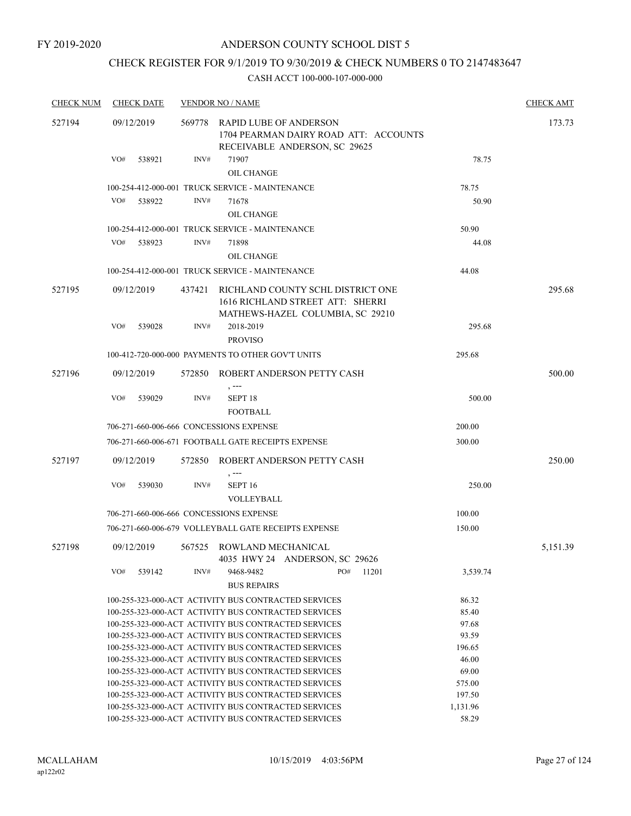FY 2019-2020

### ANDERSON COUNTY SCHOOL DIST 5

# CHECK REGISTER FOR 9/1/2019 TO 9/30/2019 & CHECK NUMBERS 0 TO 2147483647

| <b>CHECK NUM</b> | <b>CHECK DATE</b>                       |        | <b>VENDOR NO / NAME</b>                                                                                      |                  | <b>CHECK AMT</b> |
|------------------|-----------------------------------------|--------|--------------------------------------------------------------------------------------------------------------|------------------|------------------|
| 527194           | 09/12/2019                              | 569778 | <b>RAPID LUBE OF ANDERSON</b><br>1704 PEARMAN DAIRY ROAD ATT: ACCOUNTS<br>RECEIVABLE ANDERSON, SC 29625      |                  | 173.73           |
|                  | VO#<br>538921                           | INV#   | 71907<br><b>OIL CHANGE</b>                                                                                   | 78.75            |                  |
|                  |                                         |        | 100-254-412-000-001 TRUCK SERVICE - MAINTENANCE                                                              | 78.75            |                  |
|                  | VO#<br>538922                           | INV#   | 71678                                                                                                        | 50.90            |                  |
|                  |                                         |        | OIL CHANGE                                                                                                   |                  |                  |
|                  |                                         |        | 100-254-412-000-001 TRUCK SERVICE - MAINTENANCE                                                              | 50.90            |                  |
|                  | VO#<br>538923                           | INV#   | 71898                                                                                                        | 44.08            |                  |
|                  |                                         |        | OIL CHANGE                                                                                                   |                  |                  |
|                  |                                         |        | 100-254-412-000-001 TRUCK SERVICE - MAINTENANCE                                                              | 44.08            |                  |
| 527195           | 09/12/2019                              | 437421 | RICHLAND COUNTY SCHL DISTRICT ONE<br>1616 RICHLAND STREET ATT: SHERRI<br>MATHEWS-HAZEL COLUMBIA, SC 29210    |                  | 295.68           |
|                  | VO#<br>539028                           | INV#   | 2018-2019<br><b>PROVISO</b>                                                                                  | 295.68           |                  |
|                  |                                         |        | 100-412-720-000-000 PAYMENTS TO OTHER GOV'T UNITS                                                            | 295.68           |                  |
| 527196           | 09/12/2019                              | 572850 | ROBERT ANDERSON PETTY CASH<br>$, --$                                                                         |                  | 500.00           |
|                  | VO#<br>539029                           | INV#   | SEPT <sub>18</sub><br><b>FOOTBALL</b>                                                                        | 500.00           |                  |
|                  | 706-271-660-006-666 CONCESSIONS EXPENSE |        |                                                                                                              | 200.00           |                  |
|                  |                                         |        | 706-271-660-006-671 FOOTBALL GATE RECEIPTS EXPENSE                                                           | 300.00           |                  |
| 527197           | 09/12/2019                              | 572850 | ROBERT ANDERSON PETTY CASH                                                                                   |                  | 250.00           |
|                  | VO#<br>539030                           | INV#   | , ---<br>SEPT <sub>16</sub><br><b>VOLLEYBALL</b>                                                             | 250.00           |                  |
|                  | 706-271-660-006-666 CONCESSIONS EXPENSE |        |                                                                                                              | 100.00           |                  |
|                  |                                         |        | 706-271-660-006-679 VOLLEYBALL GATE RECEIPTS EXPENSE                                                         | 150.00           |                  |
| 527198           | 09/12/2019                              |        | 567525 ROWLAND MECHANICAL<br>4035 HWY 24 ANDERSON, SC 29626                                                  |                  | 5,151.39         |
|                  | VO#<br>539142                           | INV#   | 9468-9482<br>PO#<br>11201<br><b>BUS REPAIRS</b>                                                              | 3,539.74         |                  |
|                  |                                         |        | 100-255-323-000-ACT ACTIVITY BUS CONTRACTED SERVICES                                                         | 86.32            |                  |
|                  |                                         |        | 100-255-323-000-ACT ACTIVITY BUS CONTRACTED SERVICES                                                         | 85.40            |                  |
|                  |                                         |        | 100-255-323-000-ACT ACTIVITY BUS CONTRACTED SERVICES                                                         | 97.68            |                  |
|                  |                                         |        | 100-255-323-000-ACT ACTIVITY BUS CONTRACTED SERVICES                                                         | 93.59            |                  |
|                  |                                         |        | 100-255-323-000-ACT ACTIVITY BUS CONTRACTED SERVICES                                                         | 196.65           |                  |
|                  |                                         |        | 100-255-323-000-ACT ACTIVITY BUS CONTRACTED SERVICES                                                         | 46.00            |                  |
|                  |                                         |        | 100-255-323-000-ACT ACTIVITY BUS CONTRACTED SERVICES<br>100-255-323-000-ACT ACTIVITY BUS CONTRACTED SERVICES | 69.00            |                  |
|                  |                                         |        | 100-255-323-000-ACT ACTIVITY BUS CONTRACTED SERVICES                                                         | 575.00<br>197.50 |                  |
|                  |                                         |        | 100-255-323-000-ACT ACTIVITY BUS CONTRACTED SERVICES                                                         | 1,131.96         |                  |
|                  |                                         |        | 100-255-323-000-ACT ACTIVITY BUS CONTRACTED SERVICES                                                         | 58.29            |                  |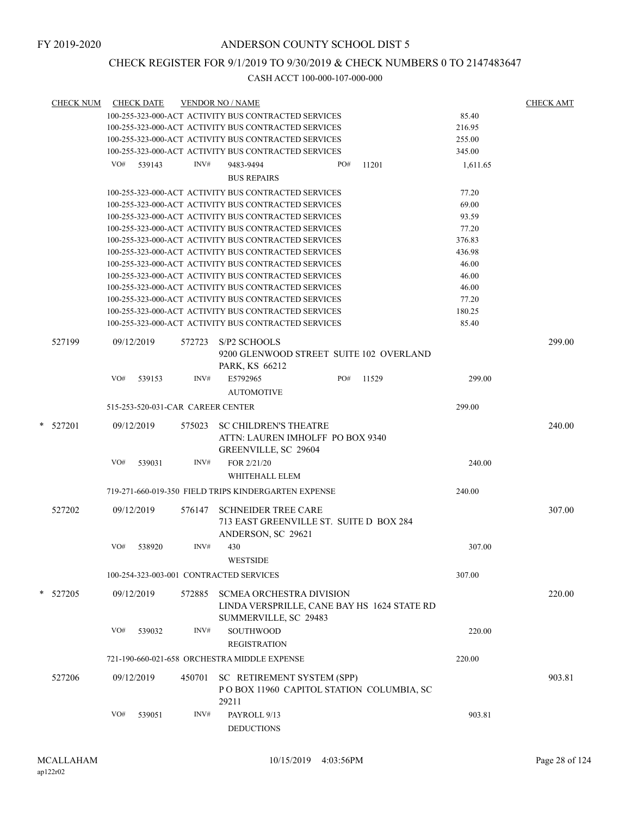### CHECK REGISTER FOR 9/1/2019 TO 9/30/2019 & CHECK NUMBERS 0 TO 2147483647

| <b>CHECK NUM</b> |     | <b>CHECK DATE</b> |                                   | <b>VENDOR NO / NAME</b>                                                                  |     |       |          | <b>CHECK AMT</b> |
|------------------|-----|-------------------|-----------------------------------|------------------------------------------------------------------------------------------|-----|-------|----------|------------------|
|                  |     |                   |                                   | 100-255-323-000-ACT ACTIVITY BUS CONTRACTED SERVICES                                     |     |       | 85.40    |                  |
|                  |     |                   |                                   | 100-255-323-000-ACT ACTIVITY BUS CONTRACTED SERVICES                                     |     |       | 216.95   |                  |
|                  |     |                   |                                   | 100-255-323-000-ACT ACTIVITY BUS CONTRACTED SERVICES                                     |     |       | 255.00   |                  |
|                  |     |                   |                                   | 100-255-323-000-ACT ACTIVITY BUS CONTRACTED SERVICES                                     |     |       | 345.00   |                  |
|                  |     | $VO#$ 539143      | INV#                              | 9483-9494                                                                                | PO# | 11201 | 1,611.65 |                  |
|                  |     |                   |                                   | <b>BUS REPAIRS</b>                                                                       |     |       |          |                  |
|                  |     |                   |                                   | 100-255-323-000-ACT ACTIVITY BUS CONTRACTED SERVICES                                     |     |       | 77.20    |                  |
|                  |     |                   |                                   | 100-255-323-000-ACT ACTIVITY BUS CONTRACTED SERVICES                                     |     |       | 69.00    |                  |
|                  |     |                   |                                   | 100-255-323-000-ACT ACTIVITY BUS CONTRACTED SERVICES                                     |     |       | 93.59    |                  |
|                  |     |                   |                                   | 100-255-323-000-ACT ACTIVITY BUS CONTRACTED SERVICES                                     |     |       | 77.20    |                  |
|                  |     |                   |                                   | 100-255-323-000-ACT ACTIVITY BUS CONTRACTED SERVICES                                     |     |       | 376.83   |                  |
|                  |     |                   |                                   | 100-255-323-000-ACT ACTIVITY BUS CONTRACTED SERVICES                                     |     |       | 436.98   |                  |
|                  |     |                   |                                   | 100-255-323-000-ACT ACTIVITY BUS CONTRACTED SERVICES                                     |     |       | 46.00    |                  |
|                  |     |                   |                                   | 100-255-323-000-ACT ACTIVITY BUS CONTRACTED SERVICES                                     |     |       | 46.00    |                  |
|                  |     |                   |                                   | 100-255-323-000-ACT ACTIVITY BUS CONTRACTED SERVICES                                     |     |       | 46.00    |                  |
|                  |     |                   |                                   | 100-255-323-000-ACT ACTIVITY BUS CONTRACTED SERVICES                                     |     |       | 77.20    |                  |
|                  |     |                   |                                   | 100-255-323-000-ACT ACTIVITY BUS CONTRACTED SERVICES                                     |     |       | 180.25   |                  |
|                  |     |                   |                                   | 100-255-323-000-ACT ACTIVITY BUS CONTRACTED SERVICES                                     |     |       | 85.40    |                  |
| 527199           |     | 09/12/2019        | 572723                            | S/P <sub>2</sub> SCHOOLS<br>9200 GLENWOOD STREET SUITE 102 OVERLAND                      |     |       |          | 299.00           |
|                  |     |                   |                                   | PARK, KS 66212                                                                           |     |       |          |                  |
|                  | VO# | 539153            | INV#                              | E5792965                                                                                 | PO# | 11529 | 299.00   |                  |
|                  |     |                   |                                   | <b>AUTOMOTIVE</b>                                                                        |     |       |          |                  |
|                  |     |                   | 515-253-520-031-CAR CAREER CENTER |                                                                                          |     |       | 299.00   |                  |
|                  |     |                   |                                   |                                                                                          |     |       |          |                  |
| $*$ 527201       |     | 09/12/2019        | 575023                            | <b>SC CHILDREN'S THEATRE</b><br>ATTN: LAUREN IMHOLFF PO BOX 9340<br>GREENVILLE, SC 29604 |     |       |          | 240.00           |
|                  | VO# | 539031            | INV#                              | FOR 2/21/20                                                                              |     |       | 240.00   |                  |
|                  |     |                   |                                   | WHITEHALL ELEM                                                                           |     |       |          |                  |
|                  |     |                   |                                   | 719-271-660-019-350 FIELD TRIPS KINDERGARTEN EXPENSE                                     |     |       | 240.00   |                  |
| 527202           |     | 09/12/2019        | 576147                            | <b>SCHNEIDER TREE CARE</b>                                                               |     |       |          | 307.00           |
|                  |     |                   |                                   | 713 EAST GREENVILLE ST. SUITE D BOX 284                                                  |     |       |          |                  |
|                  |     |                   |                                   | ANDERSON, SC 29621                                                                       |     |       |          |                  |
|                  | VO# | 538920            | INV#                              | 430                                                                                      |     |       | 307.00   |                  |
|                  |     |                   |                                   | <b>WESTSIDE</b>                                                                          |     |       |          |                  |
|                  |     |                   |                                   | 100-254-323-003-001 CONTRACTED SERVICES                                                  |     |       | 307.00   |                  |
| * 527205         |     | 09/12/2019        | 572885                            | <b>SCMEA ORCHESTRA DIVISION</b>                                                          |     |       |          | 220.00           |
|                  |     |                   |                                   | LINDA VERSPRILLE, CANE BAY HS 1624 STATE RD<br>SUMMERVILLE, SC 29483                     |     |       |          |                  |
|                  | VO# | 539032            | INV#                              | <b>SOUTHWOOD</b>                                                                         |     |       | 220.00   |                  |
|                  |     |                   |                                   | <b>REGISTRATION</b>                                                                      |     |       |          |                  |
|                  |     |                   |                                   | 721-190-660-021-658 ORCHESTRA MIDDLE EXPENSE                                             |     |       | 220.00   |                  |
|                  |     |                   |                                   |                                                                                          |     |       |          |                  |
| 527206           |     | 09/12/2019        | 450701                            | SC RETIREMENT SYSTEM (SPP)<br>POBOX 11960 CAPITOL STATION COLUMBIA, SC<br>29211          |     |       |          | 903.81           |
|                  | VO# | 539051            | INV#                              | PAYROLL 9/13                                                                             |     |       | 903.81   |                  |
|                  |     |                   |                                   | <b>DEDUCTIONS</b>                                                                        |     |       |          |                  |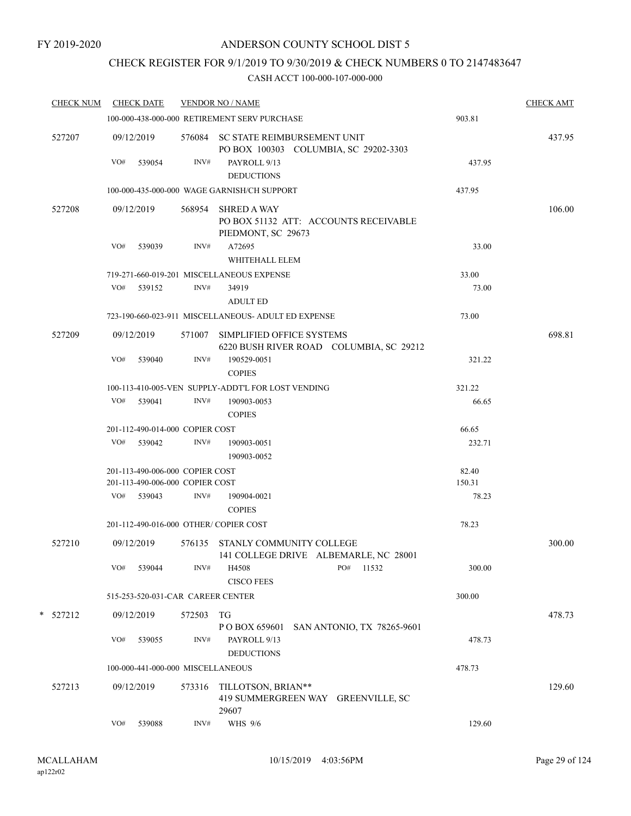# CHECK REGISTER FOR 9/1/2019 TO 9/30/2019 & CHECK NUMBERS 0 TO 2147483647

| <b>CHECK NUM</b> |     | <b>CHECK DATE</b>                 |        | <b>VENDOR NO / NAME</b>                                                           |        | <b>CHECK AMT</b> |
|------------------|-----|-----------------------------------|--------|-----------------------------------------------------------------------------------|--------|------------------|
|                  |     |                                   |        | 100-000-438-000-000 RETIREMENT SERV PURCHASE                                      | 903.81 |                  |
| 527207           |     | 09/12/2019                        |        | 576084 SC STATE REIMBURSEMENT UNIT<br>PO BOX 100303 COLUMBIA, SC 29202-3303       |        | 437.95           |
|                  | VO# | 539054                            | INV#   | PAYROLL 9/13                                                                      | 437.95 |                  |
|                  |     |                                   |        | <b>DEDUCTIONS</b>                                                                 |        |                  |
|                  |     |                                   |        | 100-000-435-000-000 WAGE GARNISH/CH SUPPORT                                       | 437.95 |                  |
| 527208           |     | 09/12/2019                        | 568954 | <b>SHRED A WAY</b><br>PO BOX 51132 ATT: ACCOUNTS RECEIVABLE<br>PIEDMONT, SC 29673 |        | 106.00           |
|                  | VO# | 539039                            | INV#   | A72695<br>WHITEHALL ELEM                                                          | 33.00  |                  |
|                  |     |                                   |        | 719-271-660-019-201 MISCELLANEOUS EXPENSE                                         | 33.00  |                  |
|                  |     | VO# 539152                        | INV#   | 34919                                                                             | 73.00  |                  |
|                  |     |                                   |        | <b>ADULT ED</b>                                                                   |        |                  |
|                  |     |                                   |        | 723-190-660-023-911 MISCELLANEOUS- ADULT ED EXPENSE                               | 73.00  |                  |
| 527209           |     | 09/12/2019                        |        | 571007 SIMPLIFIED OFFICE SYSTEMS<br>6220 BUSH RIVER ROAD COLUMBIA, SC 29212       |        | 698.81           |
|                  | VO# | 539040                            | INV#   | 190529-0051<br><b>COPIES</b>                                                      | 321.22 |                  |
|                  |     |                                   |        | 100-113-410-005-VEN SUPPLY-ADDT'L FOR LOST VENDING                                | 321.22 |                  |
|                  |     | VO# 539041                        | INV#   | 190903-0053<br><b>COPIES</b>                                                      | 66.65  |                  |
|                  |     | 201-112-490-014-000 COPIER COST   |        |                                                                                   | 66.65  |                  |
|                  |     | VO# 539042                        | INV#   | 190903-0051<br>190903-0052                                                        | 232.71 |                  |
|                  |     | 201-113-490-006-000 COPIER COST   |        |                                                                                   | 82.40  |                  |
|                  |     | 201-113-490-006-000 COPIER COST   |        |                                                                                   | 150.31 |                  |
|                  |     | VO# 539043                        | INV#   | 190904-0021<br><b>COPIES</b>                                                      | 78.23  |                  |
|                  |     |                                   |        | 201-112-490-016-000 OTHER/COPIER COST                                             | 78.23  |                  |
| 527210           |     | 09/12/2019                        | 576135 | STANLY COMMUNITY COLLEGE<br>141 COLLEGE DRIVE ALBEMARLE, NC 28001                 |        | 300.00           |
|                  | VO# | 539044                            | INV#   | H4508<br>PO#<br>11532<br><b>CISCO FEES</b>                                        | 300.00 |                  |
|                  |     |                                   |        | 515-253-520-031-CAR CAREER CENTER                                                 | 300.00 |                  |
| * 527212         |     | 09/12/2019                        | 572503 | TG                                                                                |        | 478.73           |
|                  |     |                                   |        | SAN ANTONIO, TX 78265-9601<br>P O BOX 659601                                      |        |                  |
|                  | VO# | 539055                            | INV#   | PAYROLL 9/13<br><b>DEDUCTIONS</b>                                                 | 478.73 |                  |
|                  |     | 100-000-441-000-000 MISCELLANEOUS |        |                                                                                   | 478.73 |                  |
| 527213           |     | 09/12/2019                        | 573316 | TILLOTSON, BRIAN**<br>419 SUMMERGREEN WAY GREENVILLE, SC<br>29607                 |        | 129.60           |
|                  | VO# | 539088                            | INV#   | WHS 9/6                                                                           | 129.60 |                  |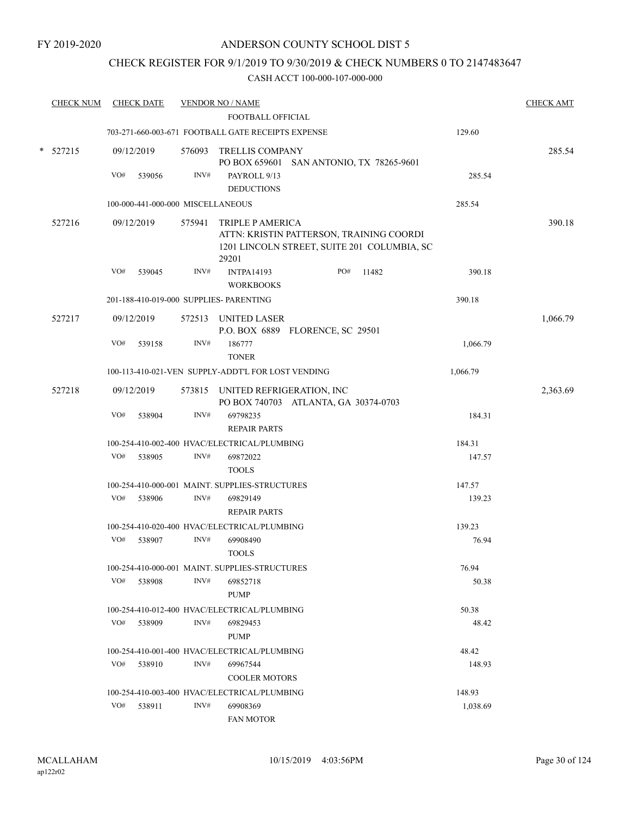### CHECK REGISTER FOR 9/1/2019 TO 9/30/2019 & CHECK NUMBERS 0 TO 2147483647

| <b>CHECK NUM</b> |     | <b>CHECK DATE</b>                 |                | <b>VENDOR NO / NAME</b>                                        |                                          |                                                                                         |          | <b>CHECK AMT</b> |
|------------------|-----|-----------------------------------|----------------|----------------------------------------------------------------|------------------------------------------|-----------------------------------------------------------------------------------------|----------|------------------|
|                  |     |                                   |                | <b>FOOTBALL OFFICIAL</b>                                       |                                          |                                                                                         |          |                  |
|                  |     |                                   |                | 703-271-660-003-671 FOOTBALL GATE RECEIPTS EXPENSE             |                                          |                                                                                         | 129.60   |                  |
| $* 527215$       |     | 09/12/2019                        |                | 576093 TRELLIS COMPANY                                         | PO BOX 659601 SAN ANTONIO, TX 78265-9601 |                                                                                         |          | 285.54           |
|                  | VO# | 539056                            | INV#           | PAYROLL 9/13                                                   |                                          |                                                                                         | 285.54   |                  |
|                  |     |                                   |                | <b>DEDUCTIONS</b>                                              |                                          |                                                                                         |          |                  |
|                  |     | 100-000-441-000-000 MISCELLANEOUS |                |                                                                |                                          |                                                                                         | 285.54   |                  |
| 527216           |     | 09/12/2019                        | 575941         | <b>TRIPLE P AMERICA</b><br>29201                               |                                          | ATTN: KRISTIN PATTERSON, TRAINING COORDI<br>1201 LINCOLN STREET, SUITE 201 COLUMBIA, SC |          | 390.18           |
|                  | VO# | 539045                            | INV#           | <b>INTPA14193</b><br><b>WORKBOOKS</b>                          | PO#                                      | 11482                                                                                   | 390.18   |                  |
|                  |     |                                   |                | 201-188-410-019-000 SUPPLIES- PARENTING                        |                                          |                                                                                         | 390.18   |                  |
| 527217           |     | 09/12/2019                        |                | 572513 UNITED LASER                                            |                                          |                                                                                         |          | 1,066.79         |
|                  |     |                                   |                |                                                                | P.O. BOX 6889 FLORENCE, SC 29501         |                                                                                         |          |                  |
|                  | VO# | 539158                            | INV#           | 186777<br><b>TONER</b>                                         |                                          |                                                                                         | 1,066.79 |                  |
|                  |     |                                   |                | 100-113-410-021-VEN SUPPLY-ADDT'L FOR LOST VENDING             |                                          |                                                                                         | 1,066.79 |                  |
| 527218           |     | 09/12/2019                        |                | 573815 UNITED REFRIGERATION, INC                               |                                          |                                                                                         |          | 2,363.69         |
|                  | VO# | 538904                            | INV#           | 69798235<br><b>REPAIR PARTS</b>                                | PO BOX 740703 ATLANTA, GA 30374-0703     |                                                                                         | 184.31   |                  |
|                  |     |                                   |                | 100-254-410-002-400 HVAC/ELECTRICAL/PLUMBING                   |                                          |                                                                                         | 184.31   |                  |
|                  | VO# | 538905                            | INV#           | 69872022                                                       |                                          |                                                                                         | 147.57   |                  |
|                  |     |                                   |                | <b>TOOLS</b><br>100-254-410-000-001 MAINT. SUPPLIES-STRUCTURES |                                          |                                                                                         | 147.57   |                  |
|                  | VO# | 538906                            | INV#           | 69829149                                                       |                                          |                                                                                         | 139.23   |                  |
|                  |     |                                   |                | <b>REPAIR PARTS</b>                                            |                                          |                                                                                         |          |                  |
|                  |     |                                   |                | 100-254-410-020-400 HVAC/ELECTRICAL/PLUMBING                   |                                          |                                                                                         | 139.23   |                  |
|                  | VO# | 538907                            | $\text{INV}\#$ | 69908490                                                       |                                          |                                                                                         | 76.94    |                  |
|                  |     |                                   |                | <b>TOOLS</b>                                                   |                                          |                                                                                         |          |                  |
|                  |     |                                   |                | 100-254-410-000-001 MAINT. SUPPLIES-STRUCTURES                 |                                          |                                                                                         | 76.94    |                  |
|                  | VO# | 538908                            | INV#           | 69852718<br><b>PUMP</b>                                        |                                          |                                                                                         | 50.38    |                  |
|                  |     |                                   |                | 100-254-410-012-400 HVAC/ELECTRICAL/PLUMBING                   |                                          |                                                                                         | 50.38    |                  |
|                  | VO# | 538909                            | INV#           | 69829453<br><b>PUMP</b>                                        |                                          |                                                                                         | 48.42    |                  |
|                  |     |                                   |                | 100-254-410-001-400 HVAC/ELECTRICAL/PLUMBING                   |                                          |                                                                                         | 48.42    |                  |
|                  |     | VO# 538910                        | INV#           | 69967544                                                       |                                          |                                                                                         | 148.93   |                  |
|                  |     |                                   |                | <b>COOLER MOTORS</b>                                           |                                          |                                                                                         |          |                  |
|                  |     |                                   |                | 100-254-410-003-400 HVAC/ELECTRICAL/PLUMBING                   |                                          |                                                                                         | 148.93   |                  |
|                  | VO# | 538911                            | INV#           | 69908369                                                       |                                          |                                                                                         | 1,038.69 |                  |
|                  |     |                                   |                | <b>FAN MOTOR</b>                                               |                                          |                                                                                         |          |                  |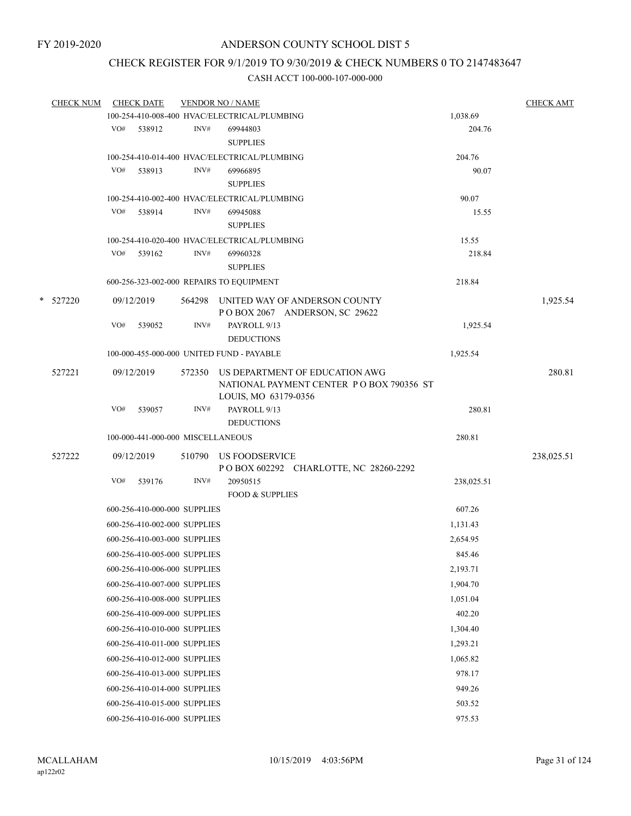# CHECK REGISTER FOR 9/1/2019 TO 9/30/2019 & CHECK NUMBERS 0 TO 2147483647

|   | <b>CHECK NUM</b> |     | <b>CHECK DATE</b>                 |      | <b>VENDOR NO / NAME</b>                                                                                   |                    | <b>CHECK AMT</b> |
|---|------------------|-----|-----------------------------------|------|-----------------------------------------------------------------------------------------------------------|--------------------|------------------|
|   |                  |     |                                   |      | 100-254-410-008-400 HVAC/ELECTRICAL/PLUMBING                                                              | 1,038.69           |                  |
|   |                  |     | VO# 538912                        | INV# | 69944803<br><b>SUPPLIES</b>                                                                               | 204.76             |                  |
|   |                  |     |                                   |      | 100-254-410-014-400 HVAC/ELECTRICAL/PLUMBING                                                              | 204.76             |                  |
|   |                  | VO# | 538913                            | INV# | 69966895                                                                                                  | 90.07              |                  |
|   |                  |     |                                   |      | <b>SUPPLIES</b>                                                                                           |                    |                  |
|   |                  |     |                                   |      | 100-254-410-002-400 HVAC/ELECTRICAL/PLUMBING                                                              | 90.07              |                  |
|   |                  | VO# | 538914                            | INV# | 69945088                                                                                                  | 15.55              |                  |
|   |                  |     |                                   |      | <b>SUPPLIES</b>                                                                                           |                    |                  |
|   |                  |     |                                   |      | 100-254-410-020-400 HVAC/ELECTRICAL/PLUMBING                                                              | 15.55              |                  |
|   |                  |     | VO# 539162                        | INV# | 69960328                                                                                                  | 218.84             |                  |
|   |                  |     |                                   |      | <b>SUPPLIES</b>                                                                                           |                    |                  |
|   |                  |     |                                   |      | 600-256-323-002-000 REPAIRS TO EQUIPMENT                                                                  | 218.84             |                  |
| * | 527220           |     | 09/12/2019                        |      | 564298 UNITED WAY OF ANDERSON COUNTY<br>POBOX 2067 ANDERSON, SC 29622                                     |                    | 1,925.54         |
|   |                  | VO# | 539052                            | INV# | PAYROLL 9/13<br><b>DEDUCTIONS</b>                                                                         | 1,925.54           |                  |
|   |                  |     |                                   |      | 100-000-455-000-000 UNITED FUND - PAYABLE                                                                 | 1,925.54           |                  |
|   |                  |     |                                   |      |                                                                                                           |                    |                  |
|   | 527221           |     | 09/12/2019                        |      | 572350 US DEPARTMENT OF EDUCATION AWG<br>NATIONAL PAYMENT CENTER PO BOX 790356 ST<br>LOUIS, MO 63179-0356 |                    | 280.81           |
|   |                  | VO# | 539057                            | INV# | PAYROLL 9/13                                                                                              | 280.81             |                  |
|   |                  |     |                                   |      | <b>DEDUCTIONS</b>                                                                                         |                    |                  |
|   |                  |     | 100-000-441-000-000 MISCELLANEOUS |      |                                                                                                           | 280.81             |                  |
|   | 527222           |     | 09/12/2019                        |      | 510790 US FOODSERVICE<br>POBOX 602292 CHARLOTTE, NC 28260-2292                                            |                    | 238,025.51       |
|   |                  | VO# | 539176                            | INV# | 20950515<br><b>FOOD &amp; SUPPLIES</b>                                                                    | 238,025.51         |                  |
|   |                  |     | 600-256-410-000-000 SUPPLIES      |      |                                                                                                           | 607.26             |                  |
|   |                  |     | 600-256-410-002-000 SUPPLIES      |      |                                                                                                           | 1,131.43           |                  |
|   |                  |     | 600-256-410-003-000 SUPPLIES      |      |                                                                                                           | 2,654.95           |                  |
|   |                  |     | 600-256-410-005-000 SUPPLIES      |      |                                                                                                           | 845.46             |                  |
|   |                  |     | 600-256-410-006-000 SUPPLIES      |      |                                                                                                           | 2,193.71           |                  |
|   |                  |     | 600-256-410-007-000 SUPPLIES      |      |                                                                                                           | 1,904.70           |                  |
|   |                  |     | 600-256-410-008-000 SUPPLIES      |      |                                                                                                           | 1,051.04           |                  |
|   |                  |     | 600-256-410-009-000 SUPPLIES      |      |                                                                                                           | 402.20             |                  |
|   |                  |     | 600-256-410-010-000 SUPPLIES      |      |                                                                                                           | 1,304.40           |                  |
|   |                  |     | 600-256-410-011-000 SUPPLIES      |      |                                                                                                           | 1,293.21           |                  |
|   |                  |     | 600-256-410-012-000 SUPPLIES      |      |                                                                                                           |                    |                  |
|   |                  |     | 600-256-410-013-000 SUPPLIES      |      |                                                                                                           | 1,065.82<br>978.17 |                  |
|   |                  |     |                                   |      |                                                                                                           |                    |                  |
|   |                  |     | 600-256-410-014-000 SUPPLIES      |      |                                                                                                           | 949.26             |                  |
|   |                  |     | 600-256-410-015-000 SUPPLIES      |      |                                                                                                           | 503.52             |                  |
|   |                  |     | 600-256-410-016-000 SUPPLIES      |      |                                                                                                           | 975.53             |                  |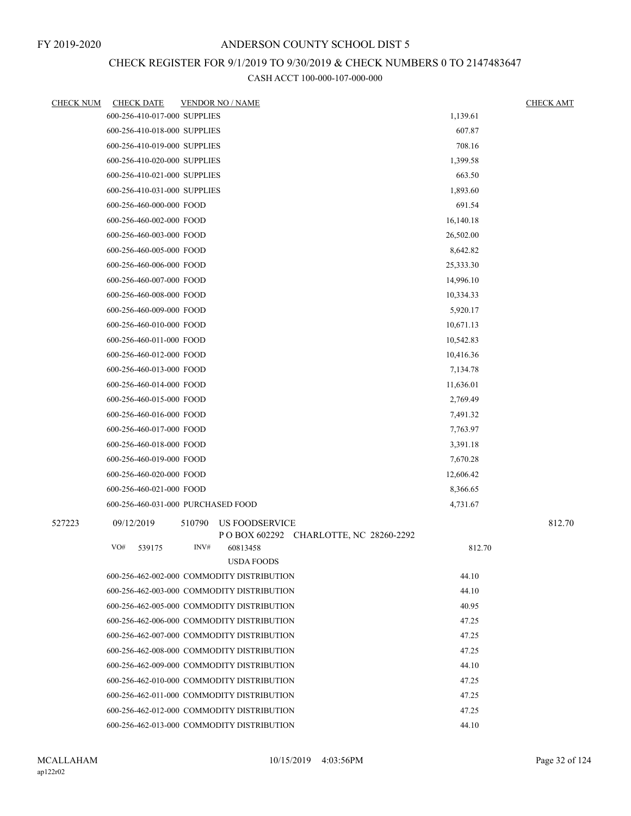# CHECK REGISTER FOR 9/1/2019 TO 9/30/2019 & CHECK NUMBERS 0 TO 2147483647

| <b>CHECK NUM</b> | <b>CHECK DATE</b>            | <b>VENDOR NO / NAME</b>                                           |           | <b>CHECK AMT</b> |
|------------------|------------------------------|-------------------------------------------------------------------|-----------|------------------|
|                  | 600-256-410-017-000 SUPPLIES |                                                                   | 1,139.61  |                  |
|                  | 600-256-410-018-000 SUPPLIES |                                                                   | 607.87    |                  |
|                  | 600-256-410-019-000 SUPPLIES |                                                                   | 708.16    |                  |
|                  | 600-256-410-020-000 SUPPLIES |                                                                   | 1,399.58  |                  |
|                  | 600-256-410-021-000 SUPPLIES |                                                                   | 663.50    |                  |
|                  | 600-256-410-031-000 SUPPLIES |                                                                   | 1,893.60  |                  |
|                  | 600-256-460-000-000 FOOD     |                                                                   | 691.54    |                  |
|                  | 600-256-460-002-000 FOOD     |                                                                   | 16,140.18 |                  |
|                  | 600-256-460-003-000 FOOD     |                                                                   | 26,502.00 |                  |
|                  | 600-256-460-005-000 FOOD     |                                                                   | 8,642.82  |                  |
|                  | 600-256-460-006-000 FOOD     |                                                                   | 25,333.30 |                  |
|                  | 600-256-460-007-000 FOOD     |                                                                   | 14,996.10 |                  |
|                  | 600-256-460-008-000 FOOD     |                                                                   | 10,334.33 |                  |
|                  | 600-256-460-009-000 FOOD     |                                                                   | 5,920.17  |                  |
|                  | 600-256-460-010-000 FOOD     |                                                                   | 10,671.13 |                  |
|                  | 600-256-460-011-000 FOOD     |                                                                   | 10,542.83 |                  |
|                  | 600-256-460-012-000 FOOD     |                                                                   | 10,416.36 |                  |
|                  | 600-256-460-013-000 FOOD     |                                                                   | 7,134.78  |                  |
|                  | 600-256-460-014-000 FOOD     |                                                                   | 11,636.01 |                  |
|                  | 600-256-460-015-000 FOOD     |                                                                   | 2,769.49  |                  |
|                  | 600-256-460-016-000 FOOD     |                                                                   | 7,491.32  |                  |
|                  | 600-256-460-017-000 FOOD     |                                                                   | 7,763.97  |                  |
|                  | 600-256-460-018-000 FOOD     |                                                                   | 3,391.18  |                  |
|                  | 600-256-460-019-000 FOOD     |                                                                   | 7,670.28  |                  |
|                  | 600-256-460-020-000 FOOD     |                                                                   | 12,606.42 |                  |
|                  | 600-256-460-021-000 FOOD     |                                                                   | 8,366.65  |                  |
|                  |                              | 600-256-460-031-000 PURCHASED FOOD                                | 4,731.67  |                  |
| 527223           | 09/12/2019                   | 510790<br>US FOODSERVICE<br>POBOX 602292 CHARLOTTE, NC 28260-2292 |           | 812.70           |
|                  | VO#<br>539175                | INV#<br>60813458<br><b>USDA FOODS</b>                             | 812.70    |                  |
|                  |                              | 600-256-462-002-000 COMMODITY DISTRIBUTION                        | 44.10     |                  |
|                  |                              | 600-256-462-003-000 COMMODITY DISTRIBUTION                        | 44.10     |                  |
|                  |                              | 600-256-462-005-000 COMMODITY DISTRIBUTION                        | 40.95     |                  |
|                  |                              | 600-256-462-006-000 COMMODITY DISTRIBUTION                        | 47.25     |                  |
|                  |                              | 600-256-462-007-000 COMMODITY DISTRIBUTION                        | 47.25     |                  |
|                  |                              | 600-256-462-008-000 COMMODITY DISTRIBUTION                        | 47.25     |                  |
|                  |                              | 600-256-462-009-000 COMMODITY DISTRIBUTION                        | 44.10     |                  |
|                  |                              | 600-256-462-010-000 COMMODITY DISTRIBUTION                        | 47.25     |                  |
|                  |                              | 600-256-462-011-000 COMMODITY DISTRIBUTION                        | 47.25     |                  |
|                  |                              | 600-256-462-012-000 COMMODITY DISTRIBUTION                        | 47.25     |                  |
|                  |                              | 600-256-462-013-000 COMMODITY DISTRIBUTION                        | 44.10     |                  |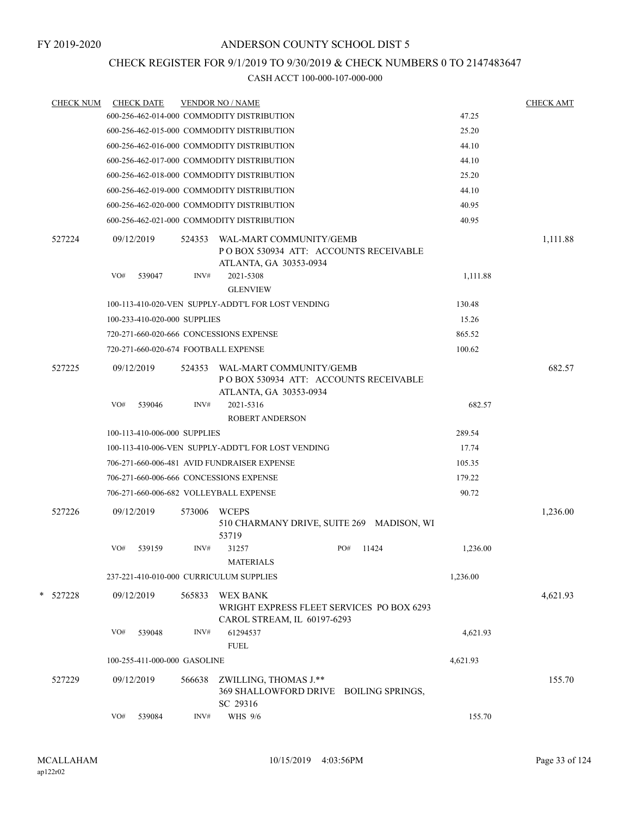## CHECK REGISTER FOR 9/1/2019 TO 9/30/2019 & CHECK NUMBERS 0 TO 2147483647

| <b>CHECK NUM</b> |     | <b>CHECK DATE</b>            |        | <b>VENDOR NO / NAME</b>                                                                            |     |       |          | <b>CHECK AMT</b> |
|------------------|-----|------------------------------|--------|----------------------------------------------------------------------------------------------------|-----|-------|----------|------------------|
|                  |     |                              |        | 600-256-462-014-000 COMMODITY DISTRIBUTION                                                         |     |       | 47.25    |                  |
|                  |     |                              |        | 600-256-462-015-000 COMMODITY DISTRIBUTION                                                         |     |       | 25.20    |                  |
|                  |     |                              |        | 600-256-462-016-000 COMMODITY DISTRIBUTION                                                         |     |       | 44.10    |                  |
|                  |     |                              |        | 600-256-462-017-000 COMMODITY DISTRIBUTION                                                         |     |       | 44.10    |                  |
|                  |     |                              |        | 600-256-462-018-000 COMMODITY DISTRIBUTION                                                         |     |       | 25.20    |                  |
|                  |     |                              |        | 600-256-462-019-000 COMMODITY DISTRIBUTION                                                         |     |       | 44.10    |                  |
|                  |     |                              |        | 600-256-462-020-000 COMMODITY DISTRIBUTION                                                         |     |       | 40.95    |                  |
|                  |     |                              |        | 600-256-462-021-000 COMMODITY DISTRIBUTION                                                         |     |       | 40.95    |                  |
| 527224           |     | 09/12/2019                   |        | 524353 WAL-MART COMMUNITY/GEMB<br>PO BOX 530934 ATT: ACCOUNTS RECEIVABLE<br>ATLANTA, GA 30353-0934 |     |       |          | 1,111.88         |
|                  | VO# | 539047                       | INV#   | 2021-5308<br><b>GLENVIEW</b>                                                                       |     |       | 1,111.88 |                  |
|                  |     |                              |        | 100-113-410-020-VEN SUPPLY-ADDT'L FOR LOST VENDING                                                 |     |       | 130.48   |                  |
|                  |     | 100-233-410-020-000 SUPPLIES |        |                                                                                                    |     |       | 15.26    |                  |
|                  |     |                              |        | 720-271-660-020-666 CONCESSIONS EXPENSE                                                            |     |       | 865.52   |                  |
|                  |     |                              |        | 720-271-660-020-674 FOOTBALL EXPENSE                                                               |     |       | 100.62   |                  |
| 527225           |     | 09/12/2019                   | 524353 | WAL-MART COMMUNITY/GEMB<br>PO BOX 530934 ATT: ACCOUNTS RECEIVABLE<br>ATLANTA, GA 30353-0934        |     |       |          | 682.57           |
|                  | VO# | 539046                       | INV#   | 2021-5316<br><b>ROBERT ANDERSON</b>                                                                |     |       | 682.57   |                  |
|                  |     | 100-113-410-006-000 SUPPLIES |        |                                                                                                    |     |       | 289.54   |                  |
|                  |     |                              |        | 100-113-410-006-VEN SUPPLY-ADDT'L FOR LOST VENDING                                                 |     |       | 17.74    |                  |
|                  |     |                              |        | 706-271-660-006-481 AVID FUNDRAISER EXPENSE                                                        |     |       | 105.35   |                  |
|                  |     |                              |        | 706-271-660-006-666 CONCESSIONS EXPENSE                                                            |     |       | 179.22   |                  |
|                  |     |                              |        | 706-271-660-006-682 VOLLEYBALL EXPENSE                                                             |     |       | 90.72    |                  |
| 527226           |     | 09/12/2019                   | 573006 | <b>WCEPS</b><br>510 CHARMANY DRIVE, SUITE 269 MADISON, WI<br>53719                                 |     |       |          | 1,236.00         |
|                  | VO# | 539159                       | INV#   | 31257<br>MATERIALS                                                                                 | PO# | 11424 | 1,236.00 |                  |
|                  |     |                              |        | 237-221-410-010-000 CURRICULUM SUPPLIES                                                            |     |       | 1,236.00 |                  |
| * 527228         |     | 09/12/2019                   | 565833 | <b>WEX BANK</b><br>WRIGHT EXPRESS FLEET SERVICES PO BOX 6293<br>CAROL STREAM, IL 60197-6293        |     |       |          | 4,621.93         |
|                  | VO# | 539048                       | INV#   | 61294537<br><b>FUEL</b>                                                                            |     |       | 4,621.93 |                  |
|                  |     | 100-255-411-000-000 GASOLINE |        |                                                                                                    |     |       | 4,621.93 |                  |
| 527229           |     | 09/12/2019                   | 566638 | ZWILLING, THOMAS J.**<br>369 SHALLOWFORD DRIVE BOILING SPRINGS,<br>SC 29316                        |     |       |          | 155.70           |
|                  | VO# | 539084                       | INV#   | WHS 9/6                                                                                            |     |       | 155.70   |                  |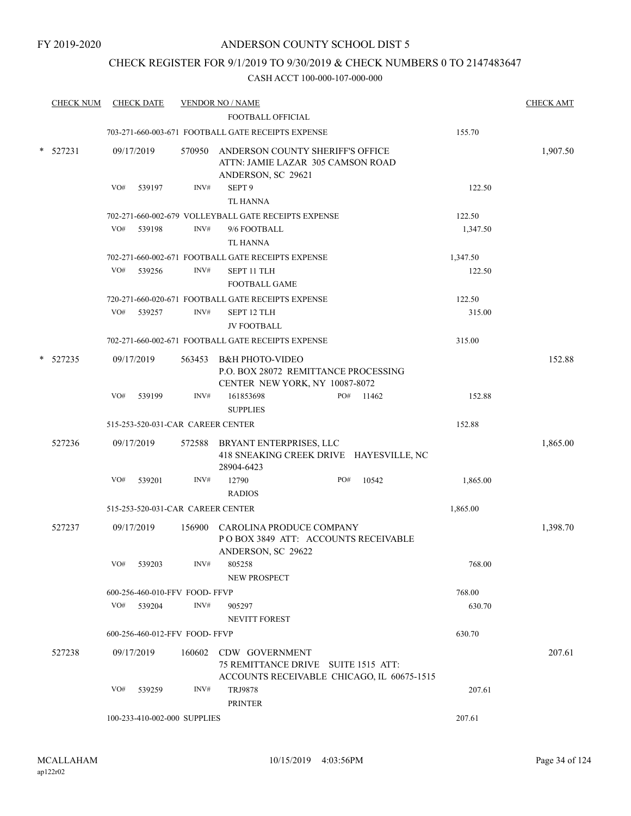#### CHECK REGISTER FOR 9/1/2019 TO 9/30/2019 & CHECK NUMBERS 0 TO 2147483647

| <b>CHECK NUM</b> |     | <b>CHECK DATE</b>                 |        | <b>VENDOR NO / NAME</b>                                                                            |     |                                            |          | <b>CHECK AMT</b> |
|------------------|-----|-----------------------------------|--------|----------------------------------------------------------------------------------------------------|-----|--------------------------------------------|----------|------------------|
|                  |     |                                   |        | <b>FOOTBALL OFFICIAL</b>                                                                           |     |                                            |          |                  |
|                  |     |                                   |        | 703-271-660-003-671 FOOTBALL GATE RECEIPTS EXPENSE                                                 |     |                                            | 155.70   |                  |
| $*$ 527231       |     | 09/17/2019                        |        | 570950 ANDERSON COUNTY SHERIFF'S OFFICE<br>ATTN: JAMIE LAZAR 305 CAMSON ROAD<br>ANDERSON, SC 29621 |     |                                            |          | 1,907.50         |
|                  | VO# | 539197                            | INV#   | SEPT <sub>9</sub><br><b>TL HANNA</b>                                                               |     |                                            | 122.50   |                  |
|                  |     |                                   |        | 702-271-660-002-679 VOLLEYBALL GATE RECEIPTS EXPENSE                                               |     |                                            | 122.50   |                  |
|                  | VO# | 539198                            | INV#   | 9/6 FOOTBALL<br><b>TL HANNA</b>                                                                    |     |                                            | 1,347.50 |                  |
|                  |     |                                   |        | 702-271-660-002-671 FOOTBALL GATE RECEIPTS EXPENSE                                                 |     |                                            | 1,347.50 |                  |
|                  | VO# | 539256                            | INV#   | SEPT 11 TLH<br><b>FOOTBALL GAME</b>                                                                |     |                                            | 122.50   |                  |
|                  |     |                                   |        | 720-271-660-020-671 FOOTBALL GATE RECEIPTS EXPENSE                                                 |     |                                            | 122.50   |                  |
|                  | VO# | 539257                            | INV#   | SEPT 12 TLH<br><b>JV FOOTBALL</b>                                                                  |     |                                            | 315.00   |                  |
|                  |     |                                   |        | 702-271-660-002-671 FOOTBALL GATE RECEIPTS EXPENSE                                                 |     |                                            | 315.00   |                  |
| 527235           |     | 09/17/2019                        | 563453 | B&H PHOTO-VIDEO<br>P.O. BOX 28072 REMITTANCE PROCESSING<br>CENTER NEW YORK, NY 10087-8072          |     |                                            |          | 152.88           |
|                  | VO# | 539199                            | INV#   | 161853698<br><b>SUPPLIES</b>                                                                       | PO# | 11462                                      | 152.88   |                  |
|                  |     | 515-253-520-031-CAR CAREER CENTER |        |                                                                                                    |     |                                            | 152.88   |                  |
| 527236           |     | 09/17/2019                        |        | 572588 BRYANT ENTERPRISES, LLC<br>28904-6423                                                       |     | 418 SNEAKING CREEK DRIVE HAYESVILLE, NC    |          | 1,865.00         |
|                  | VO# | 539201                            | INV#   | 12790<br><b>RADIOS</b>                                                                             | PO# | 10542                                      | 1,865.00 |                  |
|                  |     | 515-253-520-031-CAR CAREER CENTER |        |                                                                                                    |     |                                            | 1,865.00 |                  |
| 527237           |     | 09/17/2019                        | 156900 | CAROLINA PRODUCE COMPANY<br>POBOX 3849 ATT: ACCOUNTS RECEIVABLE<br>ANDERSON, SC 29622              |     |                                            |          | 1,398.70         |
|                  | VO# | 539203                            | INV#   | 805258<br><b>NEW PROSPECT</b>                                                                      |     |                                            | 768.00   |                  |
|                  |     | 600-256-460-010-FFV FOOD-FFVP     |        |                                                                                                    |     |                                            | 768.00   |                  |
|                  |     | VO# 539204                        | INV#   | 905297<br><b>NEVITT FOREST</b>                                                                     |     |                                            | 630.70   |                  |
|                  |     | 600-256-460-012-FFV FOOD-FFVP     |        |                                                                                                    |     |                                            | 630.70   |                  |
| 527238           |     | 09/17/2019                        | 160602 | CDW GOVERNMENT<br>75 REMITTANCE DRIVE SUITE 1515 ATT:                                              |     | ACCOUNTS RECEIVABLE CHICAGO, IL 60675-1515 |          | 207.61           |
|                  | VO# | 539259                            | INV#   | <b>TRJ9878</b><br><b>PRINTER</b>                                                                   |     |                                            | 207.61   |                  |
|                  |     | 100-233-410-002-000 SUPPLIES      |        |                                                                                                    |     |                                            | 207.61   |                  |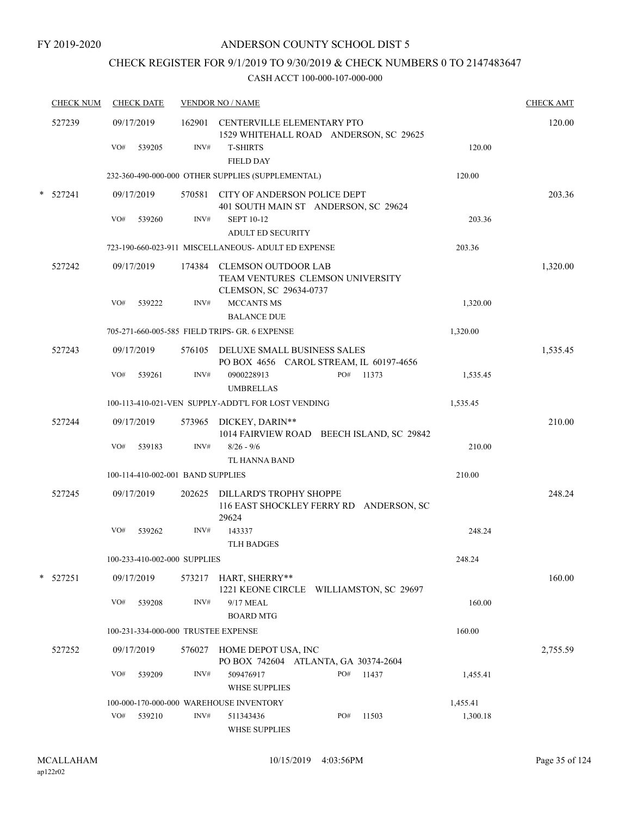# CHECK REGISTER FOR 9/1/2019 TO 9/30/2019 & CHECK NUMBERS 0 TO 2147483647

| <b>CHECK NUM</b> | <b>CHECK DATE</b>                   |        | <b>VENDOR NO / NAME</b>                              |                                           |          | <b>CHECK AMT</b> |
|------------------|-------------------------------------|--------|------------------------------------------------------|-------------------------------------------|----------|------------------|
| 527239           | 09/17/2019                          |        | 162901 CENTERVILLE ELEMENTARY PTO                    | 1529 WHITEHALL ROAD ANDERSON, SC 29625    |          | 120.00           |
|                  | VO#<br>539205                       | INV#   | <b>T-SHIRTS</b><br><b>FIELD DAY</b>                  |                                           | 120.00   |                  |
|                  |                                     |        | 232-360-490-000-000 OTHER SUPPLIES (SUPPLEMENTAL)    |                                           | 120.00   |                  |
| $*$ 527241       | 09/17/2019                          |        | 570581 CITY OF ANDERSON POLICE DEPT                  | 401 SOUTH MAIN ST ANDERSON, SC 29624      |          | 203.36           |
|                  | VO#<br>539260                       | INV#   | <b>SEPT 10-12</b>                                    |                                           | 203.36   |                  |
|                  |                                     |        | <b>ADULT ED SECURITY</b>                             |                                           |          |                  |
|                  |                                     |        | 723-190-660-023-911 MISCELLANEOUS- ADULT ED EXPENSE  |                                           | 203.36   |                  |
| 527242           | 09/17/2019                          |        | 174384 CLEMSON OUTDOOR LAB<br>CLEMSON, SC 29634-0737 | TEAM VENTURES CLEMSON UNIVERSITY          |          | 1,320.00         |
|                  | VO#<br>539222                       | INV#   | <b>MCCANTS MS</b><br><b>BALANCE DUE</b>              |                                           | 1,320.00 |                  |
|                  |                                     |        | 705-271-660-005-585 FIELD TRIPS- GR. 6 EXPENSE       |                                           | 1,320.00 |                  |
| 527243           | 09/17/2019                          |        | 576105 DELUXE SMALL BUSINESS SALES                   | PO BOX 4656 CAROL STREAM, IL 60197-4656   |          | 1,535.45         |
|                  | VO#<br>539261                       | INV#   | 0900228913<br><b>UMBRELLAS</b>                       | PO# 11373                                 | 1,535.45 |                  |
|                  |                                     |        | 100-113-410-021-VEN SUPPLY-ADDT'L FOR LOST VENDING   |                                           | 1,535.45 |                  |
| 527244           | 09/17/2019                          |        | 573965 DICKEY, DARIN**                               | 1014 FAIRVIEW ROAD BEECH ISLAND, SC 29842 |          | 210.00           |
|                  | VO#<br>539183                       | INV#   | $8/26 - 9/6$<br>TL HANNA BAND                        |                                           | 210.00   |                  |
|                  | 100-114-410-002-001 BAND SUPPLIES   |        |                                                      |                                           | 210.00   |                  |
| 527245           | 09/17/2019                          | 202625 | DILLARD'S TROPHY SHOPPE<br>29624                     | 116 EAST SHOCKLEY FERRY RD ANDERSON, SC   |          | 248.24           |
|                  | VO#<br>539262                       | INV#   | 143337<br><b>TLH BADGES</b>                          |                                           | 248.24   |                  |
|                  | 100-233-410-002-000 SUPPLIES        |        |                                                      |                                           | 248.24   |                  |
| * 527251         | 09/17/2019                          |        | 573217 HART, SHERRY**                                | 1221 KEONE CIRCLE WILLIAMSTON, SC 29697   |          | 160.00           |
|                  | VO#<br>539208                       | INV#   | 9/17 MEAL<br><b>BOARD MTG</b>                        |                                           | 160.00   |                  |
|                  | 100-231-334-000-000 TRUSTEE EXPENSE |        |                                                      |                                           | 160.00   |                  |
| 527252           | 09/17/2019                          | 576027 | HOME DEPOT USA, INC                                  | PO BOX 742604 ATLANTA, GA 30374-2604      |          | 2,755.59         |
|                  | VO#<br>539209                       | INV#   | 509476917<br><b>WHSE SUPPLIES</b>                    | PO#<br>11437                              | 1,455.41 |                  |
|                  |                                     |        | 100-000-170-000-000 WAREHOUSE INVENTORY              |                                           | 1,455.41 |                  |
|                  | VO# 539210                          | INV#   | 511343436<br>WHSE SUPPLIES                           | PO#<br>11503                              | 1,300.18 |                  |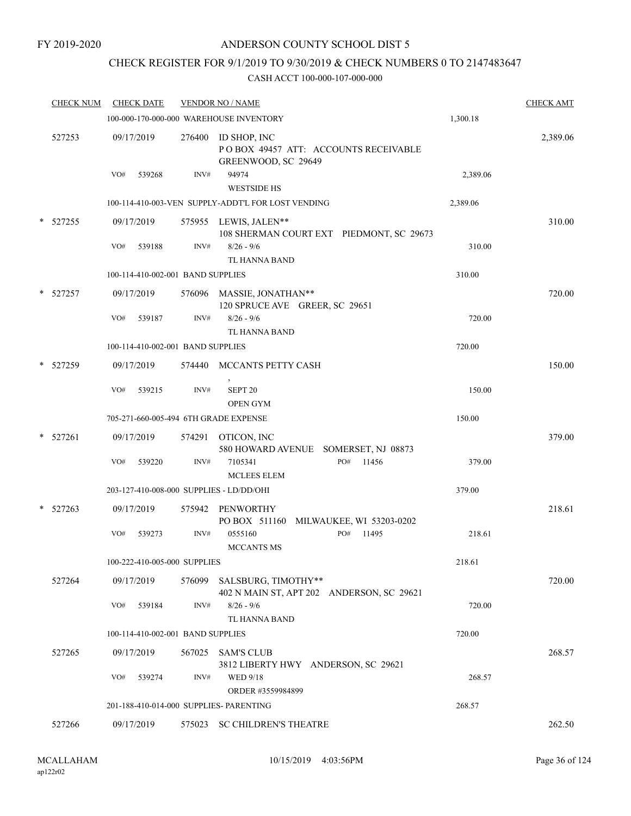## CHECK REGISTER FOR 9/1/2019 TO 9/30/2019 & CHECK NUMBERS 0 TO 2147483647

|   | <b>CHECK NUM</b> | <b>CHECK DATE</b>                        |        | <b>VENDOR NO / NAME</b>                                                     |          | <b>CHECK AMT</b> |
|---|------------------|------------------------------------------|--------|-----------------------------------------------------------------------------|----------|------------------|
|   |                  | 100-000-170-000-000 WAREHOUSE INVENTORY  |        |                                                                             | 1,300.18 |                  |
|   | 527253           | 09/17/2019                               | 276400 | ID SHOP, INC<br>POBOX 49457 ATT: ACCOUNTS RECEIVABLE<br>GREENWOOD, SC 29649 |          | 2,389.06         |
|   |                  | VO#<br>539268                            | INV#   | 94974<br><b>WESTSIDE HS</b>                                                 | 2,389.06 |                  |
|   |                  |                                          |        | 100-114-410-003-VEN SUPPLY-ADDT'L FOR LOST VENDING                          | 2,389.06 |                  |
|   | * 527255         | 09/17/2019                               |        | 575955 LEWIS, JALEN**<br>108 SHERMAN COURT EXT PIEDMONT, SC 29673           |          | 310.00           |
|   |                  | VO#<br>539188                            | INV#   | $8/26 - 9/6$<br>TL HANNA BAND                                               | 310.00   |                  |
|   |                  | 100-114-410-002-001 BAND SUPPLIES        |        |                                                                             | 310.00   |                  |
|   | * 527257         | 09/17/2019                               |        | 576096 MASSIE, JONATHAN**<br>120 SPRUCE AVE GREER, SC 29651                 |          | 720.00           |
|   |                  | VO#<br>539187                            | INV#   | $8/26 - 9/6$<br>TL HANNA BAND                                               | 720.00   |                  |
|   |                  | 100-114-410-002-001 BAND SUPPLIES        |        |                                                                             | 720.00   |                  |
|   | * 527259         | 09/17/2019                               |        | 574440 MCCANTS PETTY CASH                                                   |          | 150.00           |
|   |                  | VO#<br>539215                            | INV#   | SEPT <sub>20</sub><br><b>OPEN GYM</b>                                       | 150.00   |                  |
|   |                  | 705-271-660-005-494 6TH GRADE EXPENSE    |        |                                                                             | 150.00   |                  |
| * | 527261           | 09/17/2019                               | 574291 | OTICON, INC<br>580 HOWARD AVENUE SOMERSET, NJ 08873                         |          | 379.00           |
|   |                  | VO#<br>539220                            | INV#   | PO#<br>11456<br>7105341<br><b>MCLEES ELEM</b>                               | 379.00   |                  |
|   |                  | 203-127-410-008-000 SUPPLIES - LD/DD/OHI |        |                                                                             | 379.00   |                  |
|   | $*$ 527263       | 09/17/2019                               | 575942 | PENWORTHY<br>PO BOX 511160<br>MILWAUKEE, WI 53203-0202                      |          | 218.61           |
|   |                  | VO#<br>539273                            | INV#   | PO#<br>0555160<br>11495<br><b>MCCANTS MS</b>                                | 218.61   |                  |
|   |                  | 100-222-410-005-000 SUPPLIES             |        |                                                                             | 218.61   |                  |
|   | 527264           | 09/17/2019                               |        | 576099 SALSBURG, TIMOTHY**<br>402 N MAIN ST, APT 202 ANDERSON, SC 29621     |          | 720.00           |
|   |                  | VO#<br>539184                            | INV#   | $8/26 - 9/6$<br>TL HANNA BAND                                               | 720.00   |                  |
|   |                  | 100-114-410-002-001 BAND SUPPLIES        |        |                                                                             | 720.00   |                  |
|   | 527265           | 09/17/2019                               |        | 567025 SAM'S CLUB<br>3812 LIBERTY HWY ANDERSON, SC 29621                    |          | 268.57           |
|   |                  | VO#<br>539274                            | INV#   | WED 9/18<br>ORDER #3559984899                                               | 268.57   |                  |
|   |                  | 201-188-410-014-000 SUPPLIES- PARENTING  |        |                                                                             | 268.57   |                  |
|   | 527266           | 09/17/2019                               |        | 575023 SC CHILDREN'S THEATRE                                                |          | 262.50           |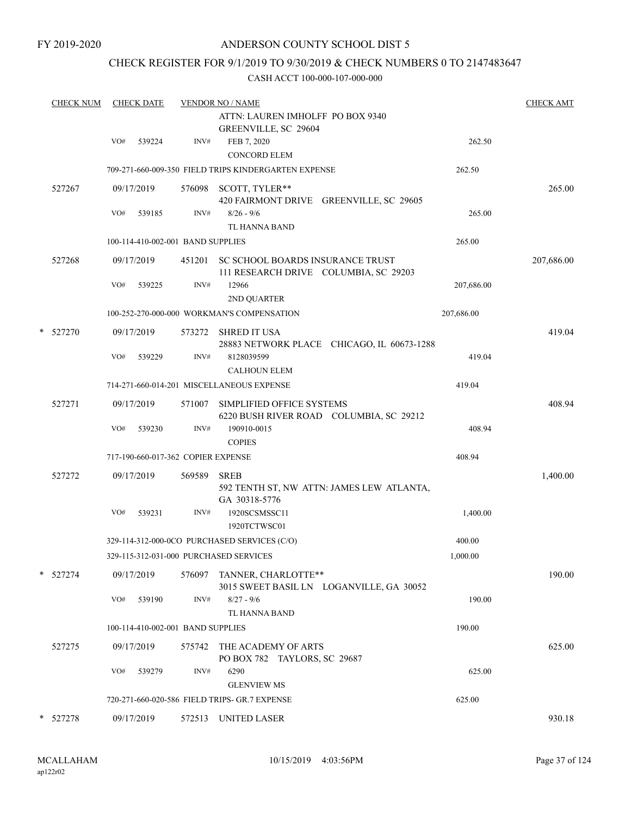### CHECK REGISTER FOR 9/1/2019 TO 9/30/2019 & CHECK NUMBERS 0 TO 2147483647

| <b>CHECK NUM</b> | <b>CHECK DATE</b> |            |                                    | <b>VENDOR NO / NAME</b>                                                          |                                            |            | <b>CHECK AMT</b> |
|------------------|-------------------|------------|------------------------------------|----------------------------------------------------------------------------------|--------------------------------------------|------------|------------------|
|                  |                   |            |                                    | ATTN: LAUREN IMHOLFF PO BOX 9340<br>GREENVILLE, SC 29604                         |                                            |            |                  |
|                  | VO#               | 539224     | INV#                               | FEB 7, 2020<br><b>CONCORD ELEM</b>                                               |                                            | 262.50     |                  |
|                  |                   |            |                                    | 709-271-660-009-350 FIELD TRIPS KINDERGARTEN EXPENSE                             |                                            | 262.50     |                  |
| 527267           |                   | 09/17/2019 | 576098                             | SCOTT, TYLER**<br>420 FAIRMONT DRIVE GREENVILLE, SC 29605                        |                                            |            | 265.00           |
|                  | VO#               | 539185     | INV#                               | $8/26 - 9/6$                                                                     |                                            | 265.00     |                  |
|                  |                   |            |                                    | TL HANNA BAND                                                                    |                                            |            |                  |
|                  |                   |            | 100-114-410-002-001 BAND SUPPLIES  |                                                                                  |                                            | 265.00     |                  |
| 527268           |                   | 09/17/2019 |                                    | 451201 SC SCHOOL BOARDS INSURANCE TRUST<br>111 RESEARCH DRIVE COLUMBIA, SC 29203 |                                            |            | 207,686.00       |
|                  | VO#               | 539225     | INV#                               | 12966<br>2ND QUARTER                                                             |                                            | 207,686.00 |                  |
|                  |                   |            |                                    | 100-252-270-000-000 WORKMAN'S COMPENSATION                                       |                                            | 207,686.00 |                  |
| * 527270         |                   | 09/17/2019 | 573272                             | <b>SHRED IT USA</b>                                                              | 28883 NETWORK PLACE CHICAGO, IL 60673-1288 |            | 419.04           |
|                  | VO#               | 539229     | INV#                               | 8128039599<br><b>CALHOUN ELEM</b>                                                |                                            | 419.04     |                  |
|                  |                   |            |                                    | 714-271-660-014-201 MISCELLANEOUS EXPENSE                                        |                                            | 419.04     |                  |
| 527271           |                   | 09/17/2019 | 571007                             | SIMPLIFIED OFFICE SYSTEMS<br>6220 BUSH RIVER ROAD COLUMBIA, SC 29212             |                                            |            | 408.94           |
|                  | VO#               | 539230     | INV#                               | 190910-0015<br><b>COPIES</b>                                                     |                                            | 408.94     |                  |
|                  |                   |            | 717-190-660-017-362 COPIER EXPENSE |                                                                                  |                                            | 408.94     |                  |
| 527272           |                   | 09/17/2019 | 569589                             | <b>SREB</b><br>GA 30318-5776                                                     | 592 TENTH ST, NW ATTN: JAMES LEW ATLANTA,  |            | 1,400.00         |
|                  | VO#               | 539231     | INV#                               | 1920SCSMSSC11<br>1920TCTWSC01                                                    |                                            | 1,400.00   |                  |
|                  |                   |            |                                    | 329-114-312-000-0CO PURCHASED SERVICES (C/O)                                     |                                            | 400.00     |                  |
|                  |                   |            |                                    | 329-115-312-031-000 PURCHASED SERVICES                                           |                                            | 1,000.00   |                  |
| * 527274         |                   | 09/17/2019 | 576097                             | TANNER, CHARLOTTE**                                                              | 3015 SWEET BASIL LN LOGANVILLE, GA 30052   |            | 190.00           |
|                  | VO#               | 539190     | INV#                               | $8/27 - 9/6$<br>TL HANNA BAND                                                    |                                            | 190.00     |                  |
|                  |                   |            | 100-114-410-002-001 BAND SUPPLIES  |                                                                                  |                                            | 190.00     |                  |
| 527275           |                   | 09/17/2019 | 575742                             | THE ACADEMY OF ARTS<br>PO BOX 782 TAYLORS, SC 29687                              |                                            |            | 625.00           |
|                  | VO#               | 539279     | INV#                               | 6290<br><b>GLENVIEW MS</b>                                                       |                                            | 625.00     |                  |
|                  |                   |            |                                    | 720-271-660-020-586 FIELD TRIPS- GR.7 EXPENSE                                    |                                            | 625.00     |                  |
| * 527278         |                   | 09/17/2019 |                                    | 572513 UNITED LASER                                                              |                                            |            | 930.18           |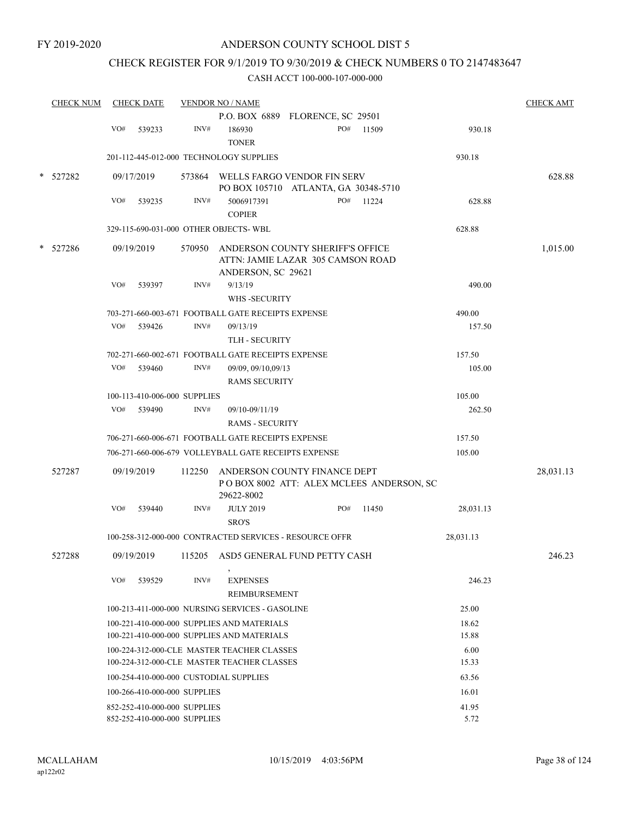# CHECK REGISTER FOR 9/1/2019 TO 9/30/2019 & CHECK NUMBERS 0 TO 2147483647

|        | <b>CHECK NUM</b> |     | <b>CHECK DATE</b>            |        | <b>VENDOR NO / NAME</b>                                                                     |     |       |           | <b>CHECK AMT</b> |
|--------|------------------|-----|------------------------------|--------|---------------------------------------------------------------------------------------------|-----|-------|-----------|------------------|
|        |                  | VO# |                              | INV#   | P.O. BOX 6889 FLORENCE, SC 29501                                                            | PO# | 11509 |           |                  |
|        |                  |     | 539233                       |        | 186930<br><b>TONER</b>                                                                      |     |       | 930.18    |                  |
|        |                  |     |                              |        | 201-112-445-012-000 TECHNOLOGY SUPPLIES                                                     |     |       | 930.18    |                  |
| *      | 527282           |     | 09/17/2019                   |        | 573864 WELLS FARGO VENDOR FIN SERV<br>PO BOX 105710 ATLANTA, GA 30348-5710                  |     |       |           | 628.88           |
|        |                  | VO# | 539235                       | INV#   | 5006917391                                                                                  | PO# | 11224 | 628.88    |                  |
|        |                  |     |                              |        | <b>COPIER</b>                                                                               |     |       |           |                  |
|        |                  |     |                              |        | 329-115-690-031-000 OTHER OBJECTS-WBL                                                       |     |       | 628.88    |                  |
| $\ast$ | 527286           |     | 09/19/2019                   | 570950 | ANDERSON COUNTY SHERIFF'S OFFICE<br>ATTN: JAMIE LAZAR 305 CAMSON ROAD<br>ANDERSON, SC 29621 |     |       |           | 1,015.00         |
|        |                  | VO# | 539397                       | INV#   | 9/13/19                                                                                     |     |       | 490.00    |                  |
|        |                  |     |                              |        | WHS -SECURITY                                                                               |     |       |           |                  |
|        |                  |     |                              |        | 703-271-660-003-671 FOOTBALL GATE RECEIPTS EXPENSE                                          |     |       | 490.00    |                  |
|        |                  | VO# | 539426                       | INV#   | 09/13/19                                                                                    |     |       | 157.50    |                  |
|        |                  |     |                              |        | <b>TLH - SECURITY</b>                                                                       |     |       |           |                  |
|        |                  |     |                              |        | 702-271-660-002-671 FOOTBALL GATE RECEIPTS EXPENSE                                          |     |       | 157.50    |                  |
|        |                  | VO# | 539460                       | INV#   | 09/09, 09/10,09/13<br><b>RAMS SECURITY</b>                                                  |     |       | 105.00    |                  |
|        |                  |     | 100-113-410-006-000 SUPPLIES |        |                                                                                             |     |       | 105.00    |                  |
|        |                  | VO# | 539490                       | INV#   | 09/10-09/11/19                                                                              |     |       | 262.50    |                  |
|        |                  |     |                              |        | <b>RAMS - SECURITY</b>                                                                      |     |       |           |                  |
|        |                  |     |                              |        | 706-271-660-006-671 FOOTBALL GATE RECEIPTS EXPENSE                                          |     |       | 157.50    |                  |
|        |                  |     |                              |        | 706-271-660-006-679 VOLLEYBALL GATE RECEIPTS EXPENSE                                        |     |       | 105.00    |                  |
|        |                  |     |                              |        |                                                                                             |     |       |           |                  |
|        | 527287           |     | 09/19/2019                   | 112250 | ANDERSON COUNTY FINANCE DEPT<br>POBOX 8002 ATT: ALEX MCLEES ANDERSON, SC<br>29622-8002      |     |       |           | 28,031.13        |
|        |                  | VO# | 539440                       | INV#   | <b>JULY 2019</b><br>SRO'S                                                                   | PO# | 11450 | 28,031.13 |                  |
|        |                  |     |                              |        | 100-258-312-000-000 CONTRACTED SERVICES - RESOURCE OFFR                                     |     |       | 28,031.13 |                  |
|        | 527288           |     | 09/19/2019                   |        | 115205 ASD5 GENERAL FUND PETTY CASH                                                         |     |       |           | 246.23           |
|        |                  | VO# | 539529                       | INV#   | <b>EXPENSES</b><br><b>REIMBURSEMENT</b>                                                     |     |       | 246.23    |                  |
|        |                  |     |                              |        | 100-213-411-000-000 NURSING SERVICES - GASOLINE                                             |     |       | 25.00     |                  |
|        |                  |     |                              |        | 100-221-410-000-000 SUPPLIES AND MATERIALS                                                  |     |       | 18.62     |                  |
|        |                  |     |                              |        | 100-221-410-000-000 SUPPLIES AND MATERIALS                                                  |     |       | 15.88     |                  |
|        |                  |     |                              |        | 100-224-312-000-CLE MASTER TEACHER CLASSES                                                  |     |       | 6.00      |                  |
|        |                  |     |                              |        | 100-224-312-000-CLE MASTER TEACHER CLASSES                                                  |     |       | 15.33     |                  |
|        |                  |     |                              |        | 100-254-410-000-000 CUSTODIAL SUPPLIES                                                      |     |       | 63.56     |                  |
|        |                  |     | 100-266-410-000-000 SUPPLIES |        |                                                                                             |     |       | 16.01     |                  |
|        |                  |     | 852-252-410-000-000 SUPPLIES |        |                                                                                             |     |       | 41.95     |                  |
|        |                  |     | 852-252-410-000-000 SUPPLIES |        |                                                                                             |     |       | 5.72      |                  |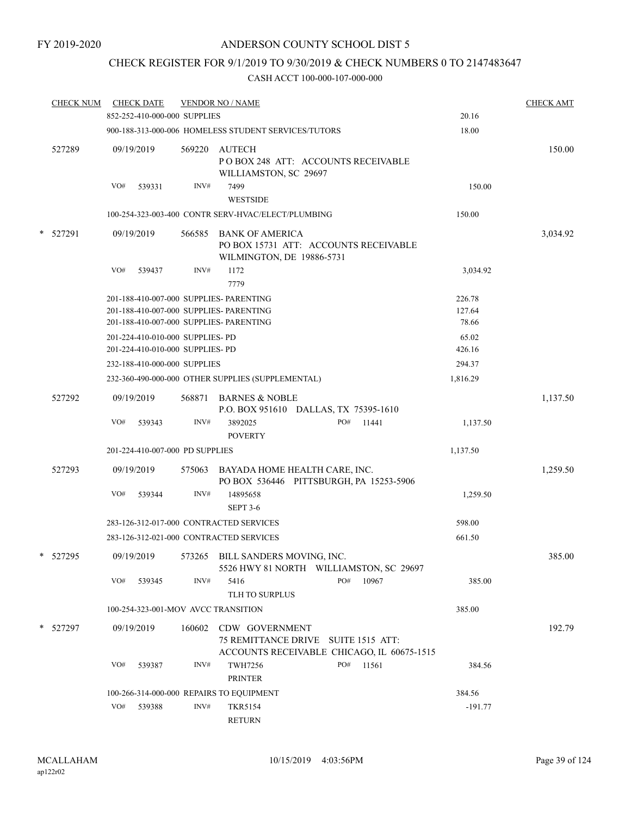### CHECK REGISTER FOR 9/1/2019 TO 9/30/2019 & CHECK NUMBERS 0 TO 2147483647

| <b>CHECK NUM</b> |     | <b>CHECK DATE</b>                |        | <b>VENDOR NO / NAME</b>                                                                             |     |       |           | <b>CHECK AMT</b> |
|------------------|-----|----------------------------------|--------|-----------------------------------------------------------------------------------------------------|-----|-------|-----------|------------------|
|                  |     | 852-252-410-000-000 SUPPLIES     |        |                                                                                                     |     |       | 20.16     |                  |
|                  |     |                                  |        | 900-188-313-000-006 HOMELESS STUDENT SERVICES/TUTORS                                                |     |       | 18.00     |                  |
| 527289           |     | 09/19/2019                       | 569220 | <b>AUTECH</b><br>POBOX 248 ATT: ACCOUNTS RECEIVABLE<br>WILLIAMSTON, SC 29697                        |     |       |           | 150.00           |
|                  | VO# | 539331                           | INV#   | 7499<br><b>WESTSIDE</b>                                                                             |     |       | 150.00    |                  |
|                  |     |                                  |        | 100-254-323-003-400 CONTR SERV-HVAC/ELECT/PLUMBING                                                  |     |       | 150.00    |                  |
| * 527291         |     | 09/19/2019                       | 566585 | <b>BANK OF AMERICA</b><br>PO BOX 15731 ATT: ACCOUNTS RECEIVABLE<br>WILMINGTON, DE 19886-5731        |     |       |           | 3,034.92         |
|                  | VO# | 539437                           | INV#   | 1172<br>7779                                                                                        |     |       | 3,034.92  |                  |
|                  |     |                                  |        | 201-188-410-007-000 SUPPLIES- PARENTING                                                             |     |       | 226.78    |                  |
|                  |     |                                  |        | 201-188-410-007-000 SUPPLIES- PARENTING                                                             |     |       | 127.64    |                  |
|                  |     |                                  |        | 201-188-410-007-000 SUPPLIES- PARENTING                                                             |     |       | 78.66     |                  |
|                  |     | 201-224-410-010-000 SUPPLIES- PD |        |                                                                                                     |     |       | 65.02     |                  |
|                  |     | 201-224-410-010-000 SUPPLIES- PD |        |                                                                                                     |     |       | 426.16    |                  |
|                  |     | 232-188-410-000-000 SUPPLIES     |        |                                                                                                     |     |       | 294.37    |                  |
|                  |     |                                  |        | 232-360-490-000-000 OTHER SUPPLIES (SUPPLEMENTAL)                                                   |     |       | 1,816.29  |                  |
| 527292           |     | 09/19/2019                       | 568871 | <b>BARNES &amp; NOBLE</b><br>P.O. BOX 951610 DALLAS, TX 75395-1610                                  |     |       |           | 1,137.50         |
|                  | VO# | 539343                           | INV#   | 3892025<br><b>POVERTY</b>                                                                           | PO# | 11441 | 1,137.50  |                  |
|                  |     | 201-224-410-007-000 PD SUPPLIES  |        |                                                                                                     |     |       | 1,137.50  |                  |
| 527293           |     | 09/19/2019                       |        | 575063 BAYADA HOME HEALTH CARE, INC.<br>PO BOX 536446 PITTSBURGH, PA 15253-5906                     |     |       |           | 1,259.50         |
|                  | VO# | 539344                           | INV#   | 14895658<br><b>SEPT 3-6</b>                                                                         |     |       | 1,259.50  |                  |
|                  |     |                                  |        | 283-126-312-017-000 CONTRACTED SERVICES                                                             |     |       | 598.00    |                  |
|                  |     |                                  |        | 283-126-312-021-000 CONTRACTED SERVICES                                                             |     |       | 661.50    |                  |
| * 527295         |     | 09/19/2019                       |        | 573265 BILL SANDERS MOVING, INC.<br>5526 HWY 81 NORTH WILLIAMSTON, SC 29697                         |     |       |           | 385.00           |
|                  | VO# | 539345                           | INV#   | 5416<br>TLH TO SURPLUS                                                                              | PO# | 10967 | 385.00    |                  |
|                  |     |                                  |        | 100-254-323-001-MOV AVCC TRANSITION                                                                 |     |       | 385.00    |                  |
| * 527297         |     | 09/19/2019                       | 160602 | CDW GOVERNMENT<br>75 REMITTANCE DRIVE SUITE 1515 ATT:<br>ACCOUNTS RECEIVABLE CHICAGO, IL 60675-1515 |     |       |           | 192.79           |
|                  | VO# | 539387                           | INV#   | <b>TWH7256</b><br><b>PRINTER</b>                                                                    | PO# | 11561 | 384.56    |                  |
|                  |     |                                  |        | 100-266-314-000-000 REPAIRS TO EQUIPMENT                                                            |     |       | 384.56    |                  |
|                  | VO# | 539388                           | INV#   | <b>TKR5154</b><br><b>RETURN</b>                                                                     |     |       | $-191.77$ |                  |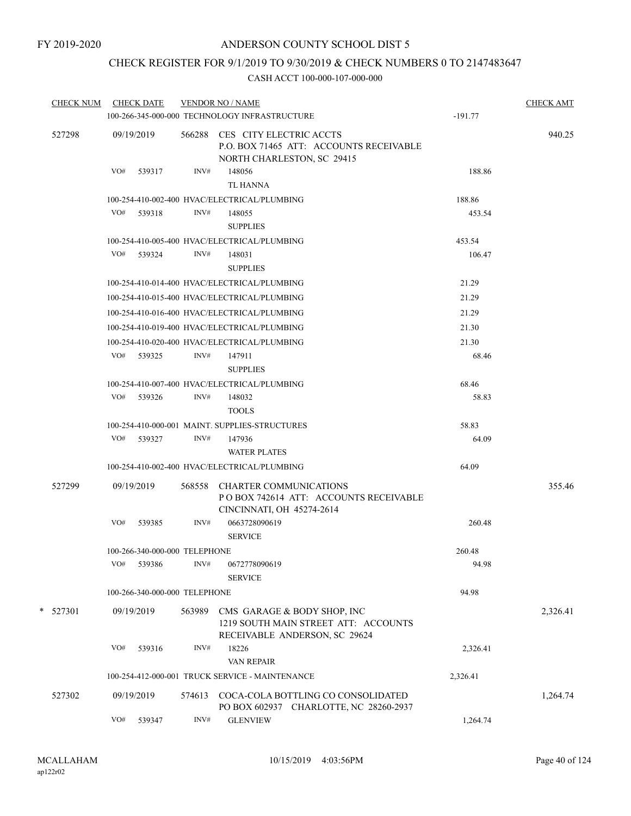# CHECK REGISTER FOR 9/1/2019 TO 9/30/2019 & CHECK NUMBERS 0 TO 2147483647

| <b>CHECK NUM</b> | <b>CHECK DATE</b>             |        | <b>VENDOR NO / NAME</b><br>100-266-345-000-000 TECHNOLOGY INFRASTRUCTURE                                | $-191.77$ | <b>CHECK AMT</b> |
|------------------|-------------------------------|--------|---------------------------------------------------------------------------------------------------------|-----------|------------------|
| 527298           | 09/19/2019                    |        | 566288 CES CITY ELECTRIC ACCTS<br>P.O. BOX 71465 ATT: ACCOUNTS RECEIVABLE<br>NORTH CHARLESTON, SC 29415 |           | 940.25           |
|                  | VO#<br>539317                 | INV#   | 148056<br><b>TL HANNA</b>                                                                               | 188.86    |                  |
|                  |                               |        | 100-254-410-002-400 HVAC/ELECTRICAL/PLUMBING                                                            | 188.86    |                  |
|                  | VO# 539318                    | INV#   | 148055<br><b>SUPPLIES</b>                                                                               | 453.54    |                  |
|                  |                               |        | 100-254-410-005-400 HVAC/ELECTRICAL/PLUMBING                                                            | 453.54    |                  |
|                  | VO# 539324                    | INV#   | 148031<br><b>SUPPLIES</b>                                                                               | 106.47    |                  |
|                  |                               |        | 100-254-410-014-400 HVAC/ELECTRICAL/PLUMBING                                                            | 21.29     |                  |
|                  |                               |        | 100-254-410-015-400 HVAC/ELECTRICAL/PLUMBING                                                            | 21.29     |                  |
|                  |                               |        | 100-254-410-016-400 HVAC/ELECTRICAL/PLUMBING                                                            | 21.29     |                  |
|                  |                               |        | 100-254-410-019-400 HVAC/ELECTRICAL/PLUMBING                                                            | 21.30     |                  |
|                  |                               |        | 100-254-410-020-400 HVAC/ELECTRICAL/PLUMBING                                                            | 21.30     |                  |
|                  | VO# 539325                    | INV#   | 147911<br><b>SUPPLIES</b>                                                                               | 68.46     |                  |
|                  |                               |        | 100-254-410-007-400 HVAC/ELECTRICAL/PLUMBING                                                            | 68.46     |                  |
|                  | VO#<br>539326                 | INV#   | 148032<br><b>TOOLS</b>                                                                                  | 58.83     |                  |
|                  |                               |        | 100-254-410-000-001 MAINT. SUPPLIES-STRUCTURES                                                          | 58.83     |                  |
|                  | VO# 539327                    | INV#   | 147936<br><b>WATER PLATES</b>                                                                           | 64.09     |                  |
|                  |                               |        | 100-254-410-002-400 HVAC/ELECTRICAL/PLUMBING                                                            | 64.09     |                  |
| 527299           | 09/19/2019                    | 568558 | CHARTER COMMUNICATIONS<br>POBOX 742614 ATT: ACCOUNTS RECEIVABLE<br>CINCINNATI, OH 45274-2614            |           | 355.46           |
|                  | VO#<br>539385                 | INV#   | 0663728090619<br><b>SERVICE</b>                                                                         | 260.48    |                  |
|                  | 100-266-340-000-000 TELEPHONE |        |                                                                                                         | 260.48    |                  |
|                  | VO#<br>539386                 | INV#   | 0672778090619<br><b>SERVICE</b>                                                                         | 94.98     |                  |
|                  | 100-266-340-000-000 TELEPHONE |        |                                                                                                         | 94.98     |                  |
| $*$ 527301       | 09/19/2019                    | 563989 | CMS GARAGE & BODY SHOP, INC<br>1219 SOUTH MAIN STREET ATT: ACCOUNTS<br>RECEIVABLE ANDERSON, SC 29624    |           | 2,326.41         |
|                  | VO#<br>539316                 | INV#   | 18226<br>VAN REPAIR                                                                                     | 2,326.41  |                  |
|                  |                               |        | 100-254-412-000-001 TRUCK SERVICE - MAINTENANCE                                                         | 2,326.41  |                  |
| 527302           | 09/19/2019                    | 574613 | COCA-COLA BOTTLING CO CONSOLIDATED<br>PO BOX 602937 CHARLOTTE, NC 28260-2937                            |           | 1,264.74         |
|                  | VO#<br>539347                 | INV#   | <b>GLENVIEW</b>                                                                                         | 1,264.74  |                  |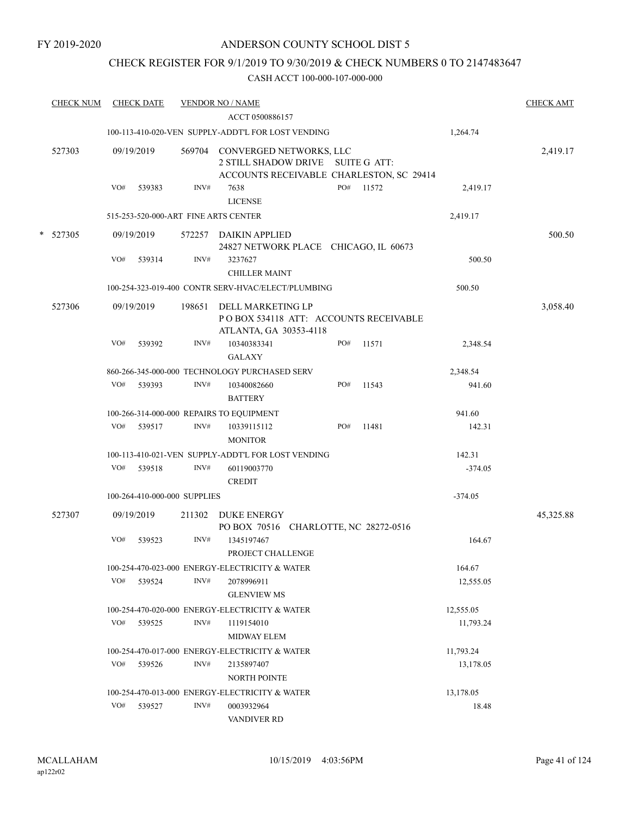### CHECK REGISTER FOR 9/1/2019 TO 9/30/2019 & CHECK NUMBERS 0 TO 2147483647

| <b>CHECK NUM</b> |     | <b>CHECK DATE</b>            |        | <b>VENDOR NO / NAME</b>                                                                                         |  |     |           |           | <b>CHECK AMT</b> |
|------------------|-----|------------------------------|--------|-----------------------------------------------------------------------------------------------------------------|--|-----|-----------|-----------|------------------|
|                  |     |                              |        | ACCT 0500886157                                                                                                 |  |     |           |           |                  |
|                  |     |                              |        | 100-113-410-020-VEN SUPPLY-ADDT'L FOR LOST VENDING                                                              |  |     |           | 1,264.74  |                  |
| 527303           |     | 09/19/2019                   |        | 569704 CONVERGED NETWORKS, LLC<br>2 STILL SHADOW DRIVE SUITE G ATT:<br>ACCOUNTS RECEIVABLE CHARLESTON, SC 29414 |  |     |           |           | 2,419.17         |
|                  | VO# | 539383                       | INV#   | 7638<br><b>LICENSE</b>                                                                                          |  | PO# | 11572     | 2,419.17  |                  |
|                  |     |                              |        | 515-253-520-000-ART FINE ARTS CENTER                                                                            |  |     |           | 2,419.17  |                  |
| * 527305         |     | 09/19/2019                   |        | 572257 DAIKIN APPLIED<br>24827 NETWORK PLACE CHICAGO, IL 60673                                                  |  |     |           |           | 500.50           |
|                  | VO# | 539314                       | INV#   | 3237627<br><b>CHILLER MAINT</b>                                                                                 |  |     |           | 500.50    |                  |
|                  |     |                              |        | 100-254-323-019-400 CONTR SERV-HVAC/ELECT/PLUMBING                                                              |  |     |           | 500.50    |                  |
| 527306           |     | 09/19/2019                   | 198651 | <b>DELL MARKETING LP</b><br>PO BOX 534118 ATT: ACCOUNTS RECEIVABLE<br>ATLANTA, GA 30353-4118                    |  |     |           |           | 3,058.40         |
|                  | VO# | 539392                       | INV#   | 10340383341<br><b>GALAXY</b>                                                                                    |  | PO# | 11571     | 2,348.54  |                  |
|                  |     |                              |        | 860-266-345-000-000 TECHNOLOGY PURCHASED SERV                                                                   |  |     |           | 2,348.54  |                  |
|                  | VO# | 539393                       | INV#   | 10340082660<br><b>BATTERY</b>                                                                                   |  | PO# | 11543     | 941.60    |                  |
|                  |     |                              |        | 100-266-314-000-000 REPAIRS TO EQUIPMENT                                                                        |  |     |           | 941.60    |                  |
|                  | VO# | 539517                       | INV#   | 10339115112<br><b>MONITOR</b>                                                                                   |  | PO# | 11481     | 142.31    |                  |
|                  |     |                              |        | 100-113-410-021-VEN SUPPLY-ADDT'L FOR LOST VENDING                                                              |  |     |           | 142.31    |                  |
|                  | VO# | 539518                       | INV#   | 60119003770<br><b>CREDIT</b>                                                                                    |  |     |           | $-374.05$ |                  |
|                  |     | 100-264-410-000-000 SUPPLIES |        |                                                                                                                 |  |     |           | $-374.05$ |                  |
| 527307           |     | 09/19/2019                   | 211302 | <b>DUKE ENERGY</b><br>PO BOX 70516 CHARLOTTE, NC 28272-0516                                                     |  |     |           |           | 45,325.88        |
|                  | VO# | 539523                       | INV#   | 1345197467<br>PROJECT CHALLENGE                                                                                 |  |     |           | 164.67    |                  |
|                  |     |                              |        | 100-254-470-023-000 ENERGY-ELECTRICITY & WATER                                                                  |  |     |           | 164.67    |                  |
|                  | VO# | 539524                       | INV#   | 2078996911<br><b>GLENVIEW MS</b>                                                                                |  |     |           | 12,555.05 |                  |
|                  |     |                              |        | 100-254-470-020-000 ENERGY-ELECTRICITY & WATER                                                                  |  |     |           | 12,555.05 |                  |
|                  | VO# | 539525                       | INV#   | 1119154010<br><b>MIDWAY ELEM</b>                                                                                |  |     |           | 11,793.24 |                  |
|                  |     |                              |        | 100-254-470-017-000 ENERGY-ELECTRICITY & WATER                                                                  |  |     |           | 11,793.24 |                  |
|                  | VO# | 539526                       | INV#   | 2135897407<br><b>NORTH POINTE</b>                                                                               |  |     |           | 13,178.05 |                  |
|                  |     |                              |        | 100-254-470-013-000 ENERGY-ELECTRICITY & WATER                                                                  |  |     | 13,178.05 |           |                  |
|                  | VO# | 539527                       | INV#   | 0003932964<br>VANDIVER RD                                                                                       |  |     |           | 18.48     |                  |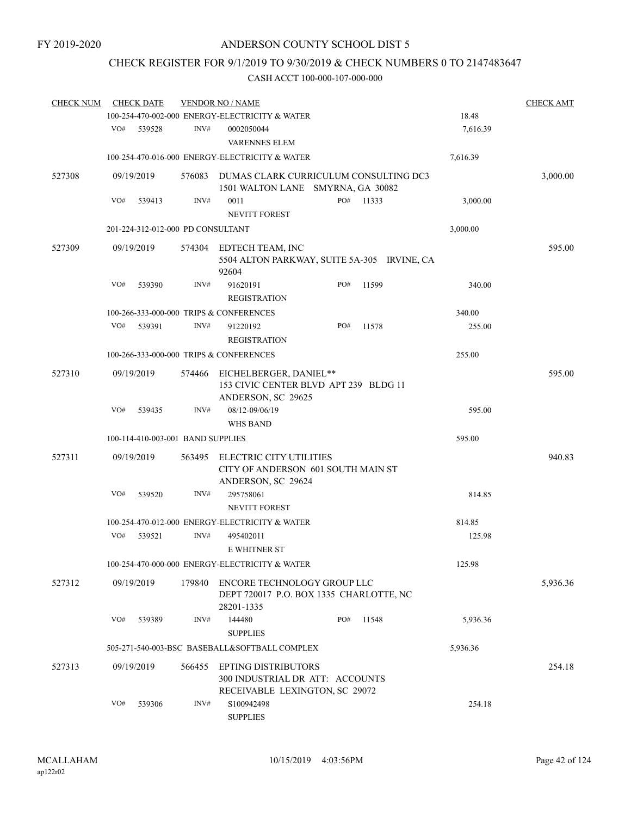# CHECK REGISTER FOR 9/1/2019 TO 9/30/2019 & CHECK NUMBERS 0 TO 2147483647

| <b>CHECK NUM</b> |     | <b>CHECK DATE</b> |                                   | <b>VENDOR NO / NAME</b>                                                                         |     |       |          | <b>CHECK AMT</b> |
|------------------|-----|-------------------|-----------------------------------|-------------------------------------------------------------------------------------------------|-----|-------|----------|------------------|
|                  |     |                   |                                   | 100-254-470-002-000 ENERGY-ELECTRICITY & WATER                                                  |     |       | 18.48    |                  |
|                  | VO# | 539528            | INV#                              | 0002050044<br><b>VARENNES ELEM</b>                                                              |     |       | 7,616.39 |                  |
|                  |     |                   |                                   | 100-254-470-016-000 ENERGY-ELECTRICITY & WATER                                                  |     |       | 7,616.39 |                  |
| 527308           |     | 09/19/2019        | 576083                            | DUMAS CLARK CURRICULUM CONSULTING DC3<br>1501 WALTON LANE SMYRNA, GA 30082                      |     |       |          | 3,000.00         |
|                  | VO# | 539413            | INV#                              | 0011<br><b>NEVITT FOREST</b>                                                                    | PO# | 11333 | 3,000.00 |                  |
|                  |     |                   | 201-224-312-012-000 PD CONSULTANT |                                                                                                 |     |       | 3,000.00 |                  |
| 527309           |     | 09/19/2019        | 574304                            | EDTECH TEAM, INC<br>5504 ALTON PARKWAY, SUITE 5A-305 IRVINE, CA<br>92604                        |     |       |          | 595.00           |
|                  | VO# | 539390            | INV#                              | 91620191<br><b>REGISTRATION</b>                                                                 | PO# | 11599 | 340.00   |                  |
|                  |     |                   |                                   | 100-266-333-000-000 TRIPS & CONFERENCES                                                         |     |       | 340.00   |                  |
|                  | VO# | 539391            | INV#                              | 91220192<br><b>REGISTRATION</b>                                                                 | PO# | 11578 | 255.00   |                  |
|                  |     |                   |                                   | 100-266-333-000-000 TRIPS & CONFERENCES                                                         |     |       | 255.00   |                  |
| 527310           |     | 09/19/2019        | 574466                            | EICHELBERGER, DANIEL**<br>153 CIVIC CENTER BLVD APT 239 BLDG 11<br>ANDERSON, SC 29625           |     |       |          | 595.00           |
|                  | VO# | 539435            | INV#                              | 08/12-09/06/19                                                                                  |     |       | 595.00   |                  |
|                  |     |                   |                                   | <b>WHS BAND</b>                                                                                 |     |       |          |                  |
|                  |     |                   | 100-114-410-003-001 BAND SUPPLIES |                                                                                                 |     |       | 595.00   |                  |
| 527311           |     | 09/19/2019        | 563495                            | <b>ELECTRIC CITY UTILITIES</b><br>CITY OF ANDERSON 601 SOUTH MAIN ST<br>ANDERSON, SC 29624      |     |       |          | 940.83           |
|                  | VO# | 539520            | INV#                              | 295758061<br>NEVITT FOREST                                                                      |     |       | 814.85   |                  |
|                  |     |                   |                                   | 100-254-470-012-000 ENERGY-ELECTRICITY & WATER                                                  |     |       | 814.85   |                  |
|                  | VO# | 539521            | INV#                              | 495402011<br><b>E WHITNER ST</b>                                                                |     |       | 125.98   |                  |
|                  |     |                   |                                   | 100-254-470-000-000 ENERGY-ELECTRICITY & WATER                                                  |     |       | 125.98   |                  |
| 527312           |     | 09/19/2019        | 179840                            | ENCORE TECHNOLOGY GROUP LLC<br>DEPT 720017 P.O. BOX 1335 CHARLOTTE, NC<br>28201-1335            |     |       |          | 5,936.36         |
|                  | VO# | 539389            | INV#                              | 144480                                                                                          | PO# | 11548 | 5,936.36 |                  |
|                  |     |                   |                                   | <b>SUPPLIES</b><br>505-271-540-003-BSC BASEBALL&SOFTBALL COMPLEX                                |     |       | 5,936.36 |                  |
|                  |     |                   |                                   |                                                                                                 |     |       |          |                  |
| 527313           |     | 09/19/2019        | 566455                            | <b>EPTING DISTRIBUTORS</b><br>300 INDUSTRIAL DR ATT: ACCOUNTS<br>RECEIVABLE LEXINGTON, SC 29072 |     |       |          | 254.18           |
|                  | VO# | 539306            | INV#                              | S100942498<br><b>SUPPLIES</b>                                                                   |     |       | 254.18   |                  |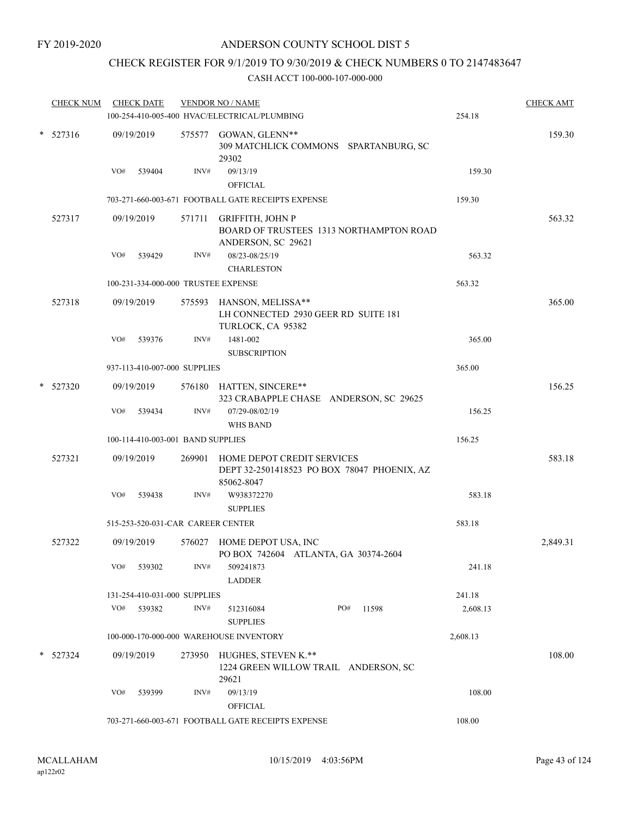### CHECK REGISTER FOR 9/1/2019 TO 9/30/2019 & CHECK NUMBERS 0 TO 2147483647

| <b>CHECK NUM</b> |     | <b>CHECK DATE</b>                 |        | <b>VENDOR NO / NAME</b><br>100-254-410-005-400 HVAC/ELECTRICAL/PLUMBING                        | 254.18   | <b>CHECK AMT</b> |
|------------------|-----|-----------------------------------|--------|------------------------------------------------------------------------------------------------|----------|------------------|
| $*$ 527316       |     | 09/19/2019                        |        | 575577 GOWAN, GLENN**<br>309 MATCHLICK COMMONS SPARTANBURG, SC                                 |          | 159.30           |
|                  |     |                                   |        | 29302                                                                                          |          |                  |
|                  | VO# | 539404                            | INV#   | 09/13/19<br><b>OFFICIAL</b>                                                                    | 159.30   |                  |
|                  |     |                                   |        | 703-271-660-003-671 FOOTBALL GATE RECEIPTS EXPENSE                                             | 159.30   |                  |
| 527317           |     | 09/19/2019                        |        | 571711 GRIFFITH, JOHN P                                                                        |          | 563.32           |
|                  |     |                                   |        | BOARD OF TRUSTEES 1313 NORTHAMPTON ROAD                                                        |          |                  |
|                  |     |                                   |        | ANDERSON, SC 29621                                                                             |          |                  |
|                  | VO# | 539429                            | INV#   | 08/23-08/25/19                                                                                 | 563.32   |                  |
|                  |     |                                   |        | <b>CHARLESTON</b>                                                                              |          |                  |
|                  |     |                                   |        | 100-231-334-000-000 TRUSTEE EXPENSE                                                            | 563.32   |                  |
| 527318           |     | 09/19/2019                        |        | 575593 HANSON, MELISSA**<br>LH CONNECTED 2930 GEER RD SUITE 181<br>TURLOCK, CA 95382           |          | 365.00           |
|                  | VO# | 539376                            | INV#   | 1481-002                                                                                       | 365.00   |                  |
|                  |     |                                   |        | <b>SUBSCRIPTION</b>                                                                            |          |                  |
|                  |     | 937-113-410-007-000 SUPPLIES      |        |                                                                                                | 365.00   |                  |
| $*$ 527320       |     | 09/19/2019                        |        | 576180 HATTEN, SINCERE**<br>323 CRABAPPLE CHASE ANDERSON, SC 29625                             |          | 156.25           |
|                  | VO# | 539434                            | INV#   | 07/29-08/02/19                                                                                 | 156.25   |                  |
|                  |     |                                   |        | <b>WHS BAND</b>                                                                                |          |                  |
|                  |     | 100-114-410-003-001 BAND SUPPLIES |        |                                                                                                | 156.25   |                  |
| 527321           |     | 09/19/2019                        |        | 269901 HOME DEPOT CREDIT SERVICES<br>DEPT 32-2501418523 PO BOX 78047 PHOENIX, AZ<br>85062-8047 |          | 583.18           |
|                  | VO# | 539438                            | INV#   | W938372270<br><b>SUPPLIES</b>                                                                  | 583.18   |                  |
|                  |     |                                   |        | 515-253-520-031-CAR CAREER CENTER                                                              | 583.18   |                  |
| 527322           |     | 09/19/2019                        |        | 576027 HOME DEPOT USA, INC<br>PO BOX 742604 ATLANTA, GA 30374-2604                             |          | 2,849.31         |
|                  | VO# | 539302                            | INV#   | 509241873<br><b>LADDER</b>                                                                     | 241.18   |                  |
|                  |     | 131-254-410-031-000 SUPPLIES      |        |                                                                                                | 241.18   |                  |
|                  | VO# | 539382                            | INV#   | PO#<br>11598<br>512316084<br><b>SUPPLIES</b>                                                   | 2,608.13 |                  |
|                  |     |                                   |        | 100-000-170-000-000 WAREHOUSE INVENTORY                                                        | 2,608.13 |                  |
| $*$ 527324       |     | 09/19/2019                        | 273950 | HUGHES, STEVEN K.**<br>1224 GREEN WILLOW TRAIL ANDERSON, SC<br>29621                           |          | 108.00           |
|                  | VO# | 539399                            | INV#   | 09/13/19                                                                                       | 108.00   |                  |
|                  |     |                                   |        | <b>OFFICIAL</b>                                                                                |          |                  |
|                  |     |                                   |        | 703-271-660-003-671 FOOTBALL GATE RECEIPTS EXPENSE                                             | 108.00   |                  |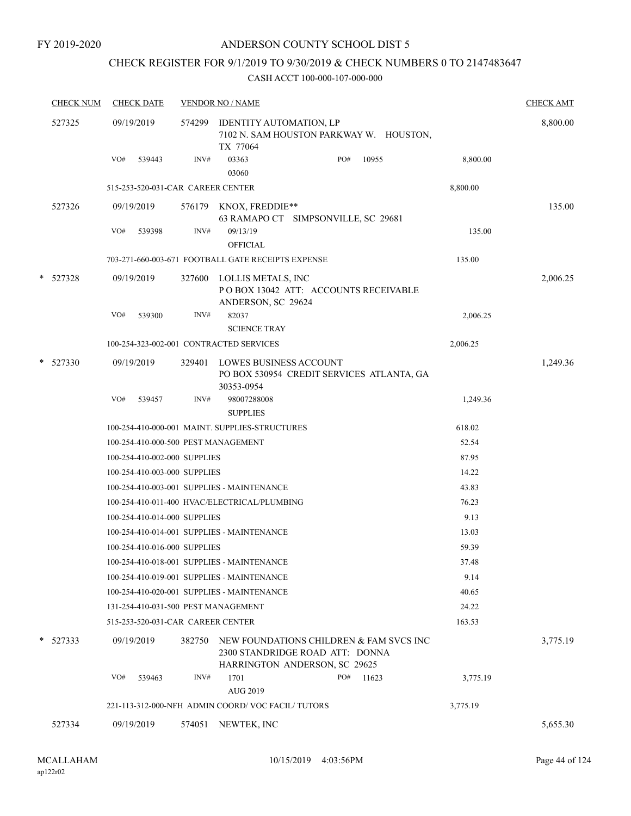### CHECK REGISTER FOR 9/1/2019 TO 9/30/2019 & CHECK NUMBERS 0 TO 2147483647

| <b>CHECK NUM</b> |            | <b>CHECK DATE</b>                       |        | <b>VENDOR NO / NAME</b>                                                                 |     |                                           |          |          |  |
|------------------|------------|-----------------------------------------|--------|-----------------------------------------------------------------------------------------|-----|-------------------------------------------|----------|----------|--|
|                  | 527325     | 09/19/2019                              |        | 574299 IDENTITY AUTOMATION, LP<br>TX 77064                                              |     | 7102 N. SAM HOUSTON PARKWAY W. HOUSTON,   |          | 8,800.00 |  |
|                  |            | VO#<br>539443                           | INV#   | 03363<br>03060                                                                          | PO# | 10955                                     | 8,800.00 |          |  |
|                  |            | 515-253-520-031-CAR CAREER CENTER       |        |                                                                                         |     |                                           | 8,800.00 |          |  |
|                  | 527326     | 09/19/2019                              |        | 576179 KNOX, FREDDIE**<br>63 RAMAPO CT SIMPSONVILLE, SC 29681                           |     |                                           |          | 135.00   |  |
|                  |            | VO#<br>539398                           | INV#   | 09/13/19<br><b>OFFICIAL</b>                                                             |     |                                           | 135.00   |          |  |
|                  |            |                                         |        | 703-271-660-003-671 FOOTBALL GATE RECEIPTS EXPENSE                                      |     |                                           | 135.00   |          |  |
|                  | * 527328   | 09/19/2019                              |        | 327600 LOLLIS METALS, INC<br>POBOX 13042 ATT: ACCOUNTS RECEIVABLE<br>ANDERSON, SC 29624 |     |                                           |          | 2,006.25 |  |
|                  |            | VO#<br>539300                           | INV#   | 82037<br><b>SCIENCE TRAY</b>                                                            |     |                                           | 2,006.25 |          |  |
|                  |            | 100-254-323-002-001 CONTRACTED SERVICES |        |                                                                                         |     |                                           | 2,006.25 |          |  |
|                  | $*$ 527330 | 09/19/2019                              |        | 329401 LOWES BUSINESS ACCOUNT<br>30353-0954                                             |     | PO BOX 530954 CREDIT SERVICES ATLANTA, GA |          | 1,249.36 |  |
|                  |            | VO#<br>539457                           | INV#   | 98007288008<br><b>SUPPLIES</b>                                                          |     |                                           | 1,249.36 |          |  |
|                  |            |                                         |        | 100-254-410-000-001 MAINT. SUPPLIES-STRUCTURES                                          |     |                                           | 618.02   |          |  |
|                  |            | 100-254-410-000-500 PEST MANAGEMENT     |        |                                                                                         |     |                                           | 52.54    |          |  |
|                  |            | 100-254-410-002-000 SUPPLIES            |        |                                                                                         |     |                                           | 87.95    |          |  |
|                  |            | 100-254-410-003-000 SUPPLIES            |        |                                                                                         |     |                                           | 14.22    |          |  |
|                  |            |                                         |        | 100-254-410-003-001 SUPPLIES - MAINTENANCE                                              |     |                                           | 43.83    |          |  |
|                  |            |                                         |        | 100-254-410-011-400 HVAC/ELECTRICAL/PLUMBING                                            |     |                                           | 76.23    |          |  |
|                  |            | 100-254-410-014-000 SUPPLIES            |        |                                                                                         |     |                                           | 9.13     |          |  |
|                  |            |                                         |        | 100-254-410-014-001 SUPPLIES - MAINTENANCE                                              |     |                                           | 13.03    |          |  |
|                  |            | 100-254-410-016-000 SUPPLIES            |        |                                                                                         |     |                                           | 59.39    |          |  |
|                  |            |                                         |        | 100-254-410-018-001 SUPPLIES - MAINTENANCE                                              |     |                                           | 37.48    |          |  |
|                  |            |                                         |        | 100-254-410-019-001 SUPPLIES - MAINTENANCE                                              |     |                                           | 9.14     |          |  |
|                  |            |                                         |        | 100-254-410-020-001 SUPPLIES - MAINTENANCE                                              |     |                                           | 40.65    |          |  |
|                  |            | 131-254-410-031-500 PEST MANAGEMENT     |        |                                                                                         |     |                                           | 24.22    |          |  |
|                  |            | 515-253-520-031-CAR CAREER CENTER       |        |                                                                                         |     |                                           | 163.53   |          |  |
|                  | * 527333   | 09/19/2019                              | 382750 | 2300 STANDRIDGE ROAD ATT: DONNA<br>HARRINGTON ANDERSON, SC 29625                        |     | NEW FOUNDATIONS CHILDREN & FAM SVCS INC   |          | 3,775.19 |  |
|                  |            | VO#<br>539463                           | INV#   | 1701<br><b>AUG 2019</b>                                                                 | PO# | 11623                                     | 3,775.19 |          |  |
|                  |            |                                         |        | 221-113-312-000-NFH ADMIN COORD/VOC FACIL/TUTORS                                        |     |                                           | 3,775.19 |          |  |
|                  |            |                                         |        |                                                                                         |     |                                           |          |          |  |
|                  | 527334     | 09/19/2019                              | 574051 | NEWTEK, INC                                                                             |     |                                           |          | 5,655.30 |  |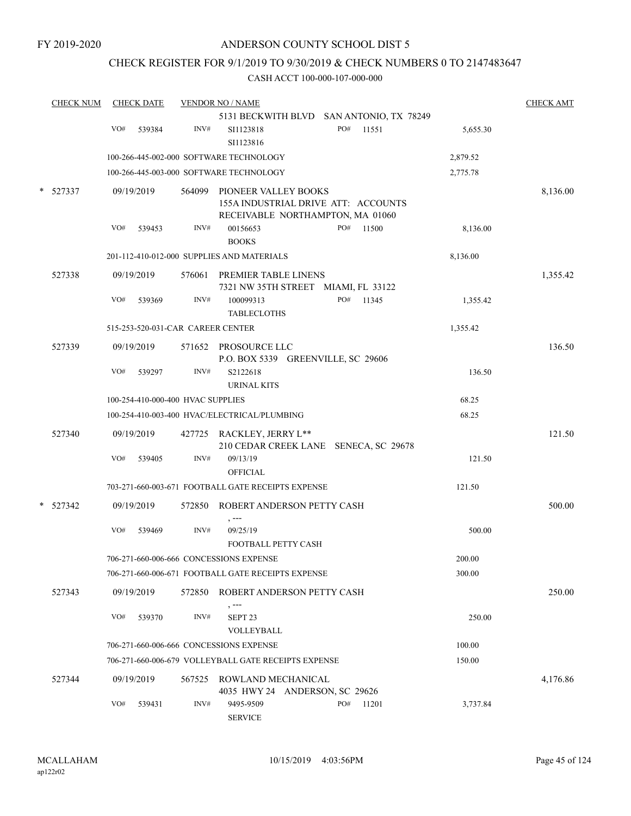### CHECK REGISTER FOR 9/1/2019 TO 9/30/2019 & CHECK NUMBERS 0 TO 2147483647

| <b>CHECK NUM</b> | <b>CHECK DATE</b>                          |      | <b>VENDOR NO / NAME</b>                                            |     |       |          | <b>CHECK AMT</b> |
|------------------|--------------------------------------------|------|--------------------------------------------------------------------|-----|-------|----------|------------------|
|                  |                                            |      | 5131 BECKWITH BLVD SAN ANTONIO, TX 78249                           |     |       |          |                  |
|                  | VO#<br>539384                              | INV# | SI1123818<br>SI1123816                                             | PO# | 11551 | 5,655.30 |                  |
|                  |                                            |      | 100-266-445-002-000 SOFTWARE TECHNOLOGY                            |     |       | 2,879.52 |                  |
|                  |                                            |      | 100-266-445-003-000 SOFTWARE TECHNOLOGY                            |     |       | 2,775.78 |                  |
| 527337           | 09/19/2019                                 |      | 564099 PIONEER VALLEY BOOKS<br>155A INDUSTRIAL DRIVE ATT: ACCOUNTS |     |       |          | 8,136.00         |
|                  | VO#<br>539453                              | INV# | RECEIVABLE NORTHAMPTON, MA 01060<br>00156653<br><b>BOOKS</b>       | PO# | 11500 | 8,136.00 |                  |
|                  | 201-112-410-012-000 SUPPLIES AND MATERIALS |      | 8,136.00                                                           |     |       |          |                  |
| 527338           | 09/19/2019                                 |      | 576061 PREMIER TABLE LINENS<br>7321 NW 35TH STREET MIAMI, FL 33122 |     |       |          | 1,355.42         |
|                  | VO#<br>539369                              | INV# | 100099313<br><b>TABLECLOTHS</b>                                    | PO# | 11345 | 1,355.42 |                  |
|                  | 515-253-520-031-CAR CAREER CENTER          |      |                                                                    |     |       | 1,355.42 |                  |
| 527339           | 09/19/2019                                 |      | 571652 PROSOURCE LLC<br>P.O. BOX 5339 GREENVILLE, SC 29606         |     |       |          | 136.50           |
|                  | VO#<br>539297                              | INV# | S2122618<br><b>URINAL KITS</b>                                     |     |       | 136.50   |                  |
|                  | 100-254-410-000-400 HVAC SUPPLIES          |      |                                                                    |     |       | 68.25    |                  |
|                  |                                            |      | 100-254-410-003-400 HVAC/ELECTRICAL/PLUMBING                       |     |       | 68.25    |                  |
| 527340           | 09/19/2019                                 |      | 427725 RACKLEY, JERRY L**<br>210 CEDAR CREEK LANE SENECA, SC 29678 |     |       |          | 121.50           |
|                  | VO#<br>539405                              | INV# | 09/13/19<br><b>OFFICIAL</b>                                        |     |       | 121.50   |                  |
|                  |                                            |      | 703-271-660-003-671 FOOTBALL GATE RECEIPTS EXPENSE                 |     |       | 121.50   |                  |
| 527342           | 09/19/2019                                 |      | 572850 ROBERT ANDERSON PETTY CASH<br>, ---                         |     |       |          | 500.00           |
|                  | VO#<br>539469                              | INV# | 09/25/19<br>FOOTBALL PETTY CASH                                    |     |       | 500.00   |                  |
|                  | 706-271-660-006-666 CONCESSIONS EXPENSE    |      |                                                                    |     |       | 200.00   |                  |
|                  |                                            |      | 706-271-660-006-671 FOOTBALL GATE RECEIPTS EXPENSE                 |     |       | 300.00   |                  |
| 527343           | 09/19/2019                                 |      | 572850 ROBERT ANDERSON PETTY CASH<br>, ---                         |     |       |          | 250.00           |
|                  | VO#<br>539370                              | INV# | SEPT 23<br>VOLLEYBALL                                              |     |       | 250.00   |                  |
|                  | 706-271-660-006-666 CONCESSIONS EXPENSE    |      |                                                                    |     |       | 100.00   |                  |
|                  |                                            |      | 706-271-660-006-679 VOLLEYBALL GATE RECEIPTS EXPENSE               |     |       | 150.00   |                  |
| 527344           | 09/19/2019                                 |      | 567525 ROWLAND MECHANICAL<br>4035 HWY 24 ANDERSON, SC 29626        |     |       |          | 4,176.86         |
|                  | VO#<br>539431                              | INV# | 9495-9509<br><b>SERVICE</b>                                        | PO# | 11201 | 3,737.84 |                  |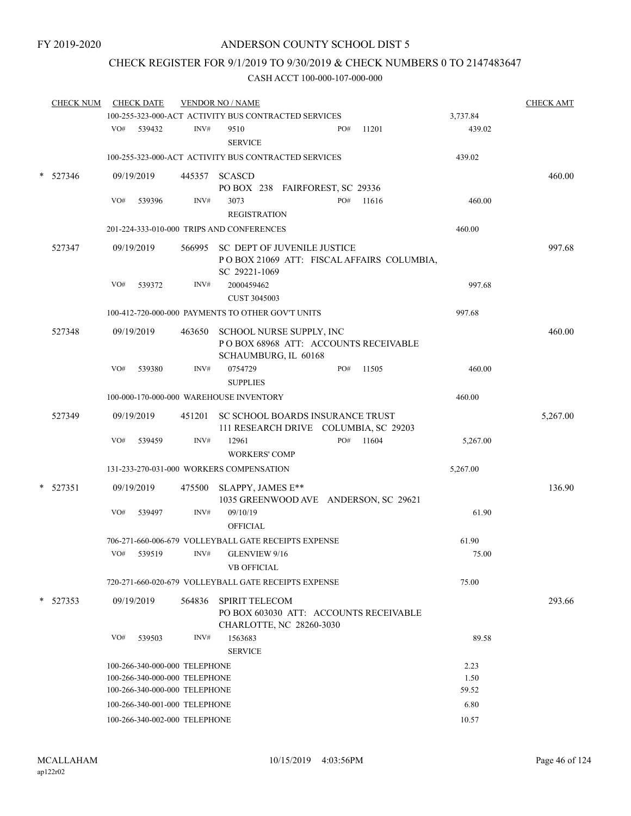# CHECK REGISTER FOR 9/1/2019 TO 9/30/2019 & CHECK NUMBERS 0 TO 2147483647

|   | <b>CHECK NUM</b>                          |                                          | <b>CHECK DATE</b>             | <b>VENDOR NO / NAME</b> |                                                                                                    |  |        |        |          | <b>CHECK AMT</b> |
|---|-------------------------------------------|------------------------------------------|-------------------------------|-------------------------|----------------------------------------------------------------------------------------------------|--|--------|--------|----------|------------------|
|   |                                           |                                          |                               |                         | 100-255-323-000-ACT ACTIVITY BUS CONTRACTED SERVICES                                               |  |        |        | 3,737.84 |                  |
|   |                                           | VO#                                      | 539432                        | INV#                    | 9510<br><b>SERVICE</b>                                                                             |  | PO#    | 11201  | 439.02   |                  |
|   |                                           |                                          |                               |                         | 100-255-323-000-ACT ACTIVITY BUS CONTRACTED SERVICES                                               |  |        |        | 439.02   |                  |
|   | 527346                                    |                                          | 09/19/2019                    | 445357                  | <b>SCASCD</b>                                                                                      |  |        |        |          | 460.00           |
|   |                                           |                                          |                               |                         | PO BOX 238 FAIRFOREST, SC 29336                                                                    |  |        |        |          |                  |
|   |                                           | VO#                                      | 539396                        | INV#                    | 3073                                                                                               |  | PO#    | 11616  | 460.00   |                  |
|   |                                           |                                          |                               |                         | <b>REGISTRATION</b>                                                                                |  |        |        |          |                  |
|   | 201-224-333-010-000 TRIPS AND CONFERENCES |                                          |                               |                         |                                                                                                    |  |        |        | 460.00   |                  |
|   | 527347                                    |                                          | 09/19/2019                    |                         | 566995 SC DEPT OF JUVENILE JUSTICE<br>POBOX 21069 ATT: FISCAL AFFAIRS COLUMBIA,<br>SC 29221-1069   |  |        |        |          | 997.68           |
|   |                                           | VO#                                      | 539372                        | INV#                    | 2000459462<br><b>CUST 3045003</b>                                                                  |  |        |        | 997.68   |                  |
|   |                                           |                                          |                               |                         | 100-412-720-000-000 PAYMENTS TO OTHER GOV'T UNITS                                                  |  | 997.68 |        |          |                  |
|   | 527348                                    |                                          | 09/19/2019                    |                         | 463650 SCHOOL NURSE SUPPLY, INC<br>POBOX 68968 ATT: ACCOUNTS RECEIVABLE<br>SCHAUMBURG, IL 60168    |  |        |        |          | 460.00           |
|   |                                           | VO#                                      | 539380                        | INV#                    | 0754729<br><b>SUPPLIES</b>                                                                         |  | PO#    | 11505  | 460.00   |                  |
|   |                                           |                                          |                               |                         | 100-000-170-000-000 WAREHOUSE INVENTORY                                                            |  |        | 460.00 |          |                  |
|   | 527349                                    |                                          | 09/19/2019                    |                         | 451201 SC SCHOOL BOARDS INSURANCE TRUST<br>111 RESEARCH DRIVE COLUMBIA, SC 29203                   |  |        |        |          | 5,267.00         |
|   |                                           | VO#                                      | 539459                        | INV#                    | 12961<br><b>WORKERS' COMP</b>                                                                      |  | PO#    | 11604  | 5,267.00 |                  |
|   |                                           | 131-233-270-031-000 WORKERS COMPENSATION |                               |                         |                                                                                                    |  |        |        | 5,267.00 |                  |
|   | 527351                                    |                                          | 09/19/2019                    | 475500                  | SLAPPY, JAMES E**<br>1035 GREENWOOD AVE ANDERSON, SC 29621                                         |  |        |        |          | 136.90           |
|   |                                           | VO#                                      | 539497                        | INV#                    | 09/10/19<br><b>OFFICIAL</b>                                                                        |  |        |        | 61.90    |                  |
|   |                                           |                                          |                               |                         | 706-271-660-006-679 VOLLEYBALL GATE RECEIPTS EXPENSE                                               |  |        |        | 61.90    |                  |
|   |                                           | VO#                                      | 539519                        | INV#                    | GLENVIEW 9/16<br><b>VB OFFICIAL</b>                                                                |  |        |        | 75.00    |                  |
|   |                                           |                                          |                               |                         | 720-271-660-020-679 VOLLEYBALL GATE RECEIPTS EXPENSE                                               |  |        |        | 75.00    |                  |
| * | 527353                                    |                                          | 09/19/2019                    | 564836                  | <b>SPIRIT TELECOM</b><br>PO BOX 603030 ATT: ACCOUNTS RECEIVABLE<br><b>CHARLOTTE, NC 28260-3030</b> |  |        |        |          | 293.66           |
|   |                                           | VO#                                      | 539503                        | INV#                    | 1563683<br><b>SERVICE</b>                                                                          |  |        |        | 89.58    |                  |
|   |                                           | 100-266-340-000-000 TELEPHONE<br>2.23    |                               |                         |                                                                                                    |  |        |        |          |                  |
|   |                                           | 1.50<br>100-266-340-000-000 TELEPHONE    |                               |                         |                                                                                                    |  |        |        |          |                  |
|   |                                           |                                          | 100-266-340-000-000 TELEPHONE |                         |                                                                                                    |  |        |        | 59.52    |                  |
|   |                                           |                                          | 100-266-340-001-000 TELEPHONE |                         |                                                                                                    |  |        |        | 6.80     |                  |
|   |                                           |                                          | 100-266-340-002-000 TELEPHONE |                         |                                                                                                    |  |        |        | 10.57    |                  |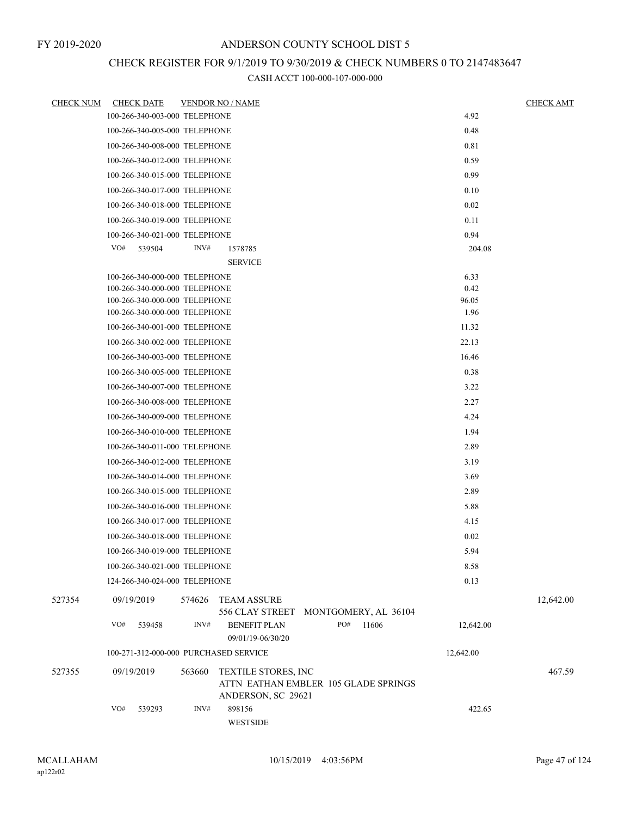## CHECK REGISTER FOR 9/1/2019 TO 9/30/2019 & CHECK NUMBERS 0 TO 2147483647

| <u>CHECK NUM</u> | <b>CHECK DATE</b>                     | <b>VENDOR NO / NAME</b> |                                                                                   |     |       |           | <b>CHECK AMT</b> |
|------------------|---------------------------------------|-------------------------|-----------------------------------------------------------------------------------|-----|-------|-----------|------------------|
|                  | 100-266-340-003-000 TELEPHONE         |                         |                                                                                   |     |       | 4.92      |                  |
|                  | 100-266-340-005-000 TELEPHONE         |                         |                                                                                   |     |       | 0.48      |                  |
|                  | 100-266-340-008-000 TELEPHONE         |                         |                                                                                   |     |       | 0.81      |                  |
|                  | 100-266-340-012-000 TELEPHONE         |                         |                                                                                   |     |       | 0.59      |                  |
|                  | 100-266-340-015-000 TELEPHONE         |                         |                                                                                   |     |       | 0.99      |                  |
|                  | 100-266-340-017-000 TELEPHONE         |                         |                                                                                   |     |       | 0.10      |                  |
|                  | 100-266-340-018-000 TELEPHONE         |                         |                                                                                   |     |       | 0.02      |                  |
|                  | 100-266-340-019-000 TELEPHONE         |                         |                                                                                   |     |       | 0.11      |                  |
|                  | 100-266-340-021-000 TELEPHONE         |                         |                                                                                   |     |       | 0.94      |                  |
|                  | VO#<br>539504                         | INV#                    | 1578785                                                                           |     |       | 204.08    |                  |
|                  |                                       |                         | <b>SERVICE</b>                                                                    |     |       |           |                  |
|                  | 100-266-340-000-000 TELEPHONE         |                         |                                                                                   |     |       | 6.33      |                  |
|                  | 100-266-340-000-000 TELEPHONE         |                         |                                                                                   |     |       | 0.42      |                  |
|                  | 100-266-340-000-000 TELEPHONE         |                         |                                                                                   |     |       | 96.05     |                  |
|                  | 100-266-340-000-000 TELEPHONE         |                         |                                                                                   |     |       | 1.96      |                  |
|                  | 100-266-340-001-000 TELEPHONE         |                         |                                                                                   |     |       | 11.32     |                  |
|                  | 100-266-340-002-000 TELEPHONE         |                         |                                                                                   |     |       | 22.13     |                  |
|                  | 100-266-340-003-000 TELEPHONE         |                         |                                                                                   |     |       | 16.46     |                  |
|                  | 100-266-340-005-000 TELEPHONE         |                         |                                                                                   |     |       | 0.38      |                  |
|                  | 100-266-340-007-000 TELEPHONE         |                         |                                                                                   |     |       | 3.22      |                  |
|                  | 100-266-340-008-000 TELEPHONE         |                         |                                                                                   |     |       | 2.27      |                  |
|                  | 100-266-340-009-000 TELEPHONE         |                         |                                                                                   |     |       | 4.24      |                  |
|                  | 100-266-340-010-000 TELEPHONE         |                         |                                                                                   |     |       | 1.94      |                  |
|                  | 100-266-340-011-000 TELEPHONE         |                         |                                                                                   |     |       | 2.89      |                  |
|                  | 100-266-340-012-000 TELEPHONE         |                         |                                                                                   |     |       | 3.19      |                  |
|                  | 100-266-340-014-000 TELEPHONE         |                         |                                                                                   |     |       | 3.69      |                  |
|                  |                                       |                         |                                                                                   |     |       |           |                  |
|                  | 100-266-340-015-000 TELEPHONE         |                         |                                                                                   |     |       | 2.89      |                  |
|                  | 100-266-340-016-000 TELEPHONE         |                         |                                                                                   |     |       | 5.88      |                  |
|                  | 100-266-340-017-000 TELEPHONE         |                         |                                                                                   |     |       | 4.15      |                  |
|                  | 100-266-340-018-000 TELEPHONE         |                         |                                                                                   |     |       | 0.02      |                  |
|                  | 100-266-340-019-000 TELEPHONE         |                         |                                                                                   |     |       | 5.94      |                  |
|                  | 100-266-340-021-000 TELEPHONE         |                         |                                                                                   |     |       | 8.58      |                  |
|                  | 124-266-340-024-000 TELEPHONE         |                         |                                                                                   |     |       | 0.13      |                  |
| 527354           | 09/19/2019                            | 574626                  | <b>TEAM ASSURE</b><br>556 CLAY STREET MONTGOMERY, AL 36104                        |     |       |           | 12,642.00        |
|                  | VO#<br>539458                         | INV#                    | <b>BENEFIT PLAN</b>                                                               | PO# | 11606 | 12,642.00 |                  |
|                  |                                       |                         | 09/01/19-06/30/20                                                                 |     |       |           |                  |
|                  | 100-271-312-000-000 PURCHASED SERVICE |                         |                                                                                   |     |       | 12,642.00 |                  |
| 527355           | 09/19/2019                            | 563660                  | TEXTILE STORES, INC<br>ATTN EATHAN EMBLER 105 GLADE SPRINGS<br>ANDERSON, SC 29621 |     |       |           | 467.59           |
|                  | VO#<br>539293                         | INV#                    | 898156<br>WESTSIDE                                                                |     |       | 422.65    |                  |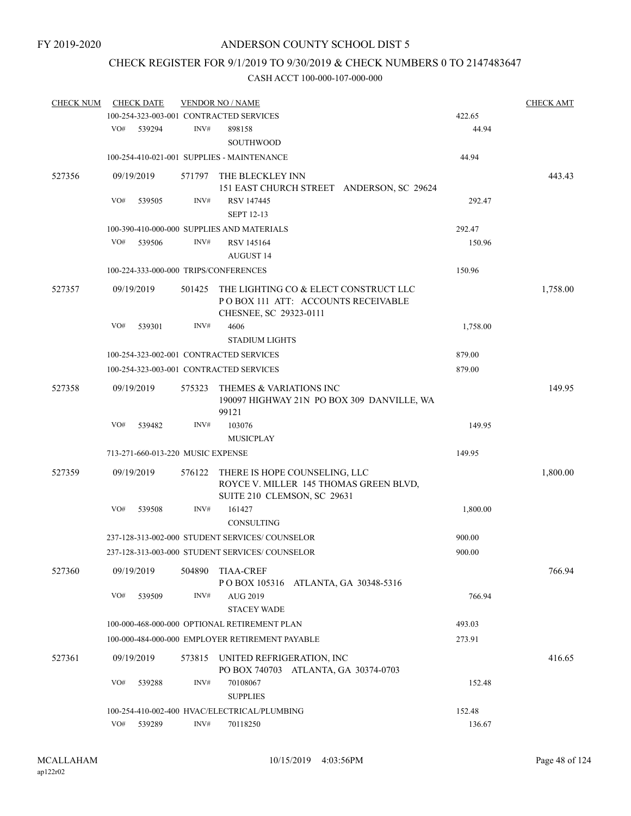### CHECK REGISTER FOR 9/1/2019 TO 9/30/2019 & CHECK NUMBERS 0 TO 2147483647

| <b>CHECK NUM</b> |            | <b>CHECK DATE</b>                 |        | <b>VENDOR NO / NAME</b>                                                                                |          | <b>CHECK AMT</b> |
|------------------|------------|-----------------------------------|--------|--------------------------------------------------------------------------------------------------------|----------|------------------|
|                  |            |                                   |        | 100-254-323-003-001 CONTRACTED SERVICES                                                                | 422.65   |                  |
|                  | VO#        | 539294                            | INV#   | 898158<br>SOUTHWOOD                                                                                    | 44.94    |                  |
|                  |            |                                   |        | 100-254-410-021-001 SUPPLIES - MAINTENANCE                                                             | 44.94    |                  |
| 527356           |            | 09/19/2019                        | 571797 | THE BLECKLEY INN                                                                                       |          | 443.43           |
|                  |            |                                   |        | 151 EAST CHURCH STREET ANDERSON, SC 29624                                                              |          |                  |
|                  | VO#        | 539505                            | INV#   | RSV 147445<br><b>SEPT 12-13</b>                                                                        | 292.47   |                  |
|                  |            |                                   |        | 100-390-410-000-000 SUPPLIES AND MATERIALS                                                             | 292.47   |                  |
|                  | VO#        | 539506                            | INV#   | RSV 145164                                                                                             | 150.96   |                  |
|                  |            |                                   |        | <b>AUGUST 14</b>                                                                                       |          |                  |
|                  |            |                                   |        | 100-224-333-000-000 TRIPS/CONFERENCES                                                                  | 150.96   |                  |
| 527357           |            | 09/19/2019                        | 501425 | THE LIGHTING CO & ELECT CONSTRUCT LLC<br>POBOX 111 ATT: ACCOUNTS RECEIVABLE                            |          | 1,758.00         |
|                  | VO#        |                                   | INV#   | CHESNEE, SC 29323-0111                                                                                 |          |                  |
|                  |            | 539301                            |        | 4606<br><b>STADIUM LIGHTS</b>                                                                          | 1,758.00 |                  |
|                  |            |                                   |        | 100-254-323-002-001 CONTRACTED SERVICES                                                                | 879.00   |                  |
|                  |            |                                   |        |                                                                                                        |          |                  |
|                  |            |                                   |        | 100-254-323-003-001 CONTRACTED SERVICES                                                                | 879.00   |                  |
| 527358           | 09/19/2019 |                                   | 575323 | THEMES & VARIATIONS INC<br>190097 HIGHWAY 21N PO BOX 309 DANVILLE, WA<br>99121                         |          | 149.95           |
|                  | VO#        | 539482                            | INV#   | 103076                                                                                                 | 149.95   |                  |
|                  |            |                                   |        | <b>MUSICPLAY</b>                                                                                       |          |                  |
|                  |            | 713-271-660-013-220 MUSIC EXPENSE |        |                                                                                                        | 149.95   |                  |
| 527359           |            | 09/19/2019                        | 576122 | THERE IS HOPE COUNSELING, LLC<br>ROYCE V. MILLER 145 THOMAS GREEN BLVD,<br>SUITE 210 CLEMSON, SC 29631 |          | 1,800.00         |
|                  | VO#        | 539508                            | INV#   | 161427                                                                                                 | 1,800.00 |                  |
|                  |            |                                   |        | <b>CONSULTING</b>                                                                                      |          |                  |
|                  |            |                                   |        | 237-128-313-002-000 STUDENT SERVICES/ COUNSELOR                                                        | 900.00   |                  |
|                  |            |                                   |        | 237-128-313-003-000 STUDENT SERVICES/ COUNSELOR                                                        | 900.00   |                  |
| 527360           |            | 09/19/2019                        | 504890 | <b>TIAA-CREF</b><br>POBOX 105316 ATLANTA, GA 30348-5316                                                |          | 766.94           |
|                  | VO#        | 539509                            | INV#   | <b>AUG 2019</b><br><b>STACEY WADE</b>                                                                  | 766.94   |                  |
|                  |            |                                   |        | 100-000-468-000-000 OPTIONAL RETIREMENT PLAN                                                           | 493.03   |                  |
|                  |            |                                   |        | 100-000-484-000-000 EMPLOYER RETIREMENT PAYABLE                                                        | 273.91   |                  |
| 527361           |            | 09/19/2019                        | 573815 | UNITED REFRIGERATION, INC                                                                              |          | 416.65           |
|                  |            |                                   |        | PO BOX 740703 ATLANTA, GA 30374-0703                                                                   |          |                  |
|                  | VO#        | 539288                            | INV#   | 70108067<br><b>SUPPLIES</b>                                                                            | 152.48   |                  |
|                  |            |                                   |        | 100-254-410-002-400 HVAC/ELECTRICAL/PLUMBING                                                           | 152.48   |                  |
|                  | VO#        | 539289                            | INV#   | 70118250                                                                                               | 136.67   |                  |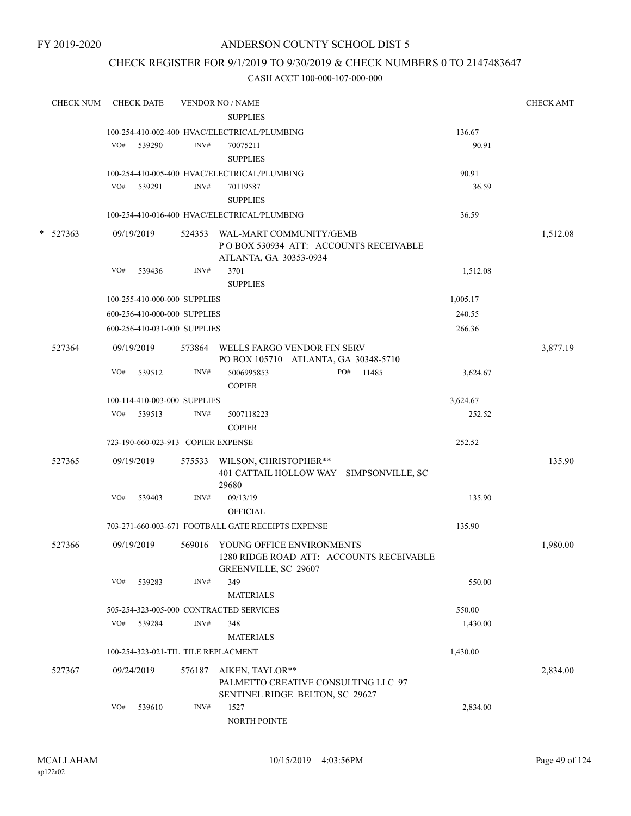#### CHECK REGISTER FOR 9/1/2019 TO 9/30/2019 & CHECK NUMBERS 0 TO 2147483647

|   | <b>CHECK NUM</b> |     | <b>CHECK DATE</b> |                                    | <b>VENDOR NO / NAME</b>                                                                              |          | <b>CHECK AMT</b> |
|---|------------------|-----|-------------------|------------------------------------|------------------------------------------------------------------------------------------------------|----------|------------------|
|   |                  |     |                   |                                    | <b>SUPPLIES</b>                                                                                      |          |                  |
|   |                  |     |                   | INV#                               | 100-254-410-002-400 HVAC/ELECTRICAL/PLUMBING                                                         | 136.67   |                  |
|   |                  | VO# | 539290            |                                    | 70075211<br><b>SUPPLIES</b>                                                                          | 90.91    |                  |
|   |                  |     |                   |                                    |                                                                                                      | 90.91    |                  |
|   |                  | VO# | 539291            | INV#                               | 100-254-410-005-400 HVAC/ELECTRICAL/PLUMBING<br>70119587                                             | 36.59    |                  |
|   |                  |     |                   |                                    | <b>SUPPLIES</b>                                                                                      |          |                  |
|   |                  |     |                   |                                    | 100-254-410-016-400 HVAC/ELECTRICAL/PLUMBING                                                         | 36.59    |                  |
|   |                  |     |                   |                                    |                                                                                                      |          |                  |
| * | 527363           |     | 09/19/2019        | 524353                             | WAL-MART COMMUNITY/GEMB<br>POBOX 530934 ATT: ACCOUNTS RECEIVABLE<br>ATLANTA, GA 30353-0934           |          | 1,512.08         |
|   |                  | VO# | 539436            | INV#                               | 3701                                                                                                 | 1,512.08 |                  |
|   |                  |     |                   |                                    | <b>SUPPLIES</b>                                                                                      |          |                  |
|   |                  |     |                   | 100-255-410-000-000 SUPPLIES       |                                                                                                      | 1,005.17 |                  |
|   |                  |     |                   | 600-256-410-000-000 SUPPLIES       |                                                                                                      | 240.55   |                  |
|   |                  |     |                   | 600-256-410-031-000 SUPPLIES       |                                                                                                      | 266.36   |                  |
|   | 527364           |     | 09/19/2019        |                                    | WELLS FARGO VENDOR FIN SERV                                                                          |          |                  |
|   |                  |     |                   | 573864                             | PO BOX 105710 ATLANTA, GA 30348-5710                                                                 |          | 3,877.19         |
|   |                  | VO# | 539512            | INV#                               | 5006995853<br>PO#<br>11485<br><b>COPIER</b>                                                          | 3,624.67 |                  |
|   |                  |     |                   | 100-114-410-003-000 SUPPLIES       |                                                                                                      | 3,624.67 |                  |
|   |                  | VO# | 539513            | INV#                               | 5007118223                                                                                           | 252.52   |                  |
|   |                  |     |                   |                                    | <b>COPIER</b>                                                                                        |          |                  |
|   |                  |     |                   | 723-190-660-023-913 COPIER EXPENSE |                                                                                                      | 252.52   |                  |
|   | 527365           |     | 09/19/2019        | 575533                             |                                                                                                      |          | 135.90           |
|   |                  |     |                   |                                    | WILSON, CHRISTOPHER**<br>401 CATTAIL HOLLOW WAY SIMPSONVILLE, SC<br>29680                            |          |                  |
|   |                  | VO# | 539403            | INV#                               | 09/13/19                                                                                             | 135.90   |                  |
|   |                  |     |                   |                                    | <b>OFFICIAL</b>                                                                                      |          |                  |
|   |                  |     |                   |                                    | 703-271-660-003-671 FOOTBALL GATE RECEIPTS EXPENSE                                                   | 135.90   |                  |
|   | 527366           |     | 09/19/2019        |                                    | 569016 YOUNG OFFICE ENVIRONMENTS<br>1280 RIDGE ROAD ATT: ACCOUNTS RECEIVABLE<br>GREENVILLE, SC 29607 |          | 1,980.00         |
|   |                  | VO# | 539283            | INV#                               | 349                                                                                                  | 550.00   |                  |
|   |                  |     |                   |                                    | <b>MATERIALS</b>                                                                                     |          |                  |
|   |                  |     |                   |                                    | 505-254-323-005-000 CONTRACTED SERVICES                                                              | 550.00   |                  |
|   |                  | VO# | 539284            | INV#                               | 348                                                                                                  | 1,430.00 |                  |
|   |                  |     |                   |                                    | <b>MATERIALS</b>                                                                                     |          |                  |
|   |                  |     |                   |                                    | 100-254-323-021-TIL TILE REPLACMENT                                                                  | 1,430.00 |                  |
|   | 527367           |     | 09/24/2019        | 576187                             | AIKEN, TAYLOR**                                                                                      |          | 2,834.00         |
|   |                  |     |                   |                                    | PALMETTO CREATIVE CONSULTING LLC 97<br>SENTINEL RIDGE BELTON, SC 29627                               |          |                  |
|   |                  | VO# | 539610            | INV#                               | 1527<br>NORTH POINTE                                                                                 | 2,834.00 |                  |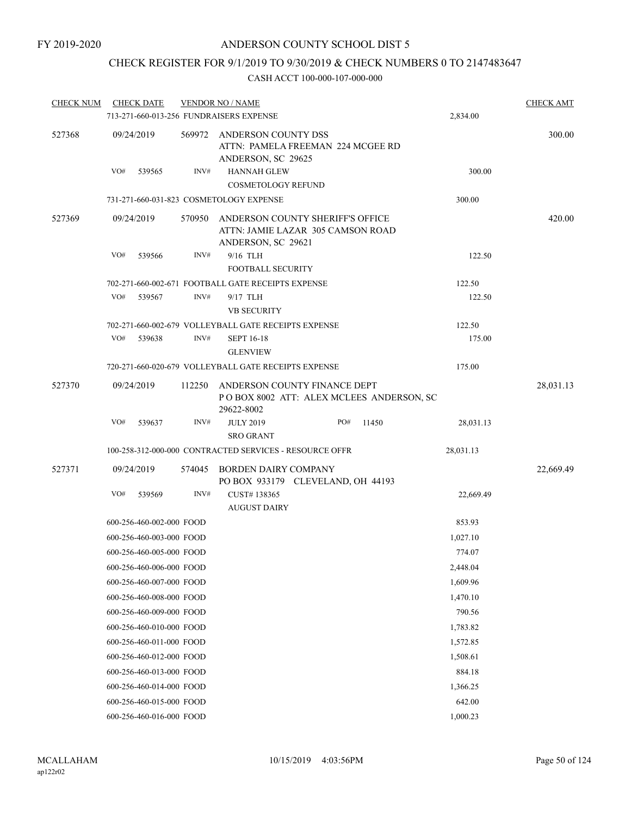### CHECK REGISTER FOR 9/1/2019 TO 9/30/2019 & CHECK NUMBERS 0 TO 2147483647

| <b>CHECK NUM</b> |            | <b>CHECK DATE</b>        |                                                      | <b>VENDOR NO / NAME</b>                                                                     |              |  |           | <b>CHECK AMT</b> |
|------------------|------------|--------------------------|------------------------------------------------------|---------------------------------------------------------------------------------------------|--------------|--|-----------|------------------|
|                  |            |                          |                                                      | 713-271-660-013-256 FUNDRAISERS EXPENSE                                                     |              |  | 2,834.00  |                  |
| 527368           |            | 09/24/2019               | 569972                                               | ANDERSON COUNTY DSS<br>ATTN: PAMELA FREEMAN 224 MCGEE RD<br>ANDERSON, SC 29625              |              |  |           | 300.00           |
|                  | VO#        | 539565                   | INV#                                                 | <b>HANNAH GLEW</b><br><b>COSMETOLOGY REFUND</b>                                             |              |  | 300.00    |                  |
|                  |            |                          |                                                      | 731-271-660-031-823 COSMETOLOGY EXPENSE                                                     |              |  | 300.00    |                  |
| 527369           | 09/24/2019 |                          | 570950                                               | ANDERSON COUNTY SHERIFF'S OFFICE<br>ATTN: JAMIE LAZAR 305 CAMSON ROAD<br>ANDERSON, SC 29621 |              |  |           | 420.00           |
|                  | VO#        | 539566                   | INV#                                                 | 9/16 TLH<br><b>FOOTBALL SECURITY</b>                                                        |              |  | 122.50    |                  |
|                  |            |                          |                                                      | 702-271-660-002-671 FOOTBALL GATE RECEIPTS EXPENSE                                          |              |  | 122.50    |                  |
|                  | VO#        | 539567                   | INV#                                                 | 9/17 TLH<br><b>VB SECURITY</b>                                                              |              |  | 122.50    |                  |
|                  |            |                          | 702-271-660-002-679 VOLLEYBALL GATE RECEIPTS EXPENSE |                                                                                             |              |  | 122.50    |                  |
|                  | VO#        | 539638                   | INV#                                                 | <b>SEPT 16-18</b><br><b>GLENVIEW</b>                                                        |              |  | 175.00    |                  |
|                  |            |                          |                                                      | 720-271-660-020-679 VOLLEYBALL GATE RECEIPTS EXPENSE                                        |              |  | 175.00    |                  |
| 527370           |            | 09/24/2019               | 112250                                               | ANDERSON COUNTY FINANCE DEPT<br>POBOX 8002 ATT: ALEX MCLEES ANDERSON, SC<br>29622-8002      |              |  |           | 28,031.13        |
|                  | VO#        | 539637                   | INV#                                                 | <b>JULY 2019</b><br><b>SRO GRANT</b>                                                        | PO#<br>11450 |  | 28,031.13 |                  |
|                  |            |                          |                                                      | 100-258-312-000-000 CONTRACTED SERVICES - RESOURCE OFFR                                     |              |  | 28,031.13 |                  |
| 527371           |            | 09/24/2019               | 574045                                               | BORDEN DAIRY COMPANY<br>PO BOX 933179 CLEVELAND, OH 44193                                   |              |  |           | 22,669.49        |
|                  | VO#        | 539569                   | INV#                                                 | CUST#138365<br><b>AUGUST DAIRY</b>                                                          |              |  | 22,669.49 |                  |
|                  |            | 600-256-460-002-000 FOOD |                                                      |                                                                                             |              |  | 853.93    |                  |
|                  |            | 600-256-460-003-000 FOOD |                                                      |                                                                                             |              |  | 1,027.10  |                  |
|                  |            | 600-256-460-005-000 FOOD |                                                      |                                                                                             |              |  | 774.07    |                  |
|                  |            | 600-256-460-006-000 FOOD |                                                      |                                                                                             |              |  | 2,448.04  |                  |
|                  |            | 600-256-460-007-000 FOOD |                                                      |                                                                                             |              |  | 1,609.96  |                  |
|                  |            | 600-256-460-008-000 FOOD |                                                      |                                                                                             |              |  | 1,470.10  |                  |
|                  |            | 600-256-460-009-000 FOOD |                                                      |                                                                                             |              |  | 790.56    |                  |
|                  |            | 600-256-460-010-000 FOOD |                                                      |                                                                                             |              |  | 1,783.82  |                  |
|                  |            | 600-256-460-011-000 FOOD |                                                      |                                                                                             |              |  | 1,572.85  |                  |
|                  |            | 600-256-460-012-000 FOOD |                                                      |                                                                                             |              |  | 1,508.61  |                  |
|                  |            | 600-256-460-013-000 FOOD |                                                      |                                                                                             |              |  | 884.18    |                  |
|                  |            | 600-256-460-014-000 FOOD |                                                      |                                                                                             |              |  | 1,366.25  |                  |
|                  |            | 600-256-460-015-000 FOOD |                                                      |                                                                                             |              |  | 642.00    |                  |
|                  |            | 600-256-460-016-000 FOOD |                                                      |                                                                                             |              |  | 1,000.23  |                  |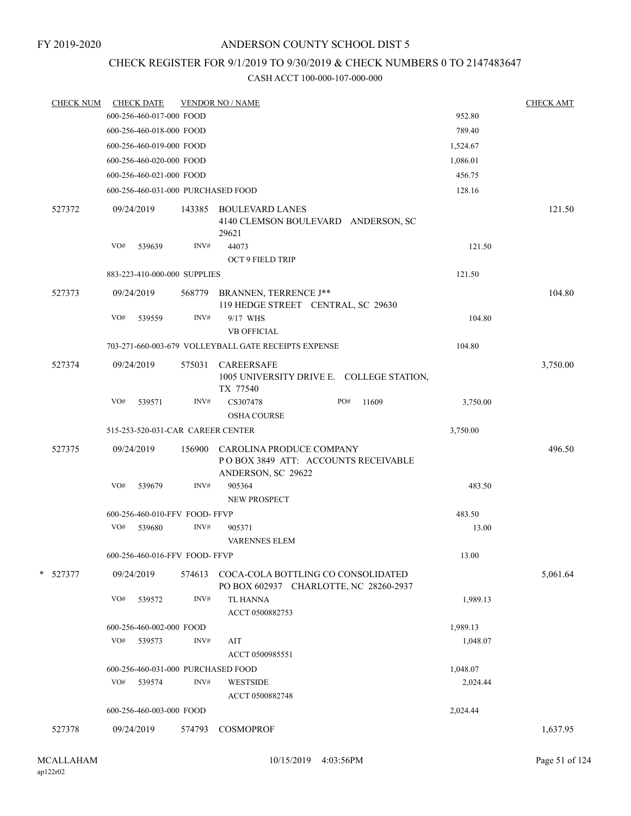#### FY 2019-2020

### ANDERSON COUNTY SCHOOL DIST 5

# CHECK REGISTER FOR 9/1/2019 TO 9/30/2019 & CHECK NUMBERS 0 TO 2147483647

| <b>CHECK NUM</b> | <b>CHECK DATE</b>                  |        | <b>VENDOR NO / NAME</b>                                                               |          | <b>CHECK AMT</b> |
|------------------|------------------------------------|--------|---------------------------------------------------------------------------------------|----------|------------------|
|                  | 600-256-460-017-000 FOOD           |        |                                                                                       | 952.80   |                  |
|                  | 600-256-460-018-000 FOOD           |        |                                                                                       | 789.40   |                  |
|                  | 600-256-460-019-000 FOOD           |        |                                                                                       | 1,524.67 |                  |
|                  | 600-256-460-020-000 FOOD           |        |                                                                                       | 1,086.01 |                  |
|                  | 600-256-460-021-000 FOOD           |        |                                                                                       | 456.75   |                  |
|                  | 600-256-460-031-000 PURCHASED FOOD |        |                                                                                       | 128.16   |                  |
| 527372           | 09/24/2019                         |        | 143385 BOULEVARD LANES<br>4140 CLEMSON BOULEVARD ANDERSON, SC<br>29621                |          | 121.50           |
|                  | VO#<br>539639                      | INV#   | 44073<br><b>OCT 9 FIELD TRIP</b>                                                      | 121.50   |                  |
|                  | 883-223-410-000-000 SUPPLIES       |        |                                                                                       | 121.50   |                  |
| 527373           | 09/24/2019                         |        | 568779 BRANNEN, TERRENCE J**<br>119 HEDGE STREET CENTRAL, SC 29630                    |          | 104.80           |
|                  | VO#<br>539559                      | INV#   | 9/17 WHS<br><b>VB OFFICIAL</b>                                                        | 104.80   |                  |
|                  |                                    |        | 703-271-660-003-679 VOLLEYBALL GATE RECEIPTS EXPENSE                                  | 104.80   |                  |
| 527374           | 09/24/2019                         | 575031 | <b>CAREERSAFE</b><br>1005 UNIVERSITY DRIVE E. COLLEGE STATION,<br>TX 77540            |          | 3,750.00         |
|                  | VO#<br>539571                      | INV#   | CS307478<br>PO#<br>11609<br><b>OSHA COURSE</b>                                        | 3,750.00 |                  |
|                  | 515-253-520-031-CAR CAREER CENTER  |        |                                                                                       | 3,750.00 |                  |
| 527375           | 09/24/2019                         | 156900 | CAROLINA PRODUCE COMPANY<br>POBOX 3849 ATT: ACCOUNTS RECEIVABLE<br>ANDERSON, SC 29622 |          | 496.50           |
|                  | VO#<br>539679                      | INV#   | 905364<br><b>NEW PROSPECT</b>                                                         | 483.50   |                  |
|                  | 600-256-460-010-FFV FOOD-FFVP      |        |                                                                                       | 483.50   |                  |
|                  | VO#<br>539680                      | INV#   | 905371<br><b>VARENNES ELEM</b>                                                        | 13.00    |                  |
|                  | 600-256-460-016-FFV FOOD-FFVP      |        |                                                                                       | 13.00    |                  |
| * 527377         | 09/24/2019                         | 574613 | COCA-COLA BOTTLING CO CONSOLIDATED<br>PO BOX 602937 CHARLOTTE, NC 28260-2937          |          | 5,061.64         |
|                  | VO#<br>539572                      | INV#   | <b>TL HANNA</b><br>ACCT 0500882753                                                    | 1,989.13 |                  |
|                  | 600-256-460-002-000 FOOD           |        |                                                                                       | 1,989.13 |                  |
|                  | VO# 539573                         | INV#   | AIT<br>ACCT 0500985551                                                                | 1,048.07 |                  |
|                  | 600-256-460-031-000 PURCHASED FOOD |        |                                                                                       | 1,048.07 |                  |
|                  | VO#<br>539574                      | INV#   | <b>WESTSIDE</b><br>ACCT 0500882748                                                    | 2,024.44 |                  |
|                  | 600-256-460-003-000 FOOD           |        |                                                                                       | 2,024.44 |                  |
| 527378           | 09/24/2019                         | 574793 | <b>COSMOPROF</b>                                                                      |          | 1,637.95         |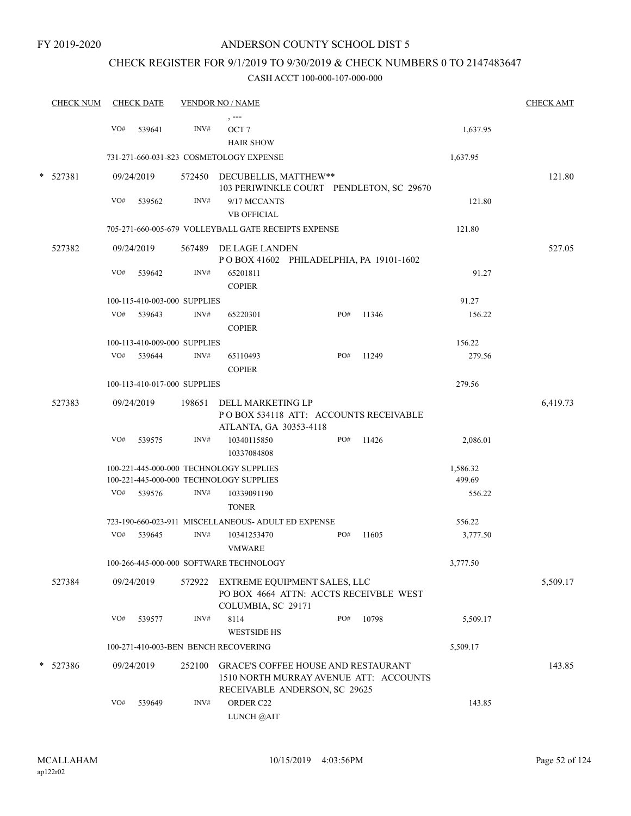## CHECK REGISTER FOR 9/1/2019 TO 9/30/2019 & CHECK NUMBERS 0 TO 2147483647

|   | <b>CHECK NUM</b> |     | <b>CHECK DATE</b>            |        | <b>VENDOR NO / NAME</b>                                                     |     |                                          |          | <b>CHECK AMT</b> |
|---|------------------|-----|------------------------------|--------|-----------------------------------------------------------------------------|-----|------------------------------------------|----------|------------------|
|   |                  | VO# | 539641                       | INV#   | , ---<br>OCT <sub>7</sub><br><b>HAIR SHOW</b>                               |     |                                          | 1,637.95 |                  |
|   |                  |     |                              |        | 731-271-660-031-823 COSMETOLOGY EXPENSE                                     |     |                                          | 1,637.95 |                  |
| * | 527381           |     | 09/24/2019                   |        | 572450 DECUBELLIS, MATTHEW**                                                |     | 103 PERIWINKLE COURT PENDLETON, SC 29670 |          | 121.80           |
|   |                  | VO# | 539562                       | INV#   | 9/17 MCCANTS<br><b>VB OFFICIAL</b>                                          |     |                                          | 121.80   |                  |
|   |                  |     |                              |        | 705-271-660-005-679 VOLLEYBALL GATE RECEIPTS EXPENSE                        |     |                                          | 121.80   |                  |
|   | 527382           |     | 09/24/2019                   |        | 567489 DE LAGE LANDEN<br>POBOX 41602 PHILADELPHIA, PA 19101-1602            |     |                                          |          | 527.05           |
|   |                  | VO# | 539642                       | INV#   | 65201811<br><b>COPIER</b>                                                   |     |                                          | 91.27    |                  |
|   |                  |     | 100-115-410-003-000 SUPPLIES |        |                                                                             |     |                                          | 91.27    |                  |
|   |                  | VO# | 539643                       | INV#   | 65220301<br><b>COPIER</b>                                                   | PO# | 11346                                    | 156.22   |                  |
|   |                  |     | 100-113-410-009-000 SUPPLIES |        |                                                                             |     |                                          | 156.22   |                  |
|   |                  |     | VO# 539644                   | INV#   | 65110493<br><b>COPIER</b>                                                   | PO# | 11249                                    | 279.56   |                  |
|   |                  |     | 100-113-410-017-000 SUPPLIES |        |                                                                             |     |                                          | 279.56   |                  |
|   | 527383           |     | 09/24/2019                   |        | 198651 DELL MARKETING LP<br>ATLANTA, GA 30353-4118                          |     | PO BOX 534118 ATT: ACCOUNTS RECEIVABLE   |          | 6,419.73         |
|   |                  | VO# | 539575                       | INV#   | 10340115850<br>10337084808                                                  | PO# | 11426                                    | 2,086.01 |                  |
|   |                  |     |                              |        | 100-221-445-000-000 TECHNOLOGY SUPPLIES                                     |     |                                          | 1,586.32 |                  |
|   |                  |     |                              |        | 100-221-445-000-000 TECHNOLOGY SUPPLIES                                     |     |                                          | 499.69   |                  |
|   |                  |     | VO# 539576                   | INV#   | 10339091190<br><b>TONER</b>                                                 |     |                                          | 556.22   |                  |
|   |                  |     |                              |        | 723-190-660-023-911 MISCELLANEOUS- ADULT ED EXPENSE                         |     |                                          | 556.22   |                  |
|   |                  | VO# | 539645                       | INV#   | 10341253470<br><b>VMWARE</b>                                                | PO# | 11605                                    | 3,777.50 |                  |
|   |                  |     |                              |        | 100-266-445-000-000 SOFTWARE TECHNOLOGY                                     |     |                                          | 3,777.50 |                  |
|   | 527384           |     | 09/24/2019                   | 572922 | EXTREME EQUIPMENT SALES, LLC<br>COLUMBIA, SC 29171                          |     | PO BOX 4664 ATTN: ACCTS RECEIVBLE WEST   |          | 5,509.17         |
|   |                  | VO# | 539577                       | INV#   | 8114<br><b>WESTSIDE HS</b>                                                  | PO# | 10798                                    | 5,509.17 |                  |
|   |                  |     |                              |        | 100-271-410-003-BEN BENCH RECOVERING                                        |     |                                          | 5,509.17 |                  |
|   | $*$ 527386       |     | 09/24/2019                   | 252100 | <b>GRACE'S COFFEE HOUSE AND RESTAURANT</b><br>RECEIVABLE ANDERSON, SC 29625 |     | 1510 NORTH MURRAY AVENUE ATT: ACCOUNTS   |          | 143.85           |
|   |                  | VO# | 539649                       | INV#   | ORDER C22<br>LUNCH @AIT                                                     |     |                                          | 143.85   |                  |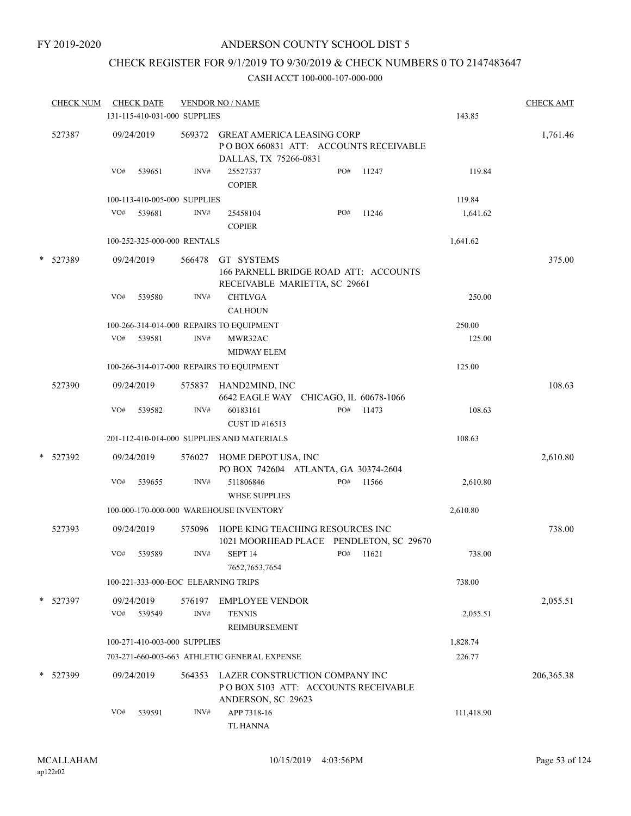## CHECK REGISTER FOR 9/1/2019 TO 9/30/2019 & CHECK NUMBERS 0 TO 2147483647

|   | <b>CHECK NUM</b> | <b>CHECK DATE</b><br>131-115-410-031-000 SUPPLIES |                | <b>VENDOR NO / NAME</b>                                                                             |     |       | 143.85     | <b>CHECK AMT</b> |
|---|------------------|---------------------------------------------------|----------------|-----------------------------------------------------------------------------------------------------|-----|-------|------------|------------------|
|   | 527387           | 09/24/2019                                        | 569372         | <b>GREAT AMERICA LEASING CORP</b><br>POBOX 660831 ATT: ACCOUNTS RECEIVABLE<br>DALLAS, TX 75266-0831 |     |       |            | 1,761.46         |
|   |                  | VO#<br>539651                                     | INV#           | 25527337<br><b>COPIER</b>                                                                           | PO# | 11247 | 119.84     |                  |
|   |                  | 100-113-410-005-000 SUPPLIES                      |                |                                                                                                     |     |       | 119.84     |                  |
|   |                  | VO#<br>539681                                     | INV#           | 25458104<br><b>COPIER</b>                                                                           | PO# | 11246 | 1,641.62   |                  |
|   |                  | 100-252-325-000-000 RENTALS                       |                |                                                                                                     |     |       | 1,641.62   |                  |
| * | 527389           | 09/24/2019                                        | 566478         | GT SYSTEMS<br>166 PARNELL BRIDGE ROAD ATT: ACCOUNTS<br>RECEIVABLE MARIETTA, SC 29661                |     |       |            | 375.00           |
|   |                  | VO#<br>539580                                     | INV#           | <b>CHTLVGA</b><br><b>CALHOUN</b>                                                                    |     |       | 250.00     |                  |
|   |                  |                                                   |                | 100-266-314-014-000 REPAIRS TO EQUIPMENT                                                            |     |       | 250.00     |                  |
|   |                  | VO# 539581                                        | INV#           | MWR32AC<br><b>MIDWAY ELEM</b>                                                                       |     |       | 125.00     |                  |
|   |                  |                                                   |                | 100-266-314-017-000 REPAIRS TO EQUIPMENT                                                            |     |       | 125.00     |                  |
|   | 527390           | 09/24/2019                                        | 575837         | HAND2MIND, INC<br>6642 EAGLE WAY CHICAGO, IL 60678-1066                                             |     |       |            | 108.63           |
|   |                  | VO#<br>539582                                     | INV#           | 60183161<br>CUST ID #16513                                                                          | PO# | 11473 | 108.63     |                  |
|   |                  |                                                   |                | 201-112-410-014-000 SUPPLIES AND MATERIALS                                                          |     |       | 108.63     |                  |
| * | 527392           | 09/24/2019                                        | 576027         | HOME DEPOT USA, INC<br>PO BOX 742604 ATLANTA, GA 30374-2604                                         |     |       |            | 2,610.80         |
|   |                  | VO#<br>539655                                     | INV#           | 511806846<br><b>WHSE SUPPLIES</b>                                                                   | PO# | 11566 | 2,610.80   |                  |
|   |                  |                                                   |                | 100-000-170-000-000 WAREHOUSE INVENTORY                                                             |     |       | 2,610.80   |                  |
|   | 527393           | 09/24/2019                                        | 575096         | HOPE KING TEACHING RESOURCES INC<br>1021 MOORHEAD PLACE PENDLETON, SC 29670                         |     |       |            | 738.00           |
|   |                  | VO#<br>539589                                     | INV#           | SEPT <sub>14</sub><br>7652, 7653, 7654                                                              | PO# | 11621 | 738.00     |                  |
|   |                  | 100-221-333-000-EOC ELEARNING TRIPS               |                |                                                                                                     |     |       | 738.00     |                  |
|   | * 527397         | 09/24/2019<br>VO#<br>539549                       | 576197<br>INV# | <b>EMPLOYEE VENDOR</b><br><b>TENNIS</b><br>REIMBURSEMENT                                            |     |       | 2,055.51   | 2,055.51         |
|   |                  | 100-271-410-003-000 SUPPLIES                      |                |                                                                                                     |     |       | 1,828.74   |                  |
|   |                  |                                                   |                | 703-271-660-003-663 ATHLETIC GENERAL EXPENSE                                                        |     |       | 226.77     |                  |
|   | * 527399         | 09/24/2019                                        | 564353         | LAZER CONSTRUCTION COMPANY INC<br>POBOX 5103 ATT: ACCOUNTS RECEIVABLE<br>ANDERSON, SC 29623         |     |       |            | 206, 365. 38     |
|   |                  | VO#<br>539591                                     | INV#           | APP 7318-16<br>TL HANNA                                                                             |     |       | 111,418.90 |                  |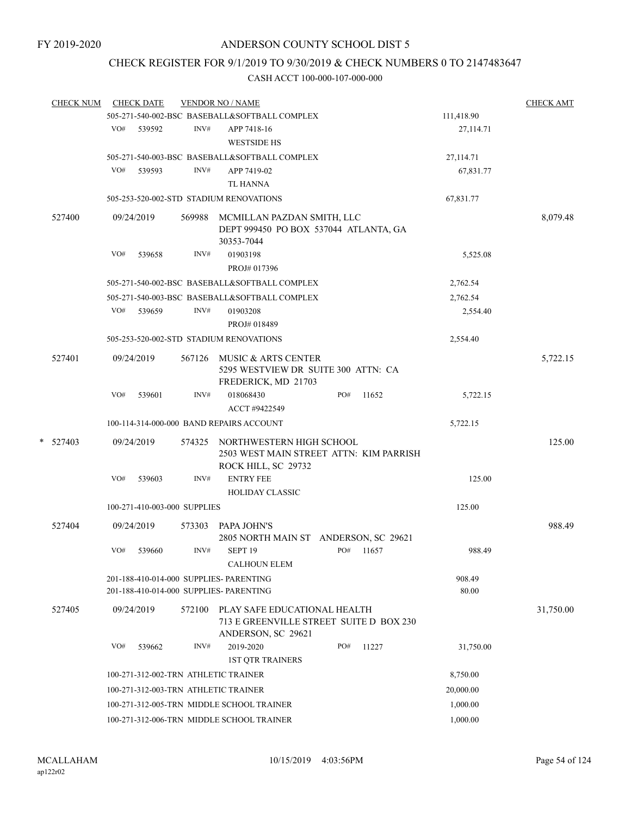## CHECK REGISTER FOR 9/1/2019 TO 9/30/2019 & CHECK NUMBERS 0 TO 2147483647

| <b>CHECK NUM</b> |                      | <b>CHECK DATE</b>                         |        | <b>VENDOR NO / NAME</b>                                                            |          |        |                 | <b>CHECK AMT</b> |
|------------------|----------------------|-------------------------------------------|--------|------------------------------------------------------------------------------------|----------|--------|-----------------|------------------|
|                  |                      |                                           |        | 505-271-540-002-BSC BASEBALL&SOFTBALL COMPLEX                                      |          |        | 111,418.90      |                  |
|                  | VO#                  | 539592                                    | INV#   | APP 7418-16                                                                        |          |        | 27,114.71       |                  |
|                  |                      |                                           |        | <b>WESTSIDE HS</b>                                                                 |          |        |                 |                  |
|                  |                      |                                           |        | 505-271-540-003-BSC BASEBALL&SOFTBALL COMPLEX                                      |          |        | 27,114.71       |                  |
|                  | VO#                  | 539593                                    | INV#   | APP 7419-02                                                                        |          |        | 67,831.77       |                  |
|                  |                      |                                           |        | <b>TL HANNA</b>                                                                    |          |        |                 |                  |
|                  |                      |                                           |        | 505-253-520-002-STD STADIUM RENOVATIONS                                            |          |        | 67,831.77       |                  |
| 527400           |                      | 09/24/2019                                | 569988 | MCMILLAN PAZDAN SMITH, LLC                                                         |          |        |                 | 8,079.48         |
|                  |                      |                                           |        | DEPT 999450 PO BOX 537044 ATLANTA, GA                                              |          |        |                 |                  |
|                  |                      |                                           |        | 30353-7044                                                                         |          |        |                 |                  |
|                  | VO#                  | 539658                                    | INV#   | 01903198                                                                           |          |        | 5,525.08        |                  |
|                  |                      |                                           |        | PROJ# 017396                                                                       |          |        |                 |                  |
|                  |                      |                                           |        | 505-271-540-002-BSC BASEBALL&SOFTBALL COMPLEX                                      |          |        | 2,762.54        |                  |
|                  |                      |                                           |        | 505-271-540-003-BSC BASEBALL&SOFTBALL COMPLEX                                      |          |        | 2,762.54        |                  |
|                  | VO#                  | 539659                                    | INV#   | 01903208                                                                           |          |        | 2,554.40        |                  |
|                  |                      |                                           |        | PROJ# 018489                                                                       |          |        |                 |                  |
|                  |                      | 505-253-520-002-STD STADIUM RENOVATIONS   |        | 2,554.40                                                                           |          |        |                 |                  |
| 527401           |                      | 09/24/2019                                |        | 567126 MUSIC & ARTS CENTER                                                         |          |        |                 | 5,722.15         |
|                  |                      |                                           |        | 5295 WESTVIEW DR SUITE 300 ATTN: CA                                                |          |        |                 |                  |
|                  |                      |                                           |        | FREDERICK, MD 21703                                                                |          |        |                 |                  |
|                  | VO#                  | 539601                                    | INV#   | 018068430                                                                          | PO#      | 11652  | 5,722.15        |                  |
|                  |                      |                                           |        | ACCT #9422549                                                                      |          |        |                 |                  |
|                  |                      |                                           |        | 100-114-314-000-000 BAND REPAIRS ACCOUNT                                           |          |        | 5,722.15        |                  |
| $*$ 527403       | 09/24/2019<br>574325 |                                           |        | NORTHWESTERN HIGH SCHOOL                                                           |          |        |                 | 125.00           |
|                  |                      |                                           |        | 2503 WEST MAIN STREET ATTN: KIM PARRISH                                            |          |        |                 |                  |
|                  |                      |                                           |        | ROCK HILL, SC 29732                                                                |          |        |                 |                  |
|                  | VO#                  | 539603                                    | INV#   | <b>ENTRY FEE</b>                                                                   |          |        | 125.00          |                  |
|                  |                      | 100-271-410-003-000 SUPPLIES              |        | <b>HOLIDAY CLASSIC</b>                                                             |          | 125.00 |                 |                  |
|                  |                      |                                           |        |                                                                                    |          |        |                 |                  |
| 527404           |                      | 09/24/2019                                | 573303 | PAPA JOHN'S                                                                        |          |        |                 | 988.49           |
|                  |                      |                                           |        | 2805 NORTH MAIN ST ANDERSON, SC 29621                                              |          |        |                 |                  |
|                  | VO#                  | 539660                                    | INV#   | SEPT <sub>19</sub>                                                                 | PO#      | 11657  | 988.49          |                  |
|                  |                      |                                           |        | <b>CALHOUN ELEM</b>                                                                |          |        |                 |                  |
|                  |                      |                                           |        | 201-188-410-014-000 SUPPLIES- PARENTING<br>201-188-410-014-000 SUPPLIES- PARENTING |          |        | 908.49<br>80.00 |                  |
|                  |                      |                                           |        |                                                                                    |          |        |                 |                  |
| 527405           |                      | 09/24/2019                                | 572100 | PLAY SAFE EDUCATIONAL HEALTH<br>713 E GREENVILLE STREET SUITE D BOX 230            |          |        |                 | 31,750.00        |
|                  |                      |                                           |        | ANDERSON, SC 29621                                                                 |          |        |                 |                  |
|                  | VO#                  | 539662                                    | INV#   | 2019-2020                                                                          | PO#      | 11227  | 31,750.00       |                  |
|                  |                      |                                           |        | <b>1ST QTR TRAINERS</b>                                                            |          |        |                 |                  |
|                  |                      | 100-271-312-002-TRN ATHLETIC TRAINER      |        | 8,750.00                                                                           |          |        |                 |                  |
|                  |                      | 100-271-312-003-TRN ATHLETIC TRAINER      |        | 20,000.00                                                                          |          |        |                 |                  |
|                  |                      |                                           |        | 100-271-312-005-TRN MIDDLE SCHOOL TRAINER                                          |          |        | 1,000.00        |                  |
|                  |                      | 100-271-312-006-TRN MIDDLE SCHOOL TRAINER |        |                                                                                    | 1,000.00 |        |                 |                  |
|                  |                      |                                           |        |                                                                                    |          |        |                 |                  |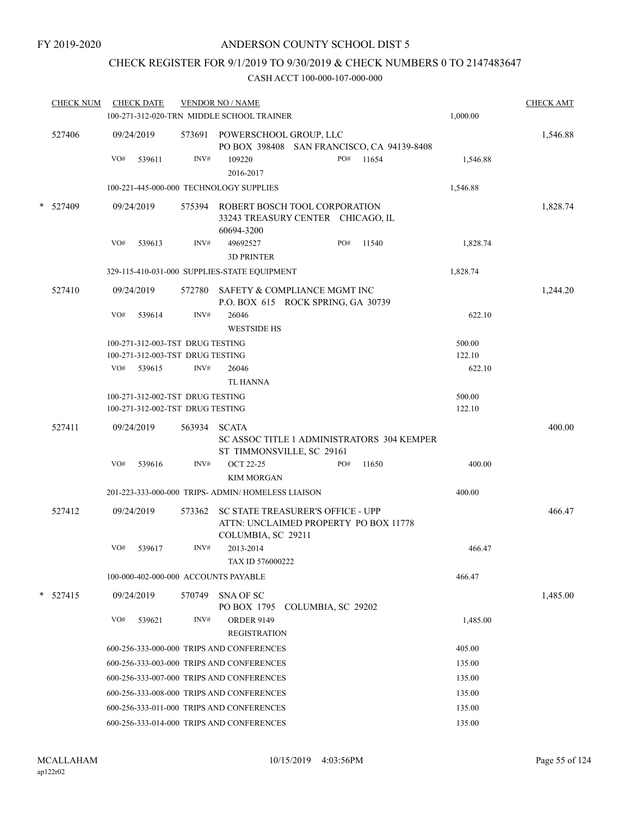## CHECK REGISTER FOR 9/1/2019 TO 9/30/2019 & CHECK NUMBERS 0 TO 2147483647

| <b>CHECK NUM</b> |     | <b>CHECK DATE</b> | <b>VENDOR NO / NAME</b><br>100-271-312-020-TRN MIDDLE SCHOOL TRAINER | 1,000.00                                                                                                | <b>CHECK AMT</b>   |     |           |                  |          |
|------------------|-----|-------------------|----------------------------------------------------------------------|---------------------------------------------------------------------------------------------------------|--------------------|-----|-----------|------------------|----------|
| 527406           |     | 09/24/2019        |                                                                      | 573691 POWERSCHOOL GROUP, LLC<br>PO BOX 398408 SAN FRANCISCO, CA 94139-8408                             |                    |     |           |                  | 1,546.88 |
|                  | VO# | 539611            | INV#                                                                 | 109220<br>2016-2017                                                                                     |                    |     | PO# 11654 | 1,546.88         |          |
|                  |     |                   |                                                                      | 100-221-445-000-000 TECHNOLOGY SUPPLIES                                                                 |                    |     |           | 1,546.88         |          |
| $*$ 527409       |     | 09/24/2019        |                                                                      | 575394 ROBERT BOSCH TOOL CORPORATION<br>33243 TREASURY CENTER CHICAGO, IL<br>60694-3200                 |                    |     |           |                  | 1,828.74 |
|                  | VO# | 539613            | INV#                                                                 | 49692527<br><b>3D PRINTER</b>                                                                           |                    | PO# | 11540     | 1,828.74         |          |
|                  |     |                   |                                                                      | 329-115-410-031-000 SUPPLIES-STATE EQUIPMENT                                                            |                    |     |           | 1,828.74         |          |
| 527410           |     | 09/24/2019        |                                                                      | 572780 SAFETY & COMPLIANCE MGMT INC<br>P.O. BOX 615 ROCK SPRING, GA 30739                               |                    |     |           |                  | 1,244.20 |
|                  | VO# | 539614            | INV#                                                                 | 26046<br><b>WESTSIDE HS</b>                                                                             |                    |     |           | 622.10           |          |
|                  |     |                   | 100-271-312-003-TST DRUG TESTING                                     |                                                                                                         |                    |     |           | 500.00           |          |
|                  |     |                   | 100-271-312-003-TST DRUG TESTING                                     |                                                                                                         |                    |     |           | 122.10           |          |
|                  | VO# | 539615            | INV#                                                                 | 26046<br><b>TL HANNA</b>                                                                                |                    |     |           | 622.10           |          |
|                  |     |                   | 100-271-312-002-TST DRUG TESTING<br>100-271-312-002-TST DRUG TESTING |                                                                                                         |                    |     |           | 500.00<br>122.10 |          |
| 527411           |     | 09/24/2019        | 563934                                                               | <b>SCATA</b><br>SC ASSOC TITLE 1 ADMINISTRATORS 304 KEMPER<br>ST TIMMONSVILLE, SC 29161                 |                    |     |           |                  | 400.00   |
|                  | VO# | 539616            | INV#                                                                 | <b>OCT 22-25</b><br><b>KIM MORGAN</b>                                                                   |                    | PO# | 11650     | 400.00           |          |
|                  |     |                   |                                                                      | 201-223-333-000-000 TRIPS- ADMIN/ HOMELESS LIAISON                                                      |                    |     | 400.00    |                  |          |
| 527412           |     | 09/24/2019        | 573362                                                               | <b>SC STATE TREASURER'S OFFICE - UPP</b><br>ATTN: UNCLAIMED PROPERTY PO BOX 11778<br>COLUMBIA, SC 29211 |                    |     |           |                  | 466.47   |
|                  | VO# | 539617            | INV#                                                                 | 2013-2014<br>TAX ID 576000222                                                                           |                    |     |           | 466.47           |          |
|                  |     |                   |                                                                      | 100-000-402-000-000 ACCOUNTS PAYABLE                                                                    |                    |     |           | 466.47           |          |
| $*$ 527415       |     | 09/24/2019        | 570749                                                               | <b>SNA OF SC</b><br>PO BOX 1795                                                                         | COLUMBIA, SC 29202 |     |           |                  | 1,485.00 |
|                  | VO# | 539621            | INV#                                                                 | <b>ORDER 9149</b><br><b>REGISTRATION</b>                                                                |                    |     |           | 1,485.00         |          |
|                  |     |                   |                                                                      | 600-256-333-000-000 TRIPS AND CONFERENCES                                                               |                    |     |           | 405.00           |          |
|                  |     |                   |                                                                      | 600-256-333-003-000 TRIPS AND CONFERENCES                                                               |                    |     |           | 135.00           |          |
|                  |     |                   |                                                                      | 600-256-333-007-000 TRIPS AND CONFERENCES                                                               |                    |     |           | 135.00           |          |
|                  |     |                   |                                                                      | 600-256-333-008-000 TRIPS AND CONFERENCES                                                               |                    |     |           | 135.00           |          |
|                  |     |                   |                                                                      | 600-256-333-011-000 TRIPS AND CONFERENCES                                                               |                    |     |           | 135.00           |          |
|                  |     |                   |                                                                      | 600-256-333-014-000 TRIPS AND CONFERENCES                                                               |                    |     |           | 135.00           |          |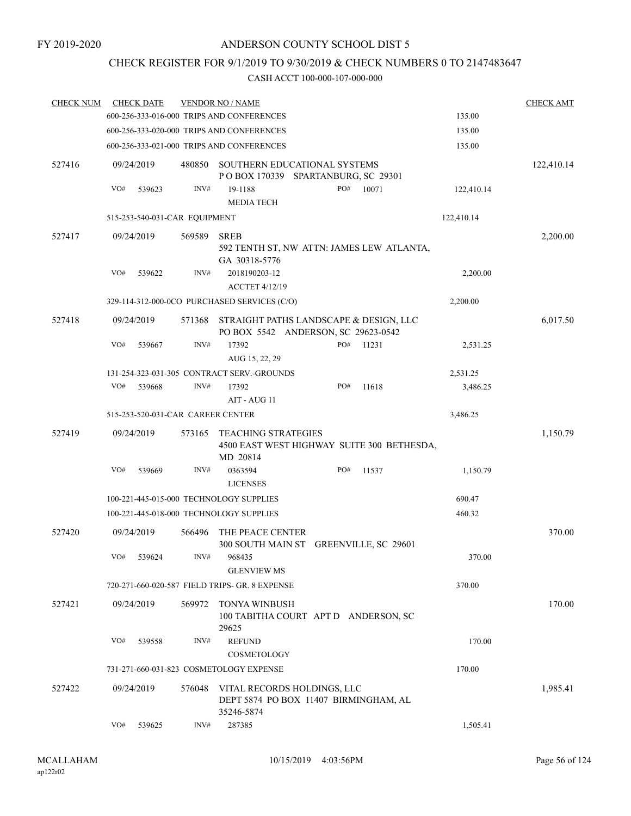### CHECK REGISTER FOR 9/1/2019 TO 9/30/2019 & CHECK NUMBERS 0 TO 2147483647

| <b>CHECK NUM</b> |     | <b>CHECK DATE</b>                 |        | <b>VENDOR NO / NAME</b>                                                              |     |       |            | <b>CHECK AMT</b> |
|------------------|-----|-----------------------------------|--------|--------------------------------------------------------------------------------------|-----|-------|------------|------------------|
|                  |     |                                   |        | 600-256-333-016-000 TRIPS AND CONFERENCES                                            |     |       | 135.00     |                  |
|                  |     |                                   |        | 600-256-333-020-000 TRIPS AND CONFERENCES                                            |     |       | 135.00     |                  |
|                  |     |                                   |        | 600-256-333-021-000 TRIPS AND CONFERENCES                                            |     |       | 135.00     |                  |
| 527416           |     | 09/24/2019                        | 480850 | SOUTHERN EDUCATIONAL SYSTEMS<br>POBOX 170339 SPARTANBURG, SC 29301                   |     |       |            | 122,410.14       |
|                  | VO# | 539623                            | INV#   | 19-1188                                                                              | PO# | 10071 | 122,410.14 |                  |
|                  |     |                                   |        | <b>MEDIA TECH</b>                                                                    |     |       |            |                  |
|                  |     | 515-253-540-031-CAR EQUIPMENT     |        |                                                                                      |     |       | 122,410.14 |                  |
| 527417           |     | 09/24/2019                        | 569589 | <b>SREB</b><br>592 TENTH ST, NW ATTN: JAMES LEW ATLANTA,<br>GA 30318-5776            |     |       |            | 2,200.00         |
|                  | VO# | 539622                            | INV#   | 2018190203-12<br><b>ACCTET 4/12/19</b>                                               |     |       | 2,200.00   |                  |
|                  |     |                                   |        | 329-114-312-000-0CO PURCHASED SERVICES (C/O)                                         |     |       | 2,200.00   |                  |
| 527418           |     | 09/24/2019                        | 571368 | STRAIGHT PATHS LANDSCAPE & DESIGN, LLC<br>PO BOX 5542 ANDERSON, SC 29623-0542        |     |       |            | 6,017.50         |
|                  | VO# | 539667                            | INV#   | 17392<br>AUG 15, 22, 29                                                              | PO# | 11231 | 2,531.25   |                  |
|                  |     |                                   |        | 131-254-323-031-305 CONTRACT SERV.-GROUNDS                                           |     |       | 2,531.25   |                  |
|                  | VO# | 539668                            | INV#   | 17392                                                                                | PO# | 11618 | 3,486.25   |                  |
|                  |     |                                   |        | AIT - AUG 11                                                                         |     |       |            |                  |
|                  |     | 515-253-520-031-CAR CAREER CENTER |        |                                                                                      |     |       | 3,486.25   |                  |
| 527419           |     | 09/24/2019                        | 573165 | <b>TEACHING STRATEGIES</b><br>4500 EAST WEST HIGHWAY SUITE 300 BETHESDA,<br>MD 20814 |     |       |            | 1,150.79         |
|                  | VO# | 539669                            | INV#   | 0363594<br><b>LICENSES</b>                                                           | PO# | 11537 | 1,150.79   |                  |
|                  |     |                                   |        | 100-221-445-015-000 TECHNOLOGY SUPPLIES                                              |     |       | 690.47     |                  |
|                  |     |                                   |        | 100-221-445-018-000 TECHNOLOGY SUPPLIES                                              |     |       | 460.32     |                  |
| 527420           |     | 09/24/2019                        | 566496 | THE PEACE CENTER<br>300 SOUTH MAIN ST GREENVILLE, SC 29601                           |     |       |            | 370.00           |
|                  |     | VO# 539624                        | INV#   | 968435<br><b>GLENVIEW MS</b>                                                         |     |       | 370.00     |                  |
|                  |     |                                   |        | 720-271-660-020-587 FIELD TRIPS- GR. 8 EXPENSE                                       |     |       | 370.00     |                  |
| 527421           |     | 09/24/2019                        | 569972 | <b>TONYA WINBUSH</b><br>100 TABITHA COURT APT D ANDERSON, SC<br>29625                |     |       |            | 170.00           |
|                  | VO# | 539558                            | INV#   | <b>REFUND</b><br>COSMETOLOGY                                                         |     |       | 170.00     |                  |
|                  |     |                                   |        | 731-271-660-031-823 COSMETOLOGY EXPENSE                                              |     |       | 170.00     |                  |
| 527422           |     | 09/24/2019                        | 576048 | VITAL RECORDS HOLDINGS, LLC<br>DEPT 5874 PO BOX 11407 BIRMINGHAM, AL<br>35246-5874   |     |       |            | 1,985.41         |
|                  | VO# | 539625                            | INV#   | 287385                                                                               |     |       | 1,505.41   |                  |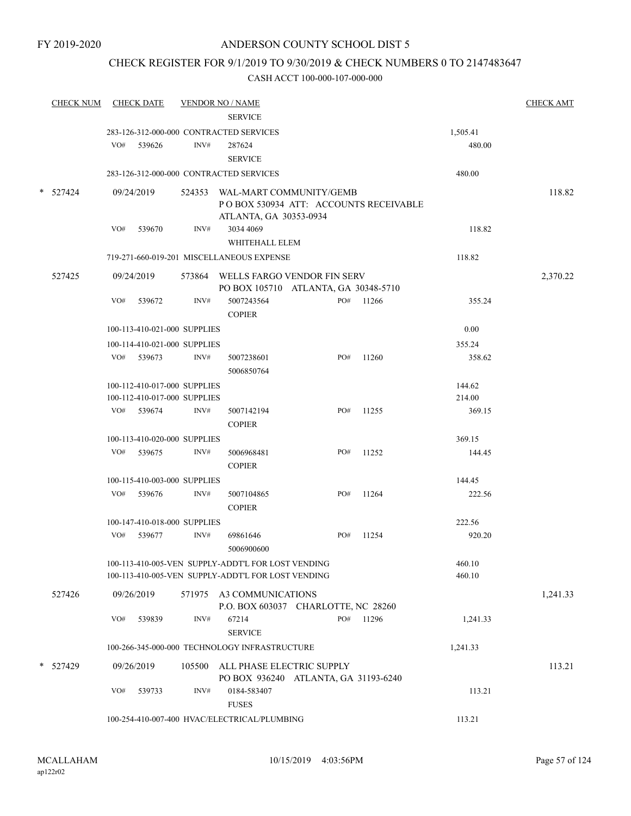### CHECK REGISTER FOR 9/1/2019 TO 9/30/2019 & CHECK NUMBERS 0 TO 2147483647

| <b>CHECK NUM</b> |     | <b>CHECK DATE</b>                                            |      | <b>VENDOR NO / NAME</b><br><b>SERVICE</b>                                                                |     |           |                  | <b>CHECK AMT</b> |
|------------------|-----|--------------------------------------------------------------|------|----------------------------------------------------------------------------------------------------------|-----|-----------|------------------|------------------|
|                  |     |                                                              |      | 283-126-312-000-000 CONTRACTED SERVICES                                                                  |     |           | 1,505.41         |                  |
|                  |     | VO# 539626                                                   | INV# | 287624<br><b>SERVICE</b>                                                                                 |     |           | 480.00           |                  |
|                  |     |                                                              |      | 283-126-312-000-000 CONTRACTED SERVICES                                                                  |     |           | 480.00           |                  |
| $*$ 527424       |     | 09/24/2019                                                   |      | 524353 WAL-MART COMMUNITY/GEMB<br>PO BOX 530934 ATT: ACCOUNTS RECEIVABLE<br>ATLANTA, GA 30353-0934       |     |           |                  | 118.82           |
|                  | VO# | 539670                                                       | INV# | 3034 4069<br>WHITEHALL ELEM                                                                              |     |           | 118.82           |                  |
|                  |     |                                                              |      | 719-271-660-019-201 MISCELLANEOUS EXPENSE                                                                |     |           | 118.82           |                  |
| 527425           |     | 09/24/2019                                                   |      | 573864 WELLS FARGO VENDOR FIN SERV<br>PO BOX 105710 ATLANTA, GA 30348-5710                               |     |           |                  | 2,370.22         |
|                  | VO# | 539672                                                       | INV# | 5007243564<br><b>COPIER</b>                                                                              |     | PO# 11266 | 355.24           |                  |
|                  |     | 100-113-410-021-000 SUPPLIES                                 |      |                                                                                                          |     |           | 0.00             |                  |
|                  |     | 100-114-410-021-000 SUPPLIES                                 |      |                                                                                                          |     |           | 355.24           |                  |
|                  |     | $VO#$ 539673                                                 | INV# | 5007238601<br>5006850764                                                                                 | PO# | 11260     | 358.62           |                  |
|                  |     | 100-112-410-017-000 SUPPLIES<br>100-112-410-017-000 SUPPLIES |      |                                                                                                          |     |           | 144.62<br>214.00 |                  |
|                  |     | VO# 539674                                                   | INV# | 5007142194<br><b>COPIER</b>                                                                              | PO# | 11255     | 369.15           |                  |
|                  |     | 100-113-410-020-000 SUPPLIES                                 |      |                                                                                                          |     |           | 369.15           |                  |
|                  |     | VO# 539675                                                   | INV# | 5006968481<br><b>COPIER</b>                                                                              | PO# | 11252     | 144.45           |                  |
|                  |     | 100-115-410-003-000 SUPPLIES                                 |      |                                                                                                          |     |           | 144.45           |                  |
|                  |     | VO# 539676                                                   | INV# | 5007104865<br><b>COPIER</b>                                                                              | PO# | 11264     | 222.56           |                  |
|                  |     | 100-147-410-018-000 SUPPLIES                                 |      |                                                                                                          |     |           | 222.56           |                  |
|                  |     | VO# 539677                                                   | INV# | 69861646<br>5006900600                                                                                   | PO# | 11254     | 920.20           |                  |
|                  |     |                                                              |      | 100-113-410-005-VEN SUPPLY-ADDT'L FOR LOST VENDING<br>100-113-410-005-VEN SUPPLY-ADDT'L FOR LOST VENDING |     |           | 460.10<br>460.10 |                  |
| 527426           |     | 09/26/2019                                                   |      | 571975 A3 COMMUNICATIONS<br>P.O. BOX 603037 CHARLOTTE, NC 28260                                          |     |           |                  | 1,241.33         |
|                  | VO# | 539839                                                       | INV# | 67214<br><b>SERVICE</b>                                                                                  | PO# | 11296     | 1,241.33         |                  |
|                  |     |                                                              |      | 100-266-345-000-000 TECHNOLOGY INFRASTRUCTURE                                                            |     |           | 1,241.33         |                  |
| 527429           |     | 09/26/2019                                                   |      | 105500 ALL PHASE ELECTRIC SUPPLY<br>PO BOX 936240 ATLANTA, GA 31193-6240                                 |     |           |                  | 113.21           |
|                  | VO# | 539733                                                       | INV# | 0184-583407<br><b>FUSES</b>                                                                              |     |           | 113.21           |                  |
|                  |     |                                                              |      | 100-254-410-007-400 HVAC/ELECTRICAL/PLUMBING                                                             |     |           | 113.21           |                  |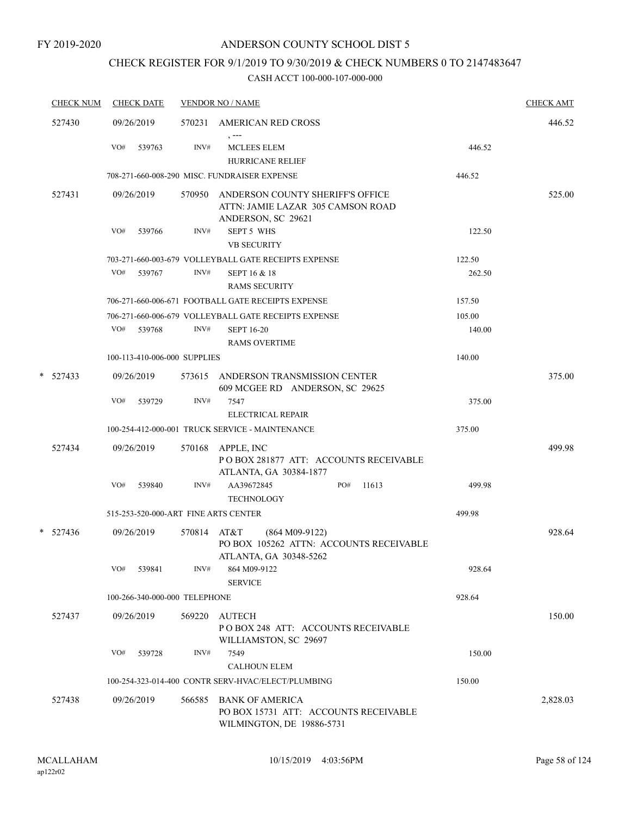# CHECK REGISTER FOR 9/1/2019 TO 9/30/2019 & CHECK NUMBERS 0 TO 2147483647

| <b>CHECK NUM</b> | <b>CHECK DATE</b>                    |             | <b>VENDOR NO / NAME</b>                                                                      |        | <b>CHECK AMT</b> |
|------------------|--------------------------------------|-------------|----------------------------------------------------------------------------------------------|--------|------------------|
| 527430           | 09/26/2019                           |             | 570231 AMERICAN RED CROSS<br>$, --$                                                          |        | 446.52           |
|                  | VO#<br>539763                        | INV#        | MCLEES ELEM<br><b>HURRICANE RELIEF</b>                                                       | 446.52 |                  |
|                  |                                      |             | 708-271-660-008-290 MISC. FUNDRAISER EXPENSE                                                 | 446.52 |                  |
| 527431           | 09/26/2019                           | 570950      | ANDERSON COUNTY SHERIFF'S OFFICE<br>ATTN: JAMIE LAZAR 305 CAMSON ROAD<br>ANDERSON, SC 29621  |        | 525.00           |
|                  | VO#<br>539766                        | INV#        | <b>SEPT 5 WHS</b><br><b>VB SECURITY</b>                                                      | 122.50 |                  |
|                  |                                      |             | 703-271-660-003-679 VOLLEYBALL GATE RECEIPTS EXPENSE                                         | 122.50 |                  |
|                  | VO#<br>539767                        | INV#        | SEPT 16 & 18<br><b>RAMS SECURITY</b>                                                         | 262.50 |                  |
|                  |                                      |             | 706-271-660-006-671 FOOTBALL GATE RECEIPTS EXPENSE                                           | 157.50 |                  |
|                  |                                      |             | 706-271-660-006-679 VOLLEYBALL GATE RECEIPTS EXPENSE                                         | 105.00 |                  |
|                  | VO#<br>539768                        | INV#        | <b>SEPT 16-20</b><br><b>RAMS OVERTIME</b>                                                    | 140.00 |                  |
|                  | 100-113-410-006-000 SUPPLIES         |             |                                                                                              | 140.00 |                  |
| $* 527433$       | 09/26/2019                           |             | 573615 ANDERSON TRANSMISSION CENTER<br>609 MCGEE RD ANDERSON, SC 29625                       |        | 375.00           |
|                  | VO#<br>539729                        | INV#        | 7547<br>ELECTRICAL REPAIR                                                                    | 375.00 |                  |
|                  |                                      |             | 100-254-412-000-001 TRUCK SERVICE - MAINTENANCE                                              | 375.00 |                  |
| 527434           | 09/26/2019                           | 570168      | APPLE, INC<br>PO BOX 281877 ATT: ACCOUNTS RECEIVABLE                                         |        | 499.98           |
|                  | VO#<br>539840                        | INV#        | ATLANTA, GA 30384-1877<br>PO#<br>11613<br>AA39672845<br><b>TECHNOLOGY</b>                    | 499.98 |                  |
|                  | 515-253-520-000-ART FINE ARTS CENTER |             |                                                                                              | 499.98 |                  |
| $* 527436$       | 09/26/2019                           | 570814 AT&T | $(864 M09-9122)$<br>PO BOX 105262 ATTN: ACCOUNTS RECEIVABLE<br>ATLANTA, GA 30348-5262        |        | 928.64           |
|                  | VO#<br>539841                        | INV#        | 864 M09-9122<br><b>SERVICE</b>                                                               | 928.64 |                  |
|                  | 100-266-340-000-000 TELEPHONE        |             |                                                                                              | 928.64 |                  |
| 527437           | 09/26/2019                           | 569220      | AUTECH<br>POBOX 248 ATT: ACCOUNTS RECEIVABLE<br>WILLIAMSTON, SC 29697                        |        | 150.00           |
|                  | VO#<br>539728                        | INV#        | 7549                                                                                         | 150.00 |                  |
|                  |                                      |             | <b>CALHOUN ELEM</b>                                                                          |        |                  |
|                  |                                      |             | 100-254-323-014-400 CONTR SERV-HVAC/ELECT/PLUMBING                                           | 150.00 |                  |
| 527438           | 09/26/2019                           | 566585      | <b>BANK OF AMERICA</b><br>PO BOX 15731 ATT: ACCOUNTS RECEIVABLE<br>WILMINGTON, DE 19886-5731 |        | 2,828.03         |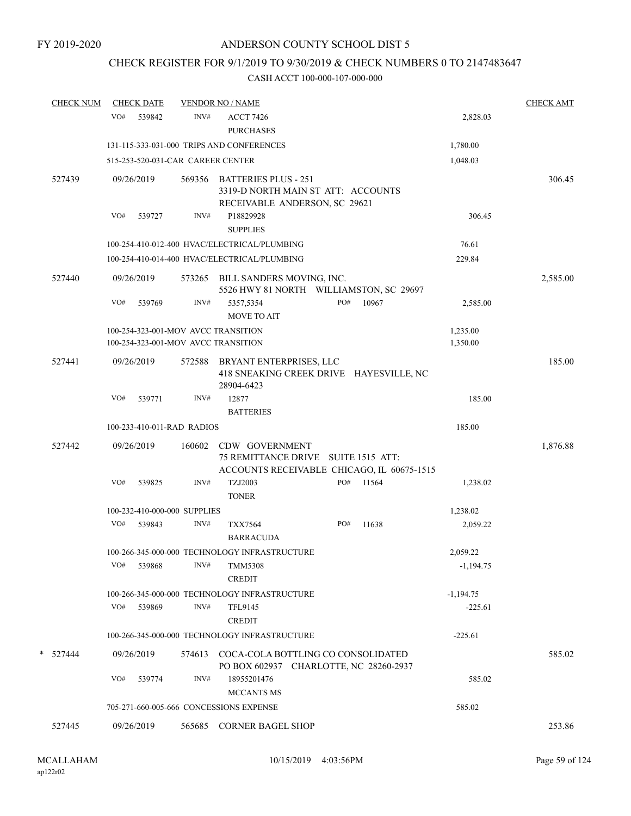# CHECK REGISTER FOR 9/1/2019 TO 9/30/2019 & CHECK NUMBERS 0 TO 2147483647

| <b>CHECK NUM</b> |            | <b>CHECK DATE</b>            |        | <b>VENDOR NO / NAME</b>                                                                             |     |       |                          | <b>CHECK AMT</b> |
|------------------|------------|------------------------------|--------|-----------------------------------------------------------------------------------------------------|-----|-------|--------------------------|------------------|
|                  | VO#        | 539842                       | INV#   | <b>ACCT 7426</b><br><b>PURCHASES</b>                                                                |     |       | 2,828.03                 |                  |
|                  |            |                              |        | 131-115-333-031-000 TRIPS AND CONFERENCES                                                           |     |       | 1,780.00                 |                  |
|                  |            |                              |        | 515-253-520-031-CAR CAREER CENTER                                                                   |     |       | 1,048.03                 |                  |
| 527439           | 09/26/2019 |                              |        | 569356 BATTERIES PLUS - 251<br>3319-D NORTH MAIN ST ATT: ACCOUNTS                                   |     |       |                          | 306.45           |
|                  | VO#        | 539727                       | INV#   | RECEIVABLE ANDERSON, SC 29621<br>P18829928<br><b>SUPPLIES</b>                                       |     |       | 306.45                   |                  |
|                  |            |                              |        | 100-254-410-012-400 HVAC/ELECTRICAL/PLUMBING                                                        |     |       | 76.61                    |                  |
|                  |            |                              |        | 100-254-410-014-400 HVAC/ELECTRICAL/PLUMBING                                                        |     |       | 229.84                   |                  |
| 527440           | 09/26/2019 |                              |        | 573265 BILL SANDERS MOVING, INC.<br>5526 HWY 81 NORTH WILLIAMSTON, SC 29697                         |     |       |                          | 2,585.00         |
|                  | VO#        | 539769                       | INV#   | 5357,5354<br>MOVE TO AIT                                                                            | PO# | 10967 | 2,585.00                 |                  |
|                  |            |                              |        | 100-254-323-001-MOV AVCC TRANSITION<br>100-254-323-001-MOV AVCC TRANSITION                          |     |       | 1,235.00<br>1,350.00     |                  |
| 527441           | 09/26/2019 |                              | 572588 | BRYANT ENTERPRISES, LLC<br>418 SNEAKING CREEK DRIVE HAYESVILLE, NC<br>28904-6423                    |     |       |                          | 185.00           |
|                  | VO#        | 539771                       | INV#   | 12877<br><b>BATTERIES</b>                                                                           |     |       | 185.00                   |                  |
|                  |            | 100-233-410-011-RAD RADIOS   |        |                                                                                                     |     |       | 185.00                   |                  |
| 527442           | 09/26/2019 |                              | 160602 | CDW GOVERNMENT<br>75 REMITTANCE DRIVE SUITE 1515 ATT:<br>ACCOUNTS RECEIVABLE CHICAGO, IL 60675-1515 |     |       |                          | 1,876.88         |
|                  | VO#        | 539825                       | INV#   | TZJ2003<br><b>TONER</b>                                                                             | PO# | 11564 | 1,238.02                 |                  |
|                  |            | 100-232-410-000-000 SUPPLIES |        |                                                                                                     |     |       | 1,238.02                 |                  |
|                  | VO#        | 539843                       | INV#   | <b>TXX7564</b><br><b>BARRACUDA</b>                                                                  | PO# | 11638 | 2,059.22                 |                  |
|                  |            |                              |        | 100-266-345-000-000 TECHNOLOGY INFRASTRUCTURE                                                       |     |       | 2,059.22                 |                  |
|                  | VO#        | 539868                       | INV#   | <b>TMM5308</b><br><b>CREDIT</b>                                                                     |     |       | $-1,194.75$              |                  |
|                  | VO#        | 539869                       | INV#   | 100-266-345-000-000 TECHNOLOGY INFRASTRUCTURE<br><b>TFL9145</b><br><b>CREDIT</b>                    |     |       | $-1,194.75$<br>$-225.61$ |                  |
|                  |            |                              |        | 100-266-345-000-000 TECHNOLOGY INFRASTRUCTURE                                                       |     |       | $-225.61$                |                  |
| * 527444         | 09/26/2019 |                              |        | 574613 COCA-COLA BOTTLING CO CONSOLIDATED<br>PO BOX 602937 CHARLOTTE, NC 28260-2937                 |     |       |                          | 585.02           |
|                  | VO#        | 539774                       | INV#   | 18955201476<br><b>MCCANTS MS</b>                                                                    |     |       | 585.02                   |                  |
|                  |            |                              |        | 705-271-660-005-666 CONCESSIONS EXPENSE                                                             |     |       | 585.02                   |                  |
| 527445           | 09/26/2019 |                              |        | 565685 CORNER BAGEL SHOP                                                                            |     |       |                          | 253.86           |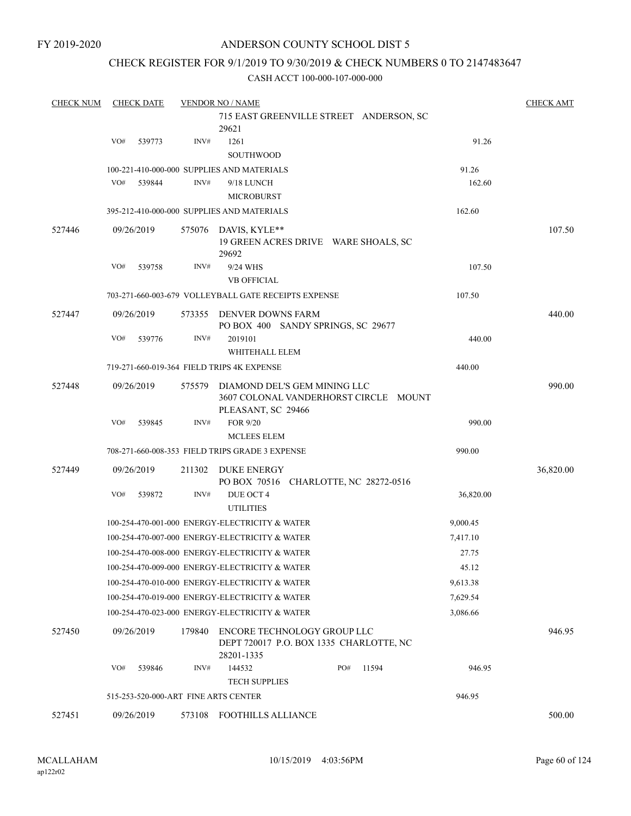### CHECK REGISTER FOR 9/1/2019 TO 9/30/2019 & CHECK NUMBERS 0 TO 2147483647

| <b>CHECK NUM</b> |     | <b>CHECK DATE</b> |        | <b>VENDOR NO / NAME</b>                                                                     |              |           | <b>CHECK AMT</b> |
|------------------|-----|-------------------|--------|---------------------------------------------------------------------------------------------|--------------|-----------|------------------|
|                  |     |                   |        | 715 EAST GREENVILLE STREET ANDERSON, SC<br>29621                                            |              |           |                  |
|                  | VO# | 539773            | INV#   | 1261                                                                                        |              | 91.26     |                  |
|                  |     |                   |        | <b>SOUTHWOOD</b>                                                                            |              |           |                  |
|                  |     |                   |        | 100-221-410-000-000 SUPPLIES AND MATERIALS                                                  |              | 91.26     |                  |
|                  | VO# | 539844            | INV#   | 9/18 LUNCH<br><b>MICROBURST</b>                                                             |              | 162.60    |                  |
|                  |     |                   |        | 395-212-410-000-000 SUPPLIES AND MATERIALS                                                  |              | 162.60    |                  |
| 527446           |     | 09/26/2019        | 575076 | DAVIS, KYLE**<br>19 GREEN ACRES DRIVE WARE SHOALS, SC<br>29692                              |              |           | 107.50           |
|                  | VO# | 539758            | INV#   | 9/24 WHS<br><b>VB OFFICIAL</b>                                                              |              | 107.50    |                  |
|                  |     |                   |        | 703-271-660-003-679 VOLLEYBALL GATE RECEIPTS EXPENSE                                        |              | 107.50    |                  |
|                  |     |                   |        |                                                                                             |              |           |                  |
| 527447           |     | 09/26/2019        | 573355 | DENVER DOWNS FARM<br>PO BOX 400 SANDY SPRINGS, SC 29677                                     |              |           | 440.00           |
|                  | VO# | 539776            | INV#   | 2019101<br>WHITEHALL ELEM                                                                   |              | 440.00    |                  |
|                  |     |                   |        | 719-271-660-019-364 FIELD TRIPS 4K EXPENSE                                                  |              | 440.00    |                  |
|                  |     |                   |        |                                                                                             |              |           |                  |
| 527448           |     | 09/26/2019        | 575579 | DIAMOND DEL'S GEM MINING LLC<br>3607 COLONAL VANDERHORST CIRCLE MOUNT<br>PLEASANT, SC 29466 |              |           | 990.00           |
|                  | VO# | 539845            | INV#   | FOR 9/20                                                                                    |              | 990.00    |                  |
|                  |     |                   |        | <b>MCLEES ELEM</b>                                                                          |              |           |                  |
|                  |     |                   |        | 708-271-660-008-353 FIELD TRIPS GRADE 3 EXPENSE                                             |              | 990.00    |                  |
| 527449           |     | 09/26/2019        | 211302 | DUKE ENERGY<br>PO BOX 70516 CHARLOTTE, NC 28272-0516                                        |              |           | 36,820.00        |
|                  | VO# | 539872            | INV#   | DUE OCT 4<br><b>UTILITIES</b>                                                               |              | 36,820.00 |                  |
|                  |     |                   |        | 100-254-470-001-000 ENERGY-ELECTRICITY & WATER                                              |              | 9,000.45  |                  |
|                  |     |                   |        | 100-254-470-007-000 ENERGY-ELECTRICITY & WATER                                              |              | 7,417.10  |                  |
|                  |     |                   |        | 100-254-470-008-000 ENERGY-ELECTRICITY & WATER                                              |              | 27.75     |                  |
|                  |     |                   |        | 100-254-470-009-000 ENERGY-ELECTRICITY & WATER                                              |              | 45.12     |                  |
|                  |     |                   |        | 100-254-470-010-000 ENERGY-ELECTRICITY & WATER                                              |              | 9,613.38  |                  |
|                  |     |                   |        | 100-254-470-019-000 ENERGY-ELECTRICITY & WATER                                              |              | 7,629.54  |                  |
|                  |     |                   |        | 100-254-470-023-000 ENERGY-ELECTRICITY & WATER                                              |              | 3,086.66  |                  |
| 527450           |     | 09/26/2019        | 179840 | ENCORE TECHNOLOGY GROUP LLC<br>DEPT 720017 P.O. BOX 1335 CHARLOTTE, NC<br>28201-1335        |              |           | 946.95           |
|                  | VO# | 539846            | INV#   | 144532                                                                                      | PO#<br>11594 | 946.95    |                  |
|                  |     |                   |        | <b>TECH SUPPLIES</b>                                                                        |              |           |                  |
|                  |     |                   |        | 515-253-520-000-ART FINE ARTS CENTER                                                        |              | 946.95    |                  |
| 527451           |     | 09/26/2019        |        | 573108 FOOTHILLS ALLIANCE                                                                   |              |           | 500.00           |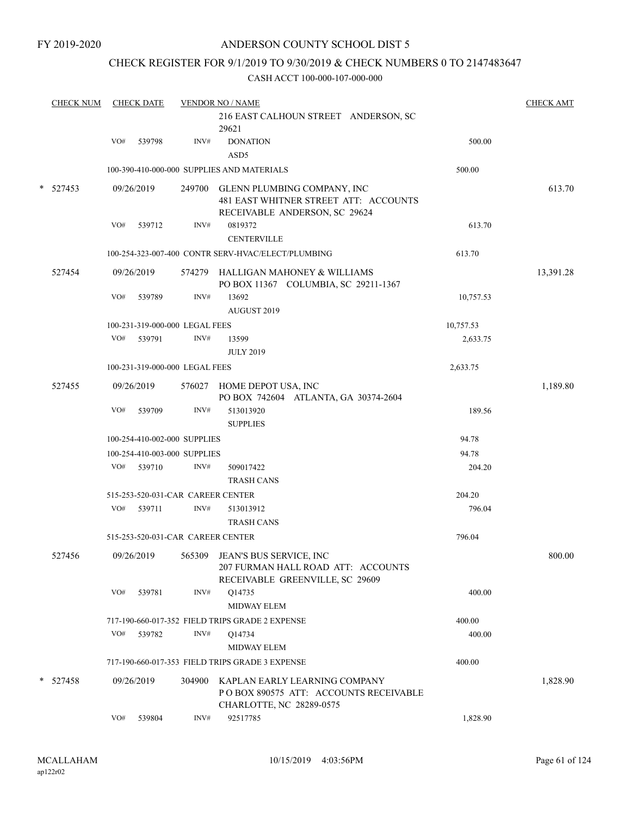### CHECK REGISTER FOR 9/1/2019 TO 9/30/2019 & CHECK NUMBERS 0 TO 2147483647

| <b>CHECK NUM</b> |            | <b>CHECK DATE</b> |            | <b>VENDOR NO / NAME</b>           |                                                                                                              | <b>CHECK AMT</b> |           |
|------------------|------------|-------------------|------------|-----------------------------------|--------------------------------------------------------------------------------------------------------------|------------------|-----------|
|                  |            |                   |            |                                   | 216 EAST CALHOUN STREET ANDERSON, SC<br>29621                                                                |                  |           |
|                  |            | VO#               | 539798     | INV#                              | <b>DONATION</b><br>ASD <sub>5</sub>                                                                          | 500.00           |           |
|                  |            |                   |            |                                   | 100-390-410-000-000 SUPPLIES AND MATERIALS                                                                   | 500.00           |           |
| $\ast$           | 527453     |                   | 09/26/2019 |                                   | 249700 GLENN PLUMBING COMPANY, INC<br>481 EAST WHITNER STREET ATT: ACCOUNTS<br>RECEIVABLE ANDERSON, SC 29624 |                  | 613.70    |
|                  |            | VO#               | 539712     | INV#                              | 0819372<br><b>CENTERVILLE</b>                                                                                | 613.70           |           |
|                  |            |                   |            |                                   | 100-254-323-007-400 CONTR SERV-HVAC/ELECT/PLUMBING                                                           | 613.70           |           |
|                  | 527454     |                   | 09/26/2019 |                                   | 574279 HALLIGAN MAHONEY & WILLIAMS<br>PO BOX 11367 COLUMBIA, SC 29211-1367                                   |                  | 13,391.28 |
|                  |            | VO#               | 539789     | INV#                              | 13692<br>AUGUST 2019                                                                                         | 10,757.53        |           |
|                  |            |                   |            | 100-231-319-000-000 LEGAL FEES    |                                                                                                              | 10,757.53        |           |
|                  |            | VO#               | 539791     | INV#                              | 13599<br><b>JULY 2019</b>                                                                                    | 2,633.75         |           |
|                  |            |                   |            | 100-231-319-000-000 LEGAL FEES    |                                                                                                              | 2,633.75         |           |
|                  | 527455     |                   | 09/26/2019 | 576027                            | HOME DEPOT USA, INC<br>PO BOX 742604 ATLANTA, GA 30374-2604                                                  |                  | 1,189.80  |
|                  |            | VO#               | 539709     | INV#                              | 513013920<br><b>SUPPLIES</b>                                                                                 | 189.56           |           |
|                  |            |                   |            | 100-254-410-002-000 SUPPLIES      |                                                                                                              | 94.78            |           |
|                  |            |                   |            | 100-254-410-003-000 SUPPLIES      |                                                                                                              | 94.78            |           |
|                  |            | VO#               | 539710     | INV#                              | 509017422<br><b>TRASH CANS</b>                                                                               | 204.20           |           |
|                  |            |                   |            | 515-253-520-031-CAR CAREER CENTER |                                                                                                              | 204.20           |           |
|                  |            | VO#               | 539711     | INV#                              | 513013912<br><b>TRASH CANS</b>                                                                               | 796.04           |           |
|                  |            |                   |            | 515-253-520-031-CAR CAREER CENTER |                                                                                                              | 796.04           |           |
|                  | 527456     |                   | 09/26/2019 |                                   | 565309 JEAN'S BUS SERVICE, INC<br>207 FURMAN HALL ROAD ATT: ACCOUNTS<br>RECEIVABLE GREENVILLE, SC 29609      |                  | 800.00    |
|                  |            | VO#               | 539781     | INV#                              | Q14735<br>MIDWAY ELEM                                                                                        | 400.00           |           |
|                  |            |                   |            |                                   | 717-190-660-017-352 FIELD TRIPS GRADE 2 EXPENSE                                                              | 400.00           |           |
|                  |            | VO#               | 539782     | INV#                              | Q14734                                                                                                       | 400.00           |           |
|                  |            |                   |            |                                   | MIDWAY ELEM                                                                                                  |                  |           |
|                  |            |                   |            |                                   | 717-190-660-017-353 FIELD TRIPS GRADE 3 EXPENSE                                                              | 400.00           |           |
|                  | $* 527458$ |                   | 09/26/2019 | 304900                            | KAPLAN EARLY LEARNING COMPANY<br>POBOX 890575 ATT: ACCOUNTS RECEIVABLE<br>CHARLOTTE, NC 28289-0575           |                  | 1,828.90  |
|                  |            | VO#               | 539804     | INV#                              | 92517785                                                                                                     | 1,828.90         |           |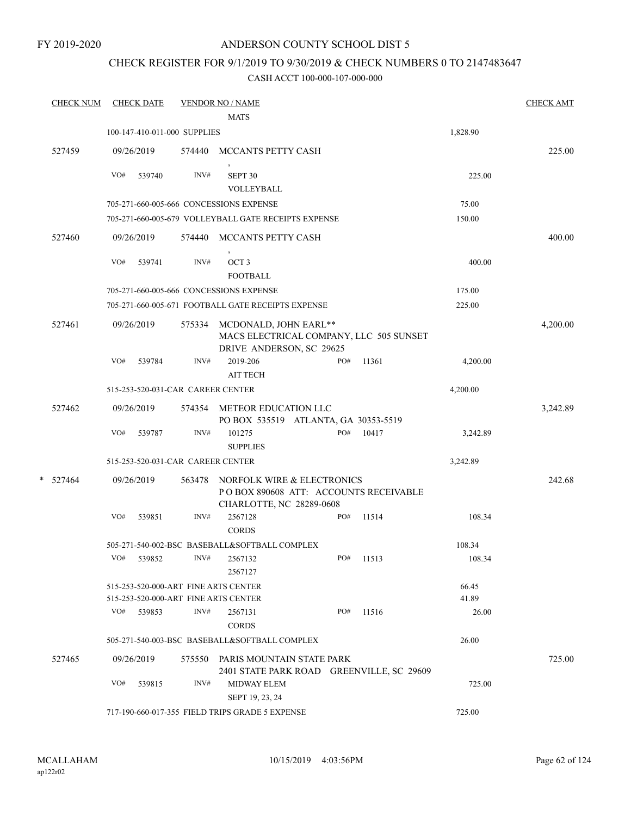FY 2019-2020

### ANDERSON COUNTY SCHOOL DIST 5

### CHECK REGISTER FOR 9/1/2019 TO 9/30/2019 & CHECK NUMBERS 0 TO 2147483647

| <b>CHECK NUM</b> |     | <b>CHECK DATE</b> |                                   | <b>VENDOR NO / NAME</b>                                                                         |     |           |          | <b>CHECK AMT</b> |
|------------------|-----|-------------------|-----------------------------------|-------------------------------------------------------------------------------------------------|-----|-----------|----------|------------------|
|                  |     |                   |                                   | <b>MATS</b>                                                                                     |     |           |          |                  |
|                  |     |                   | 100-147-410-011-000 SUPPLIES      |                                                                                                 |     |           | 1,828.90 |                  |
| 527459           |     | 09/26/2019        | 574440                            | MCCANTS PETTY CASH                                                                              |     |           |          | 225.00           |
|                  | VO# | 539740            | INV#                              | SEPT 30                                                                                         |     |           | 225.00   |                  |
|                  |     |                   |                                   | VOLLEYBALL                                                                                      |     |           |          |                  |
|                  |     |                   |                                   | 705-271-660-005-666 CONCESSIONS EXPENSE                                                         |     |           | 75.00    |                  |
|                  |     |                   |                                   | 705-271-660-005-679 VOLLEYBALL GATE RECEIPTS EXPENSE                                            |     |           | 150.00   |                  |
| 527460           |     | 09/26/2019        | 574440                            | MCCANTS PETTY CASH                                                                              |     |           |          | 400.00           |
|                  | VO# | 539741            | INV#                              | OCT <sub>3</sub><br><b>FOOTBALL</b>                                                             |     |           | 400.00   |                  |
|                  |     |                   |                                   | 705-271-660-005-666 CONCESSIONS EXPENSE                                                         |     |           | 175.00   |                  |
|                  |     |                   |                                   | 705-271-660-005-671 FOOTBALL GATE RECEIPTS EXPENSE                                              |     |           | 225.00   |                  |
| 527461           |     | 09/26/2019        | 575334                            | MCDONALD, JOHN EARL**<br>MACS ELECTRICAL COMPANY, LLC 505 SUNSET<br>DRIVE ANDERSON, SC 29625    |     |           |          | 4,200.00         |
|                  | VO# | 539784            | INV#                              | 2019-206<br><b>AIT TECH</b>                                                                     | PO# | 11361     | 4,200.00 |                  |
|                  |     |                   | 515-253-520-031-CAR CAREER CENTER |                                                                                                 |     |           | 4,200.00 |                  |
| 527462           |     | 09/26/2019        | 574354                            | METEOR EDUCATION LLC<br>PO BOX 535519 ATLANTA, GA 30353-5519                                    |     |           |          | 3,242.89         |
|                  | VO# | 539787            | INV#                              | 101275<br><b>SUPPLIES</b>                                                                       | PO# | 10417     | 3,242.89 |                  |
|                  |     |                   | 515-253-520-031-CAR CAREER CENTER |                                                                                                 |     |           | 3,242.89 |                  |
| $*$ 527464       |     | 09/26/2019        | 563478                            | NORFOLK WIRE & ELECTRONICS<br>POBOX 890608 ATT: ACCOUNTS RECEIVABLE<br>CHARLOTTE, NC 28289-0608 |     |           |          | 242.68           |
|                  | VO# | 539851            | INV#                              | 2567128<br><b>CORDS</b>                                                                         | PO# | 11514     | 108.34   |                  |
|                  |     |                   |                                   | 505-271-540-002-BSC BASEBALL&SOFTBALL COMPLEX                                                   |     |           | 108.34   |                  |
|                  |     | VO# 539852        |                                   | $INV#$ 2567132<br>2567127                                                                       |     | PO# 11513 | 108.34   |                  |
|                  |     |                   |                                   | 515-253-520-000-ART FINE ARTS CENTER                                                            |     |           | 66.45    |                  |
|                  |     |                   |                                   | 515-253-520-000-ART FINE ARTS CENTER                                                            |     |           | 41.89    |                  |
|                  |     | VO# 539853        | INV#                              | 2567131<br><b>CORDS</b>                                                                         | PO# | 11516     | 26.00    |                  |
|                  |     |                   |                                   | 505-271-540-003-BSC BASEBALL&SOFTBALL COMPLEX                                                   |     |           | 26.00    |                  |
| 527465           |     | 09/26/2019        |                                   | 575550 PARIS MOUNTAIN STATE PARK<br>2401 STATE PARK ROAD GREENVILLE, SC 29609                   |     |           |          | 725.00           |
|                  | VO# | 539815            | INV#                              | <b>MIDWAY ELEM</b><br>SEPT 19, 23, 24                                                           |     |           | 725.00   |                  |
|                  |     |                   |                                   | 717-190-660-017-355 FIELD TRIPS GRADE 5 EXPENSE                                                 |     |           | 725.00   |                  |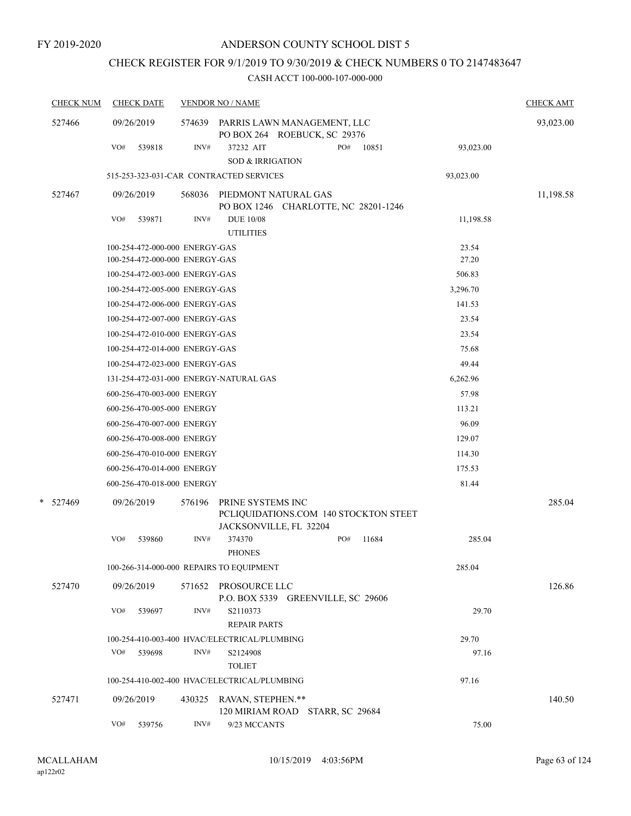# CHECK REGISTER FOR 9/1/2019 TO 9/30/2019 & CHECK NUMBERS 0 TO 2147483647

| <b>CHECK NUM</b> | <b>CHECK DATE</b>                        |                | <b>VENDOR NO / NAME</b>                                      |                        |           | <b>CHECK AMT</b> |
|------------------|------------------------------------------|----------------|--------------------------------------------------------------|------------------------|-----------|------------------|
| 527466           | 09/26/2019                               | 574639         | PARRIS LAWN MANAGEMENT, LLC<br>PO BOX 264 ROEBUCK, SC 29376  |                        |           | 93,023.00        |
|                  | VO#<br>539818                            | INV#           | 37232 AIT<br><b>SOD &amp; IRRIGATION</b>                     | PO#<br>10851           | 93,023.00 |                  |
|                  |                                          |                | 515-253-323-031-CAR CONTRACTED SERVICES                      |                        | 93,023.00 |                  |
| 527467           | 09/26/2019                               | 568036         | PIEDMONT NATURAL GAS<br>PO BOX 1246 CHARLOTTE, NC 28201-1246 |                        |           | 11,198.58        |
|                  | VO#<br>539871                            | INV#           | <b>DUE 10/08</b><br><b>UTILITIES</b>                         |                        | 11,198.58 |                  |
|                  | 100-254-472-000-000 ENERGY-GAS           |                |                                                              |                        | 23.54     |                  |
|                  | 100-254-472-000-000 ENERGY-GAS           |                |                                                              |                        | 27.20     |                  |
|                  | 100-254-472-003-000 ENERGY-GAS           |                |                                                              |                        | 506.83    |                  |
|                  | 100-254-472-005-000 ENERGY-GAS           |                |                                                              |                        | 3,296.70  |                  |
|                  | 100-254-472-006-000 ENERGY-GAS           |                |                                                              |                        | 141.53    |                  |
|                  | 100-254-472-007-000 ENERGY-GAS           |                |                                                              |                        | 23.54     |                  |
|                  | 100-254-472-010-000 ENERGY-GAS           |                |                                                              |                        | 23.54     |                  |
|                  | 100-254-472-014-000 ENERGY-GAS           |                |                                                              |                        | 75.68     |                  |
|                  | 100-254-472-023-000 ENERGY-GAS           |                |                                                              |                        | 49.44     |                  |
|                  | 131-254-472-031-000 ENERGY-NATURAL GAS   |                |                                                              |                        | 6,262.96  |                  |
|                  | 600-256-470-003-000 ENERGY               |                |                                                              |                        | 57.98     |                  |
|                  | 600-256-470-005-000 ENERGY               |                |                                                              |                        | 113.21    |                  |
|                  | 600-256-470-007-000 ENERGY               |                |                                                              |                        | 96.09     |                  |
|                  | 600-256-470-008-000 ENERGY               |                |                                                              |                        | 129.07    |                  |
|                  | 600-256-470-010-000 ENERGY               |                |                                                              |                        | 114.30    |                  |
|                  | 600-256-470-014-000 ENERGY               |                |                                                              |                        | 175.53    |                  |
|                  | 600-256-470-018-000 ENERGY               |                |                                                              |                        | 81.44     |                  |
| * 527469         | 09/26/2019                               | 576196         | PRINE SYSTEMS INC<br>PCLIQUIDATIONS.COM 140 STOCKTON STEET   |                        |           | 285.04           |
|                  |                                          |                | JACKSONVILLE, FL 32204                                       | PO#                    |           |                  |
|                  | VO#<br>539860                            | INV#           | 374370<br><b>PHONES</b>                                      | 11684                  | 285.04    |                  |
|                  | 100-266-314-000-000 REPAIRS TO EQUIPMENT |                |                                                              |                        | 285.04    |                  |
| 527470           | 09/26/2019                               | 571652         | PROSOURCE LLC<br>P.O. BOX 5339 GREENVILLE, SC 29606          |                        |           | 126.86           |
|                  | VO#<br>539697                            | INV#           | S2110373<br><b>REPAIR PARTS</b>                              |                        | 29.70     |                  |
|                  |                                          |                | 100-254-410-003-400 HVAC/ELECTRICAL/PLUMBING                 |                        | 29.70     |                  |
|                  | VO#<br>539698                            | INV#           | S2124908<br><b>TOLIET</b>                                    |                        | 97.16     |                  |
|                  |                                          |                | 100-254-410-002-400 HVAC/ELECTRICAL/PLUMBING                 |                        | 97.16     |                  |
| 527471           | 09/26/2019                               | 430325         | RAVAN, STEPHEN.**<br>120 MIRIAM ROAD                         | <b>STARR, SC 29684</b> |           | 140.50           |
|                  | VO#<br>539756                            | $\text{INV}\#$ | 9/23 MCCANTS                                                 |                        | 75.00     |                  |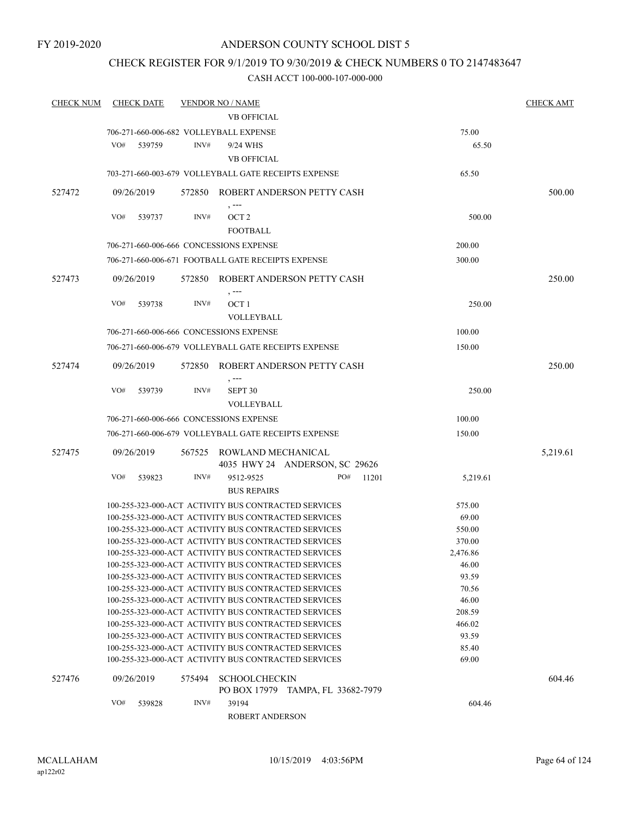### CHECK REGISTER FOR 9/1/2019 TO 9/30/2019 & CHECK NUMBERS 0 TO 2147483647

| <b>CHECK NUM</b> | <b>CHECK DATE</b>                                    |        | <b>VENDOR NO / NAME</b>     |                                   |       |          | <b>CHECK AMT</b> |
|------------------|------------------------------------------------------|--------|-----------------------------|-----------------------------------|-------|----------|------------------|
|                  |                                                      |        | <b>VB OFFICIAL</b>          |                                   |       |          |                  |
|                  | 706-271-660-006-682 VOLLEYBALL EXPENSE               |        |                             |                                   |       | 75.00    |                  |
|                  | VO#<br>539759                                        | INV#   | 9/24 WHS                    |                                   |       | 65.50    |                  |
|                  |                                                      |        | <b>VB OFFICIAL</b>          |                                   |       |          |                  |
|                  | 703-271-660-003-679 VOLLEYBALL GATE RECEIPTS EXPENSE |        |                             |                                   |       | 65.50    |                  |
| 527472           | 09/26/2019                                           |        |                             | 572850 ROBERT ANDERSON PETTY CASH |       |          | 500.00           |
|                  | VO#<br>539737                                        | INV#   | $, --$<br>OCT <sub>2</sub>  |                                   |       | 500.00   |                  |
|                  |                                                      |        | FOOTBALL                    |                                   |       |          |                  |
|                  | 706-271-660-006-666 CONCESSIONS EXPENSE              |        |                             |                                   |       |          |                  |
|                  |                                                      |        |                             |                                   |       | 200.00   |                  |
|                  | 706-271-660-006-671 FOOTBALL GATE RECEIPTS EXPENSE   |        |                             |                                   |       | 300.00   |                  |
| 527473           | 09/26/2019                                           |        |                             | 572850 ROBERT ANDERSON PETTY CASH |       |          | 250.00           |
|                  | VO#<br>539738                                        | INV#   | $, -- -$<br>OCT 1           |                                   |       | 250.00   |                  |
|                  |                                                      |        | VOLLEYBALL                  |                                   |       |          |                  |
|                  | 706-271-660-006-666 CONCESSIONS EXPENSE              |        |                             |                                   |       | 100.00   |                  |
|                  | 706-271-660-006-679 VOLLEYBALL GATE RECEIPTS EXPENSE |        |                             |                                   |       | 150.00   |                  |
|                  |                                                      |        |                             |                                   |       |          |                  |
| 527474           | 09/26/2019                                           |        |                             | 572850 ROBERT ANDERSON PETTY CASH |       |          | 250.00           |
|                  | VO#<br>539739                                        | INV#   | , ---<br>SEPT <sub>30</sub> |                                   |       | 250.00   |                  |
|                  |                                                      |        | <b>VOLLEYBALL</b>           |                                   |       |          |                  |
|                  | 706-271-660-006-666 CONCESSIONS EXPENSE              |        |                             |                                   |       | 100.00   |                  |
|                  | 706-271-660-006-679 VOLLEYBALL GATE RECEIPTS EXPENSE |        |                             |                                   |       | 150.00   |                  |
| 527475           | 09/26/2019                                           |        | 567525 ROWLAND MECHANICAL   |                                   |       |          | 5,219.61         |
|                  |                                                      |        |                             | 4035 HWY 24 ANDERSON, SC 29626    |       |          |                  |
|                  | VO#<br>539823                                        | INV#   | 9512-9525                   | PO#                               | 11201 | 5,219.61 |                  |
|                  |                                                      |        | <b>BUS REPAIRS</b>          |                                   |       |          |                  |
|                  | 100-255-323-000-ACT ACTIVITY BUS CONTRACTED SERVICES |        |                             |                                   |       | 575.00   |                  |
|                  | 100-255-323-000-ACT ACTIVITY BUS CONTRACTED SERVICES |        |                             |                                   |       | 69.00    |                  |
|                  | 100-255-323-000-ACT ACTIVITY BUS CONTRACTED SERVICES |        |                             |                                   |       | 550.00   |                  |
|                  | 100-255-323-000-ACT ACTIVITY BUS CONTRACTED SERVICES |        |                             |                                   |       | 370.00   |                  |
|                  | 100-255-323-000-ACT ACTIVITY BUS CONTRACTED SERVICES |        |                             |                                   |       | 2,476.86 |                  |
|                  | 100-255-323-000-ACT ACTIVITY BUS CONTRACTED SERVICES |        |                             |                                   |       | 46.00    |                  |
|                  | 100-255-323-000-ACT ACTIVITY BUS CONTRACTED SERVICES |        |                             |                                   |       | 93.59    |                  |
|                  | 100-255-323-000-ACT ACTIVITY BUS CONTRACTED SERVICES |        |                             |                                   |       | 70.56    |                  |
|                  | 100-255-323-000-ACT ACTIVITY BUS CONTRACTED SERVICES |        |                             |                                   |       | 46.00    |                  |
|                  | 100-255-323-000-ACT ACTIVITY BUS CONTRACTED SERVICES |        |                             |                                   |       | 208.59   |                  |
|                  | 100-255-323-000-ACT ACTIVITY BUS CONTRACTED SERVICES |        |                             |                                   |       | 466.02   |                  |
|                  | 100-255-323-000-ACT ACTIVITY BUS CONTRACTED SERVICES |        |                             |                                   |       | 93.59    |                  |
|                  | 100-255-323-000-ACT ACTIVITY BUS CONTRACTED SERVICES |        |                             |                                   |       | 85.40    |                  |
|                  | 100-255-323-000-ACT ACTIVITY BUS CONTRACTED SERVICES |        |                             |                                   |       | 69.00    |                  |
| 527476           | 09/26/2019                                           | 575494 | <b>SCHOOLCHECKIN</b>        |                                   |       |          | 604.46           |
|                  |                                                      |        |                             | PO BOX 17979 TAMPA, FL 33682-7979 |       |          |                  |
|                  | VO#<br>539828                                        | INV#   | 39194                       |                                   |       | 604.46   |                  |
|                  |                                                      |        | ROBERT ANDERSON             |                                   |       |          |                  |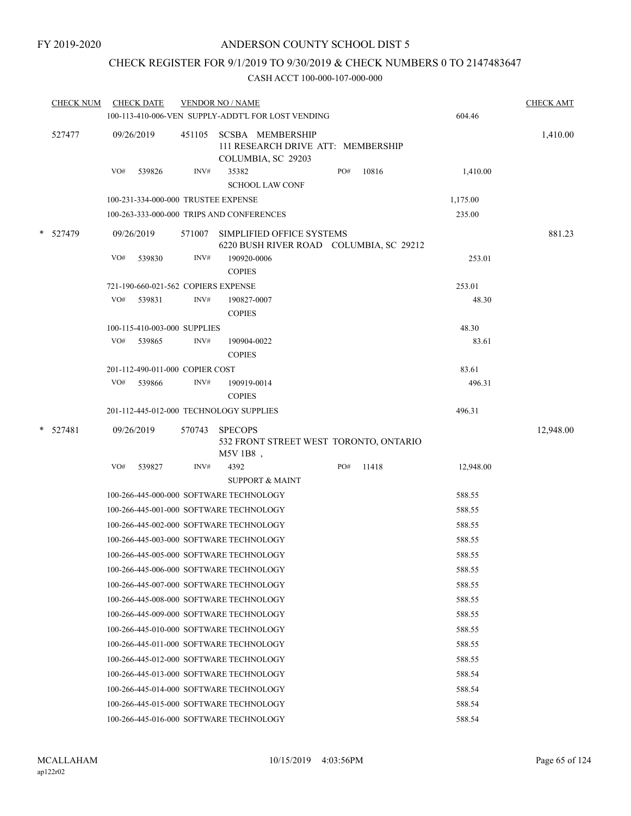### CHECK REGISTER FOR 9/1/2019 TO 9/30/2019 & CHECK NUMBERS 0 TO 2147483647

| <b>CHECK NUM</b> |     | <b>CHECK DATE</b>                   |        | <b>VENDOR NO / NAME</b><br>100-113-410-006-VEN SUPPLY-ADDT'L FOR LOST VENDING |     |       | 604.46    | <b>CHECK AMT</b> |
|------------------|-----|-------------------------------------|--------|-------------------------------------------------------------------------------|-----|-------|-----------|------------------|
|                  |     |                                     |        |                                                                               |     |       |           |                  |
| 527477           |     | 09/26/2019                          | 451105 | SCSBA MEMBERSHIP<br>111 RESEARCH DRIVE ATT: MEMBERSHIP<br>COLUMBIA, SC 29203  |     |       |           | 1,410.00         |
|                  | VO# | 539826                              | INV#   | 35382<br><b>SCHOOL LAW CONF</b>                                               | PO# | 10816 | 1,410.00  |                  |
|                  |     | 100-231-334-000-000 TRUSTEE EXPENSE |        |                                                                               |     |       | 1,175.00  |                  |
|                  |     |                                     |        | 100-263-333-000-000 TRIPS AND CONFERENCES                                     |     |       | 235.00    |                  |
|                  |     |                                     |        |                                                                               |     |       |           |                  |
| * 527479         |     | 09/26/2019                          | 571007 | SIMPLIFIED OFFICE SYSTEMS<br>6220 BUSH RIVER ROAD COLUMBIA, SC 29212          |     |       |           | 881.23           |
|                  | VO# | 539830                              | INV#   | 190920-0006<br><b>COPIES</b>                                                  |     |       | 253.01    |                  |
|                  |     | 721-190-660-021-562 COPIERS EXPENSE |        |                                                                               |     |       | 253.01    |                  |
|                  | VO# | 539831                              | INV#   | 190827-0007<br><b>COPIES</b>                                                  |     |       | 48.30     |                  |
|                  |     | 100-115-410-003-000 SUPPLIES        |        |                                                                               |     |       | 48.30     |                  |
|                  | VO# | 539865                              | INV#   | 190904-0022<br><b>COPIES</b>                                                  |     |       | 83.61     |                  |
|                  |     | 201-112-490-011-000 COPIER COST     |        |                                                                               |     |       | 83.61     |                  |
|                  | VO# | 539866                              | INV#   | 190919-0014                                                                   |     |       | 496.31    |                  |
|                  |     |                                     |        | <b>COPIES</b>                                                                 |     |       |           |                  |
|                  |     |                                     |        | 201-112-445-012-000 TECHNOLOGY SUPPLIES                                       |     |       | 496.31    |                  |
| $*$ 527481       |     | 09/26/2019                          | 570743 | <b>SPECOPS</b>                                                                |     |       |           | 12,948.00        |
|                  |     |                                     |        | 532 FRONT STREET WEST TORONTO, ONTARIO                                        |     |       |           |                  |
|                  |     |                                     |        | $M5V1B8$ ,                                                                    |     |       |           |                  |
|                  | VO# | 539827                              | INV#   | 4392                                                                          | PO# | 11418 | 12,948.00 |                  |
|                  |     |                                     |        | <b>SUPPORT &amp; MAINT</b>                                                    |     |       |           |                  |
|                  |     |                                     |        | 100-266-445-000-000 SOFTWARE TECHNOLOGY                                       |     |       | 588.55    |                  |
|                  |     |                                     |        | 100-266-445-001-000 SOFTWARE TECHNOLOGY                                       |     |       | 588.55    |                  |
|                  |     |                                     |        | 100-266-445-002-000 SOFTWARE TECHNOLOGY                                       |     |       | 588.55    |                  |
|                  |     |                                     |        | 100-266-445-003-000 SOFTWARE TECHNOLOGY                                       |     |       | 588.55    |                  |
|                  |     |                                     |        | 100-266-445-005-000 SOFTWARE TECHNOLOGY                                       |     |       | 588.55    |                  |
|                  |     |                                     |        | 100-266-445-006-000 SOFTWARE TECHNOLOGY                                       |     |       | 588.55    |                  |
|                  |     |                                     |        | 100-266-445-007-000 SOFTWARE TECHNOLOGY                                       |     |       | 588.55    |                  |
|                  |     |                                     |        | 100-266-445-008-000 SOFTWARE TECHNOLOGY                                       |     |       | 588.55    |                  |
|                  |     |                                     |        | 100-266-445-009-000 SOFTWARE TECHNOLOGY                                       |     |       | 588.55    |                  |
|                  |     |                                     |        | 100-266-445-010-000 SOFTWARE TECHNOLOGY                                       |     |       | 588.55    |                  |
|                  |     |                                     |        | 100-266-445-011-000 SOFTWARE TECHNOLOGY                                       |     |       | 588.55    |                  |
|                  |     |                                     |        | 100-266-445-012-000 SOFTWARE TECHNOLOGY                                       |     |       | 588.55    |                  |
|                  |     |                                     |        | 100-266-445-013-000 SOFTWARE TECHNOLOGY                                       |     |       | 588.54    |                  |
|                  |     |                                     |        | 100-266-445-014-000 SOFTWARE TECHNOLOGY                                       |     |       | 588.54    |                  |
|                  |     |                                     |        | 100-266-445-015-000 SOFTWARE TECHNOLOGY                                       |     |       | 588.54    |                  |
|                  |     |                                     |        | 100-266-445-016-000 SOFTWARE TECHNOLOGY                                       |     |       | 588.54    |                  |
|                  |     |                                     |        |                                                                               |     |       |           |                  |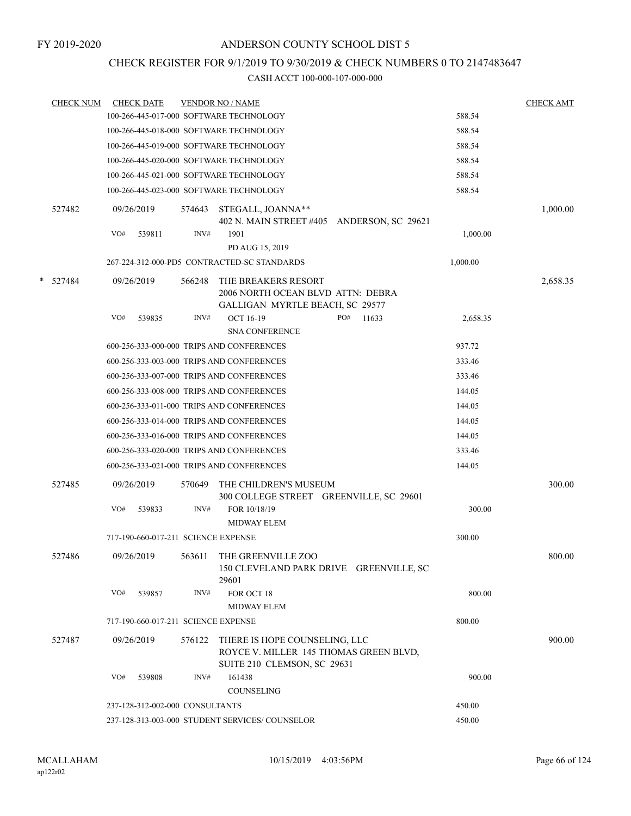### CHECK REGISTER FOR 9/1/2019 TO 9/30/2019 & CHECK NUMBERS 0 TO 2147483647

|   | <b>CHECK NUM</b> | <b>CHECK DATE</b>                         |        | <b>VENDOR NO / NAME</b>                                                                                       |          | <b>CHECK AMT</b> |
|---|------------------|-------------------------------------------|--------|---------------------------------------------------------------------------------------------------------------|----------|------------------|
|   |                  | 100-266-445-017-000 SOFTWARE TECHNOLOGY   |        |                                                                                                               | 588.54   |                  |
|   |                  | 100-266-445-018-000 SOFTWARE TECHNOLOGY   |        |                                                                                                               | 588.54   |                  |
|   |                  | 100-266-445-019-000 SOFTWARE TECHNOLOGY   |        |                                                                                                               | 588.54   |                  |
|   |                  | 100-266-445-020-000 SOFTWARE TECHNOLOGY   |        |                                                                                                               | 588.54   |                  |
|   |                  | 100-266-445-021-000 SOFTWARE TECHNOLOGY   |        |                                                                                                               | 588.54   |                  |
|   |                  |                                           |        | 100-266-445-023-000 SOFTWARE TECHNOLOGY                                                                       | 588.54   |                  |
|   | 527482           | 09/26/2019                                | 574643 | STEGALL, JOANNA**<br>402 N. MAIN STREET #405 ANDERSON, SC 29621                                               |          | 1,000.00         |
|   |                  | VO#<br>539811                             | INV#   | 1901<br>PD AUG 15, 2019                                                                                       | 1,000.00 |                  |
|   |                  |                                           |        | 267-224-312-000-PD5 CONTRACTED-SC STANDARDS                                                                   | 1,000.00 |                  |
| * | 527484           | 09/26/2019                                | 566248 | THE BREAKERS RESORT<br>2006 NORTH OCEAN BLVD ATTN: DEBRA<br>GALLIGAN MYRTLE BEACH, SC 29577                   |          | 2,658.35         |
|   |                  | VO#<br>539835                             | INV#   | <b>OCT 16-19</b><br>PO#<br>11633                                                                              | 2,658.35 |                  |
|   |                  |                                           |        | <b>SNA CONFERENCE</b>                                                                                         |          |                  |
|   |                  | 600-256-333-000-000 TRIPS AND CONFERENCES |        |                                                                                                               | 937.72   |                  |
|   |                  |                                           |        | 600-256-333-003-000 TRIPS AND CONFERENCES                                                                     | 333.46   |                  |
|   |                  |                                           |        | 600-256-333-007-000 TRIPS AND CONFERENCES                                                                     | 333.46   |                  |
|   |                  |                                           |        | 600-256-333-008-000 TRIPS AND CONFERENCES                                                                     | 144.05   |                  |
|   |                  | 600-256-333-011-000 TRIPS AND CONFERENCES |        |                                                                                                               | 144.05   |                  |
|   |                  |                                           |        | 600-256-333-014-000 TRIPS AND CONFERENCES                                                                     | 144.05   |                  |
|   |                  |                                           |        | 600-256-333-016-000 TRIPS AND CONFERENCES                                                                     | 144.05   |                  |
|   |                  |                                           |        | 600-256-333-020-000 TRIPS AND CONFERENCES                                                                     | 333.46   |                  |
|   |                  | 600-256-333-021-000 TRIPS AND CONFERENCES |        |                                                                                                               | 144.05   |                  |
|   | 527485           | 09/26/2019                                | 570649 | THE CHILDREN'S MUSEUM<br>300 COLLEGE STREET GREENVILLE, SC 29601                                              |          | 300.00           |
|   |                  | VO#<br>539833                             | INV#   | FOR 10/18/19<br><b>MIDWAY ELEM</b>                                                                            | 300.00   |                  |
|   |                  | 717-190-660-017-211 SCIENCE EXPENSE       |        |                                                                                                               | 300.00   |                  |
|   | 527486           | 09/26/2019                                |        | 563611 THE GREENVILLE ZOO<br>150 CLEVELAND PARK DRIVE GREENVILLE, SC<br>29601                                 |          | 800.00           |
|   |                  | VO#<br>539857                             | INV#   | FOR OCT 18<br><b>MIDWAY ELEM</b>                                                                              | 800.00   |                  |
|   |                  | 717-190-660-017-211 SCIENCE EXPENSE       |        |                                                                                                               | 800.00   |                  |
|   | 527487           | 09/26/2019                                |        | 576122 THERE IS HOPE COUNSELING, LLC<br>ROYCE V. MILLER 145 THOMAS GREEN BLVD,<br>SUITE 210 CLEMSON, SC 29631 |          | 900.00           |
|   |                  | VO#<br>539808                             | INV#   | 161438                                                                                                        | 900.00   |                  |
|   |                  |                                           |        | COUNSELING                                                                                                    |          |                  |
|   |                  | 237-128-312-002-000 CONSULTANTS           |        |                                                                                                               | 450.00   |                  |
|   |                  |                                           |        | 237-128-313-003-000 STUDENT SERVICES/COUNSELOR                                                                | 450.00   |                  |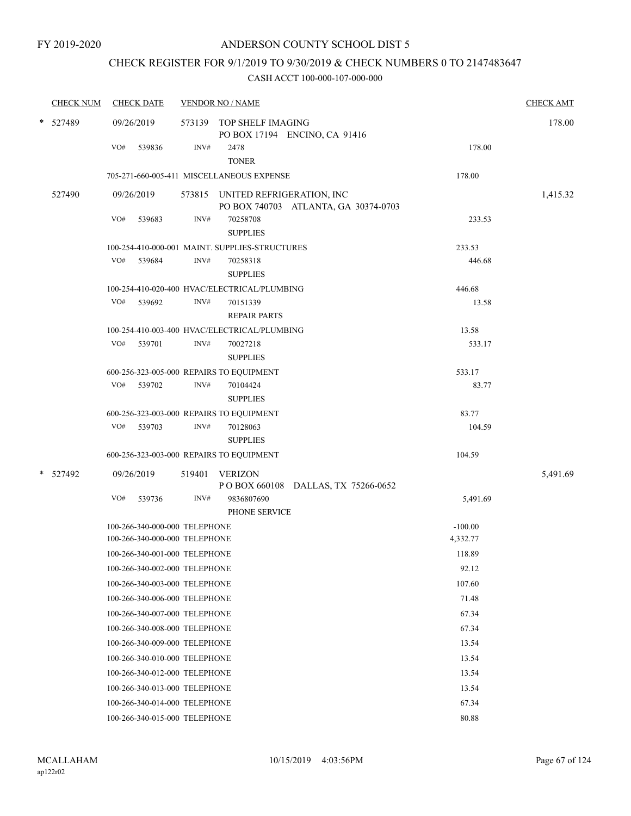# CHECK REGISTER FOR 9/1/2019 TO 9/30/2019 & CHECK NUMBERS 0 TO 2147483647

| <b>CHECK NUM</b> | <b>CHECK DATE</b>                                              | <b>VENDOR NO / NAME</b>                                                  |                       | <b>CHECK AMT</b> |
|------------------|----------------------------------------------------------------|--------------------------------------------------------------------------|-----------------------|------------------|
| * 527489         | 09/26/2019                                                     | 573139 TOP SHELF IMAGING<br>PO BOX 17194 ENCINO, CA 91416                |                       | 178.00           |
|                  | VO#<br>539836                                                  | INV#<br>2478<br><b>TONER</b>                                             | 178.00                |                  |
|                  |                                                                | 705-271-660-005-411 MISCELLANEOUS EXPENSE                                | 178.00                |                  |
| 527490           | 09/26/2019                                                     | 573815 UNITED REFRIGERATION, INC<br>PO BOX 740703 ATLANTA, GA 30374-0703 |                       | 1,415.32         |
|                  | VO#<br>539683                                                  | INV#<br>70258708<br><b>SUPPLIES</b>                                      | 233.53                |                  |
|                  |                                                                | 100-254-410-000-001 MAINT. SUPPLIES-STRUCTURES                           | 233.53                |                  |
|                  | VO#<br>539684                                                  | INV#<br>70258318<br><b>SUPPLIES</b>                                      | 446.68                |                  |
|                  |                                                                | 100-254-410-020-400 HVAC/ELECTRICAL/PLUMBING                             | 446.68                |                  |
|                  | VO# 539692                                                     | INV#<br>70151339<br><b>REPAIR PARTS</b>                                  | 13.58                 |                  |
|                  |                                                                | 100-254-410-003-400 HVAC/ELECTRICAL/PLUMBING                             | 13.58                 |                  |
|                  | VO#<br>539701                                                  | INV#<br>70027218<br><b>SUPPLIES</b>                                      | 533.17                |                  |
|                  |                                                                | 600-256-323-005-000 REPAIRS TO EQUIPMENT                                 | 533.17                |                  |
|                  | VO#<br>539702                                                  | INV#<br>70104424<br><b>SUPPLIES</b>                                      | 83.77                 |                  |
|                  |                                                                | 600-256-323-003-000 REPAIRS TO EQUIPMENT                                 | 83.77                 |                  |
|                  | VO#<br>539703                                                  | INV#<br>70128063<br><b>SUPPLIES</b>                                      | 104.59                |                  |
|                  |                                                                | 600-256-323-003-000 REPAIRS TO EQUIPMENT                                 | 104.59                |                  |
| * 527492         | 09/26/2019                                                     | 519401<br><b>VERIZON</b><br>P O BOX 660108 DALLAS, TX 75266-0652         |                       | 5,491.69         |
|                  | VO#<br>539736                                                  | INV#<br>9836807690<br>PHONE SERVICE                                      | 5,491.69              |                  |
|                  | 100-266-340-000-000 TELEPHONE<br>100-266-340-000-000 TELEPHONE |                                                                          | $-100.00$<br>4,332.77 |                  |
|                  | 100-266-340-001-000 TELEPHONE                                  |                                                                          | 118.89                |                  |
|                  | 100-266-340-002-000 TELEPHONE                                  |                                                                          | 92.12                 |                  |
|                  | 100-266-340-003-000 TELEPHONE                                  |                                                                          | 107.60                |                  |
|                  | 100-266-340-006-000 TELEPHONE                                  |                                                                          | 71.48                 |                  |
|                  | 100-266-340-007-000 TELEPHONE                                  |                                                                          | 67.34                 |                  |
|                  | 100-266-340-008-000 TELEPHONE                                  |                                                                          | 67.34                 |                  |
|                  | 100-266-340-009-000 TELEPHONE                                  |                                                                          | 13.54                 |                  |
|                  | 100-266-340-010-000 TELEPHONE                                  |                                                                          | 13.54                 |                  |
|                  | 100-266-340-012-000 TELEPHONE                                  |                                                                          | 13.54                 |                  |
|                  | 100-266-340-013-000 TELEPHONE                                  |                                                                          | 13.54                 |                  |
|                  | 100-266-340-014-000 TELEPHONE                                  |                                                                          | 67.34                 |                  |
|                  | 100-266-340-015-000 TELEPHONE                                  |                                                                          | 80.88                 |                  |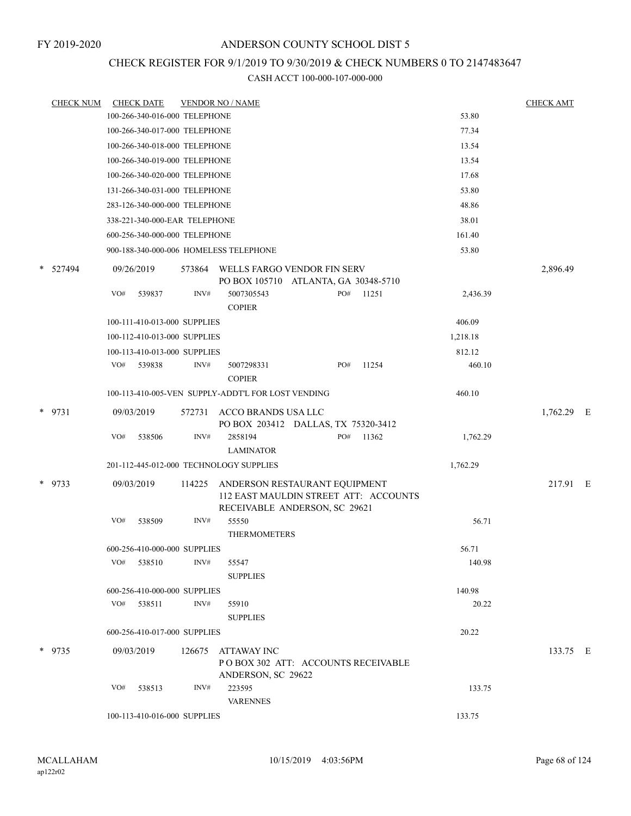# CHECK REGISTER FOR 9/1/2019 TO 9/30/2019 & CHECK NUMBERS 0 TO 2147483647

| <b>CHECK NUM</b> |     | <b>CHECK DATE</b> |                               | <b>VENDOR NO / NAME</b>                                                                                 |     |       |          | <b>CHECK AMT</b> |  |
|------------------|-----|-------------------|-------------------------------|---------------------------------------------------------------------------------------------------------|-----|-------|----------|------------------|--|
|                  |     |                   | 100-266-340-016-000 TELEPHONE |                                                                                                         |     |       | 53.80    |                  |  |
|                  |     |                   | 100-266-340-017-000 TELEPHONE |                                                                                                         |     |       | 77.34    |                  |  |
|                  |     |                   | 100-266-340-018-000 TELEPHONE |                                                                                                         |     |       | 13.54    |                  |  |
|                  |     |                   | 100-266-340-019-000 TELEPHONE |                                                                                                         |     |       | 13.54    |                  |  |
|                  |     |                   | 100-266-340-020-000 TELEPHONE |                                                                                                         |     |       | 17.68    |                  |  |
|                  |     |                   | 131-266-340-031-000 TELEPHONE |                                                                                                         |     |       | 53.80    |                  |  |
|                  |     |                   | 283-126-340-000-000 TELEPHONE |                                                                                                         |     |       | 48.86    |                  |  |
|                  |     |                   | 338-221-340-000-EAR TELEPHONE |                                                                                                         |     |       | 38.01    |                  |  |
|                  |     |                   | 600-256-340-000-000 TELEPHONE |                                                                                                         |     |       | 161.40   |                  |  |
|                  |     |                   |                               | 900-188-340-000-006 HOMELESS TELEPHONE                                                                  |     |       | 53.80    |                  |  |
| * 527494         |     | 09/26/2019        | 573864                        | WELLS FARGO VENDOR FIN SERV<br>PO BOX 105710 ATLANTA, GA 30348-5710                                     |     |       |          | 2,896.49         |  |
|                  | VO# | 539837            | INV#                          | 5007305543<br><b>COPIER</b>                                                                             | PO# | 11251 | 2,436.39 |                  |  |
|                  |     |                   | 100-111-410-013-000 SUPPLIES  |                                                                                                         |     |       | 406.09   |                  |  |
|                  |     |                   | 100-112-410-013-000 SUPPLIES  |                                                                                                         |     |       | 1,218.18 |                  |  |
|                  |     |                   | 100-113-410-013-000 SUPPLIES  |                                                                                                         |     |       | 812.12   |                  |  |
|                  | VO# | 539838            | INV#                          | 5007298331<br><b>COPIER</b>                                                                             | PO# | 11254 | 460.10   |                  |  |
|                  |     |                   |                               | 100-113-410-005-VEN SUPPLY-ADDT'L FOR LOST VENDING                                                      |     |       | 460.10   |                  |  |
| * 9731           |     | 09/03/2019        | 572731                        | ACCO BRANDS USA LLC<br>PO BOX 203412 DALLAS, TX 75320-3412                                              |     |       |          | $1,762.29$ E     |  |
|                  | VO# | 538506            | INV#                          | 2858194                                                                                                 | PO# | 11362 | 1,762.29 |                  |  |
|                  |     |                   |                               | <b>LAMINATOR</b>                                                                                        |     |       |          |                  |  |
|                  |     |                   |                               | 201-112-445-012-000 TECHNOLOGY SUPPLIES                                                                 |     |       | 1,762.29 |                  |  |
| * 9733           |     | 09/03/2019        | 114225                        | ANDERSON RESTAURANT EQUIPMENT<br>112 EAST MAULDIN STREET ATT: ACCOUNTS<br>RECEIVABLE ANDERSON, SC 29621 |     |       |          | 217.91 E         |  |
|                  | VO# | 538509            | INV#                          | 55550<br><b>THERMOMETERS</b>                                                                            |     |       | 56.71    |                  |  |
|                  |     |                   | 600-256-410-000-000 SUPPLIES  |                                                                                                         |     |       | 56.71    |                  |  |
|                  | VO# | 538510            | INV#                          | 55547<br><b>SUPPLIES</b>                                                                                |     |       | 140.98   |                  |  |
|                  |     |                   | 600-256-410-000-000 SUPPLIES  |                                                                                                         |     |       | 140.98   |                  |  |
|                  |     | VO# 538511        | INV#                          | 55910<br><b>SUPPLIES</b>                                                                                |     |       | 20.22    |                  |  |
|                  |     |                   | 600-256-410-017-000 SUPPLIES  |                                                                                                         |     |       | 20.22    |                  |  |
| $*$ 9735         |     | 09/03/2019        | 126675                        | ATTAWAY INC<br>PO BOX 302 ATT: ACCOUNTS RECEIVABLE                                                      |     |       |          | 133.75 E         |  |
|                  |     |                   |                               | ANDERSON, SC 29622                                                                                      |     |       |          |                  |  |
|                  | VO# | 538513            | INV#                          | 223595<br><b>VARENNES</b>                                                                               |     |       | 133.75   |                  |  |
|                  |     |                   | 100-113-410-016-000 SUPPLIES  |                                                                                                         |     |       | 133.75   |                  |  |
|                  |     |                   |                               |                                                                                                         |     |       |          |                  |  |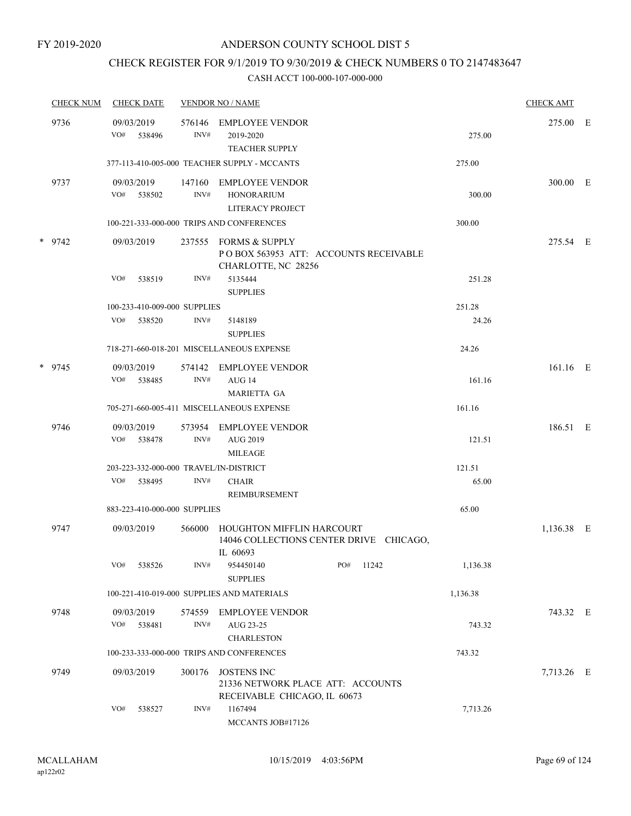### CHECK REGISTER FOR 9/1/2019 TO 9/30/2019 & CHECK NUMBERS 0 TO 2147483647

| <b>CHECK NUM</b> | <b>CHECK DATE</b>                      |                | <b>VENDOR NO / NAME</b>                                                                 |     |       |          | <b>CHECK AMT</b> |  |
|------------------|----------------------------------------|----------------|-----------------------------------------------------------------------------------------|-----|-------|----------|------------------|--|
| 9736             | 09/03/2019<br>VO#<br>538496            | 576146<br>INV# | <b>EMPLOYEE VENDOR</b><br>2019-2020<br><b>TEACHER SUPPLY</b>                            |     |       | 275.00   | 275.00 E         |  |
|                  |                                        |                | 377-113-410-005-000 TEACHER SUPPLY - MCCANTS                                            |     |       | 275.00   |                  |  |
| 9737             | 09/03/2019<br>VO# 538502               | 147160<br>INV# | EMPLOYEE VENDOR<br><b>HONORARIUM</b><br>LITERACY PROJECT                                |     |       | 300.00   | 300.00 E         |  |
|                  |                                        |                | 100-221-333-000-000 TRIPS AND CONFERENCES                                               |     |       | 300.00   |                  |  |
| $*$ 9742         | 09/03/2019                             | 237555         | FORMS & SUPPLY<br>POBOX 563953 ATT: ACCOUNTS RECEIVABLE<br>CHARLOTTE, NC 28256          |     |       |          | 275.54 E         |  |
|                  | VO#<br>538519                          | INV#           | 5135444<br><b>SUPPLIES</b>                                                              |     |       | 251.28   |                  |  |
|                  | 100-233-410-009-000 SUPPLIES           |                |                                                                                         |     |       | 251.28   |                  |  |
|                  | VO#<br>538520                          | INV#           | 5148189<br><b>SUPPLIES</b>                                                              |     |       | 24.26    |                  |  |
|                  |                                        |                | 718-271-660-018-201 MISCELLANEOUS EXPENSE                                               |     |       | 24.26    |                  |  |
| * 9745           | 09/03/2019<br>VO#<br>538485            | 574142<br>INV# | <b>EMPLOYEE VENDOR</b><br>AUG 14<br><b>MARIETTA GA</b>                                  |     |       | 161.16   | $161.16$ E       |  |
|                  |                                        |                | 705-271-660-005-411 MISCELLANEOUS EXPENSE                                               |     |       | 161.16   |                  |  |
| 9746             | 09/03/2019<br>VO#<br>538478            | INV#           | 573954 EMPLOYEE VENDOR<br><b>AUG 2019</b><br><b>MILEAGE</b>                             |     |       | 121.51   | 186.51 E         |  |
|                  | 203-223-332-000-000 TRAVEL/IN-DISTRICT |                |                                                                                         |     |       | 121.51   |                  |  |
|                  | VO#<br>538495                          | INV#           | <b>CHAIR</b><br>REIMBURSEMENT                                                           |     |       | 65.00    |                  |  |
|                  | 883-223-410-000-000 SUPPLIES           |                |                                                                                         |     |       | 65.00    |                  |  |
| 9747             | 09/03/2019                             | 566000         | HOUGHTON MIFFLIN HARCOURT<br>14046 COLLECTIONS CENTER DRIVE CHICAGO,<br>IL 60693        |     |       |          | 1,136.38 E       |  |
|                  | VO#<br>538526                          | INV#           | 954450140<br><b>SUPPLIES</b>                                                            | PO# | 11242 | 1,136.38 |                  |  |
|                  |                                        |                | 100-221-410-019-000 SUPPLIES AND MATERIALS                                              |     |       | 1,136.38 |                  |  |
| 9748             | 09/03/2019<br>VO#<br>538481            | 574559<br>INV# | EMPLOYEE VENDOR<br>AUG 23-25<br><b>CHARLESTON</b>                                       |     |       | 743.32   | 743.32 E         |  |
|                  |                                        |                | 100-233-333-000-000 TRIPS AND CONFERENCES                                               |     |       | 743.32   |                  |  |
| 9749             | 09/03/2019                             | 300176         | <b>JOSTENS INC</b><br>21336 NETWORK PLACE ATT: ACCOUNTS<br>RECEIVABLE CHICAGO, IL 60673 |     |       |          | 7,713.26 E       |  |
|                  | VO#<br>538527                          | INV#           | 1167494<br>MCCANTS JOB#17126                                                            |     |       | 7,713.26 |                  |  |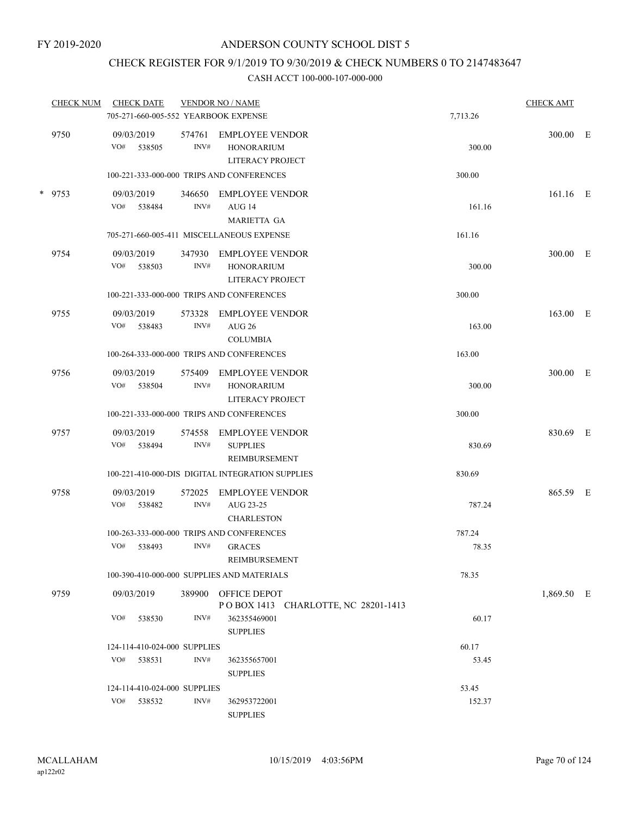## CHECK REGISTER FOR 9/1/2019 TO 9/30/2019 & CHECK NUMBERS 0 TO 2147483647

| <b>CHECK NUM</b> | <b>CHECK DATE</b><br>705-271-660-005-552 YEARBOOK EXPENSE |                | <b>VENDOR NO / NAME</b>                                         | 7,713.26 | <b>CHECK AMT</b> |  |
|------------------|-----------------------------------------------------------|----------------|-----------------------------------------------------------------|----------|------------------|--|
| 9750             | 09/03/2019<br>VO#<br>538505                               | 574761<br>INV# | <b>EMPLOYEE VENDOR</b><br><b>HONORARIUM</b><br>LITERACY PROJECT | 300.00   | 300.00 E         |  |
|                  |                                                           |                | 100-221-333-000-000 TRIPS AND CONFERENCES                       | 300.00   |                  |  |
| * 9753           | 09/03/2019<br>VO# 538484                                  | 346650<br>INV# | <b>EMPLOYEE VENDOR</b><br>AUG 14<br><b>MARIETTA GA</b>          | 161.16   | $161.16$ E       |  |
|                  |                                                           |                | 705-271-660-005-411 MISCELLANEOUS EXPENSE                       | 161.16   |                  |  |
| 9754             | 09/03/2019<br>VO# 538503                                  | 347930<br>INV# | EMPLOYEE VENDOR<br><b>HONORARIUM</b><br>LITERACY PROJECT        | 300.00   | 300.00 E         |  |
|                  |                                                           |                | 100-221-333-000-000 TRIPS AND CONFERENCES                       | 300.00   |                  |  |
| 9755             | 09/03/2019<br>VO#<br>538483                               | 573328<br>INV# | <b>EMPLOYEE VENDOR</b><br><b>AUG 26</b><br><b>COLUMBIA</b>      | 163.00   | 163.00 E         |  |
|                  |                                                           |                | 100-264-333-000-000 TRIPS AND CONFERENCES                       | 163.00   |                  |  |
| 9756             | 09/03/2019<br>VO#<br>538504                               | 575409<br>INV# | <b>EMPLOYEE VENDOR</b><br><b>HONORARIUM</b><br>LITERACY PROJECT | 300.00   | 300.00 E         |  |
|                  |                                                           |                | 100-221-333-000-000 TRIPS AND CONFERENCES                       | 300.00   |                  |  |
| 9757             | 09/03/2019<br>VO#<br>538494                               | 574558<br>INV# | <b>EMPLOYEE VENDOR</b><br><b>SUPPLIES</b><br>REIMBURSEMENT      | 830.69   | 830.69 E         |  |
|                  |                                                           |                | 100-221-410-000-DIS DIGITAL INTEGRATION SUPPLIES                | 830.69   |                  |  |
| 9758             | 09/03/2019<br>VO#<br>538482                               | 572025<br>INV# | <b>EMPLOYEE VENDOR</b><br>AUG 23-25<br><b>CHARLESTON</b>        | 787.24   | 865.59 E         |  |
|                  |                                                           |                | 100-263-333-000-000 TRIPS AND CONFERENCES                       | 787.24   |                  |  |
|                  | VO#<br>538493                                             | INV#           | <b>GRACES</b><br>REIMBURSEMENT                                  | 78.35    |                  |  |
|                  |                                                           |                | 100-390-410-000-000 SUPPLIES AND MATERIALS                      | 78.35    |                  |  |
| 9759             | 09/03/2019                                                |                | 389900 OFFICE DEPOT<br>POBOX 1413 CHARLOTTE, NC 28201-1413      |          | 1,869.50 E       |  |
|                  | VO#<br>538530                                             | INV#           | 362355469001<br><b>SUPPLIES</b>                                 | 60.17    |                  |  |
|                  | 124-114-410-024-000 SUPPLIES                              |                |                                                                 | 60.17    |                  |  |
|                  | VO#<br>538531                                             | INV#           | 362355657001<br><b>SUPPLIES</b>                                 | 53.45    |                  |  |
|                  | 124-114-410-024-000 SUPPLIES                              |                |                                                                 | 53.45    |                  |  |
|                  | VO#<br>538532                                             | INV#           | 362953722001<br><b>SUPPLIES</b>                                 | 152.37   |                  |  |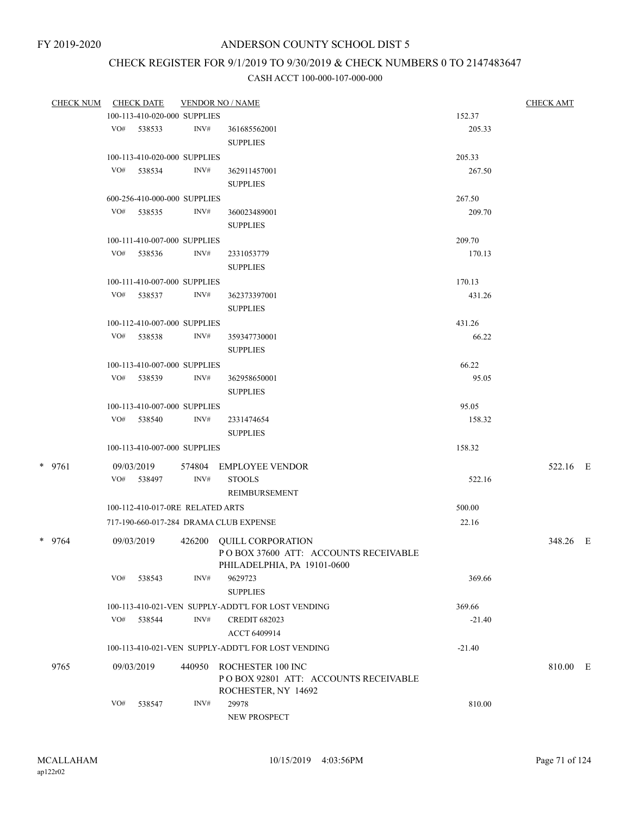# CHECK REGISTER FOR 9/1/2019 TO 9/30/2019 & CHECK NUMBERS 0 TO 2147483647

| <b>CHECK NUM</b> |     | <b>CHECK DATE</b>                |        | <b>VENDOR NO / NAME</b>                                          |          | <b>CHECK AMT</b> |  |
|------------------|-----|----------------------------------|--------|------------------------------------------------------------------|----------|------------------|--|
|                  |     | 100-113-410-020-000 SUPPLIES     |        |                                                                  | 152.37   |                  |  |
|                  |     | VO# 538533                       | INV#   | 361685562001<br><b>SUPPLIES</b>                                  | 205.33   |                  |  |
|                  |     | 100-113-410-020-000 SUPPLIES     |        |                                                                  | 205.33   |                  |  |
|                  |     | VO# 538534                       | INV#   | 362911457001                                                     | 267.50   |                  |  |
|                  |     |                                  |        | <b>SUPPLIES</b>                                                  |          |                  |  |
|                  |     | 600-256-410-000-000 SUPPLIES     |        |                                                                  | 267.50   |                  |  |
|                  |     | VO# 538535                       | INV#   | 360023489001                                                     | 209.70   |                  |  |
|                  |     |                                  |        | <b>SUPPLIES</b>                                                  |          |                  |  |
|                  |     | 100-111-410-007-000 SUPPLIES     |        |                                                                  | 209.70   |                  |  |
|                  |     | VO# 538536                       | INV#   | 2331053779                                                       | 170.13   |                  |  |
|                  |     |                                  |        | <b>SUPPLIES</b>                                                  |          |                  |  |
|                  |     |                                  |        |                                                                  |          |                  |  |
|                  |     | 100-111-410-007-000 SUPPLIES     |        |                                                                  | 170.13   |                  |  |
|                  |     | VO# 538537                       | INV#   | 362373397001<br><b>SUPPLIES</b>                                  | 431.26   |                  |  |
|                  |     | 100-112-410-007-000 SUPPLIES     |        |                                                                  | 431.26   |                  |  |
|                  |     | VO# 538538                       | INV#   | 359347730001                                                     | 66.22    |                  |  |
|                  |     |                                  |        | <b>SUPPLIES</b>                                                  |          |                  |  |
|                  |     | 100-113-410-007-000 SUPPLIES     |        |                                                                  | 66.22    |                  |  |
|                  |     | VO# 538539                       | INV#   | 362958650001                                                     | 95.05    |                  |  |
|                  |     |                                  |        | <b>SUPPLIES</b>                                                  |          |                  |  |
|                  |     | 100-113-410-007-000 SUPPLIES     |        |                                                                  | 95.05    |                  |  |
|                  |     | VO# 538540                       | INV#   | 2331474654                                                       | 158.32   |                  |  |
|                  |     |                                  |        | <b>SUPPLIES</b>                                                  |          |                  |  |
|                  |     | 100-113-410-007-000 SUPPLIES     |        |                                                                  | 158.32   |                  |  |
| $*$ 9761         |     | 09/03/2019                       | 574804 | EMPLOYEE VENDOR                                                  |          | 522.16 E         |  |
|                  |     | VO# 538497                       | INV#   | <b>STOOLS</b>                                                    | 522.16   |                  |  |
|                  |     |                                  |        | REIMBURSEMENT                                                    |          |                  |  |
|                  |     | 100-112-410-017-0RE RELATED ARTS |        |                                                                  | 500.00   |                  |  |
|                  |     |                                  |        | 717-190-660-017-284 DRAMA CLUB EXPENSE                           | 22.16    |                  |  |
|                  |     |                                  |        |                                                                  |          |                  |  |
| * 9764           |     | 09/03/2019                       |        | 426200 QUILL CORPORATION<br>POBOX 37600 ATT: ACCOUNTS RECEIVABLE |          | 348.26 E         |  |
|                  |     |                                  |        | PHILADELPHIA, PA 19101-0600                                      |          |                  |  |
|                  | VO# | 538543                           | INV#   | 9629723                                                          | 369.66   |                  |  |
|                  |     |                                  |        | <b>SUPPLIES</b>                                                  |          |                  |  |
|                  |     |                                  |        | 100-113-410-021-VEN SUPPLY-ADDT'L FOR LOST VENDING               | 369.66   |                  |  |
|                  | VO# | 538544                           | INV#   | <b>CREDIT 682023</b>                                             | $-21.40$ |                  |  |
|                  |     |                                  |        | ACCT 6409914                                                     |          |                  |  |
|                  |     |                                  |        | 100-113-410-021-VEN SUPPLY-ADDT'L FOR LOST VENDING               | $-21.40$ |                  |  |
| 9765             |     | 09/03/2019                       | 440950 | ROCHESTER 100 INC                                                |          | 810.00 E         |  |
|                  |     |                                  |        | POBOX 92801 ATT: ACCOUNTS RECEIVABLE                             |          |                  |  |
|                  |     |                                  |        | ROCHESTER, NY 14692                                              |          |                  |  |
|                  | VO# | 538547                           | INV#   | 29978                                                            | 810.00   |                  |  |
|                  |     |                                  |        | NEW PROSPECT                                                     |          |                  |  |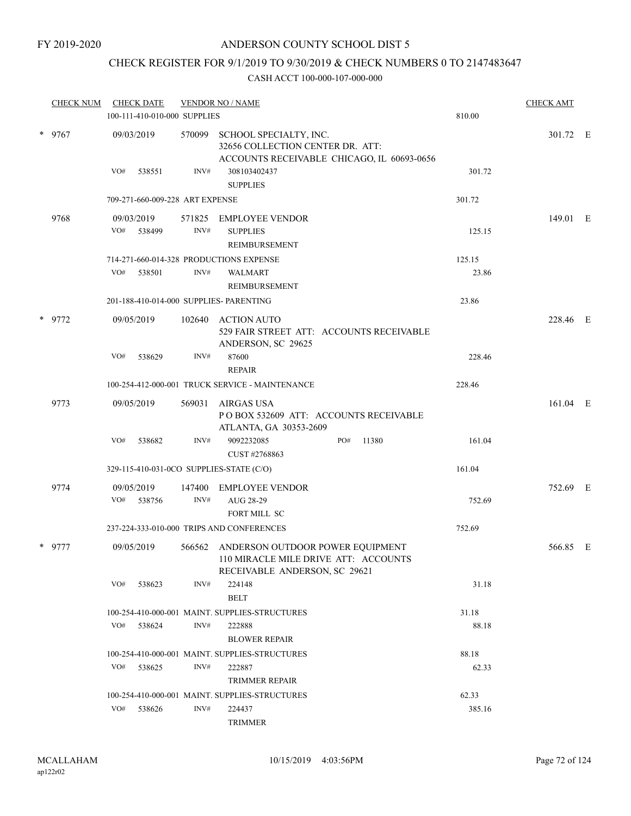### CHECK REGISTER FOR 9/1/2019 TO 9/30/2019 & CHECK NUMBERS 0 TO 2147483647

| <b>CHECK NUM</b> | <b>CHECK DATE</b><br>100-111-410-010-000 SUPPLIES |        | <b>VENDOR NO / NAME</b>                                                                                          | 810.00 | <b>CHECK AMT</b> |  |
|------------------|---------------------------------------------------|--------|------------------------------------------------------------------------------------------------------------------|--------|------------------|--|
| * 9767           | 09/03/2019                                        | 570099 | SCHOOL SPECIALTY, INC.<br>32656 COLLECTION CENTER DR. ATT:<br>ACCOUNTS RECEIVABLE CHICAGO, IL 60693-0656         |        | 301.72 E         |  |
|                  | VO#<br>538551                                     | INV#   | 308103402437<br><b>SUPPLIES</b>                                                                                  | 301.72 |                  |  |
|                  | 709-271-660-009-228 ART EXPENSE                   |        |                                                                                                                  | 301.72 |                  |  |
| 9768             | 09/03/2019<br>VO#<br>538499                       | INV#   | 571825 EMPLOYEE VENDOR<br><b>SUPPLIES</b>                                                                        | 125.15 | 149.01 E         |  |
|                  | 714-271-660-014-328 PRODUCTIONS EXPENSE           |        | REIMBURSEMENT                                                                                                    | 125.15 |                  |  |
|                  | VO#<br>538501                                     | INV#   | <b>WALMART</b><br>REIMBURSEMENT                                                                                  | 23.86  |                  |  |
|                  | 201-188-410-014-000 SUPPLIES- PARENTING           |        |                                                                                                                  | 23.86  |                  |  |
| * 9772           | 09/05/2019                                        |        | 102640 ACTION AUTO<br>529 FAIR STREET ATT: ACCOUNTS RECEIVABLE<br>ANDERSON, SC 29625                             |        | 228.46 E         |  |
|                  | VO#<br>538629                                     | INV#   | 87600<br><b>REPAIR</b>                                                                                           | 228.46 |                  |  |
|                  |                                                   |        | 100-254-412-000-001 TRUCK SERVICE - MAINTENANCE                                                                  | 228.46 |                  |  |
| 9773             | 09/05/2019                                        | 569031 | AIRGAS USA<br>PO BOX 532609 ATT: ACCOUNTS RECEIVABLE<br>ATLANTA, GA 30353-2609                                   |        | 161.04 E         |  |
|                  | VO#<br>538682                                     | INV#   | PO#<br>9092232085<br>11380<br>CUST #2768863                                                                      | 161.04 |                  |  |
|                  | 329-115-410-031-0CO SUPPLIES-STATE (C/O)          |        |                                                                                                                  | 161.04 |                  |  |
| 9774             | 09/05/2019                                        | 147400 | <b>EMPLOYEE VENDOR</b>                                                                                           |        | 752.69 E         |  |
|                  | VO#<br>538756                                     | INV#   | AUG 28-29<br>FORT MILL SC                                                                                        | 752.69 |                  |  |
|                  |                                                   |        | 237-224-333-010-000 TRIPS AND CONFERENCES                                                                        | 752.69 |                  |  |
| $*$ 9777         | 09/05/2019                                        |        | 566562 ANDERSON OUTDOOR POWER EQUIPMENT<br>110 MIRACLE MILE DRIVE ATT: ACCOUNTS<br>RECEIVABLE ANDERSON, SC 29621 |        | 566.85 E         |  |
|                  | VO#<br>538623                                     | INV#   | 224148<br><b>BELT</b>                                                                                            | 31.18  |                  |  |
|                  |                                                   |        | 100-254-410-000-001 MAINT. SUPPLIES-STRUCTURES                                                                   | 31.18  |                  |  |
|                  | VO#<br>538624                                     | INV#   | 222888<br><b>BLOWER REPAIR</b>                                                                                   | 88.18  |                  |  |
|                  |                                                   |        | 100-254-410-000-001 MAINT. SUPPLIES-STRUCTURES                                                                   | 88.18  |                  |  |
|                  | VO#<br>538625                                     | INV#   | 222887<br><b>TRIMMER REPAIR</b>                                                                                  | 62.33  |                  |  |
|                  |                                                   |        | 100-254-410-000-001 MAINT. SUPPLIES-STRUCTURES                                                                   | 62.33  |                  |  |
|                  | VO#<br>538626                                     | INV#   | 224437<br><b>TRIMMER</b>                                                                                         | 385.16 |                  |  |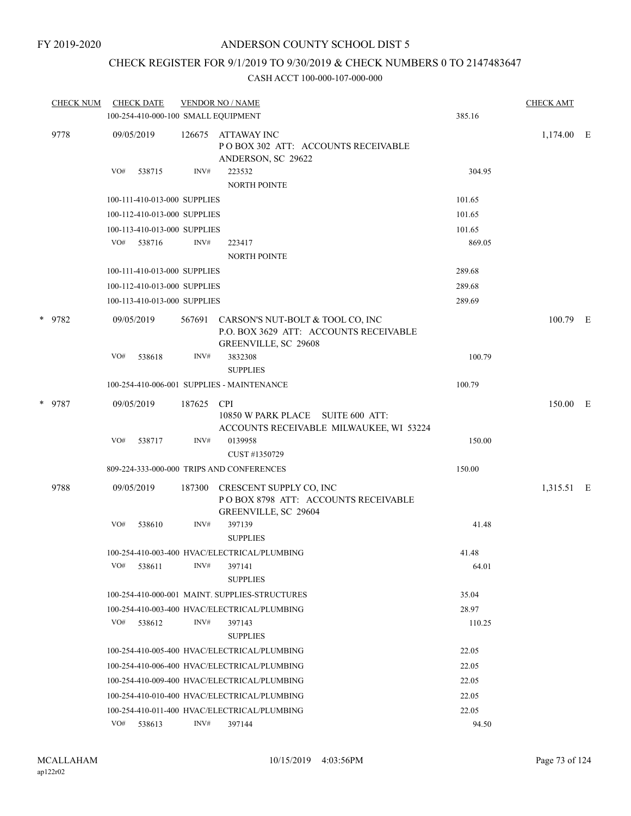### CHECK REGISTER FOR 9/1/2019 TO 9/30/2019 & CHECK NUMBERS 0 TO 2147483647

| <b>CHECK NUM</b> |            | <b>CHECK DATE</b><br>100-254-410-000-100 SMALL EQUIPMENT |        | <b>VENDOR NO / NAME</b>                                                                                   | 385.16 | <b>CHECK AMT</b> |  |
|------------------|------------|----------------------------------------------------------|--------|-----------------------------------------------------------------------------------------------------------|--------|------------------|--|
|                  |            |                                                          |        |                                                                                                           |        |                  |  |
| 9778             | 09/05/2019 |                                                          | 126675 | ATTAWAY INC<br>POBOX 302 ATT: ACCOUNTS RECEIVABLE<br>ANDERSON, SC 29622                                   |        | 1,174.00 E       |  |
|                  | VO#        | 538715                                                   | INV#   | 223532<br>NORTH POINTE                                                                                    | 304.95 |                  |  |
|                  |            | 100-111-410-013-000 SUPPLIES                             |        |                                                                                                           | 101.65 |                  |  |
|                  |            | 100-112-410-013-000 SUPPLIES                             |        |                                                                                                           | 101.65 |                  |  |
|                  |            | 100-113-410-013-000 SUPPLIES                             |        |                                                                                                           | 101.65 |                  |  |
|                  | VO#        | 538716                                                   | INV#   | 223417<br><b>NORTH POINTE</b>                                                                             | 869.05 |                  |  |
|                  |            | 100-111-410-013-000 SUPPLIES                             |        |                                                                                                           | 289.68 |                  |  |
|                  |            | 100-112-410-013-000 SUPPLIES                             |        |                                                                                                           | 289.68 |                  |  |
|                  |            | 100-113-410-013-000 SUPPLIES                             |        |                                                                                                           | 289.69 |                  |  |
| * 9782           | 09/05/2019 |                                                          |        | 567691 CARSON'S NUT-BOLT & TOOL CO, INC<br>P.O. BOX 3629 ATT: ACCOUNTS RECEIVABLE<br>GREENVILLE, SC 29608 |        | 100.79 E         |  |
|                  | VO#        | 538618                                                   | INV#   | 3832308<br><b>SUPPLIES</b>                                                                                | 100.79 |                  |  |
|                  |            |                                                          |        | 100-254-410-006-001 SUPPLIES - MAINTENANCE                                                                | 100.79 |                  |  |
| * 9787           | 09/05/2019 |                                                          | 187625 | <b>CPI</b><br>10850 W PARK PLACE SUITE 600 ATT:<br>ACCOUNTS RECEIVABLE MILWAUKEE, WI 53224                |        | 150.00 E         |  |
|                  | VO#        | 538717                                                   | INV#   | 0139958<br>CUST #1350729                                                                                  | 150.00 |                  |  |
|                  |            |                                                          |        | 809-224-333-000-000 TRIPS AND CONFERENCES                                                                 | 150.00 |                  |  |
|                  |            |                                                          |        |                                                                                                           |        |                  |  |
| 9788             | 09/05/2019 |                                                          | 187300 | CRESCENT SUPPLY CO, INC<br>POBOX 8798 ATT: ACCOUNTS RECEIVABLE<br>GREENVILLE, SC 29604                    |        | 1,315.51 E       |  |
|                  | VO#        | 538610                                                   | INV#   | 397139<br><b>SUPPLIES</b>                                                                                 | 41.48  |                  |  |
|                  |            |                                                          |        | 100-254-410-003-400 HVAC/ELECTRICAL/PLUMBING                                                              | 41.48  |                  |  |
|                  | VO#        | 538611                                                   | INV#   | 397141<br><b>SUPPLIES</b>                                                                                 | 64.01  |                  |  |
|                  |            |                                                          |        | 100-254-410-000-001 MAINT. SUPPLIES-STRUCTURES                                                            | 35.04  |                  |  |
|                  |            |                                                          |        | 100-254-410-003-400 HVAC/ELECTRICAL/PLUMBING                                                              | 28.97  |                  |  |
|                  | VO#        | 538612                                                   | INV#   | 397143<br><b>SUPPLIES</b>                                                                                 | 110.25 |                  |  |
|                  |            |                                                          |        | 100-254-410-005-400 HVAC/ELECTRICAL/PLUMBING                                                              | 22.05  |                  |  |
|                  |            |                                                          |        | 100-254-410-006-400 HVAC/ELECTRICAL/PLUMBING                                                              | 22.05  |                  |  |
|                  |            |                                                          |        | 100-254-410-009-400 HVAC/ELECTRICAL/PLUMBING                                                              | 22.05  |                  |  |
|                  |            |                                                          |        | 100-254-410-010-400 HVAC/ELECTRICAL/PLUMBING                                                              | 22.05  |                  |  |
|                  |            |                                                          |        | 100-254-410-011-400 HVAC/ELECTRICAL/PLUMBING                                                              | 22.05  |                  |  |
|                  | VO#        | 538613                                                   | INV#   | 397144                                                                                                    | 94.50  |                  |  |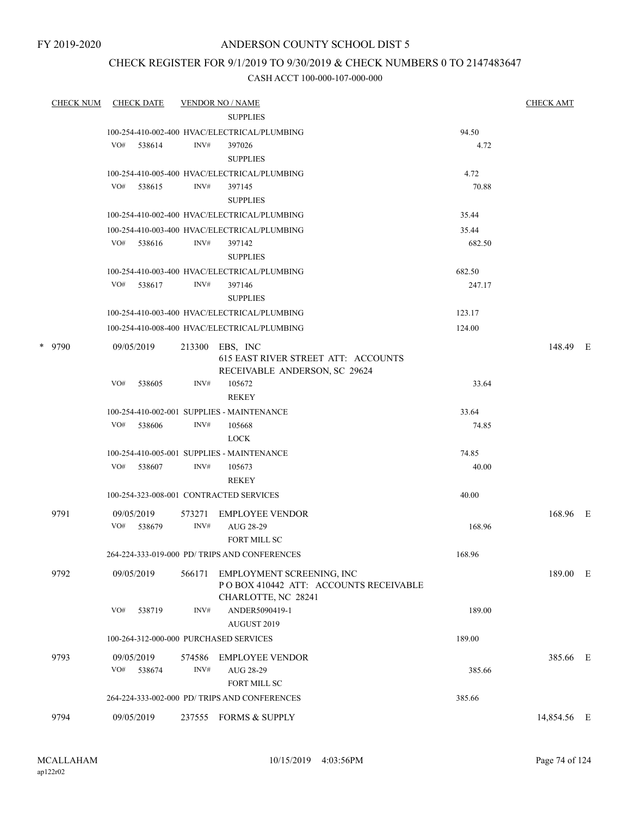FY 2019-2020

### ANDERSON COUNTY SCHOOL DIST 5

### CHECK REGISTER FOR 9/1/2019 TO 9/30/2019 & CHECK NUMBERS 0 TO 2147483647

| <b>CHECK NUM</b> |     | <b>CHECK DATE</b>    |                | <b>VENDOR NO / NAME</b>                                                                    |        | <b>CHECK AMT</b> |  |
|------------------|-----|----------------------|----------------|--------------------------------------------------------------------------------------------|--------|------------------|--|
|                  |     |                      |                | <b>SUPPLIES</b>                                                                            |        |                  |  |
|                  |     |                      |                | 100-254-410-002-400 HVAC/ELECTRICAL/PLUMBING                                               | 94.50  |                  |  |
|                  | VO# | 538614               | INV#           | 397026<br><b>SUPPLIES</b>                                                                  | 4.72   |                  |  |
|                  |     |                      |                | 100-254-410-005-400 HVAC/ELECTRICAL/PLUMBING                                               | 4.72   |                  |  |
|                  |     | VO# 538615           | INV#           | 397145<br><b>SUPPLIES</b>                                                                  | 70.88  |                  |  |
|                  |     |                      |                | 100-254-410-002-400 HVAC/ELECTRICAL/PLUMBING                                               | 35.44  |                  |  |
|                  |     |                      |                | 100-254-410-003-400 HVAC/ELECTRICAL/PLUMBING                                               | 35.44  |                  |  |
|                  | VO# | 538616               | INV#           | 397142<br><b>SUPPLIES</b>                                                                  | 682.50 |                  |  |
|                  |     |                      |                | 100-254-410-003-400 HVAC/ELECTRICAL/PLUMBING                                               | 682.50 |                  |  |
|                  | VO# | 538617               | INV#           | 397146<br><b>SUPPLIES</b>                                                                  | 247.17 |                  |  |
|                  |     |                      |                | 100-254-410-003-400 HVAC/ELECTRICAL/PLUMBING                                               | 123.17 |                  |  |
|                  |     |                      |                | 100-254-410-008-400 HVAC/ELECTRICAL/PLUMBING                                               | 124.00 |                  |  |
| * 9790           |     | 09/05/2019           |                | 213300 EBS, INC<br>615 EAST RIVER STREET ATT: ACCOUNTS<br>RECEIVABLE ANDERSON, SC 29624    |        | 148.49 E         |  |
|                  | VO# | 538605               | INV#           | 105672<br>REKEY                                                                            | 33.64  |                  |  |
|                  |     |                      |                | 100-254-410-002-001 SUPPLIES - MAINTENANCE                                                 | 33.64  |                  |  |
|                  | VO# | 538606               | INV#           | 105668<br><b>LOCK</b>                                                                      | 74.85  |                  |  |
|                  |     |                      |                | 100-254-410-005-001 SUPPLIES - MAINTENANCE                                                 | 74.85  |                  |  |
|                  | VO# | 538607               | INV#           | 105673<br>REKEY                                                                            | 40.00  |                  |  |
|                  |     |                      |                | 100-254-323-008-001 CONTRACTED SERVICES                                                    | 40.00  |                  |  |
| 9791             | VO# | 09/05/2019<br>538679 | 573271<br>INV# | <b>EMPLOYEE VENDOR</b><br>AUG 28-29                                                        | 168.96 | 168.96 E         |  |
|                  |     |                      |                | FORT MILL SC                                                                               |        |                  |  |
|                  |     |                      |                | 264-224-333-019-000 PD/ TRIPS AND CONFERENCES                                              | 168.96 |                  |  |
| 9792             |     | 09/05/2019           | 566171         | EMPLOYMENT SCREENING, INC<br>PO BOX 410442 ATT: ACCOUNTS RECEIVABLE<br>CHARLOTTE, NC 28241 |        | 189.00 E         |  |
|                  | VO# | 538719               | INV#           | ANDER5090419-1<br>AUGUST 2019                                                              | 189.00 |                  |  |
|                  |     |                      |                | 100-264-312-000-000 PURCHASED SERVICES                                                     | 189.00 |                  |  |
| 9793             |     | 09/05/2019           | 574586         | <b>EMPLOYEE VENDOR</b>                                                                     |        | 385.66 E         |  |
|                  | VO# | 538674               | INV#           | AUG 28-29<br>FORT MILL SC                                                                  | 385.66 |                  |  |
|                  |     |                      |                | 264-224-333-002-000 PD/ TRIPS AND CONFERENCES                                              | 385.66 |                  |  |
| 9794             |     | 09/05/2019           |                | 237555 FORMS & SUPPLY                                                                      |        | 14,854.56 E      |  |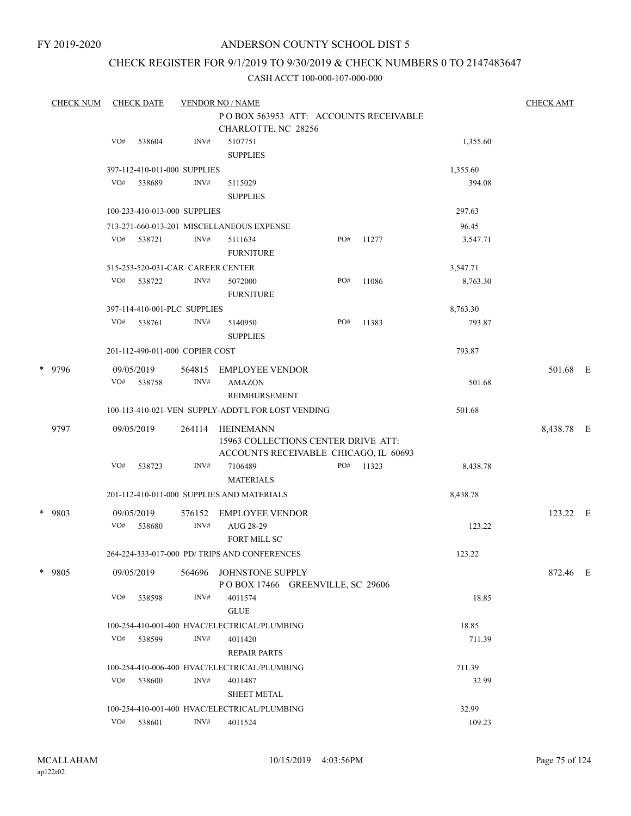### CHECK REGISTER FOR 9/1/2019 TO 9/30/2019 & CHECK NUMBERS 0 TO 2147483647

| <b>CHECK NUM</b> |     | <b>CHECK DATE</b> |                                   | <b>VENDOR NO / NAME</b>                              |     |       |          | <b>CHECK AMT</b> |  |
|------------------|-----|-------------------|-----------------------------------|------------------------------------------------------|-----|-------|----------|------------------|--|
|                  |     |                   |                                   | PO BOX 563953 ATT: ACCOUNTS RECEIVABLE               |     |       |          |                  |  |
|                  |     |                   |                                   | CHARLOTTE, NC 28256                                  |     |       |          |                  |  |
|                  | VO# | 538604            | INV#                              | 5107751                                              |     |       | 1,355.60 |                  |  |
|                  |     |                   |                                   | <b>SUPPLIES</b>                                      |     |       |          |                  |  |
|                  |     |                   | 397-112-410-011-000 SUPPLIES      |                                                      |     |       | 1,355.60 |                  |  |
|                  | VO# | 538689            | INV#                              | 5115029                                              |     |       | 394.08   |                  |  |
|                  |     |                   |                                   | <b>SUPPLIES</b>                                      |     |       |          |                  |  |
|                  |     |                   | 100-233-410-013-000 SUPPLIES      |                                                      |     |       | 297.63   |                  |  |
|                  |     |                   |                                   | 713-271-660-013-201 MISCELLANEOUS EXPENSE            |     |       | 96.45    |                  |  |
|                  |     | VO# 538721        | INV#                              | 5111634                                              | PO# | 11277 | 3,547.71 |                  |  |
|                  |     |                   |                                   | <b>FURNITURE</b>                                     |     |       |          |                  |  |
|                  |     |                   | 515-253-520-031-CAR CAREER CENTER |                                                      |     |       | 3,547.71 |                  |  |
|                  | VO# | 538722            | INV#                              | 5072000                                              | PO# | 11086 | 8,763.30 |                  |  |
|                  |     |                   |                                   | <b>FURNITURE</b>                                     |     |       |          |                  |  |
|                  |     |                   | 397-114-410-001-PLC SUPPLIES      |                                                      |     |       | 8,763.30 |                  |  |
|                  | VO# | 538761            | INV#                              | 5140950                                              | PO# | 11383 | 793.87   |                  |  |
|                  |     |                   |                                   | <b>SUPPLIES</b>                                      |     |       |          |                  |  |
|                  |     |                   | 201-112-490-011-000 COPIER COST   |                                                      |     |       | 793.87   |                  |  |
| * 9796           |     | 09/05/2019        | 564815                            | EMPLOYEE VENDOR                                      |     |       |          | 501.68 E         |  |
|                  |     | VO# 538758        | INV#                              | <b>AMAZON</b>                                        |     |       | 501.68   |                  |  |
|                  |     |                   |                                   | <b>REIMBURSEMENT</b>                                 |     |       |          |                  |  |
|                  |     |                   |                                   | 100-113-410-021-VEN SUPPLY-ADDT'L FOR LOST VENDING   |     |       | 501.68   |                  |  |
| 9797             |     | 09/05/2019        | 264114                            | HEINEMANN                                            |     |       |          | 8,438.78 E       |  |
|                  |     |                   |                                   | 15963 COLLECTIONS CENTER DRIVE ATT:                  |     |       |          |                  |  |
|                  |     |                   |                                   | ACCOUNTS RECEIVABLE CHICAGO, IL 60693                |     |       |          |                  |  |
|                  | VO# | 538723            | INV#                              | 7106489                                              | PO# | 11323 | 8,438.78 |                  |  |
|                  |     |                   |                                   | <b>MATERIALS</b>                                     |     |       |          |                  |  |
|                  |     |                   |                                   | 201-112-410-011-000 SUPPLIES AND MATERIALS           |     |       | 8,438.78 |                  |  |
| * 9803           |     | 09/05/2019        | 576152                            | EMPLOYEE VENDOR                                      |     |       |          | 123.22 E         |  |
|                  | VO# | 538680            | INV#                              | AUG 28-29                                            |     |       | 123.22   |                  |  |
|                  |     |                   |                                   | FORT MILL SC                                         |     |       |          |                  |  |
|                  |     |                   |                                   | 264-224-333-017-000 PD/ TRIPS AND CONFERENCES        |     |       | 123.22   |                  |  |
|                  |     |                   |                                   |                                                      |     |       |          |                  |  |
| * 9805           |     | 09/05/2019        | 564696                            | JOHNSTONE SUPPLY<br>POBOX 17466 GREENVILLE, SC 29606 |     |       |          | 872.46 E         |  |
|                  | VO# | 538598            | INV#                              | 4011574                                              |     |       | 18.85    |                  |  |
|                  |     |                   |                                   | <b>GLUE</b>                                          |     |       |          |                  |  |
|                  |     |                   |                                   | 100-254-410-001-400 HVAC/ELECTRICAL/PLUMBING         |     |       | 18.85    |                  |  |
|                  | VO# | 538599            | INV#                              | 4011420                                              |     |       | 711.39   |                  |  |
|                  |     |                   |                                   | <b>REPAIR PARTS</b>                                  |     |       |          |                  |  |
|                  |     |                   |                                   | 100-254-410-006-400 HVAC/ELECTRICAL/PLUMBING         |     |       | 711.39   |                  |  |
|                  |     | VO# 538600        | INV#                              | 4011487                                              |     |       | 32.99    |                  |  |
|                  |     |                   |                                   | <b>SHEET METAL</b>                                   |     |       |          |                  |  |
|                  |     |                   |                                   | 100-254-410-001-400 HVAC/ELECTRICAL/PLUMBING         |     |       | 32.99    |                  |  |
|                  | VO# | 538601            | INV#                              | 4011524                                              |     |       | 109.23   |                  |  |
|                  |     |                   |                                   |                                                      |     |       |          |                  |  |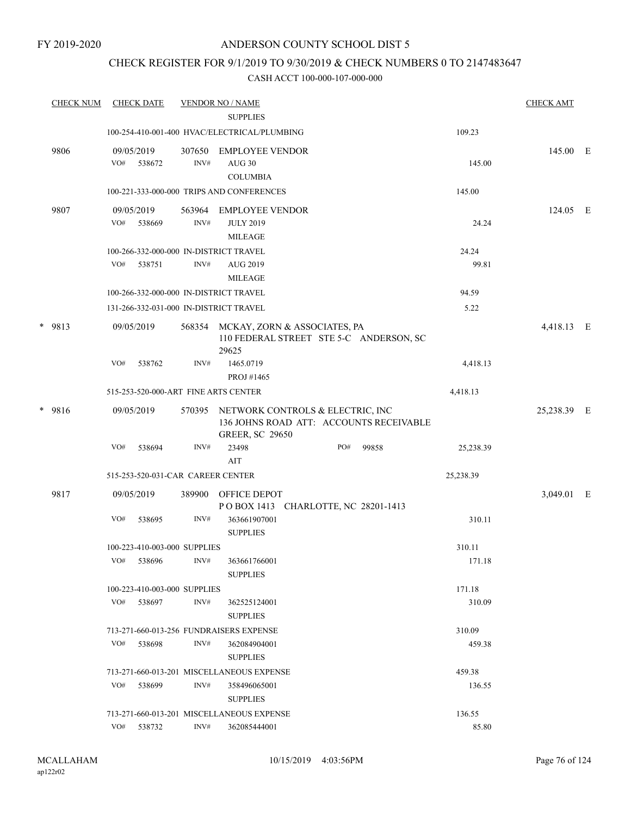### CHECK REGISTER FOR 9/1/2019 TO 9/30/2019 & CHECK NUMBERS 0 TO 2147483647

| <b>CHECK NUM</b> |     | <b>CHECK DATE</b>                 |                | <b>VENDOR NO / NAME</b>                                              |     |                                         |                | <b>CHECK AMT</b> |   |
|------------------|-----|-----------------------------------|----------------|----------------------------------------------------------------------|-----|-----------------------------------------|----------------|------------------|---|
|                  |     |                                   |                | <b>SUPPLIES</b>                                                      |     |                                         |                |                  |   |
|                  |     |                                   |                | 100-254-410-001-400 HVAC/ELECTRICAL/PLUMBING                         |     |                                         | 109.23         |                  |   |
| 9806             | VO# | 09/05/2019<br>538672              | 307650<br>INV# | <b>EMPLOYEE VENDOR</b><br><b>AUG 30</b><br><b>COLUMBIA</b>           |     |                                         | 145.00         | 145.00 E         |   |
|                  |     |                                   |                | 100-221-333-000-000 TRIPS AND CONFERENCES                            |     |                                         | 145.00         |                  |   |
| 9807             | VO# | 09/05/2019<br>538669              | 563964<br>INV# | <b>EMPLOYEE VENDOR</b><br><b>JULY 2019</b>                           |     |                                         | 24.24          | 124.05 E         |   |
|                  |     |                                   |                | <b>MILEAGE</b>                                                       |     |                                         |                |                  |   |
|                  | VO# | 538751                            | INV#           | 100-266-332-000-000 IN-DISTRICT TRAVEL<br>AUG 2019<br><b>MILEAGE</b> |     |                                         | 24.24<br>99.81 |                  |   |
|                  |     |                                   |                | 100-266-332-000-000 IN-DISTRICT TRAVEL                               |     |                                         | 94.59          |                  |   |
|                  |     |                                   |                | 131-266-332-031-000 IN-DISTRICT TRAVEL                               |     |                                         | 5.22           |                  |   |
| * 9813           |     | 09/05/2019                        |                | 568354 MCKAY, ZORN & ASSOCIATES, PA<br>29625                         |     | 110 FEDERAL STREET STE 5-C ANDERSON, SC |                | 4,418.13 E       |   |
|                  | VO# | 538762                            | INV#           | 1465.0719<br>PROJ #1465                                              |     |                                         | 4,418.13       |                  |   |
|                  |     |                                   |                | 515-253-520-000-ART FINE ARTS CENTER                                 |     |                                         | 4,418.13       |                  |   |
| * 9816           |     | 09/05/2019                        | 570395         | NETWORK CONTROLS & ELECTRIC, INC<br><b>GREER, SC 29650</b>           |     | 136 JOHNS ROAD ATT: ACCOUNTS RECEIVABLE |                | 25,238.39 E      |   |
|                  | VO# | 538694                            | INV#           | 23498<br>AIT                                                         | PO# | 99858                                   | 25,238.39      |                  |   |
|                  |     | 515-253-520-031-CAR CAREER CENTER |                |                                                                      |     |                                         | 25,238.39      |                  |   |
| 9817             |     | 09/05/2019                        | 389900         | OFFICE DEPOT<br>POBOX 1413 CHARLOTTE, NC 28201-1413                  |     |                                         |                | 3,049.01         | E |
|                  | VO# | 538695                            | INV#           | 363661907001<br><b>SUPPLIES</b>                                      |     |                                         | 310.11         |                  |   |
|                  |     | 100-223-410-003-000 SUPPLIES      |                |                                                                      |     |                                         | 310.11         |                  |   |
|                  | VO# | 538696                            | INV#           | 363661766001<br><b>SUPPLIES</b>                                      |     |                                         | 171.18         |                  |   |
|                  |     | 100-223-410-003-000 SUPPLIES      |                |                                                                      |     |                                         | 171.18         |                  |   |
|                  |     | VO# 538697                        | INV#           | 362525124001<br><b>SUPPLIES</b>                                      |     |                                         | 310.09         |                  |   |
|                  |     |                                   |                | 713-271-660-013-256 FUNDRAISERS EXPENSE                              |     |                                         | 310.09         |                  |   |
|                  | VO# | 538698                            | INV#           | 362084904001<br><b>SUPPLIES</b>                                      |     |                                         | 459.38         |                  |   |
|                  |     |                                   |                | 713-271-660-013-201 MISCELLANEOUS EXPENSE                            |     |                                         | 459.38         |                  |   |
|                  | VO# | 538699                            | INV#           | 358496065001<br><b>SUPPLIES</b>                                      |     |                                         | 136.55         |                  |   |
|                  |     |                                   |                | 713-271-660-013-201 MISCELLANEOUS EXPENSE                            |     |                                         | 136.55         |                  |   |
|                  |     | VO# 538732                        | INV#           | 362085444001                                                         |     |                                         | 85.80          |                  |   |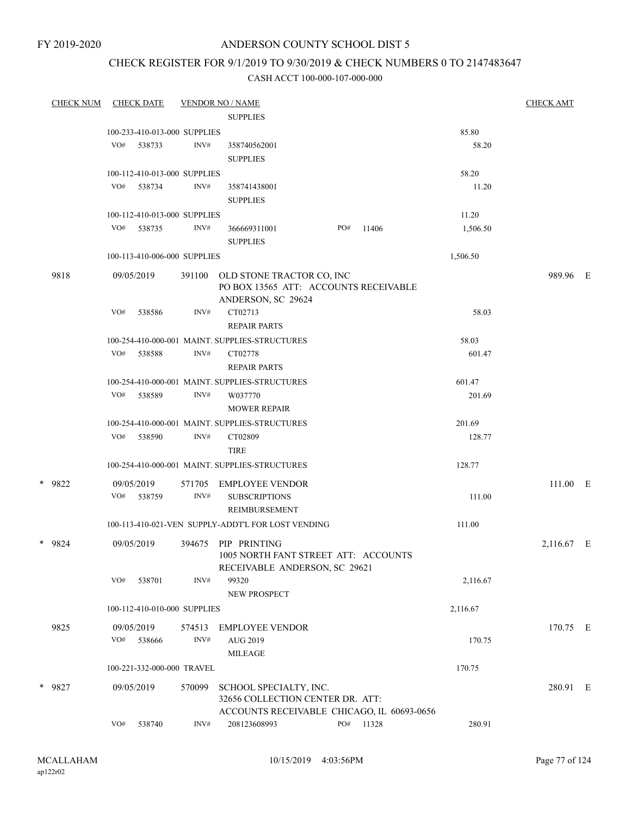FY 2019-2020

### ANDERSON COUNTY SCHOOL DIST 5

### CHECK REGISTER FOR 9/1/2019 TO 9/30/2019 & CHECK NUMBERS 0 TO 2147483647

| <b>CHECK NUM</b> |     | <b>CHECK DATE</b>            |        | <b>VENDOR NO / NAME</b>                                    |     |       |          | <b>CHECK AMT</b> |  |
|------------------|-----|------------------------------|--------|------------------------------------------------------------|-----|-------|----------|------------------|--|
|                  |     |                              |        | <b>SUPPLIES</b>                                            |     |       |          |                  |  |
|                  |     | 100-233-410-013-000 SUPPLIES |        |                                                            |     |       | 85.80    |                  |  |
|                  | VO# | 538733                       | INV#   | 358740562001                                               |     |       | 58.20    |                  |  |
|                  |     |                              |        | <b>SUPPLIES</b>                                            |     |       |          |                  |  |
|                  |     | 100-112-410-013-000 SUPPLIES |        |                                                            |     |       | 58.20    |                  |  |
|                  |     | VO# 538734                   | INV#   | 358741438001                                               |     |       | 11.20    |                  |  |
|                  |     |                              |        | <b>SUPPLIES</b>                                            |     |       |          |                  |  |
|                  |     | 100-112-410-013-000 SUPPLIES |        |                                                            |     |       | 11.20    |                  |  |
|                  | VO# | 538735                       | INV#   | 366669311001                                               | PO# | 11406 | 1,506.50 |                  |  |
|                  |     |                              |        | <b>SUPPLIES</b>                                            |     |       |          |                  |  |
|                  |     | 100-113-410-006-000 SUPPLIES |        |                                                            |     |       | 1,506.50 |                  |  |
| 9818             |     | 09/05/2019                   | 391100 | OLD STONE TRACTOR CO, INC                                  |     |       |          | 989.96 E         |  |
|                  |     |                              |        | PO BOX 13565 ATT: ACCOUNTS RECEIVABLE                      |     |       |          |                  |  |
|                  |     |                              |        | ANDERSON, SC 29624                                         |     |       |          |                  |  |
|                  | VO# | 538586                       | INV#   | CT02713                                                    |     |       | 58.03    |                  |  |
|                  |     |                              |        | <b>REPAIR PARTS</b>                                        |     |       |          |                  |  |
|                  |     |                              |        | 100-254-410-000-001 MAINT. SUPPLIES-STRUCTURES             |     |       | 58.03    |                  |  |
|                  | VO# | 538588                       | INV#   | CT02778                                                    |     |       | 601.47   |                  |  |
|                  |     |                              |        | <b>REPAIR PARTS</b>                                        |     |       |          |                  |  |
|                  |     |                              |        | 100-254-410-000-001 MAINT. SUPPLIES-STRUCTURES             |     |       | 601.47   |                  |  |
|                  | VO# | 538589                       | INV#   | W037770                                                    |     |       | 201.69   |                  |  |
|                  |     |                              |        | <b>MOWER REPAIR</b>                                        |     |       |          |                  |  |
|                  |     |                              |        | 100-254-410-000-001 MAINT. SUPPLIES-STRUCTURES             |     |       | 201.69   |                  |  |
|                  | VO# | 538590                       | INV#   | CT02809                                                    |     |       | 128.77   |                  |  |
|                  |     |                              |        | <b>TIRE</b>                                                |     |       |          |                  |  |
|                  |     |                              |        | 100-254-410-000-001 MAINT. SUPPLIES-STRUCTURES             |     |       | 128.77   |                  |  |
| * 9822           |     | 09/05/2019                   | 571705 | EMPLOYEE VENDOR                                            |     |       |          | 111.00 E         |  |
|                  |     | VO# 538759                   | INV#   | <b>SUBSCRIPTIONS</b>                                       |     |       | 111.00   |                  |  |
|                  |     |                              |        | REIMBURSEMENT                                              |     |       |          |                  |  |
|                  |     |                              |        | 100-113-410-021-VEN SUPPLY-ADDT'L FOR LOST VENDING         |     |       | 111.00   |                  |  |
| * 9824           |     | 09/05/2019                   |        | 394675 PIP PRINTING                                        |     |       |          | 2,116.67 E       |  |
|                  |     |                              |        | 1005 NORTH FANT STREET ATT: ACCOUNTS                       |     |       |          |                  |  |
|                  |     |                              |        | RECEIVABLE ANDERSON, SC 29621                              |     |       |          |                  |  |
|                  | VO# | 538701                       | INV#   | 99320                                                      |     |       | 2,116.67 |                  |  |
|                  |     |                              |        | NEW PROSPECT                                               |     |       |          |                  |  |
|                  |     | 100-112-410-010-000 SUPPLIES |        |                                                            |     |       | 2,116.67 |                  |  |
| 9825             |     | 09/05/2019                   | 574513 | <b>EMPLOYEE VENDOR</b>                                     |     |       |          | 170.75 E         |  |
|                  | VO# | 538666                       | INV#   | AUG 2019                                                   |     |       | 170.75   |                  |  |
|                  |     |                              |        | <b>MILEAGE</b>                                             |     |       |          |                  |  |
|                  |     | 100-221-332-000-000 TRAVEL   |        |                                                            |     |       | 170.75   |                  |  |
|                  |     |                              |        |                                                            |     |       |          |                  |  |
| * 9827           |     | 09/05/2019                   | 570099 | SCHOOL SPECIALTY, INC.<br>32656 COLLECTION CENTER DR. ATT: |     |       |          | 280.91 E         |  |
|                  |     |                              |        | ACCOUNTS RECEIVABLE CHICAGO, IL 60693-0656                 |     |       |          |                  |  |
|                  | VO# | 538740                       | INV#   | 208123608993                                               | PO# | 11328 | 280.91   |                  |  |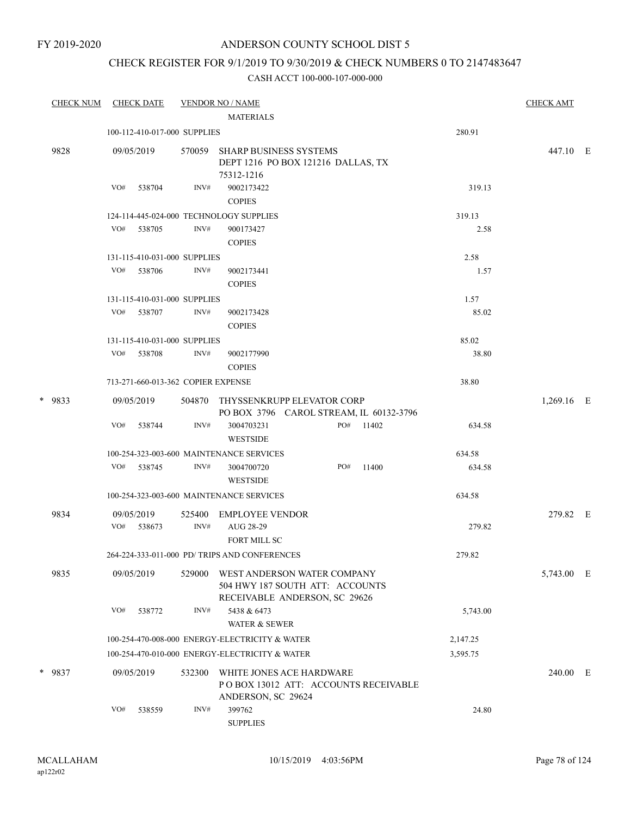FY 2019-2020

### ANDERSON COUNTY SCHOOL DIST 5

### CHECK REGISTER FOR 9/1/2019 TO 9/30/2019 & CHECK NUMBERS 0 TO 2147483647

| <b>CHECK NUM</b> | <b>CHECK DATE</b> |                                    | <b>VENDOR NO / NAME</b>                                                                         |     |           |          | <b>CHECK AMT</b> |  |
|------------------|-------------------|------------------------------------|-------------------------------------------------------------------------------------------------|-----|-----------|----------|------------------|--|
|                  |                   |                                    | <b>MATERIALS</b>                                                                                |     |           |          |                  |  |
|                  |                   | 100-112-410-017-000 SUPPLIES       |                                                                                                 |     |           | 280.91   |                  |  |
| 9828             | 09/05/2019        | 570059                             | <b>SHARP BUSINESS SYSTEMS</b><br>DEPT 1216 PO BOX 121216 DALLAS, TX<br>75312-1216               |     |           |          | 447.10 E         |  |
|                  | VO#<br>538704     | INV#                               | 9002173422<br><b>COPIES</b>                                                                     |     |           | 319.13   |                  |  |
|                  |                   |                                    | 124-114-445-024-000 TECHNOLOGY SUPPLIES                                                         |     |           | 319.13   |                  |  |
|                  | VO#<br>538705     | INV#                               | 900173427<br><b>COPIES</b>                                                                      |     |           | 2.58     |                  |  |
|                  |                   | 131-115-410-031-000 SUPPLIES       |                                                                                                 |     |           | 2.58     |                  |  |
|                  | VO#<br>538706     | INV#                               | 9002173441<br><b>COPIES</b>                                                                     |     |           | 1.57     |                  |  |
|                  |                   | 131-115-410-031-000 SUPPLIES       |                                                                                                 |     |           | 1.57     |                  |  |
|                  | VO#<br>538707     | INV#                               | 9002173428<br><b>COPIES</b>                                                                     |     |           | 85.02    |                  |  |
|                  |                   | 131-115-410-031-000 SUPPLIES       |                                                                                                 |     |           | 85.02    |                  |  |
|                  | VO#<br>538708     | INV#                               | 9002177990<br><b>COPIES</b>                                                                     |     |           | 38.80    |                  |  |
|                  |                   | 713-271-660-013-362 COPIER EXPENSE |                                                                                                 |     |           | 38.80    |                  |  |
| * 9833           | 09/05/2019        | 504870                             | THYSSENKRUPP ELEVATOR CORP<br>PO BOX 3796 CAROL STREAM, IL 60132-3796                           |     |           |          | 1,269.16 E       |  |
|                  | VO#<br>538744     | INV#                               | 3004703231<br><b>WESTSIDE</b>                                                                   |     | PO# 11402 | 634.58   |                  |  |
|                  |                   |                                    | 100-254-323-003-600 MAINTENANCE SERVICES                                                        |     |           | 634.58   |                  |  |
|                  | VO#<br>538745     | INV#                               | 3004700720<br><b>WESTSIDE</b>                                                                   | PO# | 11400     | 634.58   |                  |  |
|                  |                   |                                    | 100-254-323-003-600 MAINTENANCE SERVICES                                                        |     |           | 634.58   |                  |  |
| 9834             | 09/05/2019        | 525400                             | EMPLOYEE VENDOR                                                                                 |     |           |          | 279.82 E         |  |
|                  | VO#<br>538673     | INV#                               | AUG 28-29<br>FORT MILL SC                                                                       |     |           | 279.82   |                  |  |
|                  |                   |                                    | 264-224-333-011-000 PD/ TRIPS AND CONFERENCES                                                   |     |           | 279.82   |                  |  |
| 9835             | 09/05/2019        | 529000                             | WEST ANDERSON WATER COMPANY<br>504 HWY 187 SOUTH ATT: ACCOUNTS<br>RECEIVABLE ANDERSON, SC 29626 |     |           |          | 5,743.00 E       |  |
|                  | VO#<br>538772     | INV#                               | 5438 & 6473<br><b>WATER &amp; SEWER</b>                                                         |     |           | 5,743.00 |                  |  |
|                  |                   |                                    | 100-254-470-008-000 ENERGY-ELECTRICITY & WATER                                                  |     |           | 2,147.25 |                  |  |
|                  |                   |                                    | 100-254-470-010-000 ENERGY-ELECTRICITY & WATER                                                  |     |           | 3,595.75 |                  |  |
| * 9837           | 09/05/2019        | 532300                             | WHITE JONES ACE HARDWARE<br>POBOX 13012 ATT: ACCOUNTS RECEIVABLE<br>ANDERSON, SC 29624          |     |           |          | 240.00 E         |  |
|                  | VO#<br>538559     | INV#                               | 399762<br><b>SUPPLIES</b>                                                                       |     |           | 24.80    |                  |  |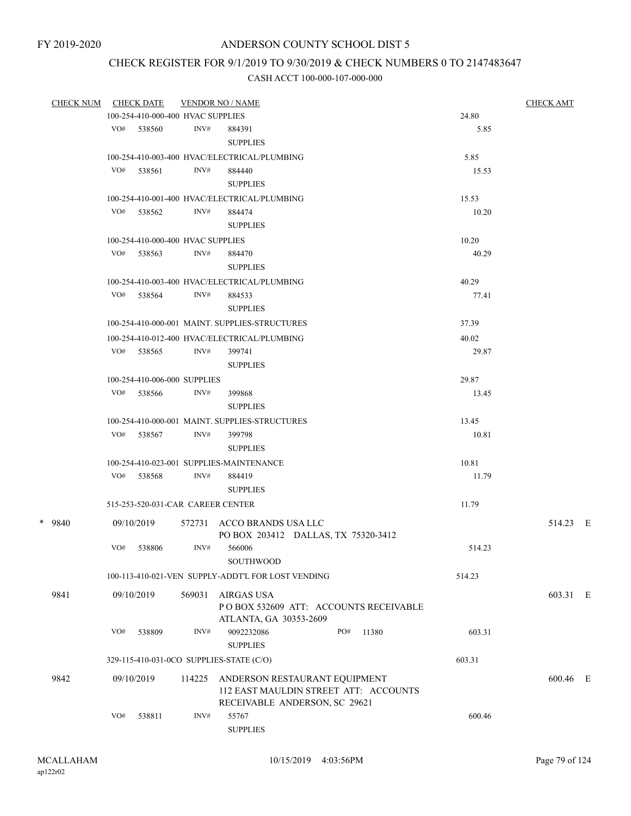# CHECK REGISTER FOR 9/1/2019 TO 9/30/2019 & CHECK NUMBERS 0 TO 2147483647

| <b>CHECK NUM</b> |     | <b>CHECK DATE</b>                 |        | <b>VENDOR NO / NAME</b>                                                                                 |     |                                       |        | <b>CHECK AMT</b> |  |
|------------------|-----|-----------------------------------|--------|---------------------------------------------------------------------------------------------------------|-----|---------------------------------------|--------|------------------|--|
|                  |     | 100-254-410-000-400 HVAC SUPPLIES |        |                                                                                                         |     |                                       | 24.80  |                  |  |
|                  |     | VO# 538560                        | INV#   | 884391<br><b>SUPPLIES</b>                                                                               |     |                                       | 5.85   |                  |  |
|                  |     |                                   |        | 100-254-410-003-400 HVAC/ELECTRICAL/PLUMBING                                                            |     |                                       | 5.85   |                  |  |
|                  | VO# | 538561                            | INV#   | 884440                                                                                                  |     |                                       | 15.53  |                  |  |
|                  |     |                                   |        | <b>SUPPLIES</b>                                                                                         |     |                                       |        |                  |  |
|                  |     |                                   |        | 100-254-410-001-400 HVAC/ELECTRICAL/PLUMBING                                                            |     |                                       | 15.53  |                  |  |
|                  |     | VO# 538562                        | INV#   | 884474                                                                                                  |     |                                       | 10.20  |                  |  |
|                  |     |                                   |        | <b>SUPPLIES</b>                                                                                         |     |                                       |        |                  |  |
|                  |     | 100-254-410-000-400 HVAC SUPPLIES |        |                                                                                                         |     |                                       | 10.20  |                  |  |
|                  |     | VO# 538563                        | INV#   | 884470                                                                                                  |     |                                       | 40.29  |                  |  |
|                  |     |                                   |        | <b>SUPPLIES</b>                                                                                         |     |                                       |        |                  |  |
|                  |     |                                   |        | 100-254-410-003-400 HVAC/ELECTRICAL/PLUMBING                                                            |     |                                       | 40.29  |                  |  |
|                  |     | VO# 538564                        | INV#   | 884533                                                                                                  |     |                                       | 77.41  |                  |  |
|                  |     |                                   |        | <b>SUPPLIES</b>                                                                                         |     |                                       |        |                  |  |
|                  |     |                                   |        | 100-254-410-000-001 MAINT. SUPPLIES-STRUCTURES                                                          |     |                                       | 37.39  |                  |  |
|                  |     |                                   |        | 100-254-410-012-400 HVAC/ELECTRICAL/PLUMBING                                                            |     |                                       | 40.02  |                  |  |
|                  |     | VO# 538565                        | INV#   | 399741                                                                                                  |     |                                       | 29.87  |                  |  |
|                  |     |                                   |        | <b>SUPPLIES</b>                                                                                         |     |                                       |        |                  |  |
|                  |     | 100-254-410-006-000 SUPPLIES      |        |                                                                                                         |     |                                       | 29.87  |                  |  |
|                  |     | VO# 538566                        | INV#   | 399868                                                                                                  |     |                                       | 13.45  |                  |  |
|                  |     |                                   |        | <b>SUPPLIES</b>                                                                                         |     |                                       |        |                  |  |
|                  |     |                                   |        | 100-254-410-000-001 MAINT. SUPPLIES-STRUCTURES                                                          |     |                                       | 13.45  |                  |  |
|                  |     | VO# 538567                        | INV#   | 399798                                                                                                  |     |                                       | 10.81  |                  |  |
|                  |     |                                   |        | <b>SUPPLIES</b>                                                                                         |     |                                       |        |                  |  |
|                  |     |                                   |        | 100-254-410-023-001 SUPPLIES-MAINTENANCE                                                                |     |                                       | 10.81  |                  |  |
|                  |     | VO# 538568                        | INV#   | 884419                                                                                                  |     |                                       | 11.79  |                  |  |
|                  |     |                                   |        | <b>SUPPLIES</b>                                                                                         |     |                                       |        |                  |  |
|                  |     | 515-253-520-031-CAR CAREER CENTER |        |                                                                                                         |     |                                       | 11.79  |                  |  |
| * 9840           |     | 09/10/2019                        |        | 572731 ACCO BRANDS USA LLC<br>PO BOX 203412 DALLAS, TX 75320-3412                                       |     |                                       |        | 514.23 E         |  |
|                  | VO# | 538806                            | INV#   | 566006                                                                                                  |     |                                       | 514.23 |                  |  |
|                  |     |                                   |        | <b>SOUTHWOOD</b>                                                                                        |     |                                       |        |                  |  |
|                  |     |                                   |        | 100-113-410-021-VEN SUPPLY-ADDT'L FOR LOST VENDING                                                      |     |                                       | 514.23 |                  |  |
| 9841             |     | 09/10/2019                        | 569031 | AIRGAS USA<br>ATLANTA, GA 30353-2609                                                                    |     | POBOX 532609 ATT: ACCOUNTS RECEIVABLE |        | 603.31 E         |  |
|                  | VO# | 538809                            | INV#   | 9092232086<br><b>SUPPLIES</b>                                                                           | PO# | 11380                                 | 603.31 |                  |  |
|                  |     |                                   |        | 329-115-410-031-0CO SUPPLIES-STATE (C/O)                                                                |     |                                       | 603.31 |                  |  |
|                  |     |                                   |        |                                                                                                         |     |                                       |        |                  |  |
| 9842             |     | 09/10/2019                        | 114225 | ANDERSON RESTAURANT EQUIPMENT<br>112 EAST MAULDIN STREET ATT: ACCOUNTS<br>RECEIVABLE ANDERSON, SC 29621 |     |                                       |        | 600.46 E         |  |
|                  | VO# | 538811                            | INV#   | 55767<br><b>SUPPLIES</b>                                                                                |     |                                       | 600.46 |                  |  |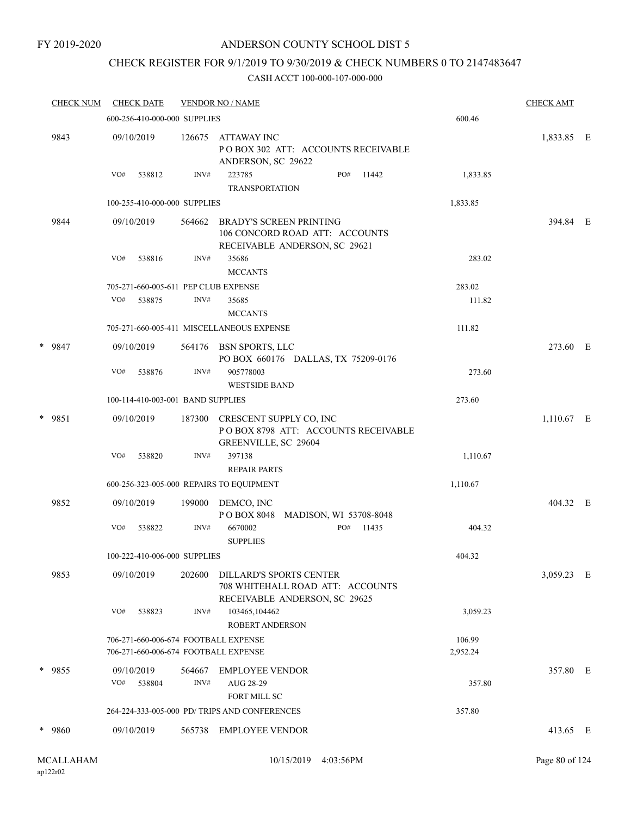#### FY 2019-2020

### ANDERSON COUNTY SCHOOL DIST 5

### CHECK REGISTER FOR 9/1/2019 TO 9/30/2019 & CHECK NUMBERS 0 TO 2147483647

|   | <b>CHECK NUM</b> |     | <b>CHECK DATE</b>                 |                | <b>VENDOR NO / NAME</b>                                                                             |                        |     |       |                    |          | <b>CHECK AMT</b> |  |
|---|------------------|-----|-----------------------------------|----------------|-----------------------------------------------------------------------------------------------------|------------------------|-----|-------|--------------------|----------|------------------|--|
|   |                  |     | 600-256-410-000-000 SUPPLIES      |                |                                                                                                     |                        |     |       | 600.46             |          |                  |  |
|   | 9843             |     | 09/10/2019                        | 126675         | <b>ATTAWAY INC</b><br>POBOX 302 ATT: ACCOUNTS RECEIVABLE<br>ANDERSON, SC 29622                      |                        |     |       |                    |          | 1,833.85 E       |  |
|   |                  | VO# | 538812                            | INV#           | 223785<br><b>TRANSPORTATION</b>                                                                     |                        | PO# | 11442 |                    | 1,833.85 |                  |  |
|   |                  |     | 100-255-410-000-000 SUPPLIES      |                |                                                                                                     |                        |     |       | 1,833.85           |          |                  |  |
|   | 9844             |     | 09/10/2019                        | 564662         | <b>BRADY'S SCREEN PRINTING</b><br>106 CONCORD ROAD ATT: ACCOUNTS<br>RECEIVABLE ANDERSON, SC 29621   |                        |     |       |                    |          | 394.84 E         |  |
|   |                  | VO# | 538816                            | INV#           | 35686<br><b>MCCANTS</b>                                                                             |                        |     |       |                    | 283.02   |                  |  |
|   |                  |     |                                   |                | 705-271-660-005-611 PEP CLUB EXPENSE                                                                |                        |     |       | 283.02             |          |                  |  |
|   |                  | VO# | 538875                            | INV#           | 35685<br><b>MCCANTS</b>                                                                             |                        |     |       |                    | 111.82   |                  |  |
|   |                  |     |                                   |                | 705-271-660-005-411 MISCELLANEOUS EXPENSE                                                           |                        |     |       | 111.82             |          |                  |  |
|   | * 9847           |     | 09/10/2019                        | 564176         | BSN SPORTS, LLC<br>PO BOX 660176 DALLAS, TX 75209-0176                                              |                        |     |       |                    |          | 273.60 E         |  |
|   |                  | VO# | 538876                            | INV#           | 905778003<br><b>WESTSIDE BAND</b>                                                                   |                        |     |       |                    | 273.60   |                  |  |
|   |                  |     | 100-114-410-003-001 BAND SUPPLIES |                |                                                                                                     |                        |     |       | 273.60             |          |                  |  |
| * | 9851             |     | 09/10/2019                        | 187300         | CRESCENT SUPPLY CO, INC<br>POBOX 8798 ATT: ACCOUNTS RECEIVABLE<br>GREENVILLE, SC 29604              |                        |     |       |                    |          | 1,110.67 E       |  |
|   |                  | VO# | 538820                            | INV#           | 397138<br><b>REPAIR PARTS</b>                                                                       |                        |     |       |                    | 1,110.67 |                  |  |
|   |                  |     |                                   |                | 600-256-323-005-000 REPAIRS TO EQUIPMENT                                                            |                        |     |       | 1,110.67           |          |                  |  |
|   | 9852             |     | 09/10/2019                        | 199000         | DEMCO, INC<br>P O BOX 8048                                                                          | MADISON, WI 53708-8048 |     |       |                    |          | 404.32 E         |  |
|   |                  | VO# | 538822                            | INV#           | 6670002<br><b>SUPPLIES</b>                                                                          |                        | PO# | 11435 |                    | 404.32   |                  |  |
|   |                  |     | 100-222-410-006-000 SUPPLIES      |                |                                                                                                     |                        |     |       | 404.32             |          |                  |  |
|   | 9853             |     | 09/10/2019                        | 202600         | <b>DILLARD'S SPORTS CENTER</b><br>708 WHITEHALL ROAD ATT: ACCOUNTS<br>RECEIVABLE ANDERSON, SC 29625 |                        |     |       |                    |          | 3,059.23 E       |  |
|   |                  | VO# | 538823                            | INV#           | 103465,104462<br>ROBERT ANDERSON                                                                    |                        |     |       |                    | 3,059.23 |                  |  |
|   |                  |     |                                   |                | 706-271-660-006-674 FOOTBALL EXPENSE<br>706-271-660-006-674 FOOTBALL EXPENSE                        |                        |     |       | 106.99<br>2,952.24 |          |                  |  |
|   | * 9855           | VO# | 09/10/2019<br>538804              | 564667<br>INV# | <b>EMPLOYEE VENDOR</b><br>AUG 28-29<br><b>FORT MILL SC</b>                                          |                        |     |       |                    | 357.80   | 357.80 E         |  |
|   |                  |     |                                   |                | 264-224-333-005-000 PD/ TRIPS AND CONFERENCES                                                       |                        |     |       | 357.80             |          |                  |  |
|   | * 9860           |     | 09/10/2019                        | 565738         | <b>EMPLOYEE VENDOR</b>                                                                              |                        |     |       |                    |          | 413.65 E         |  |
|   |                  |     |                                   |                |                                                                                                     |                        |     |       |                    |          |                  |  |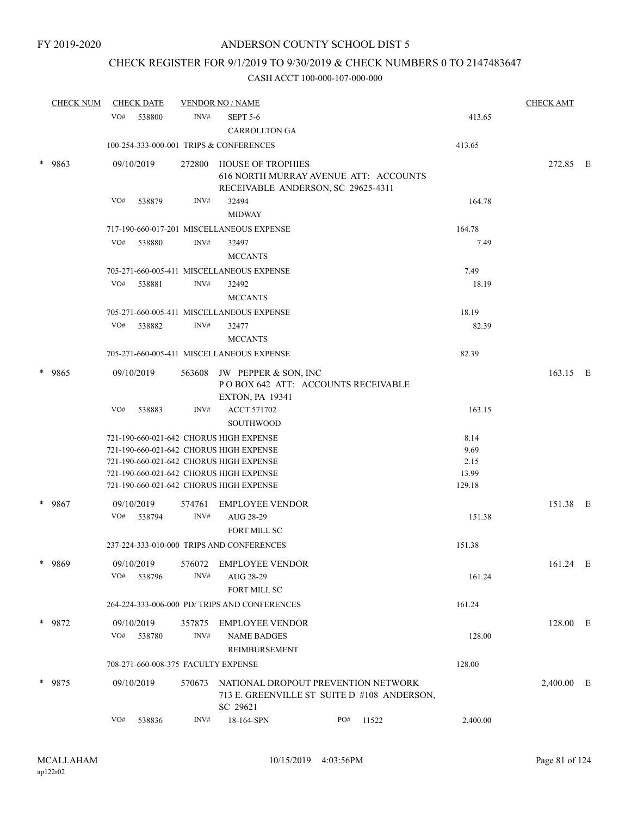### CHECK REGISTER FOR 9/1/2019 TO 9/30/2019 & CHECK NUMBERS 0 TO 2147483647

| <b>CHECK NUM</b> |        | <b>CHECK DATE</b> |        | <b>VENDOR NO / NAME</b>                 |                                                                                                                                                                                                                     |     |        | <b>CHECK AMT</b>                        |            |  |
|------------------|--------|-------------------|--------|-----------------------------------------|---------------------------------------------------------------------------------------------------------------------------------------------------------------------------------------------------------------------|-----|--------|-----------------------------------------|------------|--|
|                  | VO#    | 538800            | INV#   | <b>SEPT 5-6</b><br><b>CARROLLTON GA</b> |                                                                                                                                                                                                                     |     | 413.65 |                                         |            |  |
|                  |        |                   |        |                                         | 100-254-333-000-001 TRIPS & CONFERENCES                                                                                                                                                                             |     |        | 413.65                                  |            |  |
|                  | * 9863 | 09/10/2019        |        |                                         | 272800 HOUSE OF TROPHIES<br>616 NORTH MURRAY AVENUE ATT: ACCOUNTS<br>RECEIVABLE ANDERSON, SC 29625-4311                                                                                                             |     |        |                                         | 272.85 E   |  |
|                  |        | VO#               | 538879 | INV#                                    | 32494<br><b>MIDWAY</b>                                                                                                                                                                                              |     |        | 164.78                                  |            |  |
|                  |        |                   |        |                                         | 717-190-660-017-201 MISCELLANEOUS EXPENSE                                                                                                                                                                           |     |        | 164.78                                  |            |  |
|                  |        | VO#               | 538880 | INV#                                    | 32497<br><b>MCCANTS</b>                                                                                                                                                                                             |     |        | 7.49                                    |            |  |
|                  |        |                   |        |                                         | 705-271-660-005-411 MISCELLANEOUS EXPENSE                                                                                                                                                                           |     |        | 7.49                                    |            |  |
|                  |        | VO#               | 538881 | INV#                                    | 32492<br><b>MCCANTS</b>                                                                                                                                                                                             |     |        | 18.19                                   |            |  |
|                  |        |                   |        |                                         | 705-271-660-005-411 MISCELLANEOUS EXPENSE                                                                                                                                                                           |     |        | 18.19                                   |            |  |
|                  |        | VO#               | 538882 | INV#                                    | 32477<br><b>MCCANTS</b>                                                                                                                                                                                             |     |        | 82.39                                   |            |  |
|                  |        |                   |        |                                         | 705-271-660-005-411 MISCELLANEOUS EXPENSE                                                                                                                                                                           |     |        | 82.39                                   |            |  |
| *                | 9865   | 09/10/2019        |        |                                         | 563608 JW PEPPER & SON, INC<br>POBOX 642 ATT: ACCOUNTS RECEIVABLE<br><b>EXTON, PA 19341</b>                                                                                                                         |     |        |                                         | 163.15 E   |  |
|                  |        | VO#               | 538883 | INV#                                    | <b>ACCT 571702</b><br><b>SOUTHWOOD</b>                                                                                                                                                                              |     |        | 163.15                                  |            |  |
|                  |        |                   |        |                                         | 721-190-660-021-642 CHORUS HIGH EXPENSE<br>721-190-660-021-642 CHORUS HIGH EXPENSE<br>721-190-660-021-642 CHORUS HIGH EXPENSE<br>721-190-660-021-642 CHORUS HIGH EXPENSE<br>721-190-660-021-642 CHORUS HIGH EXPENSE |     |        | 8.14<br>9.69<br>2.15<br>13.99<br>129.18 |            |  |
|                  | * 9867 | 09/10/2019<br>VO# | 538794 | 574761<br>INV#                          | <b>EMPLOYEE VENDOR</b><br>AUG 28-29<br>FORT MILL SC                                                                                                                                                                 |     |        | 151.38                                  | 151.38 E   |  |
|                  |        |                   |        |                                         | 237-224-333-010-000 TRIPS AND CONFERENCES                                                                                                                                                                           |     |        | 151.38                                  |            |  |
|                  | 9869   | 09/10/2019<br>VO# | 538796 | 576072<br>INV#                          | <b>EMPLOYEE VENDOR</b><br>AUG 28-29<br>FORT MILL SC                                                                                                                                                                 |     |        | 161.24                                  | 161.24 E   |  |
|                  |        |                   |        |                                         | 264-224-333-006-000 PD/ TRIPS AND CONFERENCES                                                                                                                                                                       |     |        | 161.24                                  |            |  |
|                  | * 9872 | 09/10/2019<br>VO# | 538780 | 357875<br>INV#                          | EMPLOYEE VENDOR<br><b>NAME BADGES</b>                                                                                                                                                                               |     |        | 128.00                                  | 128.00 E   |  |
|                  |        |                   |        |                                         | REIMBURSEMENT<br>708-271-660-008-375 FACULTY EXPENSE                                                                                                                                                                |     |        | 128.00                                  |            |  |
|                  |        |                   |        |                                         |                                                                                                                                                                                                                     |     |        |                                         |            |  |
|                  | * 9875 | 09/10/2019        |        |                                         | 570673 NATIONAL DROPOUT PREVENTION NETWORK<br>713 E. GREENVILLE ST SUITE D #108 ANDERSON,<br>SC 29621                                                                                                               |     |        |                                         | 2,400.00 E |  |
|                  |        | VO#               | 538836 | INV#                                    | 18-164-SPN                                                                                                                                                                                                          | PO# | 11522  | 2,400.00                                |            |  |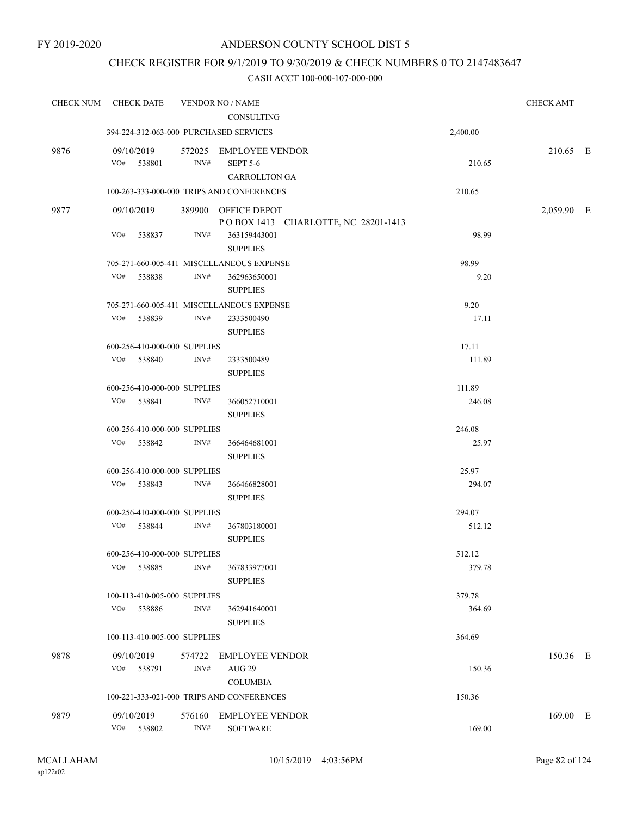### CHECK REGISTER FOR 9/1/2019 TO 9/30/2019 & CHECK NUMBERS 0 TO 2147483647

| <b>CHECK NUM</b> | <b>CHECK DATE</b>                      |        | <b>VENDOR NO / NAME</b>                   |          | <b>CHECK AMT</b> |  |
|------------------|----------------------------------------|--------|-------------------------------------------|----------|------------------|--|
|                  |                                        |        | <b>CONSULTING</b>                         |          |                  |  |
|                  | 394-224-312-063-000 PURCHASED SERVICES |        |                                           | 2,400.00 |                  |  |
| 9876             | 09/10/2019                             |        | 572025 EMPLOYEE VENDOR                    |          | 210.65 E         |  |
|                  | VO# 538801                             | INV#   | <b>SEPT 5-6</b>                           | 210.65   |                  |  |
|                  |                                        |        | <b>CARROLLTON GA</b>                      |          |                  |  |
|                  |                                        |        | 100-263-333-000-000 TRIPS AND CONFERENCES | 210.65   |                  |  |
| 9877             | 09/10/2019                             |        | 389900 OFFICE DEPOT                       |          | 2,059.90 E       |  |
|                  |                                        |        | POBOX 1413 CHARLOTTE, NC 28201-1413       |          |                  |  |
|                  | VO#<br>538837                          | INV#   | 363159443001                              | 98.99    |                  |  |
|                  |                                        |        | <b>SUPPLIES</b>                           |          |                  |  |
|                  |                                        |        | 705-271-660-005-411 MISCELLANEOUS EXPENSE | 98.99    |                  |  |
|                  | VO#<br>538838                          | INV#   | 362963650001                              | 9.20     |                  |  |
|                  |                                        |        | <b>SUPPLIES</b>                           |          |                  |  |
|                  |                                        |        | 705-271-660-005-411 MISCELLANEOUS EXPENSE | 9.20     |                  |  |
|                  | VO# 538839                             | INV#   | 2333500490                                | 17.11    |                  |  |
|                  |                                        |        | <b>SUPPLIES</b>                           |          |                  |  |
|                  | 600-256-410-000-000 SUPPLIES           |        |                                           | 17.11    |                  |  |
|                  | VO# 538840                             | INV#   | 2333500489                                | 111.89   |                  |  |
|                  |                                        |        | <b>SUPPLIES</b>                           |          |                  |  |
|                  | 600-256-410-000-000 SUPPLIES           |        |                                           | 111.89   |                  |  |
|                  | VO# 538841                             | INV#   | 366052710001                              | 246.08   |                  |  |
|                  |                                        |        | <b>SUPPLIES</b>                           |          |                  |  |
|                  | 600-256-410-000-000 SUPPLIES           |        |                                           | 246.08   |                  |  |
|                  | VO# 538842                             | INV#   | 366464681001                              | 25.97    |                  |  |
|                  |                                        |        | <b>SUPPLIES</b>                           |          |                  |  |
|                  | 600-256-410-000-000 SUPPLIES           |        |                                           | 25.97    |                  |  |
|                  | VO# 538843                             | INV#   | 366466828001                              | 294.07   |                  |  |
|                  |                                        |        | <b>SUPPLIES</b>                           |          |                  |  |
|                  | 600-256-410-000-000 SUPPLIES           |        |                                           | 294.07   |                  |  |
|                  | VO# 538844                             | INV#   | 367803180001                              | 512.12   |                  |  |
|                  |                                        |        | <b>SUPPLIES</b>                           |          |                  |  |
|                  | 600-256-410-000-000 SUPPLIES           |        |                                           | 512.12   |                  |  |
|                  | VO#<br>538885                          | INV#   | 367833977001                              | 379.78   |                  |  |
|                  |                                        |        | <b>SUPPLIES</b>                           |          |                  |  |
|                  | 100-113-410-005-000 SUPPLIES           |        |                                           | 379.78   |                  |  |
|                  | VO#<br>538886                          | INV#   | 362941640001                              | 364.69   |                  |  |
|                  |                                        |        | <b>SUPPLIES</b>                           |          |                  |  |
|                  | 100-113-410-005-000 SUPPLIES           |        |                                           | 364.69   |                  |  |
| 9878             | 09/10/2019                             | 574722 | <b>EMPLOYEE VENDOR</b>                    |          | 150.36 E         |  |
|                  | VO# 538791                             | INV#   | <b>AUG 29</b>                             | 150.36   |                  |  |
|                  |                                        |        | <b>COLUMBIA</b>                           |          |                  |  |
|                  |                                        |        | 100-221-333-021-000 TRIPS AND CONFERENCES | 150.36   |                  |  |
|                  |                                        |        |                                           |          |                  |  |
| 9879             | 09/10/2019                             | 576160 | <b>EMPLOYEE VENDOR</b>                    |          | 169.00 E         |  |
|                  | VO#<br>538802                          | INV#   | <b>SOFTWARE</b>                           | 169.00   |                  |  |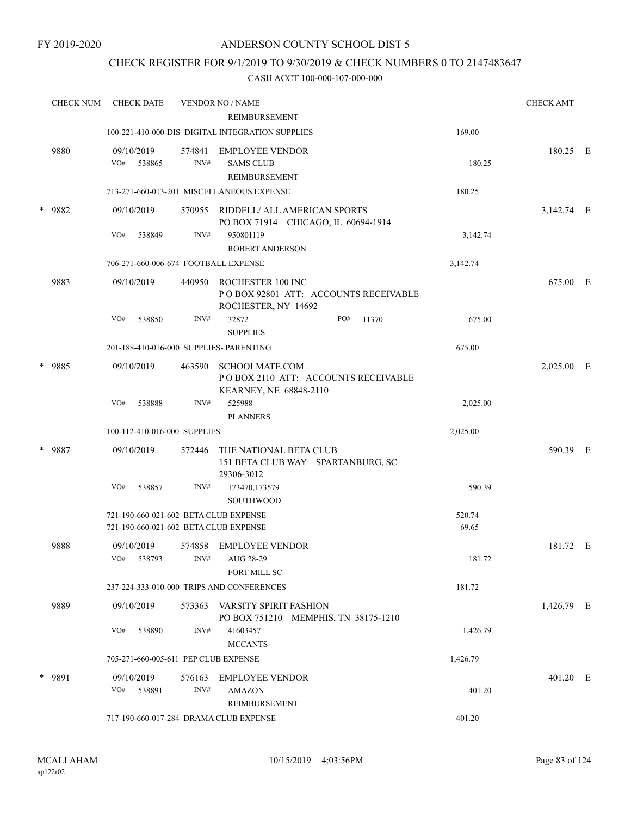### CHECK REGISTER FOR 9/1/2019 TO 9/30/2019 & CHECK NUMBERS 0 TO 2147483647

|        | <b>CHECK NUM</b> | <b>CHECK DATE</b>                                                              |                | <b>VENDOR NO / NAME</b>                                                                 |                 | <b>CHECK AMT</b> |  |
|--------|------------------|--------------------------------------------------------------------------------|----------------|-----------------------------------------------------------------------------------------|-----------------|------------------|--|
|        |                  |                                                                                |                | <b>REIMBURSEMENT</b>                                                                    |                 |                  |  |
|        |                  |                                                                                |                | 100-221-410-000-DIS DIGITAL INTEGRATION SUPPLIES                                        | 169.00          |                  |  |
|        | 9880             | 09/10/2019<br>VO#<br>538865                                                    | 574841<br>INV# | EMPLOYEE VENDOR<br><b>SAMS CLUB</b><br>REIMBURSEMENT                                    | 180.25          | 180.25 E         |  |
|        |                  |                                                                                |                | 713-271-660-013-201 MISCELLANEOUS EXPENSE                                               | 180.25          |                  |  |
|        | * 9882           | 09/10/2019                                                                     |                | 570955 RIDDELL/ ALL AMERICAN SPORTS<br>PO BOX 71914 CHICAGO, IL 60694-1914              |                 | 3,142.74 E       |  |
|        |                  | VO#<br>538849                                                                  | INV#           | 950801119<br><b>ROBERT ANDERSON</b>                                                     | 3,142.74        |                  |  |
|        |                  | 706-271-660-006-674 FOOTBALL EXPENSE                                           |                |                                                                                         | 3,142.74        |                  |  |
|        | 9883             | 09/10/2019                                                                     |                | 440950 ROCHESTER 100 INC<br>POBOX 92801 ATT: ACCOUNTS RECEIVABLE<br>ROCHESTER, NY 14692 |                 | 675.00 E         |  |
|        |                  | VO#<br>538850                                                                  | INV#           | 32872<br>PO#<br>11370<br><b>SUPPLIES</b>                                                | 675.00          |                  |  |
|        |                  | 201-188-410-016-000 SUPPLIES- PARENTING                                        |                |                                                                                         | 675.00          |                  |  |
|        | * 9885           | 09/10/2019                                                                     | 463590         | SCHOOLMATE.COM<br>POBOX 2110 ATT: ACCOUNTS RECEIVABLE<br>KEARNEY, NE 68848-2110         |                 | 2,025.00 E       |  |
|        |                  | VO#<br>538888                                                                  | INV#           | 525988<br><b>PLANNERS</b>                                                               | 2,025.00        |                  |  |
|        |                  | 100-112-410-016-000 SUPPLIES                                                   |                |                                                                                         | 2,025.00        |                  |  |
| $\ast$ | 9887             | 09/10/2019                                                                     | 572446         | THE NATIONAL BETA CLUB<br>151 BETA CLUB WAY SPARTANBURG, SC<br>29306-3012               |                 | 590.39 E         |  |
|        |                  | VO#<br>538857                                                                  | INV#           | 173470,173579<br><b>SOUTHWOOD</b>                                                       | 590.39          |                  |  |
|        |                  | 721-190-660-021-602 BETA CLUB EXPENSE<br>721-190-660-021-602 BETA CLUB EXPENSE |                |                                                                                         | 520.74<br>69.65 |                  |  |
|        | 9888             | 09/10/2019<br>VO# 538793                                                       |                | 574858 EMPLOYEE VENDOR<br>INV# AUG 28-29<br>FORT MILL SC                                | 181.72          | 181.72 E         |  |
|        |                  |                                                                                |                | 237-224-333-010-000 TRIPS AND CONFERENCES                                               | 181.72          |                  |  |
|        | 9889             | 09/10/2019                                                                     |                | 573363 VARSITY SPIRIT FASHION<br>PO BOX 751210 MEMPHIS, TN 38175-1210                   |                 | 1,426.79 E       |  |
|        |                  | VO#<br>538890                                                                  | INV#           | 41603457<br><b>MCCANTS</b>                                                              | 1,426.79        |                  |  |
|        |                  | 705-271-660-005-611 PEP CLUB EXPENSE                                           |                |                                                                                         | 1,426.79        |                  |  |
|        | * 9891           | 09/10/2019<br>VO# 538891                                                       | INV#           | 576163 EMPLOYEE VENDOR<br><b>AMAZON</b><br>REIMBURSEMENT                                | 401.20          | 401.20 E         |  |
|        |                  | 717-190-660-017-284 DRAMA CLUB EXPENSE                                         |                |                                                                                         | 401.20          |                  |  |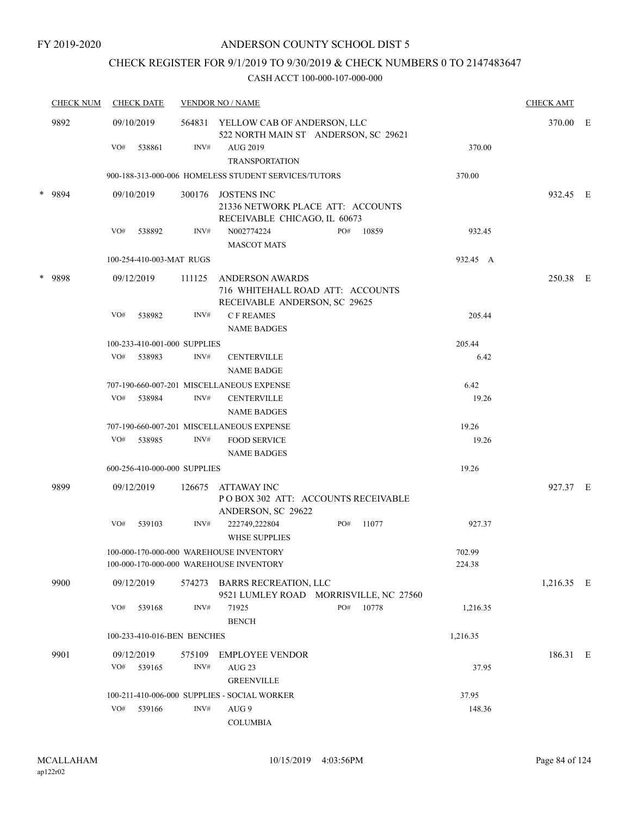### CHECK REGISTER FOR 9/1/2019 TO 9/30/2019 & CHECK NUMBERS 0 TO 2147483647

| <b>CHECK NUM</b> |        | <b>CHECK DATE</b> |                          | <b>VENDOR NO / NAME</b>                                                    |                                                                                             |          |       |                  |            |  |
|------------------|--------|-------------------|--------------------------|----------------------------------------------------------------------------|---------------------------------------------------------------------------------------------|----------|-------|------------------|------------|--|
| 9892             |        | 09/10/2019        |                          | 564831 YELLOW CAB OF ANDERSON, LLC<br>522 NORTH MAIN ST ANDERSON, SC 29621 |                                                                                             | 370.00 E |       |                  |            |  |
|                  |        | VO#               | 538861                   | INV#                                                                       | AUG 2019<br><b>TRANSPORTATION</b>                                                           |          |       | 370.00           |            |  |
|                  |        |                   |                          |                                                                            | 900-188-313-000-006 HOMELESS STUDENT SERVICES/TUTORS                                        |          |       | 370.00           |            |  |
|                  | * 9894 |                   | 09/10/2019               |                                                                            | 300176 JOSTENS INC<br>21336 NETWORK PLACE ATT: ACCOUNTS<br>RECEIVABLE CHICAGO, IL 60673     |          |       |                  | 932.45 E   |  |
|                  |        | VO#               | 538892                   | INV#                                                                       | N002774224<br><b>MASCOT MATS</b>                                                            | PO#      | 10859 | 932.45           |            |  |
|                  |        |                   | 100-254-410-003-MAT RUGS |                                                                            |                                                                                             |          |       | 932.45 A         |            |  |
| $\ast$           | 9898   |                   | 09/12/2019               | 111125                                                                     | <b>ANDERSON AWARDS</b><br>716 WHITEHALL ROAD ATT: ACCOUNTS<br>RECEIVABLE ANDERSON, SC 29625 |          |       |                  | 250.38 E   |  |
|                  |        | VO#               | 538982                   | INV#                                                                       | <b>CF REAMES</b><br><b>NAME BADGES</b>                                                      |          |       | 205.44           |            |  |
|                  |        |                   |                          | 100-233-410-001-000 SUPPLIES                                               |                                                                                             |          |       | 205.44           |            |  |
|                  |        | VO#               | 538983                   | INV#                                                                       | <b>CENTERVILLE</b><br><b>NAME BADGE</b>                                                     |          |       | 6.42             |            |  |
|                  |        |                   |                          |                                                                            | 707-190-660-007-201 MISCELLANEOUS EXPENSE                                                   |          |       | 6.42             |            |  |
|                  |        | VO#               | 538984                   | INV#                                                                       | <b>CENTERVILLE</b><br><b>NAME BADGES</b>                                                    |          |       | 19.26            |            |  |
|                  |        |                   |                          |                                                                            | 707-190-660-007-201 MISCELLANEOUS EXPENSE                                                   |          |       | 19.26            |            |  |
|                  |        | VO#               | 538985                   | INV#                                                                       | <b>FOOD SERVICE</b><br><b>NAME BADGES</b>                                                   |          |       | 19.26            |            |  |
|                  |        |                   |                          | 600-256-410-000-000 SUPPLIES                                               |                                                                                             |          |       | 19.26            |            |  |
|                  | 9899   |                   | 09/12/2019               | 126675                                                                     | ATTAWAY INC<br>POBOX 302 ATT: ACCOUNTS RECEIVABLE<br>ANDERSON, SC 29622                     |          |       |                  | 927.37 E   |  |
|                  |        | VO#               | 539103                   | INV#                                                                       | 222749,222804<br><b>WHSE SUPPLIES</b>                                                       | PO#      | 11077 | 927.37           |            |  |
|                  |        |                   |                          |                                                                            | 100-000-170-000-000 WAREHOUSE INVENTORY<br>100-000-170-000-000 WAREHOUSE INVENTORY          |          |       | 702.99<br>224.38 |            |  |
|                  | 9900   |                   | 09/12/2019               |                                                                            | 574273 BARRS RECREATION, LLC<br>9521 LUMLEY ROAD MORRISVILLE, NC 27560                      |          |       |                  | 1,216.35 E |  |
|                  |        | VO#               | 539168                   | INV#                                                                       | 71925<br><b>BENCH</b>                                                                       | PO#      | 10778 | 1,216.35         |            |  |
|                  |        |                   |                          | 100-233-410-016-BEN BENCHES                                                |                                                                                             |          |       | 1,216.35         |            |  |
|                  | 9901   |                   | 09/12/2019               | 575109                                                                     | <b>EMPLOYEE VENDOR</b>                                                                      |          |       |                  | 186.31 E   |  |
|                  |        | VO#               | 539165                   | INV#                                                                       | AUG <sub>23</sub><br><b>GREENVILLE</b>                                                      |          |       | 37.95            |            |  |
|                  |        |                   |                          |                                                                            | 100-211-410-006-000 SUPPLIES - SOCIAL WORKER                                                |          |       | 37.95            |            |  |
|                  |        | VO#               | 539166                   | INV#                                                                       | AUG 9<br><b>COLUMBIA</b>                                                                    |          |       | 148.36           |            |  |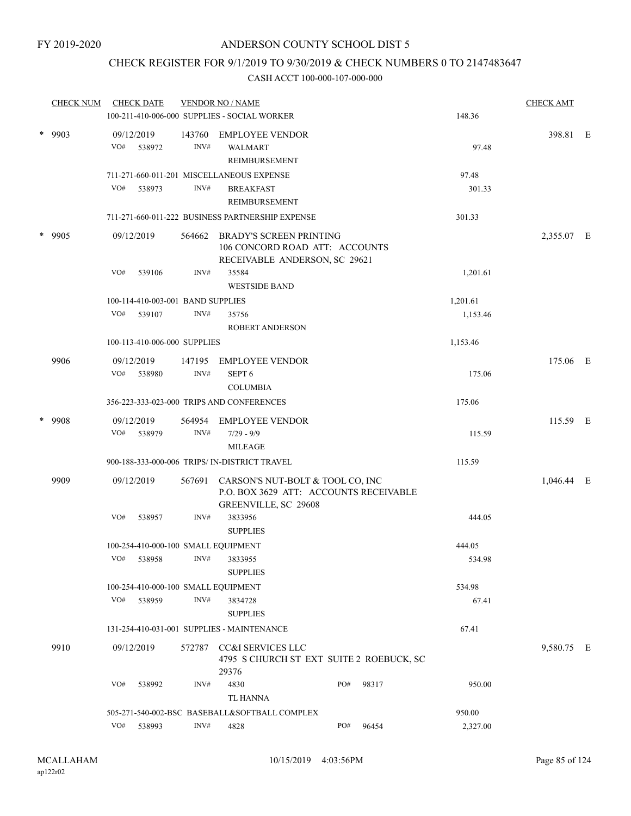### CHECK REGISTER FOR 9/1/2019 TO 9/30/2019 & CHECK NUMBERS 0 TO 2147483647

|        | <b>CHECK NUM</b> |     | <b>CHECK DATE</b>                   |        | <b>VENDOR NO / NAME</b>                                        |     |       |                 | <b>CHECK AMT</b> |  |
|--------|------------------|-----|-------------------------------------|--------|----------------------------------------------------------------|-----|-------|-----------------|------------------|--|
|        |                  |     |                                     |        | 100-211-410-006-000 SUPPLIES - SOCIAL WORKER                   |     |       | 148.36          |                  |  |
|        | $*$ 9903         |     | 09/12/2019                          |        | 143760 EMPLOYEE VENDOR                                         |     |       |                 | 398.81 E         |  |
|        |                  | VO# | 538972                              | INV#   | <b>WALMART</b>                                                 |     |       | 97.48           |                  |  |
|        |                  |     |                                     |        | REIMBURSEMENT                                                  |     |       |                 |                  |  |
|        |                  | VO# | 538973                              | INV#   | 711-271-660-011-201 MISCELLANEOUS EXPENSE<br><b>BREAKFAST</b>  |     |       | 97.48<br>301.33 |                  |  |
|        |                  |     |                                     |        | REIMBURSEMENT                                                  |     |       |                 |                  |  |
|        |                  |     |                                     |        | 711-271-660-011-222 BUSINESS PARTNERSHIP EXPENSE               |     |       | 301.33          |                  |  |
| $\ast$ |                  |     |                                     |        | <b>BRADY'S SCREEN PRINTING</b>                                 |     |       |                 |                  |  |
|        | - 9905           |     | 09/12/2019                          | 564662 | 106 CONCORD ROAD ATT: ACCOUNTS                                 |     |       |                 | 2,355.07 E       |  |
|        |                  |     |                                     |        | RECEIVABLE ANDERSON, SC 29621                                  |     |       |                 |                  |  |
|        |                  | VO# | 539106                              | INV#   | 35584                                                          |     |       | 1,201.61        |                  |  |
|        |                  |     |                                     |        | <b>WESTSIDE BAND</b>                                           |     |       |                 |                  |  |
|        |                  |     | 100-114-410-003-001 BAND SUPPLIES   |        |                                                                |     |       | 1,201.61        |                  |  |
|        |                  |     | VO# 539107                          | INV#   | 35756                                                          |     |       | 1,153.46        |                  |  |
|        |                  |     |                                     |        | <b>ROBERT ANDERSON</b>                                         |     |       |                 |                  |  |
|        |                  |     | 100-113-410-006-000 SUPPLIES        |        |                                                                |     |       | 1,153.46        |                  |  |
|        | 9906             |     | 09/12/2019                          | 147195 | <b>EMPLOYEE VENDOR</b>                                         |     |       |                 | 175.06 E         |  |
|        |                  | VO# | 538980                              | INV#   | SEPT <sub>6</sub>                                              |     |       | 175.06          |                  |  |
|        |                  |     |                                     |        | <b>COLUMBIA</b>                                                |     |       |                 |                  |  |
|        |                  |     |                                     |        | 356-223-333-023-000 TRIPS AND CONFERENCES                      |     |       | 175.06          |                  |  |
| $\ast$ | -9908            |     | 09/12/2019                          | 564954 | <b>EMPLOYEE VENDOR</b>                                         |     |       |                 | 115.59 E         |  |
|        |                  | VO# | 538979                              | INV#   | $7/29 - 9/9$                                                   |     |       | 115.59          |                  |  |
|        |                  |     |                                     |        | <b>MILEAGE</b>                                                 |     |       |                 |                  |  |
|        |                  |     |                                     |        | 900-188-333-000-006 TRIPS/ IN-DISTRICT TRAVEL                  |     |       | 115.59          |                  |  |
|        | 9909             |     | 09/12/2019                          | 567691 | CARSON'S NUT-BOLT & TOOL CO, INC                               |     |       |                 | 1,046.44 E       |  |
|        |                  |     |                                     |        | P.O. BOX 3629 ATT: ACCOUNTS RECEIVABLE<br>GREENVILLE, SC 29608 |     |       |                 |                  |  |
|        |                  | VO# | 538957                              | INV#   | 3833956                                                        |     |       | 444.05          |                  |  |
|        |                  |     |                                     |        | <b>SUPPLIES</b>                                                |     |       |                 |                  |  |
|        |                  |     | 100-254-410-000-100 SMALL EQUIPMENT |        |                                                                |     |       | 444.05          |                  |  |
|        |                  |     | VO# 538958                          | INV#   | 3833955                                                        |     |       | 534.98          |                  |  |
|        |                  |     |                                     |        | <b>SUPPLIES</b>                                                |     |       |                 |                  |  |
|        |                  |     |                                     |        | 100-254-410-000-100 SMALL EQUIPMENT                            |     |       | 534.98          |                  |  |
|        |                  | VO# | 538959                              | INV#   | 3834728                                                        |     |       | 67.41           |                  |  |
|        |                  |     |                                     |        | <b>SUPPLIES</b>                                                |     |       |                 |                  |  |
|        |                  |     |                                     |        | 131-254-410-031-001 SUPPLIES - MAINTENANCE                     |     |       | 67.41           |                  |  |
|        | 9910             |     | 09/12/2019                          | 572787 | CC&I SERVICES LLC                                              |     |       |                 | 9,580.75 E       |  |
|        |                  |     |                                     |        | 4795 S CHURCH ST EXT SUITE 2 ROEBUCK, SC                       |     |       |                 |                  |  |
|        |                  | VO# | 538992                              | INV#   | 29376<br>4830                                                  | PO# | 98317 | 950.00          |                  |  |
|        |                  |     |                                     |        | TL HANNA                                                       |     |       |                 |                  |  |
|        |                  |     |                                     |        | 505-271-540-002-BSC BASEBALL&SOFTBALL COMPLEX                  |     |       | 950.00          |                  |  |
|        |                  | VO# | 538993                              | INV#   | 4828                                                           | PO# | 96454 | 2,327.00        |                  |  |
|        |                  |     |                                     |        |                                                                |     |       |                 |                  |  |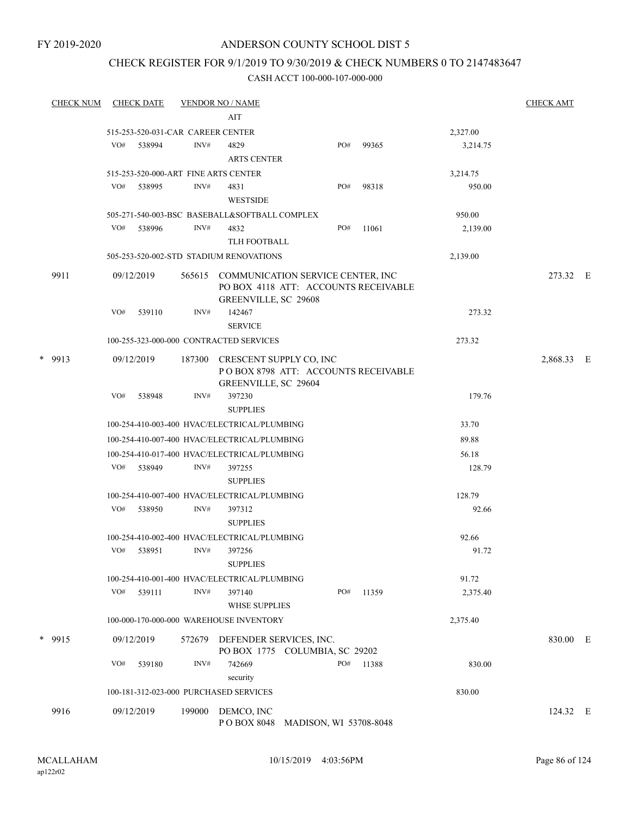### CHECK REGISTER FOR 9/1/2019 TO 9/30/2019 & CHECK NUMBERS 0 TO 2147483647

| <u>CHECK NUM</u> | <b>CHECK DATE</b>                      |        | <b>VENDOR NO / NAME</b>                                                                                  |     |       |          | <b>CHECK AMT</b> |  |
|------------------|----------------------------------------|--------|----------------------------------------------------------------------------------------------------------|-----|-------|----------|------------------|--|
|                  |                                        |        | AIT                                                                                                      |     |       |          |                  |  |
|                  | 515-253-520-031-CAR CAREER CENTER      |        |                                                                                                          |     |       | 2,327.00 |                  |  |
|                  | VO#<br>538994                          | INV#   | 4829                                                                                                     | PO# | 99365 | 3,214.75 |                  |  |
|                  |                                        |        | <b>ARTS CENTER</b>                                                                                       |     |       |          |                  |  |
|                  | 515-253-520-000-ART FINE ARTS CENTER   |        |                                                                                                          |     |       | 3,214.75 |                  |  |
|                  | VO#<br>538995                          | INV#   | 4831                                                                                                     | PO# | 98318 | 950.00   |                  |  |
|                  |                                        |        | <b>WESTSIDE</b>                                                                                          |     |       |          |                  |  |
|                  |                                        |        | 505-271-540-003-BSC BASEBALL&SOFTBALL COMPLEX                                                            |     |       | 950.00   |                  |  |
|                  | VO#<br>538996                          | INV#   | 4832                                                                                                     | PO# | 11061 | 2,139.00 |                  |  |
|                  |                                        |        | TLH FOOTBALL                                                                                             |     |       |          |                  |  |
|                  |                                        |        | 505-253-520-002-STD STADIUM RENOVATIONS                                                                  |     |       | 2,139.00 |                  |  |
| 9911             | 09/12/2019                             |        | 565615 COMMUNICATION SERVICE CENTER, INC<br>PO BOX 4118 ATT: ACCOUNTS RECEIVABLE<br>GREENVILLE, SC 29608 |     |       |          | 273.32 E         |  |
|                  | VO#<br>539110                          | INV#   | 142467<br><b>SERVICE</b>                                                                                 |     |       | 273.32   |                  |  |
|                  |                                        |        | 100-255-323-000-000 CONTRACTED SERVICES                                                                  |     |       | 273.32   |                  |  |
| * 9913           | 09/12/2019                             | 187300 | CRESCENT SUPPLY CO, INC                                                                                  |     |       |          | 2,868.33 E       |  |
|                  |                                        |        | POBOX 8798 ATT: ACCOUNTS RECEIVABLE<br>GREENVILLE, SC 29604                                              |     |       |          |                  |  |
|                  | VO#<br>538948                          | INV#   | 397230<br><b>SUPPLIES</b>                                                                                |     |       | 179.76   |                  |  |
|                  |                                        |        | 100-254-410-003-400 HVAC/ELECTRICAL/PLUMBING                                                             |     |       | 33.70    |                  |  |
|                  |                                        |        | 100-254-410-007-400 HVAC/ELECTRICAL/PLUMBING                                                             |     |       | 89.88    |                  |  |
|                  |                                        |        | 100-254-410-017-400 HVAC/ELECTRICAL/PLUMBING                                                             |     |       | 56.18    |                  |  |
|                  | VO#<br>538949                          | INV#   | 397255<br><b>SUPPLIES</b>                                                                                |     |       | 128.79   |                  |  |
|                  |                                        |        | 100-254-410-007-400 HVAC/ELECTRICAL/PLUMBING                                                             |     |       | 128.79   |                  |  |
|                  | VO#<br>538950                          | INV#   | 397312<br><b>SUPPLIES</b>                                                                                |     |       | 92.66    |                  |  |
|                  |                                        |        | 100-254-410-002-400 HVAC/ELECTRICAL/PLUMBING                                                             |     |       | 92.66    |                  |  |
|                  | VO#<br>538951                          | INV#   | 397256                                                                                                   |     |       | 91.72    |                  |  |
|                  |                                        |        | <b>SUPPLIES</b>                                                                                          |     |       |          |                  |  |
|                  |                                        |        | 100-254-410-001-400 HVAC/ELECTRICAL/PLUMBING                                                             |     |       | 91.72    |                  |  |
|                  | VO#<br>539111                          | INV#   | 397140                                                                                                   | PO# | 11359 | 2,375.40 |                  |  |
|                  |                                        |        | <b>WHSE SUPPLIES</b>                                                                                     |     |       |          |                  |  |
|                  |                                        |        | 100-000-170-000-000 WAREHOUSE INVENTORY                                                                  |     |       | 2,375.40 |                  |  |
|                  |                                        |        |                                                                                                          |     |       |          |                  |  |
| * 9915           | 09/12/2019                             | 572679 | DEFENDER SERVICES, INC.<br>PO BOX 1775 COLUMBIA, SC 29202                                                |     |       |          | 830.00 E         |  |
|                  | VO#<br>539180                          | INV#   | 742669<br>security                                                                                       | PO# | 11388 | 830.00   |                  |  |
|                  | 100-181-312-023-000 PURCHASED SERVICES |        |                                                                                                          |     |       | 830.00   |                  |  |
|                  |                                        |        |                                                                                                          |     |       |          |                  |  |
| 9916             | 09/12/2019                             | 199000 | DEMCO, INC<br>POBOX 8048 MADISON, WI 53708-8048                                                          |     |       |          | 124.32 E         |  |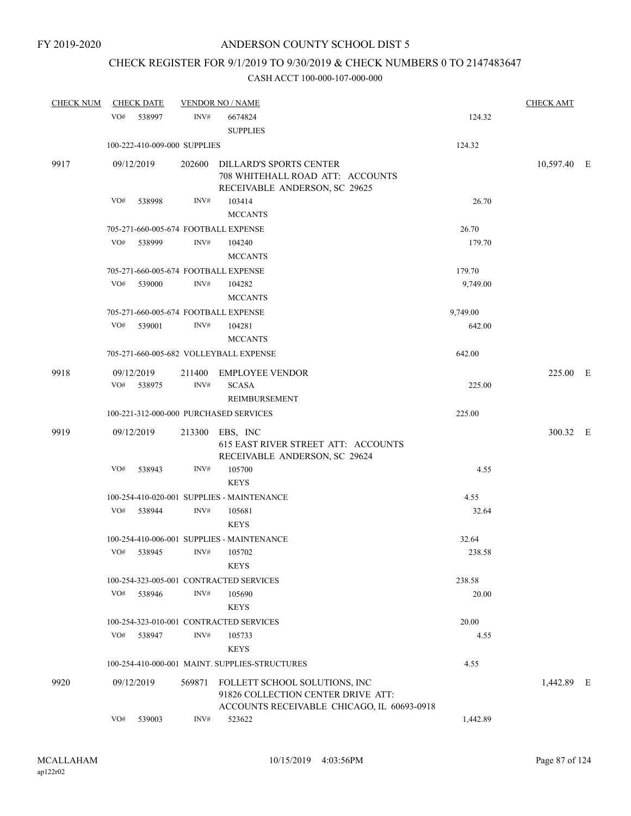### CHECK REGISTER FOR 9/1/2019 TO 9/30/2019 & CHECK NUMBERS 0 TO 2147483647

| <b>CHECK NUM</b> | <b>CHECK DATE</b>                      |        | <b>VENDOR NO / NAME</b>                                                                                           |          | <b>CHECK AMT</b> |  |
|------------------|----------------------------------------|--------|-------------------------------------------------------------------------------------------------------------------|----------|------------------|--|
|                  | VO#<br>538997                          | INV#   | 6674824<br><b>SUPPLIES</b>                                                                                        | 124.32   |                  |  |
|                  | 100-222-410-009-000 SUPPLIES           |        |                                                                                                                   | 124.32   |                  |  |
| 9917             | 09/12/2019                             |        | 202600 DILLARD'S SPORTS CENTER<br>708 WHITEHALL ROAD ATT: ACCOUNTS<br>RECEIVABLE ANDERSON, SC 29625               |          | 10,597.40 E      |  |
|                  | VO#<br>538998                          | INV#   | 103414<br><b>MCCANTS</b>                                                                                          | 26.70    |                  |  |
|                  | 705-271-660-005-674 FOOTBALL EXPENSE   |        |                                                                                                                   | 26.70    |                  |  |
|                  | VO#<br>538999                          | INV#   | 104240<br><b>MCCANTS</b>                                                                                          | 179.70   |                  |  |
|                  | 705-271-660-005-674 FOOTBALL EXPENSE   |        |                                                                                                                   | 179.70   |                  |  |
|                  | VO#<br>539000                          | INV#   | 104282<br><b>MCCANTS</b>                                                                                          | 9,749.00 |                  |  |
|                  | 705-271-660-005-674 FOOTBALL EXPENSE   |        |                                                                                                                   | 9,749.00 |                  |  |
|                  | VO#<br>539001                          | INV#   | 104281<br><b>MCCANTS</b>                                                                                          | 642.00   |                  |  |
|                  |                                        |        | 705-271-660-005-682 VOLLEYBALL EXPENSE                                                                            | 642.00   |                  |  |
| 9918             | 09/12/2019<br>VO#<br>538975            | INV#   | 211400 EMPLOYEE VENDOR<br><b>SCASA</b><br>REIMBURSEMENT                                                           | 225.00   | 225.00 E         |  |
|                  | 100-221-312-000-000 PURCHASED SERVICES |        |                                                                                                                   | 225.00   |                  |  |
| 9919             | 09/12/2019                             |        | 213300 EBS, INC<br><b>615 EAST RIVER STREET ATT: ACCOUNTS</b><br>RECEIVABLE ANDERSON, SC 29624                    |          | 300.32 E         |  |
|                  | VO#<br>538943                          | INV#   | 105700<br><b>KEYS</b>                                                                                             | 4.55     |                  |  |
|                  |                                        |        | 100-254-410-020-001 SUPPLIES - MAINTENANCE                                                                        | 4.55     |                  |  |
|                  | VO# 538944                             | INV#   | 105681<br><b>KEYS</b>                                                                                             | 32.64    |                  |  |
|                  |                                        |        | 100-254-410-006-001 SUPPLIES - MAINTENANCE                                                                        | 32.64    |                  |  |
|                  | VO#<br>538945                          | INV#   | 105702<br><b>KEYS</b>                                                                                             | 238.58   |                  |  |
|                  |                                        |        | 100-254-323-005-001 CONTRACTED SERVICES                                                                           | 238.58   |                  |  |
|                  | VO#<br>538946                          | INV#   | 105690<br><b>KEYS</b>                                                                                             | 20.00    |                  |  |
|                  |                                        |        | 100-254-323-010-001 CONTRACTED SERVICES                                                                           | 20.00    |                  |  |
|                  | VO#<br>538947                          | INV#   | 105733<br><b>KEYS</b>                                                                                             | 4.55     |                  |  |
|                  |                                        |        | 100-254-410-000-001 MAINT. SUPPLIES-STRUCTURES                                                                    | 4.55     |                  |  |
| 9920             | 09/12/2019                             | 569871 | FOLLETT SCHOOL SOLUTIONS, INC<br>91826 COLLECTION CENTER DRIVE ATT:<br>ACCOUNTS RECEIVABLE CHICAGO, IL 60693-0918 |          | 1,442.89 E       |  |
|                  | VO#<br>539003                          | INV#   | 523622                                                                                                            | 1,442.89 |                  |  |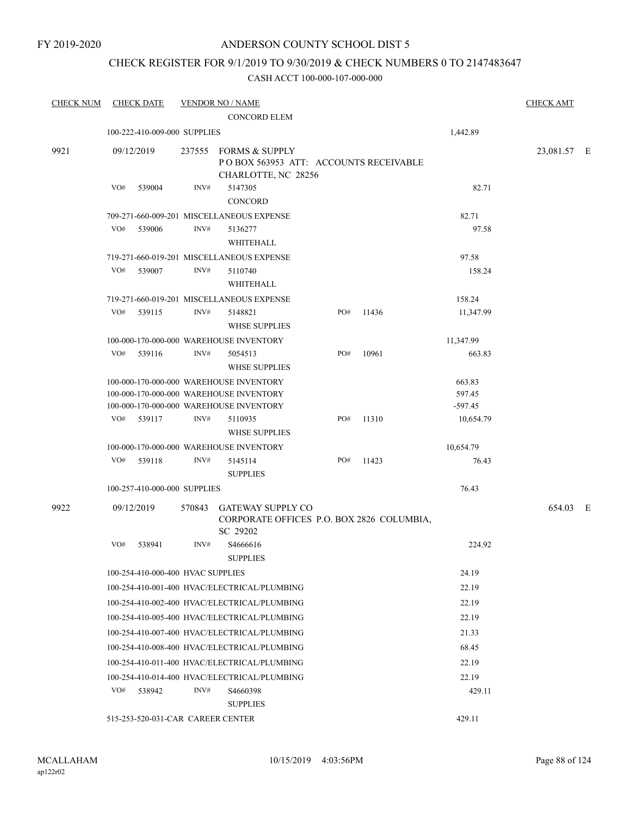### CHECK REGISTER FOR 9/1/2019 TO 9/30/2019 & CHECK NUMBERS 0 TO 2147483647

| <b>CHECK NUM</b> | <b>CHECK DATE</b>                 |        | <b>VENDOR NO / NAME</b><br><b>CONCORD ELEM</b>                                        |     |       |           | <b>CHECK AMT</b> |  |
|------------------|-----------------------------------|--------|---------------------------------------------------------------------------------------|-----|-------|-----------|------------------|--|
|                  | 100-222-410-009-000 SUPPLIES      |        |                                                                                       |     |       | 1,442.89  |                  |  |
| 9921             | 09/12/2019                        |        | 237555 FORMS & SUPPLY<br>POBOX 563953 ATT: ACCOUNTS RECEIVABLE<br>CHARLOTTE, NC 28256 |     |       |           | 23,081.57 E      |  |
|                  | VO#<br>539004                     | INV#   | 5147305<br><b>CONCORD</b>                                                             |     |       | 82.71     |                  |  |
|                  |                                   |        | 709-271-660-009-201 MISCELLANEOUS EXPENSE                                             |     |       | 82.71     |                  |  |
|                  | VO#<br>539006                     | INV#   | 5136277<br>WHITEHALL                                                                  |     |       | 97.58     |                  |  |
|                  |                                   |        | 719-271-660-019-201 MISCELLANEOUS EXPENSE                                             |     |       | 97.58     |                  |  |
|                  | VO#<br>539007                     | INV#   | 5110740<br>WHITEHALL                                                                  |     |       | 158.24    |                  |  |
|                  |                                   |        | 719-271-660-019-201 MISCELLANEOUS EXPENSE                                             |     |       | 158.24    |                  |  |
|                  | VO#<br>539115                     | INV#   | 5148821<br><b>WHSE SUPPLIES</b>                                                       | PO# | 11436 | 11,347.99 |                  |  |
|                  |                                   |        | 100-000-170-000-000 WAREHOUSE INVENTORY                                               |     |       | 11,347.99 |                  |  |
|                  | VO#<br>539116                     | INV#   | 5054513<br><b>WHSE SUPPLIES</b>                                                       | PO# | 10961 | 663.83    |                  |  |
|                  |                                   |        | 100-000-170-000-000 WAREHOUSE INVENTORY                                               |     |       | 663.83    |                  |  |
|                  |                                   |        | 100-000-170-000-000 WAREHOUSE INVENTORY                                               |     |       | 597.45    |                  |  |
|                  |                                   |        | 100-000-170-000-000 WAREHOUSE INVENTORY                                               |     |       | $-597.45$ |                  |  |
|                  | VO#<br>539117                     | INV#   | 5110935<br><b>WHSE SUPPLIES</b>                                                       | PO# | 11310 | 10,654.79 |                  |  |
|                  |                                   |        | 100-000-170-000-000 WAREHOUSE INVENTORY                                               |     |       | 10,654.79 |                  |  |
|                  | VO#<br>539118                     | INV#   | 5145114                                                                               | PO# | 11423 | 76.43     |                  |  |
|                  | 100-257-410-000-000 SUPPLIES      |        | <b>SUPPLIES</b>                                                                       |     |       | 76.43     |                  |  |
|                  |                                   |        |                                                                                       |     |       |           |                  |  |
| 9922             | 09/12/2019                        | 570843 | <b>GATEWAY SUPPLY CO</b><br>CORPORATE OFFICES P.O. BOX 2826 COLUMBIA,<br>SC 29202     |     |       |           | 654.03 E         |  |
|                  | VO#<br>538941                     | INV#   | S4666616<br><b>SUPPLIES</b>                                                           |     |       | 224.92    |                  |  |
|                  | 100-254-410-000-400 HVAC SUPPLIES |        |                                                                                       |     |       | 24.19     |                  |  |
|                  |                                   |        | 100-254-410-001-400 HVAC/ELECTRICAL/PLUMBING                                          |     |       | 22.19     |                  |  |
|                  |                                   |        | 100-254-410-002-400 HVAC/ELECTRICAL/PLUMBING                                          |     |       | 22.19     |                  |  |
|                  |                                   |        | 100-254-410-005-400 HVAC/ELECTRICAL/PLUMBING                                          |     |       | 22.19     |                  |  |
|                  |                                   |        | 100-254-410-007-400 HVAC/ELECTRICAL/PLUMBING                                          |     |       | 21.33     |                  |  |
|                  |                                   |        | 100-254-410-008-400 HVAC/ELECTRICAL/PLUMBING                                          |     |       | 68.45     |                  |  |
|                  |                                   |        | 100-254-410-011-400 HVAC/ELECTRICAL/PLUMBING                                          |     |       | 22.19     |                  |  |
|                  |                                   |        | 100-254-410-014-400 HVAC/ELECTRICAL/PLUMBING                                          |     |       | 22.19     |                  |  |
|                  | VO#<br>538942                     | INV#   | S4660398<br><b>SUPPLIES</b>                                                           |     |       | 429.11    |                  |  |
|                  | 515-253-520-031-CAR CAREER CENTER |        |                                                                                       |     |       | 429.11    |                  |  |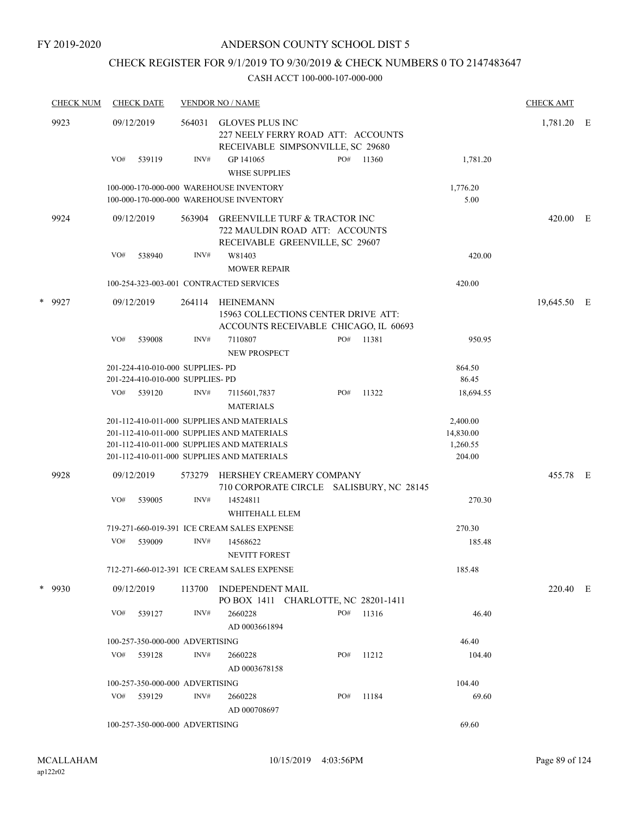### CHECK REGISTER FOR 9/1/2019 TO 9/30/2019 & CHECK NUMBERS 0 TO 2147483647

| <b>CHECK NUM</b> |     | <b>CHECK DATE</b>                |        | <b>VENDOR NO / NAME</b>                                                                            |     |                                          |           | <b>CHECK AMT</b> |  |
|------------------|-----|----------------------------------|--------|----------------------------------------------------------------------------------------------------|-----|------------------------------------------|-----------|------------------|--|
| 9923             |     | 09/12/2019                       | 564031 | GLOVES PLUS INC<br>227 NEELY FERRY ROAD ATT: ACCOUNTS<br>RECEIVABLE SIMPSONVILLE, SC 29680         |     |                                          |           | 1,781.20 E       |  |
|                  | VO# | 539119                           | INV#   | GP 141065                                                                                          | PO# | 11360                                    | 1,781.20  |                  |  |
|                  |     |                                  |        | <b>WHSE SUPPLIES</b>                                                                               |     |                                          |           |                  |  |
|                  |     |                                  |        | 100-000-170-000-000 WAREHOUSE INVENTORY                                                            |     |                                          | 1,776.20  |                  |  |
|                  |     |                                  |        | 100-000-170-000-000 WAREHOUSE INVENTORY                                                            |     |                                          | 5.00      |                  |  |
| 9924             |     | 09/12/2019                       | 563904 | GREENVILLE TURF & TRACTOR INC<br>722 MAULDIN ROAD ATT: ACCOUNTS<br>RECEIVABLE GREENVILLE, SC 29607 |     |                                          |           | 420.00 E         |  |
|                  | VO# | 538940                           | INV#   | W81403                                                                                             |     |                                          | 420.00    |                  |  |
|                  |     |                                  |        | <b>MOWER REPAIR</b>                                                                                |     |                                          |           |                  |  |
|                  |     |                                  |        | 100-254-323-003-001 CONTRACTED SERVICES                                                            |     |                                          | 420.00    |                  |  |
| * 9927           |     | 09/12/2019                       | 264114 | HEINEMANN                                                                                          |     |                                          |           | 19,645.50 E      |  |
|                  |     |                                  |        | 15963 COLLECTIONS CENTER DRIVE ATT:<br>ACCOUNTS RECEIVABLE CHICAGO, IL 60693                       |     |                                          |           |                  |  |
|                  | VO# | 539008                           | INV#   | 7110807                                                                                            | PO# | 11381                                    | 950.95    |                  |  |
|                  |     |                                  |        | <b>NEW PROSPECT</b>                                                                                |     |                                          |           |                  |  |
|                  |     | 201-224-410-010-000 SUPPLIES- PD |        |                                                                                                    |     |                                          | 864.50    |                  |  |
|                  |     | 201-224-410-010-000 SUPPLIES- PD |        |                                                                                                    |     |                                          | 86.45     |                  |  |
|                  | VO# | 539120                           | INV#   | 7115601,7837<br><b>MATERIALS</b>                                                                   | PO# | 11322                                    | 18,694.55 |                  |  |
|                  |     |                                  |        | 201-112-410-011-000 SUPPLIES AND MATERIALS                                                         |     |                                          | 2,400.00  |                  |  |
|                  |     |                                  |        | 201-112-410-011-000 SUPPLIES AND MATERIALS                                                         |     |                                          | 14,830.00 |                  |  |
|                  |     |                                  |        | 201-112-410-011-000 SUPPLIES AND MATERIALS                                                         |     |                                          | 1,260.55  |                  |  |
|                  |     |                                  |        | 201-112-410-011-000 SUPPLIES AND MATERIALS                                                         |     |                                          | 204.00    |                  |  |
| 9928             |     | 09/12/2019                       | 573279 | HERSHEY CREAMERY COMPANY                                                                           |     | 710 CORPORATE CIRCLE SALISBURY, NC 28145 |           | 455.78 E         |  |
|                  | VO# | 539005                           | INV#   | 14524811                                                                                           |     |                                          | 270.30    |                  |  |
|                  |     |                                  |        | WHITEHALL ELEM                                                                                     |     |                                          |           |                  |  |
|                  |     |                                  |        | 719-271-660-019-391 ICE CREAM SALES EXPENSE                                                        |     |                                          | 270.30    |                  |  |
|                  | VO# | 539009                           | INV#   | 14568622                                                                                           |     |                                          | 185.48    |                  |  |
|                  |     |                                  |        | <b>NEVITT FOREST</b>                                                                               |     |                                          |           |                  |  |
|                  |     |                                  |        | 712-271-660-012-391 ICE CREAM SALES EXPENSE                                                        |     |                                          | 185.48    |                  |  |
| * 9930           |     | 09/12/2019                       |        | 113700 INDEPENDENT MAIL<br>PO BOX 1411 CHARLOTTE, NC 28201-1411                                    |     |                                          |           | 220.40 E         |  |
|                  | VO# | 539127                           | INV#   | 2660228<br>AD 0003661894                                                                           | PO# | 11316                                    | 46.40     |                  |  |
|                  |     | 100-257-350-000-000 ADVERTISING  |        |                                                                                                    |     |                                          | 46.40     |                  |  |
|                  |     | VO# 539128                       | INV#   | 2660228                                                                                            | PO# | 11212                                    | 104.40    |                  |  |
|                  |     |                                  |        | AD 0003678158                                                                                      |     |                                          |           |                  |  |
|                  |     | 100-257-350-000-000 ADVERTISING  |        |                                                                                                    |     |                                          | 104.40    |                  |  |
|                  |     | VO# 539129                       | INV#   | 2660228                                                                                            | PO# | 11184                                    | 69.60     |                  |  |
|                  |     |                                  |        | AD 000708697                                                                                       |     |                                          |           |                  |  |
|                  |     | 100-257-350-000-000 ADVERTISING  |        |                                                                                                    |     |                                          | 69.60     |                  |  |
|                  |     |                                  |        |                                                                                                    |     |                                          |           |                  |  |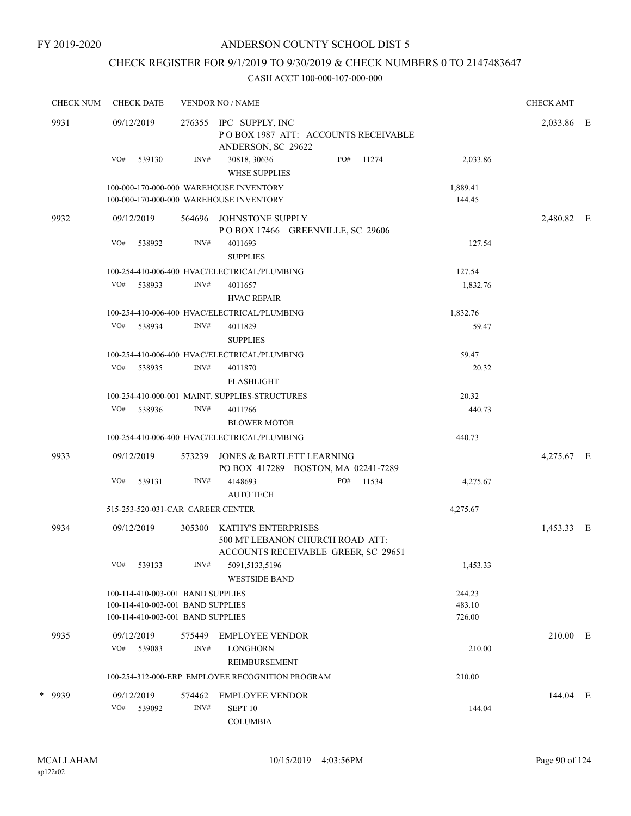### CHECK REGISTER FOR 9/1/2019 TO 9/30/2019 & CHECK NUMBERS 0 TO 2147483647

| <b>CHECK NUM</b> | <b>CHECK DATE</b> |                                   |        | <b>VENDOR NO / NAME</b>                                                                       |     |       |                    | <b>CHECK AMT</b> |  |
|------------------|-------------------|-----------------------------------|--------|-----------------------------------------------------------------------------------------------|-----|-------|--------------------|------------------|--|
| 9931             | 09/12/2019        |                                   | 276355 | IPC SUPPLY, INC<br>POBOX 1987 ATT: ACCOUNTS RECEIVABLE<br>ANDERSON, SC 29622                  |     |       |                    | 2,033.86 E       |  |
|                  | VO#               | 539130                            | INV#   | 30818, 30636<br>WHSE SUPPLIES                                                                 | PO# | 11274 | 2,033.86           |                  |  |
|                  |                   |                                   |        | 100-000-170-000-000 WAREHOUSE INVENTORY<br>100-000-170-000-000 WAREHOUSE INVENTORY            |     |       | 1,889.41<br>144.45 |                  |  |
| 9932             | 09/12/2019        |                                   | 564696 | JOHNSTONE SUPPLY<br>POBOX 17466 GREENVILLE, SC 29606                                          |     |       |                    | 2,480.82 E       |  |
|                  | VO#               | 538932                            | INV#   | 4011693<br><b>SUPPLIES</b>                                                                    |     |       | 127.54             |                  |  |
|                  |                   |                                   |        | 100-254-410-006-400 HVAC/ELECTRICAL/PLUMBING                                                  |     |       | 127.54             |                  |  |
|                  | VO#               | 538933                            | INV#   | 4011657<br><b>HVAC REPAIR</b>                                                                 |     |       | 1,832.76           |                  |  |
|                  |                   |                                   |        | 100-254-410-006-400 HVAC/ELECTRICAL/PLUMBING                                                  |     |       | 1,832.76           |                  |  |
|                  | VO# 538934        |                                   | INV#   | 4011829<br><b>SUPPLIES</b>                                                                    |     |       | 59.47              |                  |  |
|                  |                   |                                   |        | 100-254-410-006-400 HVAC/ELECTRICAL/PLUMBING                                                  |     |       | 59.47              |                  |  |
|                  | VO#               | 538935                            | INV#   | 4011870<br><b>FLASHLIGHT</b>                                                                  |     |       | 20.32              |                  |  |
|                  |                   |                                   |        | 100-254-410-000-001 MAINT, SUPPLIES-STRUCTURES                                                |     |       | 20.32              |                  |  |
|                  | VO#               | 538936                            | INV#   | 4011766<br><b>BLOWER MOTOR</b>                                                                |     |       | 440.73             |                  |  |
|                  |                   |                                   |        | 100-254-410-006-400 HVAC/ELECTRICAL/PLUMBING                                                  |     |       | 440.73             |                  |  |
| 9933             | 09/12/2019        |                                   | 573239 | JONES & BARTLETT LEARNING<br>PO BOX 417289 BOSTON, MA 02241-7289                              |     |       |                    | 4,275.67 E       |  |
|                  | VO#               | 539131                            | INV#   | 4148693<br><b>AUTO TECH</b>                                                                   | PO# | 11534 | 4,275.67           |                  |  |
|                  |                   |                                   |        | 515-253-520-031-CAR CAREER CENTER                                                             |     |       | 4,275.67           |                  |  |
| 9934             | 09/12/2019        |                                   | 305300 | KATHY'S ENTERPRISES<br>500 MT LEBANON CHURCH ROAD ATT:<br>ACCOUNTS RECEIVABLE GREER, SC 29651 |     |       |                    | 1,453.33 E       |  |
|                  | VO#               | 539133                            | INV#   | 5091,5133,5196<br><b>WESTSIDE BAND</b>                                                        |     |       | 1,453.33           |                  |  |
|                  |                   | 100-114-410-003-001 BAND SUPPLIES |        |                                                                                               |     |       | 244.23             |                  |  |
|                  |                   | 100-114-410-003-001 BAND SUPPLIES |        |                                                                                               |     |       | 483.10             |                  |  |
|                  |                   | 100-114-410-003-001 BAND SUPPLIES |        |                                                                                               |     |       | 726.00             |                  |  |
| 9935             | 09/12/2019        |                                   | 575449 | EMPLOYEE VENDOR                                                                               |     |       |                    | 210.00 E         |  |
|                  | VO#               | 539083                            | INV#   | <b>LONGHORN</b><br>REIMBURSEMENT                                                              |     |       | 210.00             |                  |  |
|                  |                   |                                   |        | 100-254-312-000-ERP EMPLOYEE RECOGNITION PROGRAM                                              |     |       | 210.00             |                  |  |
| * 9939           | 09/12/2019        |                                   | 574462 | EMPLOYEE VENDOR                                                                               |     |       |                    | 144.04 E         |  |
|                  | VO#               | 539092                            | INV#   | SEPT <sub>10</sub><br><b>COLUMBIA</b>                                                         |     |       | 144.04             |                  |  |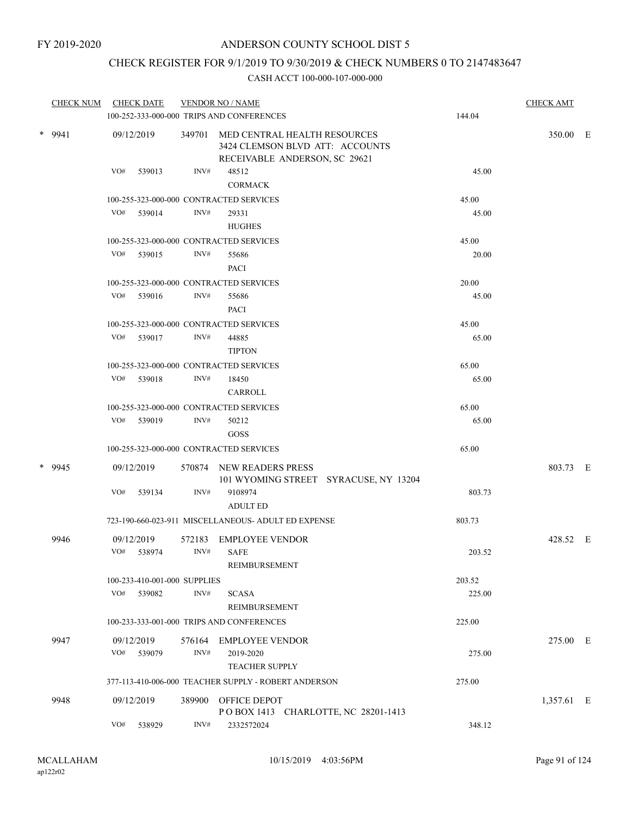### CHECK REGISTER FOR 9/1/2019 TO 9/30/2019 & CHECK NUMBERS 0 TO 2147483647

| <b>CHECK NUM</b> | <b>CHECK DATE</b>                       |        | <b>VENDOR NO / NAME</b><br>100-252-333-000-000 TRIPS AND CONFERENCES                             | 144.04 | <b>CHECK AMT</b> |  |
|------------------|-----------------------------------------|--------|--------------------------------------------------------------------------------------------------|--------|------------------|--|
| * 9941           | 09/12/2019                              | 349701 | MED CENTRAL HEALTH RESOURCES<br>3424 CLEMSON BLVD ATT: ACCOUNTS<br>RECEIVABLE ANDERSON, SC 29621 |        | 350.00 E         |  |
|                  | VO#<br>539013                           | INV#   | 48512                                                                                            | 45.00  |                  |  |
|                  |                                         |        | <b>CORMACK</b>                                                                                   |        |                  |  |
|                  | 100-255-323-000-000 CONTRACTED SERVICES |        |                                                                                                  | 45.00  |                  |  |
|                  | VO# 539014                              | INV#   | 29331                                                                                            | 45.00  |                  |  |
|                  |                                         |        | <b>HUGHES</b>                                                                                    |        |                  |  |
|                  | 100-255-323-000-000 CONTRACTED SERVICES |        |                                                                                                  | 45.00  |                  |  |
|                  | VO# 539015                              | INV#   | 55686                                                                                            | 20.00  |                  |  |
|                  |                                         |        | <b>PACI</b>                                                                                      |        |                  |  |
|                  | 100-255-323-000-000 CONTRACTED SERVICES |        |                                                                                                  | 20.00  |                  |  |
|                  | VO# 539016                              | INV#   | 55686<br>PACI                                                                                    | 45.00  |                  |  |
|                  | 100-255-323-000-000 CONTRACTED SERVICES |        |                                                                                                  | 45.00  |                  |  |
|                  | VO# 539017                              | INV#   | 44885                                                                                            | 65.00  |                  |  |
|                  |                                         |        | <b>TIPTON</b>                                                                                    |        |                  |  |
|                  | 100-255-323-000-000 CONTRACTED SERVICES |        |                                                                                                  | 65.00  |                  |  |
|                  | VO# 539018                              | INV#   | 18450                                                                                            | 65.00  |                  |  |
|                  |                                         |        | CARROLL                                                                                          |        |                  |  |
|                  | 100-255-323-000-000 CONTRACTED SERVICES |        |                                                                                                  | 65.00  |                  |  |
|                  | VO# 539019                              | INV#   | 50212                                                                                            | 65.00  |                  |  |
|                  |                                         |        | GOSS                                                                                             |        |                  |  |
|                  | 100-255-323-000-000 CONTRACTED SERVICES |        |                                                                                                  | 65.00  |                  |  |
| * 9945           | 09/12/2019                              |        | 570874 NEW READERS PRESS<br>101 WYOMING STREET SYRACUSE, NY 13204                                |        | 803.73 E         |  |
|                  | VO#<br>539134                           | INV#   | 9108974<br><b>ADULT ED</b>                                                                       | 803.73 |                  |  |
|                  |                                         |        | 723-190-660-023-911 MISCELLANEOUS- ADULT ED EXPENSE                                              | 803.73 |                  |  |
| 9946             | 09/12/2019                              | 572183 | <b>EMPLOYEE VENDOR</b>                                                                           |        | 428.52 E         |  |
|                  | VO# 538974                              | INV#   | <b>SAFE</b>                                                                                      | 203.52 |                  |  |
|                  |                                         |        | REIMBURSEMENT                                                                                    |        |                  |  |
|                  | 100-233-410-001-000 SUPPLIES            |        |                                                                                                  | 203.52 |                  |  |
|                  | VO# 539082                              | INV#   | <b>SCASA</b>                                                                                     | 225.00 |                  |  |
|                  |                                         |        | REIMBURSEMENT                                                                                    |        |                  |  |
|                  |                                         |        | 100-233-333-001-000 TRIPS AND CONFERENCES                                                        | 225.00 |                  |  |
| 9947             | 09/12/2019                              | 576164 | <b>EMPLOYEE VENDOR</b>                                                                           |        | 275.00 E         |  |
|                  | VO# 539079                              | INV#   | 2019-2020                                                                                        | 275.00 |                  |  |
|                  |                                         |        | <b>TEACHER SUPPLY</b>                                                                            |        |                  |  |
|                  |                                         |        | 377-113-410-006-000 TEACHER SUPPLY - ROBERT ANDERSON                                             | 275.00 |                  |  |
| 9948             | 09/12/2019                              | 389900 | OFFICE DEPOT                                                                                     |        | 1,357.61 E       |  |
|                  |                                         |        | POBOX 1413 CHARLOTTE, NC 28201-1413                                                              |        |                  |  |
|                  | VO#<br>538929                           | INV#   | 2332572024                                                                                       | 348.12 |                  |  |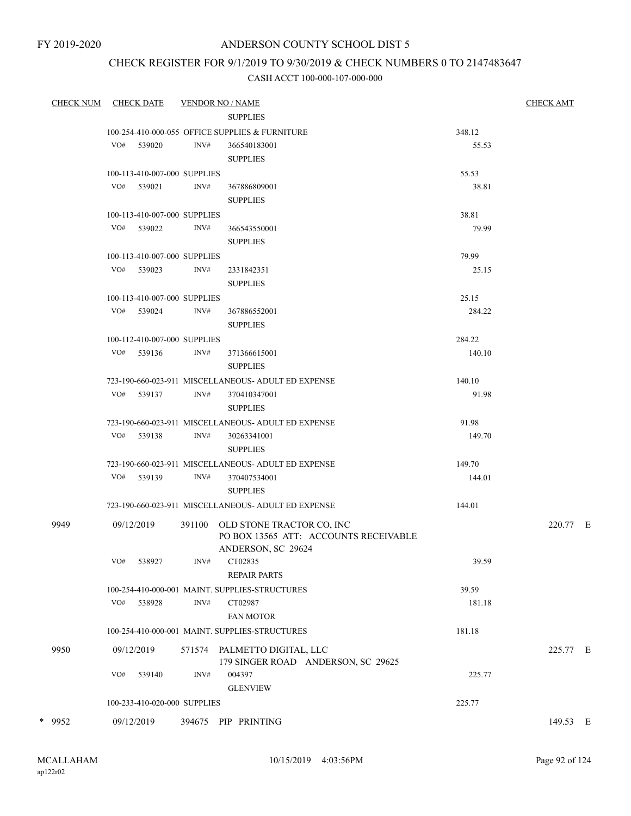FY 2019-2020

## ANDERSON COUNTY SCHOOL DIST 5

### CHECK REGISTER FOR 9/1/2019 TO 9/30/2019 & CHECK NUMBERS 0 TO 2147483647

| <b>CHECK NUM</b> |     | CHECK DATE                   |                | <b>VENDOR NO / NAME</b>                                                   |                 | <b>CHECK AMT</b> |
|------------------|-----|------------------------------|----------------|---------------------------------------------------------------------------|-----------------|------------------|
|                  |     |                              |                | <b>SUPPLIES</b>                                                           |                 |                  |
|                  |     |                              |                | 100-254-410-000-055 OFFICE SUPPLIES & FURNITURE                           | 348.12          |                  |
|                  |     | VO# 539020                   | INV#           | 366540183001                                                              | 55.53           |                  |
|                  |     |                              |                | <b>SUPPLIES</b>                                                           |                 |                  |
|                  |     | 100-113-410-007-000 SUPPLIES |                |                                                                           | 55.53           |                  |
|                  |     | VO# 539021                   | INV#           | 367886809001                                                              | 38.81           |                  |
|                  |     |                              |                | <b>SUPPLIES</b>                                                           |                 |                  |
|                  |     | 100-113-410-007-000 SUPPLIES |                |                                                                           | 38.81           |                  |
|                  |     | VO# 539022                   | INV#           | 366543550001                                                              | 79.99           |                  |
|                  |     |                              |                | <b>SUPPLIES</b>                                                           |                 |                  |
|                  |     | 100-113-410-007-000 SUPPLIES |                |                                                                           | 79.99           |                  |
|                  |     | VO# 539023                   | INV#           | 2331842351                                                                | 25.15           |                  |
|                  |     |                              |                | <b>SUPPLIES</b>                                                           |                 |                  |
|                  |     | 100-113-410-007-000 SUPPLIES |                |                                                                           | 25.15           |                  |
|                  |     | VO# 539024                   | INV#           | 367886552001                                                              | 284.22          |                  |
|                  |     |                              |                | <b>SUPPLIES</b>                                                           |                 |                  |
|                  |     | 100-112-410-007-000 SUPPLIES |                |                                                                           | 284.22          |                  |
|                  |     | VO# 539136                   | INV#           | 371366615001                                                              | 140.10          |                  |
|                  |     |                              |                | <b>SUPPLIES</b>                                                           |                 |                  |
|                  |     | VO# 539137                   | INV#           | 723-190-660-023-911 MISCELLANEOUS- ADULT ED EXPENSE<br>370410347001       | 140.10<br>91.98 |                  |
|                  |     |                              |                | <b>SUPPLIES</b>                                                           |                 |                  |
|                  |     |                              |                | 723-190-660-023-911 MISCELLANEOUS- ADULT ED EXPENSE                       | 91.98           |                  |
|                  |     | VO# 539138                   | INV#           | 30263341001                                                               | 149.70          |                  |
|                  |     |                              |                | <b>SUPPLIES</b>                                                           |                 |                  |
|                  |     |                              |                | 723-190-660-023-911 MISCELLANEOUS- ADULT ED EXPENSE                       | 149.70          |                  |
|                  |     | VO# 539139                   | INV#           | 370407534001                                                              | 144.01          |                  |
|                  |     |                              |                | <b>SUPPLIES</b>                                                           |                 |                  |
|                  |     |                              |                | 723-190-660-023-911 MISCELLANEOUS- ADULT ED EXPENSE                       | 144.01          |                  |
| 9949             |     |                              |                |                                                                           |                 | 220.77 E         |
|                  |     | 09/12/2019                   |                | 391100 OLD STONE TRACTOR CO, INC<br>PO BOX 13565 ATT: ACCOUNTS RECEIVABLE |                 |                  |
|                  |     |                              |                | ANDERSON, SC 29624                                                        |                 |                  |
|                  | VO# | 538927                       | $\text{INV}\#$ | CT02835                                                                   | 39.59           |                  |
|                  |     |                              |                | <b>REPAIR PARTS</b>                                                       |                 |                  |
|                  |     |                              |                | 100-254-410-000-001 MAINT. SUPPLIES-STRUCTURES                            | 39.59           |                  |
|                  |     | VO# 538928                   | INV#           | CT02987                                                                   | 181.18          |                  |
|                  |     |                              |                | <b>FAN MOTOR</b>                                                          |                 |                  |
|                  |     |                              |                | 100-254-410-000-001 MAINT. SUPPLIES-STRUCTURES                            | 181.18          |                  |
| 9950             |     | 09/12/2019                   |                | 571574 PALMETTO DIGITAL, LLC                                              |                 | 225.77 E         |
|                  |     |                              |                | 179 SINGER ROAD ANDERSON, SC 29625                                        |                 |                  |
|                  | VO# | 539140                       | INV#           | 004397                                                                    | 225.77          |                  |
|                  |     |                              |                | <b>GLENVIEW</b>                                                           |                 |                  |
|                  |     | 100-233-410-020-000 SUPPLIES |                |                                                                           | 225.77          |                  |
| * 9952           |     | 09/12/2019                   |                | 394675 PIP PRINTING                                                       |                 | 149.53 E         |
|                  |     |                              |                |                                                                           |                 |                  |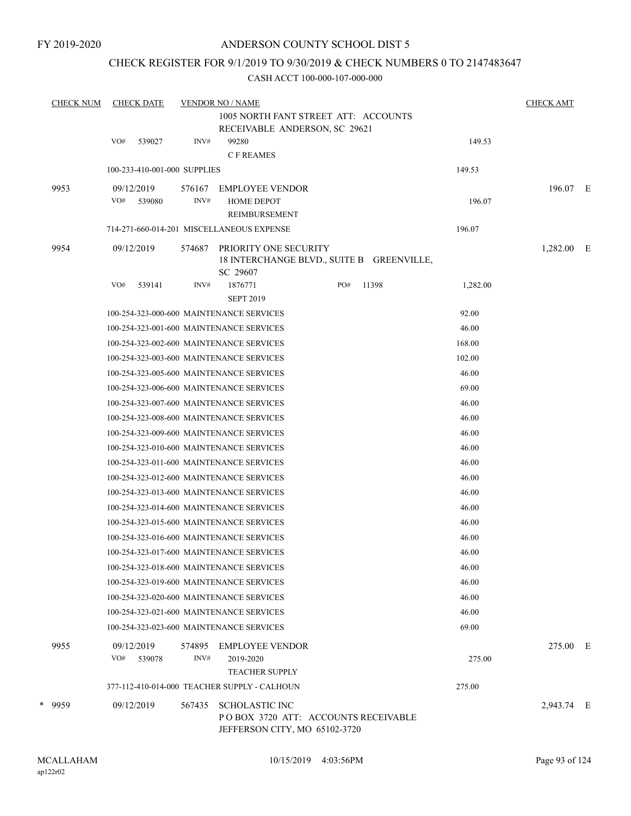### CHECK REGISTER FOR 9/1/2019 TO 9/30/2019 & CHECK NUMBERS 0 TO 2147483647

| <b>CHECK NUM</b> | <b>CHECK DATE</b>            |        | <b>VENDOR NO / NAME</b>                                                                       |     |       |          | <b>CHECK AMT</b> |  |
|------------------|------------------------------|--------|-----------------------------------------------------------------------------------------------|-----|-------|----------|------------------|--|
|                  |                              |        | 1005 NORTH FANT STREET ATT: ACCOUNTS                                                          |     |       |          |                  |  |
|                  |                              |        | RECEIVABLE ANDERSON, SC 29621                                                                 |     |       |          |                  |  |
|                  | VO#<br>539027                | INV#   | 99280<br><b>CF REAMES</b>                                                                     |     |       | 149.53   |                  |  |
|                  | 100-233-410-001-000 SUPPLIES |        |                                                                                               |     |       | 149.53   |                  |  |
| 9953             | 09/12/2019                   | 576167 | <b>EMPLOYEE VENDOR</b>                                                                        |     |       |          | 196.07 E         |  |
|                  | VO#<br>539080                | INV#   | <b>HOME DEPOT</b>                                                                             |     |       | 196.07   |                  |  |
|                  |                              |        | REIMBURSEMENT                                                                                 |     |       |          |                  |  |
|                  |                              |        | 714-271-660-014-201 MISCELLANEOUS EXPENSE                                                     |     |       | 196.07   |                  |  |
| 9954             | 09/12/2019                   | 574687 | PRIORITY ONE SECURITY<br>18 INTERCHANGE BLVD., SUITE B GREENVILLE,<br>SC 29607                |     |       |          | 1,282.00 E       |  |
|                  | VO#<br>539141                | INV#   | 1876771<br><b>SEPT 2019</b>                                                                   | PO# | 11398 | 1,282.00 |                  |  |
|                  |                              |        | 100-254-323-000-600 MAINTENANCE SERVICES                                                      |     |       | 92.00    |                  |  |
|                  |                              |        | 100-254-323-001-600 MAINTENANCE SERVICES                                                      |     |       | 46.00    |                  |  |
|                  |                              |        | 100-254-323-002-600 MAINTENANCE SERVICES                                                      |     |       | 168.00   |                  |  |
|                  |                              |        | 100-254-323-003-600 MAINTENANCE SERVICES                                                      |     |       | 102.00   |                  |  |
|                  |                              |        | 100-254-323-005-600 MAINTENANCE SERVICES                                                      |     |       | 46.00    |                  |  |
|                  |                              |        | 100-254-323-006-600 MAINTENANCE SERVICES                                                      |     |       | 69.00    |                  |  |
|                  |                              |        | 100-254-323-007-600 MAINTENANCE SERVICES                                                      |     |       | 46.00    |                  |  |
|                  |                              |        | 100-254-323-008-600 MAINTENANCE SERVICES                                                      |     |       | 46.00    |                  |  |
|                  |                              |        | 100-254-323-009-600 MAINTENANCE SERVICES                                                      |     |       | 46.00    |                  |  |
|                  |                              |        | 100-254-323-010-600 MAINTENANCE SERVICES                                                      |     |       | 46.00    |                  |  |
|                  |                              |        | 100-254-323-011-600 MAINTENANCE SERVICES                                                      |     |       | 46.00    |                  |  |
|                  |                              |        | 100-254-323-012-600 MAINTENANCE SERVICES                                                      |     |       | 46.00    |                  |  |
|                  |                              |        | 100-254-323-013-600 MAINTENANCE SERVICES                                                      |     |       | 46.00    |                  |  |
|                  |                              |        | 100-254-323-014-600 MAINTENANCE SERVICES                                                      |     |       | 46.00    |                  |  |
|                  |                              |        | 100-254-323-015-600 MAINTENANCE SERVICES                                                      |     |       | 46.00    |                  |  |
|                  |                              |        | 100-254-323-016-600 MAINTENANCE SERVICES                                                      |     |       | 46.00    |                  |  |
|                  |                              |        | 100-254-323-017-600 MAINTENANCE SERVICES                                                      |     |       | 46.00    |                  |  |
|                  |                              |        | 100-254-323-018-600 MAINTENANCE SERVICES                                                      |     |       | 46.00    |                  |  |
|                  |                              |        | 100-254-323-019-600 MAINTENANCE SERVICES                                                      |     |       | 46.00    |                  |  |
|                  |                              |        | 100-254-323-020-600 MAINTENANCE SERVICES                                                      |     |       | 46.00    |                  |  |
|                  |                              |        | 100-254-323-021-600 MAINTENANCE SERVICES                                                      |     |       | 46.00    |                  |  |
|                  |                              |        | 100-254-323-023-600 MAINTENANCE SERVICES                                                      |     |       | 69.00    |                  |  |
| 9955             | 09/12/2019                   | 574895 | EMPLOYEE VENDOR                                                                               |     |       |          | 275.00 E         |  |
|                  | VO#<br>539078                | INV#   | 2019-2020<br><b>TEACHER SUPPLY</b>                                                            |     |       | 275.00   |                  |  |
|                  |                              |        | 377-112-410-014-000 TEACHER SUPPLY - CALHOUN                                                  |     |       | 275.00   |                  |  |
| * 9959           | 09/12/2019                   | 567435 | <b>SCHOLASTIC INC</b><br>POBOX 3720 ATT: ACCOUNTS RECEIVABLE<br>JEFFERSON CITY, MO 65102-3720 |     |       |          | 2,943.74 E       |  |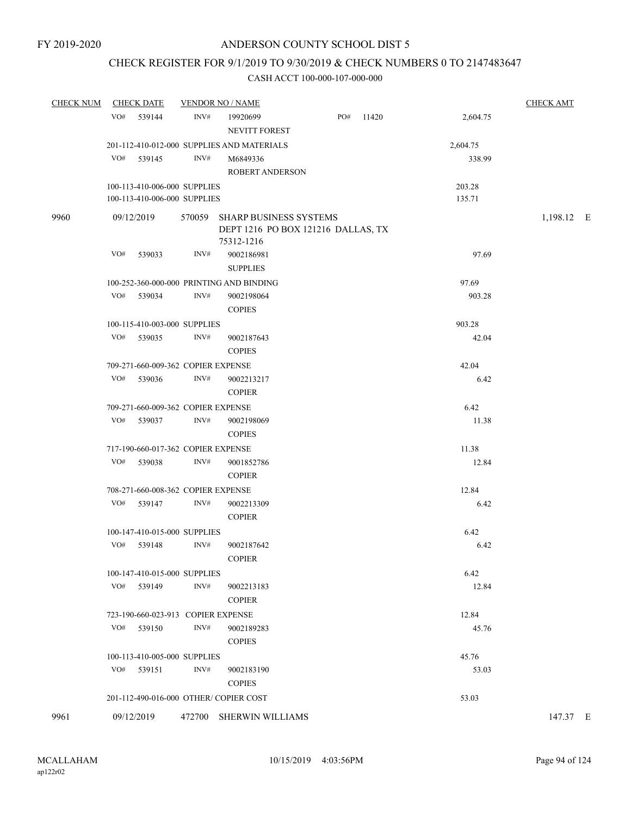### CHECK REGISTER FOR 9/1/2019 TO 9/30/2019 & CHECK NUMBERS 0 TO 2147483647

| <b>CHECK NUM</b> | <b>CHECK DATE</b>                     |      | <b>VENDOR NO / NAME</b>                                                           |     |       |          | <b>CHECK AMT</b> |
|------------------|---------------------------------------|------|-----------------------------------------------------------------------------------|-----|-------|----------|------------------|
|                  | VO#<br>539144                         | INV# | 19920699<br>NEVITT FOREST                                                         | PO# | 11420 | 2,604.75 |                  |
|                  |                                       |      | 201-112-410-012-000 SUPPLIES AND MATERIALS                                        |     |       | 2,604.75 |                  |
|                  | VO#<br>539145                         | INV# | M6849336                                                                          |     |       | 338.99   |                  |
|                  |                                       |      | ROBERT ANDERSON                                                                   |     |       |          |                  |
|                  | 100-113-410-006-000 SUPPLIES          |      |                                                                                   |     |       | 203.28   |                  |
|                  | 100-113-410-006-000 SUPPLIES          |      |                                                                                   |     |       | 135.71   |                  |
| 9960             | 09/12/2019                            |      | 570059 SHARP BUSINESS SYSTEMS<br>DEPT 1216 PO BOX 121216 DALLAS, TX<br>75312-1216 |     |       |          | 1,198.12 E       |
|                  | VO#<br>539033                         | INV# | 9002186981<br><b>SUPPLIES</b>                                                     |     |       | 97.69    |                  |
|                  |                                       |      | 100-252-360-000-000 PRINTING AND BINDING                                          |     |       | 97.69    |                  |
|                  | VO#<br>539034                         | INV# | 9002198064<br><b>COPIES</b>                                                       |     |       | 903.28   |                  |
|                  | 100-115-410-003-000 SUPPLIES          |      |                                                                                   |     |       | 903.28   |                  |
|                  | VO#<br>539035                         | INV# | 9002187643<br><b>COPIES</b>                                                       |     |       | 42.04    |                  |
|                  | 709-271-660-009-362 COPIER EXPENSE    |      |                                                                                   |     |       | 42.04    |                  |
|                  | VO#<br>539036                         | INV# | 9002213217<br><b>COPIER</b>                                                       |     |       | 6.42     |                  |
|                  | 709-271-660-009-362 COPIER EXPENSE    |      |                                                                                   |     |       | 6.42     |                  |
|                  | VO#<br>539037                         | INV# | 9002198069<br><b>COPIES</b>                                                       |     |       | 11.38    |                  |
|                  | 717-190-660-017-362 COPIER EXPENSE    |      |                                                                                   |     |       | 11.38    |                  |
|                  | VO# 539038                            | INV# | 9001852786<br><b>COPIER</b>                                                       |     |       | 12.84    |                  |
|                  | 708-271-660-008-362 COPIER EXPENSE    |      |                                                                                   |     |       | 12.84    |                  |
|                  | VO#<br>539147                         | INV# | 9002213309<br><b>COPIER</b>                                                       |     |       | 6.42     |                  |
|                  | 100-147-410-015-000 SUPPLIES          |      |                                                                                   |     |       | 6.42     |                  |
|                  | VO#<br>539148                         | INV# | 9002187642<br><b>COPIER</b>                                                       |     |       | 6.42     |                  |
|                  | 100-147-410-015-000 SUPPLIES          |      |                                                                                   |     |       | 6.42     |                  |
|                  | VO#<br>539149                         | INV# | 9002213183<br><b>COPIER</b>                                                       |     |       | 12.84    |                  |
|                  | 723-190-660-023-913 COPIER EXPENSE    |      |                                                                                   |     |       | 12.84    |                  |
|                  | VO# 539150                            | INV# | 9002189283<br><b>COPIES</b>                                                       |     |       | 45.76    |                  |
|                  | 100-113-410-005-000 SUPPLIES          |      |                                                                                   |     |       | 45.76    |                  |
|                  | VO#<br>539151                         | INV# | 9002183190<br><b>COPIES</b>                                                       |     |       | 53.03    |                  |
|                  | 201-112-490-016-000 OTHER/COPIER COST |      |                                                                                   |     |       | 53.03    |                  |
| 9961             | 09/12/2019                            |      | 472700 SHERWIN WILLIAMS                                                           |     |       |          | 147.37 E         |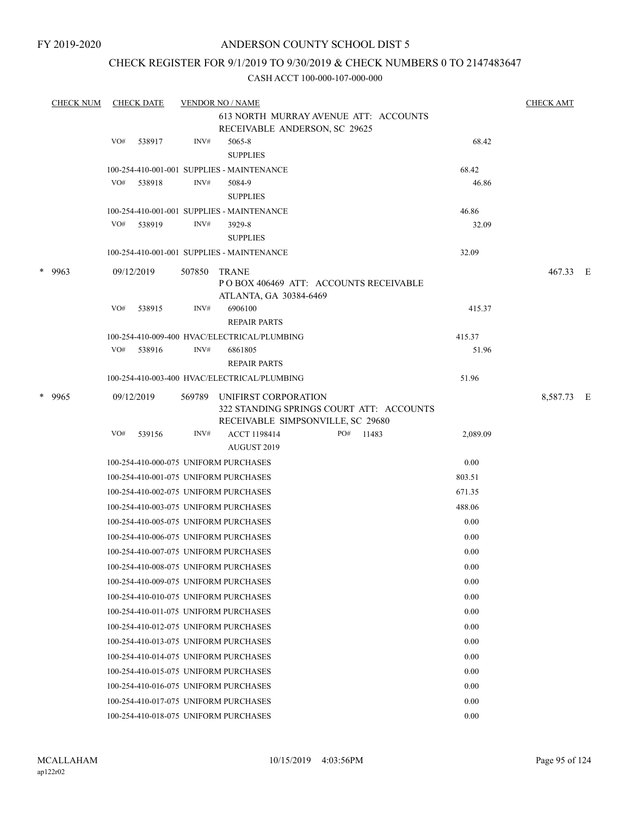### CHECK REGISTER FOR 9/1/2019 TO 9/30/2019 & CHECK NUMBERS 0 TO 2147483647

| <b>CHECK NUM</b> |     | <b>CHECK DATE</b> |        | <b>VENDOR NO / NAME</b>                                          |          | <b>CHECK AMT</b> |     |
|------------------|-----|-------------------|--------|------------------------------------------------------------------|----------|------------------|-----|
|                  |     |                   |        | 613 NORTH MURRAY AVENUE ATT: ACCOUNTS                            |          |                  |     |
|                  |     |                   |        | RECEIVABLE ANDERSON, SC 29625                                    |          |                  |     |
|                  | VO# | 538917            | INV#   | 5065-8                                                           | 68.42    |                  |     |
|                  |     |                   |        | <b>SUPPLIES</b>                                                  |          |                  |     |
|                  |     |                   |        | 100-254-410-001-001 SUPPLIES - MAINTENANCE                       | 68.42    |                  |     |
|                  | VO# | 538918            | INV#   | 5084-9                                                           | 46.86    |                  |     |
|                  |     |                   |        | <b>SUPPLIES</b>                                                  |          |                  |     |
|                  |     |                   |        | 100-254-410-001-001 SUPPLIES - MAINTENANCE                       | 46.86    |                  |     |
|                  | VO# | 538919            | INV#   | 3929-8                                                           | 32.09    |                  |     |
|                  |     |                   |        | <b>SUPPLIES</b>                                                  |          |                  |     |
|                  |     |                   |        | 100-254-410-001-001 SUPPLIES - MAINTENANCE                       | 32.09    |                  |     |
| $*$ 9963         |     | 09/12/2019        | 507850 | <b>TRANE</b>                                                     |          | 467.33 E         |     |
|                  |     |                   |        | PO BOX 406469 ATT: ACCOUNTS RECEIVABLE                           |          |                  |     |
|                  | VO# |                   | INV#   | ATLANTA, GA 30384-6469<br>6906100                                |          |                  |     |
|                  |     | 538915            |        | <b>REPAIR PARTS</b>                                              | 415.37   |                  |     |
|                  |     |                   |        | 100-254-410-009-400 HVAC/ELECTRICAL/PLUMBING                     | 415.37   |                  |     |
|                  | VO# | 538916            | INV#   | 6861805                                                          | 51.96    |                  |     |
|                  |     |                   |        | <b>REPAIR PARTS</b>                                              |          |                  |     |
|                  |     |                   |        | 100-254-410-003-400 HVAC/ELECTRICAL/PLUMBING                     | 51.96    |                  |     |
|                  |     |                   |        |                                                                  |          |                  |     |
| * 9965           |     | 09/12/2019        | 569789 | UNIFIRST CORPORATION<br>322 STANDING SPRINGS COURT ATT: ACCOUNTS |          | 8,587.73         | – E |
|                  |     |                   |        | RECEIVABLE SIMPSONVILLE, SC 29680                                |          |                  |     |
|                  | VO# | 539156            | INV#   | ACCT 1198414<br>PO#<br>11483                                     | 2,089.09 |                  |     |
|                  |     |                   |        | AUGUST 2019                                                      |          |                  |     |
|                  |     |                   |        | 100-254-410-000-075 UNIFORM PURCHASES                            | 0.00     |                  |     |
|                  |     |                   |        | 100-254-410-001-075 UNIFORM PURCHASES                            | 803.51   |                  |     |
|                  |     |                   |        | 100-254-410-002-075 UNIFORM PURCHASES                            | 671.35   |                  |     |
|                  |     |                   |        | 100-254-410-003-075 UNIFORM PURCHASES                            | 488.06   |                  |     |
|                  |     |                   |        | 100-254-410-005-075 UNIFORM PURCHASES                            | 0.00     |                  |     |
|                  |     |                   |        | 100-254-410-006-075 UNIFORM PURCHASES                            | 0.00     |                  |     |
|                  |     |                   |        | 100-254-410-007-075 UNIFORM PURCHASES                            | 0.00     |                  |     |
|                  |     |                   |        | 100-254-410-008-075 UNIFORM PURCHASES                            | 0.00     |                  |     |
|                  |     |                   |        |                                                                  |          |                  |     |
|                  |     |                   |        | 100-254-410-009-075 UNIFORM PURCHASES                            | 0.00     |                  |     |
|                  |     |                   |        | 100-254-410-010-075 UNIFORM PURCHASES                            | 0.00     |                  |     |
|                  |     |                   |        | 100-254-410-011-075 UNIFORM PURCHASES                            | 0.00     |                  |     |
|                  |     |                   |        | 100-254-410-012-075 UNIFORM PURCHASES                            | 0.00     |                  |     |
|                  |     |                   |        | 100-254-410-013-075 UNIFORM PURCHASES                            | 0.00     |                  |     |
|                  |     |                   |        | 100-254-410-014-075 UNIFORM PURCHASES                            | 0.00     |                  |     |
|                  |     |                   |        | 100-254-410-015-075 UNIFORM PURCHASES                            | 0.00     |                  |     |
|                  |     |                   |        | 100-254-410-016-075 UNIFORM PURCHASES                            | 0.00     |                  |     |
|                  |     |                   |        | 100-254-410-017-075 UNIFORM PURCHASES                            | 0.00     |                  |     |
|                  |     |                   |        | 100-254-410-018-075 UNIFORM PURCHASES                            | 0.00     |                  |     |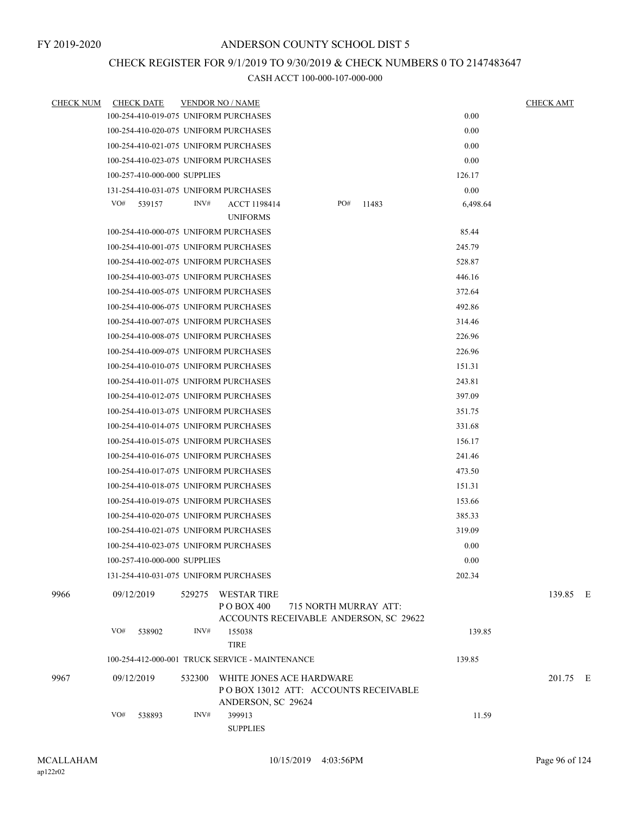# CHECK REGISTER FOR 9/1/2019 TO 9/30/2019 & CHECK NUMBERS 0 TO 2147483647

| <b>CHECK NUM</b> | <b>CHECK DATE</b>                     | <b>VENDOR NO / NAME</b> |                                                                                               |                       |       |          | <b>CHECK AMT</b> |
|------------------|---------------------------------------|-------------------------|-----------------------------------------------------------------------------------------------|-----------------------|-------|----------|------------------|
|                  | 100-254-410-019-075 UNIFORM PURCHASES |                         |                                                                                               |                       |       | 0.00     |                  |
|                  | 100-254-410-020-075 UNIFORM PURCHASES |                         |                                                                                               |                       |       | 0.00     |                  |
|                  | 100-254-410-021-075 UNIFORM PURCHASES |                         |                                                                                               |                       |       | 0.00     |                  |
|                  | 100-254-410-023-075 UNIFORM PURCHASES |                         |                                                                                               |                       |       | 0.00     |                  |
|                  | 100-257-410-000-000 SUPPLIES          |                         |                                                                                               |                       |       | 126.17   |                  |
|                  | 131-254-410-031-075 UNIFORM PURCHASES |                         |                                                                                               |                       |       | 0.00     |                  |
|                  | VO#<br>539157                         | INV#                    | <b>ACCT 1198414</b>                                                                           | PO#                   | 11483 | 6,498.64 |                  |
|                  |                                       |                         | <b>UNIFORMS</b>                                                                               |                       |       |          |                  |
|                  | 100-254-410-000-075 UNIFORM PURCHASES |                         |                                                                                               |                       |       | 85.44    |                  |
|                  | 100-254-410-001-075 UNIFORM PURCHASES |                         |                                                                                               |                       |       | 245.79   |                  |
|                  | 100-254-410-002-075 UNIFORM PURCHASES |                         |                                                                                               |                       |       | 528.87   |                  |
|                  | 100-254-410-003-075 UNIFORM PURCHASES |                         |                                                                                               |                       |       | 446.16   |                  |
|                  | 100-254-410-005-075 UNIFORM PURCHASES |                         |                                                                                               |                       |       | 372.64   |                  |
|                  | 100-254-410-006-075 UNIFORM PURCHASES |                         |                                                                                               |                       |       | 492.86   |                  |
|                  | 100-254-410-007-075 UNIFORM PURCHASES |                         |                                                                                               |                       |       | 314.46   |                  |
|                  | 100-254-410-008-075 UNIFORM PURCHASES |                         |                                                                                               |                       |       | 226.96   |                  |
|                  | 100-254-410-009-075 UNIFORM PURCHASES |                         |                                                                                               |                       |       | 226.96   |                  |
|                  | 100-254-410-010-075 UNIFORM PURCHASES |                         |                                                                                               |                       |       | 151.31   |                  |
|                  | 100-254-410-011-075 UNIFORM PURCHASES |                         |                                                                                               |                       |       | 243.81   |                  |
|                  | 100-254-410-012-075 UNIFORM PURCHASES |                         |                                                                                               |                       |       | 397.09   |                  |
|                  | 100-254-410-013-075 UNIFORM PURCHASES |                         |                                                                                               |                       |       | 351.75   |                  |
|                  | 100-254-410-014-075 UNIFORM PURCHASES |                         |                                                                                               |                       |       | 331.68   |                  |
|                  | 100-254-410-015-075 UNIFORM PURCHASES |                         |                                                                                               |                       |       | 156.17   |                  |
|                  | 100-254-410-016-075 UNIFORM PURCHASES |                         |                                                                                               |                       |       | 241.46   |                  |
|                  | 100-254-410-017-075 UNIFORM PURCHASES |                         |                                                                                               |                       |       | 473.50   |                  |
|                  | 100-254-410-018-075 UNIFORM PURCHASES |                         |                                                                                               |                       |       | 151.31   |                  |
|                  | 100-254-410-019-075 UNIFORM PURCHASES |                         |                                                                                               |                       |       | 153.66   |                  |
|                  | 100-254-410-020-075 UNIFORM PURCHASES |                         |                                                                                               |                       |       | 385.33   |                  |
|                  | 100-254-410-021-075 UNIFORM PURCHASES |                         |                                                                                               |                       |       | 319.09   |                  |
|                  | 100-254-410-023-075 UNIFORM PURCHASES |                         |                                                                                               |                       |       | 0.00     |                  |
|                  | 100-257-410-000-000 SUPPLIES          |                         |                                                                                               |                       |       | 0.00     |                  |
|                  | 131-254-410-031-075 UNIFORM PURCHASES |                         |                                                                                               |                       |       | 202.34   |                  |
| 9966             | 09/12/2019                            |                         | 529275 WESTAR TIRE<br>P O BOX 400<br>ACCOUNTS RECEIVABLE ANDERSON, SC 29622                   | 715 NORTH MURRAY ATT: |       |          | 139.85 E         |
|                  | VO#<br>538902                         | INV#                    | 155038<br><b>TIRE</b>                                                                         |                       |       | 139.85   |                  |
|                  |                                       |                         | 100-254-412-000-001 TRUCK SERVICE - MAINTENANCE                                               |                       |       | 139.85   |                  |
| 9967             | 09/12/2019                            |                         | 532300 WHITE JONES ACE HARDWARE<br>POBOX 13012 ATT: ACCOUNTS RECEIVABLE<br>ANDERSON, SC 29624 |                       |       |          | 201.75 E         |
|                  | VO#<br>538893                         | INV#                    | 399913<br><b>SUPPLIES</b>                                                                     |                       |       | 11.59    |                  |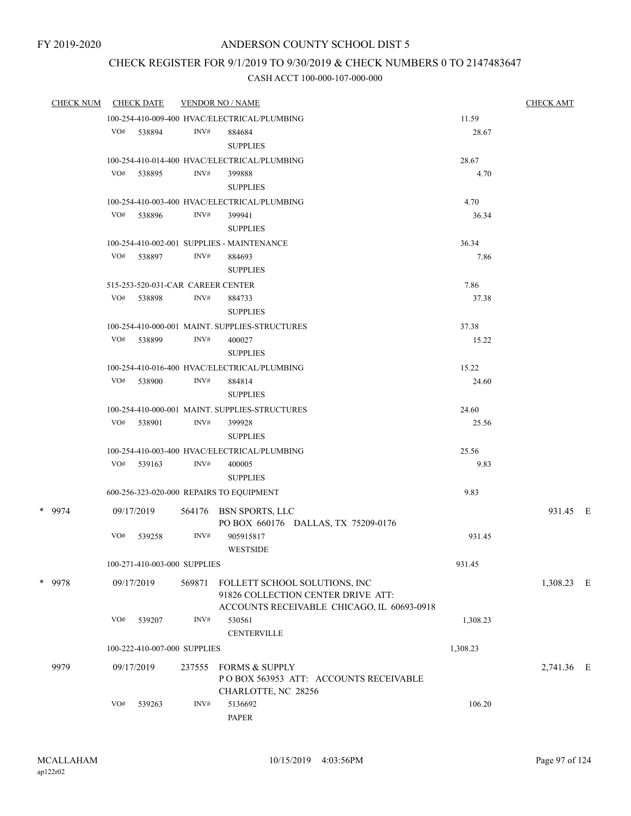### CHECK REGISTER FOR 9/1/2019 TO 9/30/2019 & CHECK NUMBERS 0 TO 2147483647

| <b>CHECK NUM</b> |     | <b>CHECK DATE</b>                 |        | <b>VENDOR NO / NAME</b>                        |          | <b>CHECK AMT</b> |  |
|------------------|-----|-----------------------------------|--------|------------------------------------------------|----------|------------------|--|
|                  |     |                                   |        | 100-254-410-009-400 HVAC/ELECTRICAL/PLUMBING   | 11.59    |                  |  |
|                  | VO# | 538894                            | INV#   | 884684                                         | 28.67    |                  |  |
|                  |     |                                   |        | <b>SUPPLIES</b>                                |          |                  |  |
|                  |     |                                   |        | 100-254-410-014-400 HVAC/ELECTRICAL/PLUMBING   | 28.67    |                  |  |
|                  | VO# | 538895                            | INV#   | 399888                                         | 4.70     |                  |  |
|                  |     |                                   |        | <b>SUPPLIES</b>                                |          |                  |  |
|                  |     |                                   |        | 100-254-410-003-400 HVAC/ELECTRICAL/PLUMBING   | 4.70     |                  |  |
|                  |     | VO# 538896                        | INV#   | 399941                                         | 36.34    |                  |  |
|                  |     |                                   |        | <b>SUPPLIES</b>                                |          |                  |  |
|                  |     |                                   |        | 100-254-410-002-001 SUPPLIES - MAINTENANCE     | 36.34    |                  |  |
|                  | VO# | 538897                            | INV#   | 884693                                         | 7.86     |                  |  |
|                  |     |                                   |        | <b>SUPPLIES</b>                                |          |                  |  |
|                  |     | 515-253-520-031-CAR CAREER CENTER |        |                                                | 7.86     |                  |  |
|                  | VO# | 538898                            | INV#   | 884733                                         | 37.38    |                  |  |
|                  |     |                                   |        | <b>SUPPLIES</b>                                |          |                  |  |
|                  |     |                                   |        | 100-254-410-000-001 MAINT. SUPPLIES-STRUCTURES | 37.38    |                  |  |
|                  |     | VO# 538899                        | INV#   | 400027<br><b>SUPPLIES</b>                      | 15.22    |                  |  |
|                  |     |                                   |        | 100-254-410-016-400 HVAC/ELECTRICAL/PLUMBING   | 15.22    |                  |  |
|                  | VO# | 538900                            | INV#   | 884814                                         | 24.60    |                  |  |
|                  |     |                                   |        | <b>SUPPLIES</b>                                |          |                  |  |
|                  |     |                                   |        | 100-254-410-000-001 MAINT. SUPPLIES-STRUCTURES | 24.60    |                  |  |
|                  |     | VO# 538901                        | INV#   | 399928                                         | 25.56    |                  |  |
|                  |     |                                   |        | <b>SUPPLIES</b>                                |          |                  |  |
|                  |     |                                   |        | 100-254-410-003-400 HVAC/ELECTRICAL/PLUMBING   | 25.56    |                  |  |
|                  |     | $VO#$ 539163                      | INV#   | 400005                                         | 9.83     |                  |  |
|                  |     |                                   |        | <b>SUPPLIES</b>                                |          |                  |  |
|                  |     |                                   |        | 600-256-323-020-000 REPAIRS TO EQUIPMENT       | 9.83     |                  |  |
| * 9974           |     | 09/17/2019                        |        | 564176 BSN SPORTS, LLC                         |          | 931.45 E         |  |
|                  |     |                                   |        | PO BOX 660176 DALLAS, TX 75209-0176            |          |                  |  |
|                  | VO# | 539258                            | INV#   | 905915817                                      | 931.45   |                  |  |
|                  |     |                                   |        | <b>WESTSIDE</b>                                |          |                  |  |
|                  |     | 100-271-410-003-000 SUPPLIES      |        |                                                | 931.45   |                  |  |
| * 9978           |     | 09/17/2019                        | 569871 | FOLLETT SCHOOL SOLUTIONS, INC                  |          | 1,308.23 E       |  |
|                  |     |                                   |        | 91826 COLLECTION CENTER DRIVE ATT:             |          |                  |  |
|                  |     |                                   |        | ACCOUNTS RECEIVABLE CHICAGO, IL 60693-0918     |          |                  |  |
|                  | VO# | 539207                            | INV#   | 530561                                         | 1,308.23 |                  |  |
|                  |     |                                   |        | <b>CENTERVILLE</b>                             |          |                  |  |
|                  |     | 100-222-410-007-000 SUPPLIES      |        |                                                | 1,308.23 |                  |  |
| 9979             |     | 09/17/2019                        | 237555 | <b>FORMS &amp; SUPPLY</b>                      |          | 2,741.36 E       |  |
|                  |     |                                   |        | PO BOX 563953 ATT: ACCOUNTS RECEIVABLE         |          |                  |  |
|                  |     |                                   |        | CHARLOTTE, NC 28256                            |          |                  |  |
|                  | VO# | 539263                            | INV#   | 5136692                                        | 106.20   |                  |  |
|                  |     |                                   |        | PAPER                                          |          |                  |  |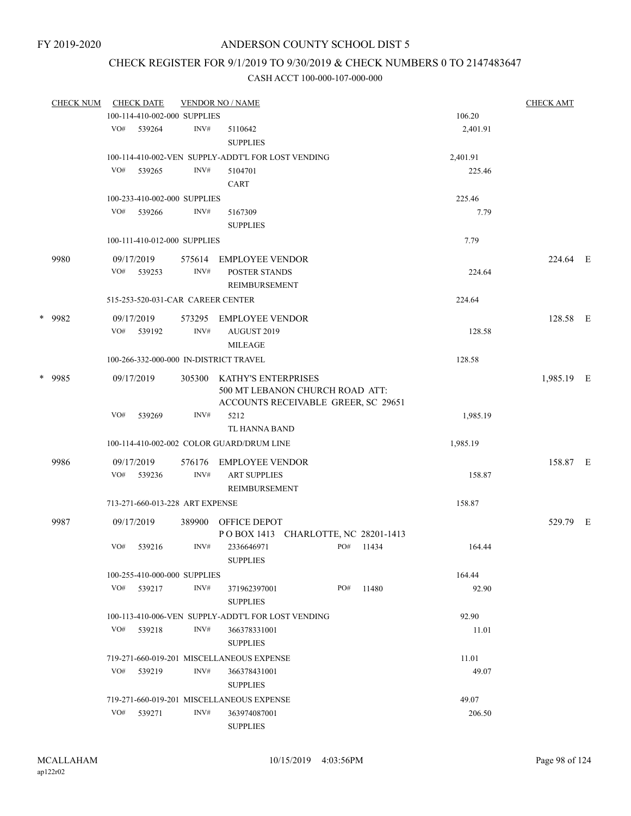# CHECK REGISTER FOR 9/1/2019 TO 9/30/2019 & CHECK NUMBERS 0 TO 2147483647

|  | <b>CHECK NUM</b> |     | <b>CHECK DATE</b>                 |        | <b>VENDOR NO / NAME</b>                                                |     |       |                    | <b>CHECK AMT</b> |  |
|--|------------------|-----|-----------------------------------|--------|------------------------------------------------------------------------|-----|-------|--------------------|------------------|--|
|  |                  |     | 100-114-410-002-000 SUPPLIES      |        |                                                                        |     |       | 106.20             |                  |  |
|  |                  |     | VO# 539264                        | INV#   | 5110642<br><b>SUPPLIES</b>                                             |     |       | 2,401.91           |                  |  |
|  |                  |     |                                   |        |                                                                        |     |       |                    |                  |  |
|  |                  | VO# |                                   | INV#   | 100-114-410-002-VEN SUPPLY-ADDT'L FOR LOST VENDING                     |     |       | 2,401.91<br>225.46 |                  |  |
|  |                  |     | 539265                            |        | 5104701<br>CART                                                        |     |       |                    |                  |  |
|  |                  |     |                                   |        |                                                                        |     |       |                    |                  |  |
|  |                  |     | 100-233-410-002-000 SUPPLIES      |        |                                                                        |     |       | 225.46             |                  |  |
|  |                  |     | VO# 539266                        | INV#   | 5167309                                                                |     |       | 7.79               |                  |  |
|  |                  |     |                                   |        | <b>SUPPLIES</b>                                                        |     |       |                    |                  |  |
|  |                  |     | 100-111-410-012-000 SUPPLIES      |        |                                                                        |     |       | 7.79               |                  |  |
|  | 9980             |     | 09/17/2019                        | 575614 | EMPLOYEE VENDOR                                                        |     |       |                    | 224.64 E         |  |
|  |                  | VO# | 539253                            | INV#   | POSTER STANDS                                                          |     |       | 224.64             |                  |  |
|  |                  |     |                                   |        | REIMBURSEMENT                                                          |     |       |                    |                  |  |
|  |                  |     | 515-253-520-031-CAR CAREER CENTER |        |                                                                        |     |       | 224.64             |                  |  |
|  | * 9982           |     | 09/17/2019                        | 573295 | EMPLOYEE VENDOR                                                        |     |       |                    | 128.58 E         |  |
|  |                  |     | VO# 539192                        | INV#   | AUGUST 2019                                                            |     |       | 128.58             |                  |  |
|  |                  |     |                                   |        | <b>MILEAGE</b>                                                         |     |       |                    |                  |  |
|  |                  |     |                                   |        | 100-266-332-000-000 IN-DISTRICT TRAVEL                                 |     |       | 128.58             |                  |  |
|  |                  |     |                                   |        |                                                                        |     |       |                    |                  |  |
|  | * 9985           |     | 09/17/2019                        | 305300 | KATHY'S ENTERPRISES                                                    |     |       |                    | 1,985.19 E       |  |
|  |                  |     |                                   |        | 500 MT LEBANON CHURCH ROAD ATT:<br>ACCOUNTS RECEIVABLE GREER, SC 29651 |     |       |                    |                  |  |
|  |                  | VO# | 539269                            | INV#   | 5212                                                                   |     |       | 1,985.19           |                  |  |
|  |                  |     |                                   |        | TL HANNA BAND                                                          |     |       |                    |                  |  |
|  |                  |     |                                   |        | 100-114-410-002-002 COLOR GUARD/DRUM LINE                              |     |       | 1,985.19           |                  |  |
|  |                  |     |                                   |        |                                                                        |     |       |                    |                  |  |
|  | 9986             |     | 09/17/2019                        | 576176 | EMPLOYEE VENDOR                                                        |     |       |                    | 158.87 E         |  |
|  |                  | VO# | 539236                            | INV#   | <b>ART SUPPLIES</b>                                                    |     |       | 158.87             |                  |  |
|  |                  |     |                                   |        | REIMBURSEMENT                                                          |     |       |                    |                  |  |
|  |                  |     | 713-271-660-013-228 ART EXPENSE   |        |                                                                        |     |       | 158.87             |                  |  |
|  | 9987             |     | 09/17/2019                        |        | 389900 OFFICE DEPOT                                                    |     |       |                    | 529.79 E         |  |
|  |                  |     |                                   |        | POBOX 1413 CHARLOTTE, NC 28201-1413                                    |     |       |                    |                  |  |
|  |                  | VO# | 539216                            | INV#   | 2336646971                                                             | PO# | 11434 | 164.44             |                  |  |
|  |                  |     |                                   |        | <b>SUPPLIES</b>                                                        |     |       |                    |                  |  |
|  |                  |     | 100-255-410-000-000 SUPPLIES      |        |                                                                        |     |       | 164.44             |                  |  |
|  |                  |     | VO# 539217                        | INV#   | 371962397001                                                           | PO# | 11480 | 92.90              |                  |  |
|  |                  |     |                                   |        | <b>SUPPLIES</b>                                                        |     |       |                    |                  |  |
|  |                  |     |                                   |        | 100-113-410-006-VEN SUPPLY-ADDT'L FOR LOST VENDING                     |     |       | 92.90              |                  |  |
|  |                  |     | VO# 539218                        | INV#   | 366378331001                                                           |     |       | 11.01              |                  |  |
|  |                  |     |                                   |        | <b>SUPPLIES</b>                                                        |     |       |                    |                  |  |
|  |                  |     |                                   |        | 719-271-660-019-201 MISCELLANEOUS EXPENSE                              |     |       | 11.01              |                  |  |
|  |                  | VO# | 539219                            | INV#   | 366378431001                                                           |     |       | 49.07              |                  |  |
|  |                  |     |                                   |        | <b>SUPPLIES</b>                                                        |     |       |                    |                  |  |
|  |                  |     |                                   |        | 719-271-660-019-201 MISCELLANEOUS EXPENSE                              |     |       | 49.07              |                  |  |
|  |                  | VO# | 539271                            | INV#   | 363974087001                                                           |     |       | 206.50             |                  |  |
|  |                  |     |                                   |        | <b>SUPPLIES</b>                                                        |     |       |                    |                  |  |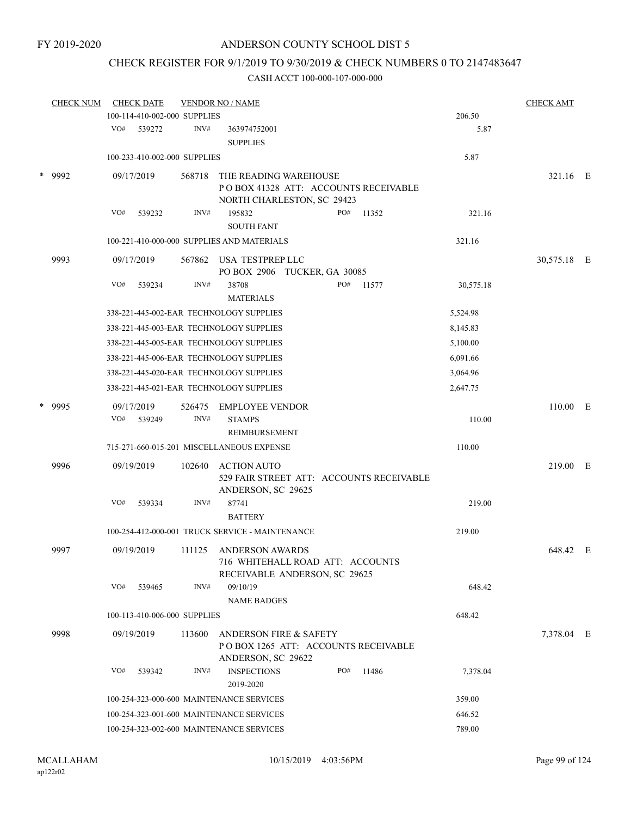## CHECK REGISTER FOR 9/1/2019 TO 9/30/2019 & CHECK NUMBERS 0 TO 2147483647

| <b>CHECK NUM</b> | <b>CHECK DATE</b>                               |                | <b>VENDOR NO / NAME</b>                                                                        |     |                                          |           | <b>CHECK AMT</b> |  |
|------------------|-------------------------------------------------|----------------|------------------------------------------------------------------------------------------------|-----|------------------------------------------|-----------|------------------|--|
|                  | 100-114-410-002-000 SUPPLIES                    |                |                                                                                                |     |                                          | 206.50    |                  |  |
|                  | VO# 539272                                      | INV#           | 363974752001<br><b>SUPPLIES</b>                                                                |     |                                          | 5.87      |                  |  |
|                  | 100-233-410-002-000 SUPPLIES                    |                |                                                                                                |     |                                          | 5.87      |                  |  |
| * 9992           | 09/17/2019                                      | 568718         | THE READING WAREHOUSE<br>POBOX 41328 ATT: ACCOUNTS RECEIVABLE<br>NORTH CHARLESTON, SC 29423    |     |                                          |           | 321.16 E         |  |
|                  | VO#<br>539232                                   | INV#           | 195832<br><b>SOUTH FANT</b>                                                                    | PO# | 11352                                    | 321.16    |                  |  |
|                  | 100-221-410-000-000 SUPPLIES AND MATERIALS      |                |                                                                                                |     |                                          | 321.16    |                  |  |
| 9993             | 09/17/2019                                      | 567862         | USA TESTPREP LLC<br>PO BOX 2906 TUCKER, GA 30085                                               |     |                                          |           | 30,575.18 E      |  |
|                  | VO#<br>539234                                   | INV#           | 38708<br><b>MATERIALS</b>                                                                      | PO# | 11577                                    | 30,575.18 |                  |  |
|                  | 338-221-445-002-EAR TECHNOLOGY SUPPLIES         |                |                                                                                                |     |                                          | 5,524.98  |                  |  |
|                  | 338-221-445-003-EAR TECHNOLOGY SUPPLIES         |                |                                                                                                |     |                                          | 8,145.83  |                  |  |
|                  | 338-221-445-005-EAR TECHNOLOGY SUPPLIES         |                |                                                                                                |     |                                          | 5,100.00  |                  |  |
|                  | 338-221-445-006-EAR TECHNOLOGY SUPPLIES         |                |                                                                                                |     |                                          | 6,091.66  |                  |  |
|                  | 338-221-445-020-EAR TECHNOLOGY SUPPLIES         |                |                                                                                                |     |                                          | 3,064.96  |                  |  |
|                  | 338-221-445-021-EAR TECHNOLOGY SUPPLIES         |                |                                                                                                |     |                                          | 2,647.75  |                  |  |
| * 9995           | 09/17/2019<br>VO#<br>539249                     | 526475<br>INV# | <b>EMPLOYEE VENDOR</b><br><b>STAMPS</b>                                                        |     |                                          | 110.00    | 110.00 E         |  |
|                  |                                                 |                | <b>REIMBURSEMENT</b>                                                                           |     |                                          |           |                  |  |
|                  | 715-271-660-015-201 MISCELLANEOUS EXPENSE       |                |                                                                                                |     |                                          | 110.00    |                  |  |
| 9996             | 09/19/2019                                      | 102640         | <b>ACTION AUTO</b><br>ANDERSON, SC 29625                                                       |     | 529 FAIR STREET ATT: ACCOUNTS RECEIVABLE |           | 219.00 E         |  |
|                  | VO#<br>539334                                   | INV#           | 87741<br><b>BATTERY</b>                                                                        |     |                                          | 219.00    |                  |  |
|                  | 100-254-412-000-001 TRUCK SERVICE - MAINTENANCE |                |                                                                                                |     |                                          | 219.00    |                  |  |
| 9997             | 09/19/2019                                      | 111125         | ANDERSON AWARDS<br>716 WHITEHALL ROAD ATT: ACCOUNTS<br>RECEIVABLE ANDERSON, SC 29625           |     |                                          |           | 648.42 E         |  |
|                  | VO#<br>539465                                   | INV#           | 09/10/19<br><b>NAME BADGES</b>                                                                 |     |                                          | 648.42    |                  |  |
|                  | 100-113-410-006-000 SUPPLIES                    |                |                                                                                                |     |                                          | 648.42    |                  |  |
| 9998             | 09/19/2019                                      | 113600         | <b>ANDERSON FIRE &amp; SAFETY</b><br>POBOX 1265 ATT: ACCOUNTS RECEIVABLE<br>ANDERSON, SC 29622 |     |                                          |           | 7,378.04 E       |  |
|                  | VO#<br>539342                                   | INV#           | <b>INSPECTIONS</b><br>2019-2020                                                                | PO# | 11486                                    | 7,378.04  |                  |  |
|                  | 100-254-323-000-600 MAINTENANCE SERVICES        |                |                                                                                                |     |                                          | 359.00    |                  |  |
|                  | 100-254-323-001-600 MAINTENANCE SERVICES        |                |                                                                                                |     |                                          | 646.52    |                  |  |
|                  | 100-254-323-002-600 MAINTENANCE SERVICES        |                |                                                                                                |     |                                          | 789.00    |                  |  |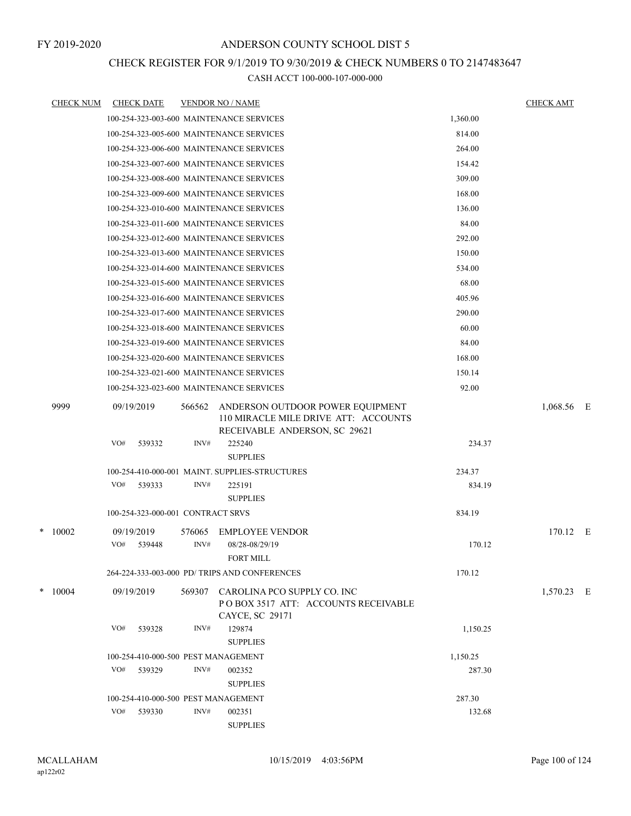### CHECK REGISTER FOR 9/1/2019 TO 9/30/2019 & CHECK NUMBERS 0 TO 2147483647

|   | <b>CHECK NUM</b> |            | <b>CHECK DATE</b>                 |        | <b>VENDOR NO / NAME</b>                                                                                   |          | <b>CHECK AMT</b> |     |
|---|------------------|------------|-----------------------------------|--------|-----------------------------------------------------------------------------------------------------------|----------|------------------|-----|
|   |                  |            |                                   |        | 100-254-323-003-600 MAINTENANCE SERVICES                                                                  | 1,360.00 |                  |     |
|   |                  |            |                                   |        | 100-254-323-005-600 MAINTENANCE SERVICES                                                                  | 814.00   |                  |     |
|   |                  |            |                                   |        | 100-254-323-006-600 MAINTENANCE SERVICES                                                                  | 264.00   |                  |     |
|   |                  |            |                                   |        | 100-254-323-007-600 MAINTENANCE SERVICES                                                                  | 154.42   |                  |     |
|   |                  |            |                                   |        | 100-254-323-008-600 MAINTENANCE SERVICES                                                                  | 309.00   |                  |     |
|   |                  |            |                                   |        | 100-254-323-009-600 MAINTENANCE SERVICES                                                                  | 168.00   |                  |     |
|   |                  |            |                                   |        | 100-254-323-010-600 MAINTENANCE SERVICES                                                                  | 136.00   |                  |     |
|   |                  |            |                                   |        | 100-254-323-011-600 MAINTENANCE SERVICES                                                                  | 84.00    |                  |     |
|   |                  |            |                                   |        | 100-254-323-012-600 MAINTENANCE SERVICES                                                                  | 292.00   |                  |     |
|   |                  |            |                                   |        | 100-254-323-013-600 MAINTENANCE SERVICES                                                                  | 150.00   |                  |     |
|   |                  |            |                                   |        | 100-254-323-014-600 MAINTENANCE SERVICES                                                                  | 534.00   |                  |     |
|   |                  |            |                                   |        | 100-254-323-015-600 MAINTENANCE SERVICES                                                                  | 68.00    |                  |     |
|   |                  |            |                                   |        | 100-254-323-016-600 MAINTENANCE SERVICES                                                                  | 405.96   |                  |     |
|   |                  |            |                                   |        | 100-254-323-017-600 MAINTENANCE SERVICES                                                                  | 290.00   |                  |     |
|   |                  |            |                                   |        | 100-254-323-018-600 MAINTENANCE SERVICES                                                                  | 60.00    |                  |     |
|   |                  |            |                                   |        | 100-254-323-019-600 MAINTENANCE SERVICES                                                                  | 84.00    |                  |     |
|   |                  |            |                                   |        | 100-254-323-020-600 MAINTENANCE SERVICES                                                                  | 168.00   |                  |     |
|   |                  |            |                                   |        | 100-254-323-021-600 MAINTENANCE SERVICES                                                                  | 150.14   |                  |     |
|   |                  |            |                                   |        | 100-254-323-023-600 MAINTENANCE SERVICES                                                                  | 92.00    |                  |     |
|   |                  |            |                                   |        |                                                                                                           |          |                  |     |
|   | 9999             | 09/19/2019 |                                   | 566562 | ANDERSON OUTDOOR POWER EQUIPMENT<br>110 MIRACLE MILE DRIVE ATT: ACCOUNTS<br>RECEIVABLE ANDERSON, SC 29621 |          | 1,068.56         | - E |
|   |                  | VO#        | 539332                            | INV#   | 225240                                                                                                    | 234.37   |                  |     |
|   |                  |            |                                   |        | <b>SUPPLIES</b>                                                                                           |          |                  |     |
|   |                  |            |                                   |        | 100-254-410-000-001 MAINT. SUPPLIES-STRUCTURES                                                            | 234.37   |                  |     |
|   |                  | VO#        | 539333                            | INV#   | 225191                                                                                                    | 834.19   |                  |     |
|   |                  |            |                                   |        | <b>SUPPLIES</b>                                                                                           |          |                  |     |
|   |                  |            | 100-254-323-000-001 CONTRACT SRVS |        |                                                                                                           | 834.19   |                  |     |
| * | 10002            | 09/19/2019 |                                   | 576065 | <b>EMPLOYEE VENDOR</b>                                                                                    |          | 170.12 E         |     |
|   |                  | VO#        | 539448                            | INV#   | 08/28-08/29/19                                                                                            | 170.12   |                  |     |
|   |                  |            |                                   |        | <b>FORT MILL</b>                                                                                          |          |                  |     |
|   |                  |            |                                   |        | 264-224-333-003-000 PD/ TRIPS AND CONFERENCES                                                             | 170.12   |                  |     |
|   | $*$ 10004        | 09/19/2019 |                                   | 569307 | CAROLINA PCO SUPPLY CO. INC<br>PO BOX 3517 ATT: ACCOUNTS RECEIVABLE<br>CAYCE, SC 29171                    |          | 1,570.23 E       |     |
|   |                  | VO#        | 539328                            | INV#   | 129874<br><b>SUPPLIES</b>                                                                                 | 1,150.25 |                  |     |
|   |                  |            |                                   |        | 100-254-410-000-500 PEST MANAGEMENT                                                                       | 1,150.25 |                  |     |
|   |                  | VO#        | 539329                            | INV#   | 002352                                                                                                    | 287.30   |                  |     |
|   |                  |            |                                   |        | <b>SUPPLIES</b>                                                                                           |          |                  |     |
|   |                  |            |                                   |        | 100-254-410-000-500 PEST MANAGEMENT                                                                       | 287.30   |                  |     |
|   |                  | VO#        | 539330                            | INV#   | 002351<br><b>SUPPLIES</b>                                                                                 | 132.68   |                  |     |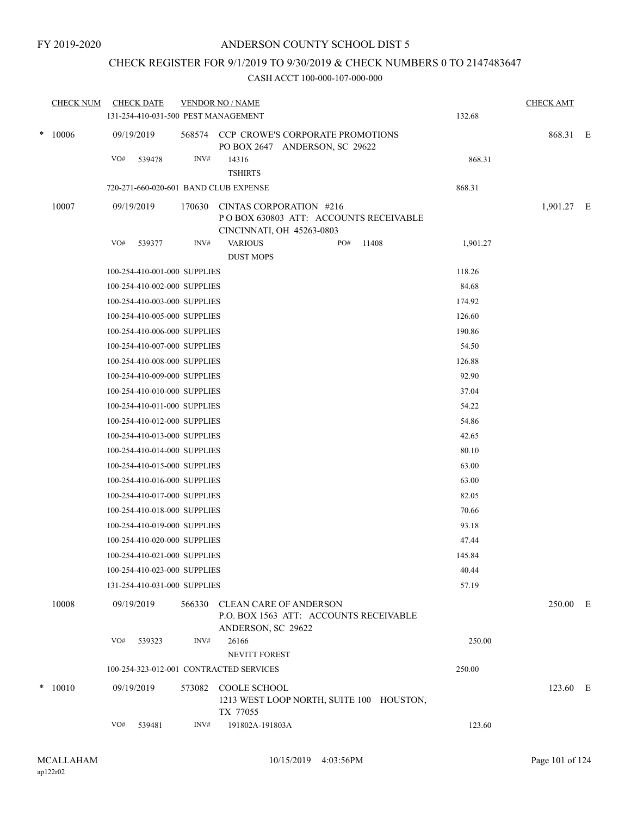### CHECK REGISTER FOR 9/1/2019 TO 9/30/2019 & CHECK NUMBERS 0 TO 2147483647

|  | <b>CHECK NUM</b> | <b>CHECK DATE</b>                                            |        | <b>VENDOR NO / NAME</b>                                                                        |                 | <b>CHECK AMT</b> |  |
|--|------------------|--------------------------------------------------------------|--------|------------------------------------------------------------------------------------------------|-----------------|------------------|--|
|  |                  | 131-254-410-031-500 PEST MANAGEMENT                          |        |                                                                                                | 132.68          |                  |  |
|  | $*10006$         | 09/19/2019                                                   |        | 568574 CCP CROWE'S CORPORATE PROMOTIONS<br>PO BOX 2647 ANDERSON, SC 29622                      |                 | 868.31 E         |  |
|  |                  | VO#<br>539478                                                | INV#   | 14316<br><b>TSHIRTS</b>                                                                        | 868.31          |                  |  |
|  |                  | 720-271-660-020-601 BAND CLUB EXPENSE                        |        |                                                                                                | 868.31          |                  |  |
|  | 10007            | 09/19/2019                                                   | 170630 | CINTAS CORPORATION #216<br>PO BOX 630803 ATT: ACCOUNTS RECEIVABLE<br>CINCINNATI, OH 45263-0803 |                 | 1,901.27 E       |  |
|  |                  | VO#<br>539377                                                | INV#   | <b>VARIOUS</b><br>PO#<br>11408                                                                 | 1,901.27        |                  |  |
|  |                  |                                                              |        | <b>DUST MOPS</b>                                                                               |                 |                  |  |
|  |                  | 100-254-410-001-000 SUPPLIES                                 |        |                                                                                                | 118.26          |                  |  |
|  |                  | 100-254-410-002-000 SUPPLIES                                 |        |                                                                                                | 84.68           |                  |  |
|  |                  | 100-254-410-003-000 SUPPLIES                                 |        |                                                                                                | 174.92          |                  |  |
|  |                  | 100-254-410-005-000 SUPPLIES                                 |        |                                                                                                | 126.60          |                  |  |
|  |                  | 100-254-410-006-000 SUPPLIES                                 |        |                                                                                                | 190.86          |                  |  |
|  |                  | 100-254-410-007-000 SUPPLIES<br>100-254-410-008-000 SUPPLIES |        |                                                                                                | 54.50<br>126.88 |                  |  |
|  |                  | 100-254-410-009-000 SUPPLIES                                 |        |                                                                                                | 92.90           |                  |  |
|  |                  | 100-254-410-010-000 SUPPLIES                                 |        |                                                                                                | 37.04           |                  |  |
|  |                  | 100-254-410-011-000 SUPPLIES                                 |        |                                                                                                | 54.22           |                  |  |
|  |                  | 100-254-410-012-000 SUPPLIES                                 |        |                                                                                                | 54.86           |                  |  |
|  |                  | 100-254-410-013-000 SUPPLIES                                 |        |                                                                                                | 42.65           |                  |  |
|  |                  | 100-254-410-014-000 SUPPLIES                                 |        |                                                                                                | 80.10           |                  |  |
|  |                  | 100-254-410-015-000 SUPPLIES                                 |        |                                                                                                | 63.00           |                  |  |
|  |                  | 100-254-410-016-000 SUPPLIES                                 |        |                                                                                                | 63.00           |                  |  |
|  |                  | 100-254-410-017-000 SUPPLIES                                 |        |                                                                                                | 82.05           |                  |  |
|  |                  | 100-254-410-018-000 SUPPLIES                                 |        |                                                                                                | 70.66           |                  |  |
|  |                  | 100-254-410-019-000 SUPPLIES                                 |        |                                                                                                | 93.18           |                  |  |
|  |                  | 100-254-410-020-000 SUPPLIES                                 |        |                                                                                                | 47.44           |                  |  |
|  |                  | 100-254-410-021-000 SUPPLIES                                 |        |                                                                                                | 145.84          |                  |  |
|  |                  | 100-254-410-023-000 SUPPLIES                                 |        |                                                                                                | 40.44           |                  |  |
|  |                  | 131-254-410-031-000 SUPPLIES                                 |        |                                                                                                | 57.19           |                  |  |
|  | 10008            | 09/19/2019                                                   | 566330 | <b>CLEAN CARE OF ANDERSON</b><br>P.O. BOX 1563 ATT: ACCOUNTS RECEIVABLE<br>ANDERSON, SC 29622  |                 | 250.00 E         |  |
|  |                  | VO#<br>539323                                                | INV#   | 26166<br><b>NEVITT FOREST</b>                                                                  | 250.00          |                  |  |
|  |                  |                                                              |        | 100-254-323-012-001 CONTRACTED SERVICES                                                        | 250.00          |                  |  |
|  | $*10010$         | 09/19/2019                                                   | 573082 | <b>COOLE SCHOOL</b><br>1213 WEST LOOP NORTH, SUITE 100 HOUSTON,<br>TX 77055                    |                 | 123.60 E         |  |
|  |                  | VO#<br>539481                                                | INV#   | 191802A-191803A                                                                                | 123.60          |                  |  |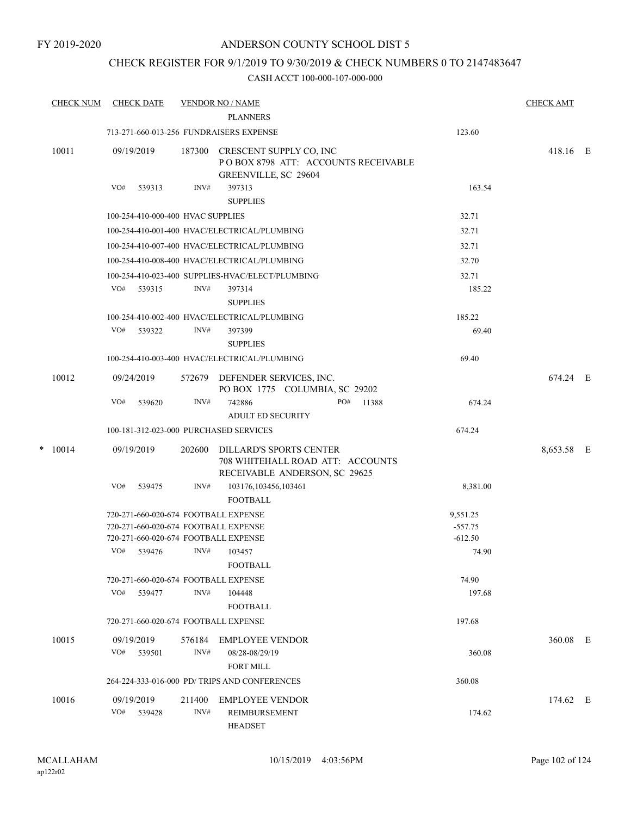### CHECK REGISTER FOR 9/1/2019 TO 9/30/2019 & CHECK NUMBERS 0 TO 2147483647

|   | <b>CHECK NUM</b> | <b>CHECK DATE</b>                      |                | <b>VENDOR NO / NAME</b><br><b>PLANNERS</b>                                                          |           | <b>CHECK AMT</b> |  |
|---|------------------|----------------------------------------|----------------|-----------------------------------------------------------------------------------------------------|-----------|------------------|--|
|   |                  |                                        |                | 713-271-660-013-256 FUNDRAISERS EXPENSE                                                             | 123.60    |                  |  |
|   | 10011            | 09/19/2019                             | 187300         | CRESCENT SUPPLY CO, INC<br>POBOX 8798 ATT: ACCOUNTS RECEIVABLE<br>GREENVILLE, SC 29604              |           | 418.16 E         |  |
|   |                  | VO#<br>539313                          | INV#           | 397313<br><b>SUPPLIES</b>                                                                           | 163.54    |                  |  |
|   |                  | 100-254-410-000-400 HVAC SUPPLIES      |                |                                                                                                     | 32.71     |                  |  |
|   |                  |                                        |                | 100-254-410-001-400 HVAC/ELECTRICAL/PLUMBING                                                        | 32.71     |                  |  |
|   |                  |                                        |                | 100-254-410-007-400 HVAC/ELECTRICAL/PLUMBING                                                        | 32.71     |                  |  |
|   |                  |                                        |                | 100-254-410-008-400 HVAC/ELECTRICAL/PLUMBING                                                        | 32.70     |                  |  |
|   |                  |                                        |                | 100-254-410-023-400 SUPPLIES-HVAC/ELECT/PLUMBING                                                    | 32.71     |                  |  |
|   |                  | VO# 539315                             | INV#           | 397314<br><b>SUPPLIES</b>                                                                           | 185.22    |                  |  |
|   |                  |                                        |                | 100-254-410-002-400 HVAC/ELECTRICAL/PLUMBING                                                        | 185.22    |                  |  |
|   |                  | VO#<br>539322                          | INV#           | 397399<br><b>SUPPLIES</b>                                                                           | 69.40     |                  |  |
|   |                  |                                        |                | 100-254-410-003-400 HVAC/ELECTRICAL/PLUMBING                                                        | 69.40     |                  |  |
|   | 10012            | 09/24/2019                             | 572679         | DEFENDER SERVICES, INC.<br>PO BOX 1775 COLUMBIA, SC 29202                                           |           | 674.24 E         |  |
|   |                  | VO#<br>539620                          | INV#           | 742886<br>PO#<br>11388<br><b>ADULT ED SECURITY</b>                                                  | 674.24    |                  |  |
|   |                  | 100-181-312-023-000 PURCHASED SERVICES |                |                                                                                                     | 674.24    |                  |  |
| * | 10014            | 09/19/2019                             | 202600         | <b>DILLARD'S SPORTS CENTER</b><br>708 WHITEHALL ROAD ATT: ACCOUNTS<br>RECEIVABLE ANDERSON, SC 29625 |           | 8,653.58 E       |  |
|   |                  | VO#<br>539475                          | INV#           | 103176,103456,103461<br><b>FOOTBALL</b>                                                             | 8,381.00  |                  |  |
|   |                  | 720-271-660-020-674 FOOTBALL EXPENSE   |                |                                                                                                     | 9,551.25  |                  |  |
|   |                  | 720-271-660-020-674 FOOTBALL EXPENSE   |                |                                                                                                     | $-557.75$ |                  |  |
|   |                  | 720-271-660-020-674 FOOTBALL EXPENSE   |                |                                                                                                     | $-612.50$ |                  |  |
|   |                  | VO#<br>539476                          | INV#           | 103457<br><b>FOOTBALL</b>                                                                           | 74.90     |                  |  |
|   |                  | 720-271-660-020-674 FOOTBALL EXPENSE   |                |                                                                                                     | 74.90     |                  |  |
|   |                  | VO#<br>539477                          | INV#           | 104448<br><b>FOOTBALL</b>                                                                           | 197.68    |                  |  |
|   |                  | 720-271-660-020-674 FOOTBALL EXPENSE   |                |                                                                                                     | 197.68    |                  |  |
|   | 10015            | 09/19/2019<br>539501<br>VO#            | 576184<br>INV# | <b>EMPLOYEE VENDOR</b><br>08/28-08/29/19                                                            | 360.08    | 360.08 E         |  |
|   |                  |                                        |                | <b>FORT MILL</b><br>264-224-333-016-000 PD/ TRIPS AND CONFERENCES                                   | 360.08    |                  |  |
|   |                  |                                        |                |                                                                                                     |           |                  |  |
|   | 10016            | 09/19/2019<br>VO#<br>539428            | 211400<br>INV# | <b>EMPLOYEE VENDOR</b><br>REIMBURSEMENT<br>HEADSET                                                  | 174.62    | 174.62 E         |  |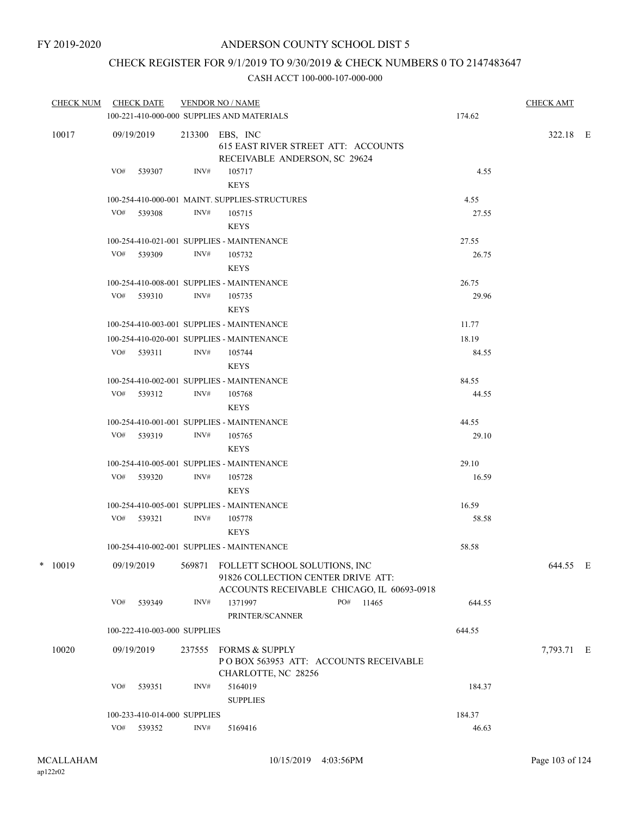### CHECK REGISTER FOR 9/1/2019 TO 9/30/2019 & CHECK NUMBERS 0 TO 2147483647

| <b>CHECK NUM</b> |       |            | <b>CHECK DATE</b>            |                                            | <b>VENDOR NO / NAME</b><br>100-221-410-000-000 SUPPLIES AND MATERIALS                                                    | 174.62 | <b>CHECK AMT</b> |  |
|------------------|-------|------------|------------------------------|--------------------------------------------|--------------------------------------------------------------------------------------------------------------------------|--------|------------------|--|
|                  |       |            |                              |                                            |                                                                                                                          |        |                  |  |
|                  | 10017 |            | 09/19/2019                   |                                            | 213300 EBS, INC<br>615 EAST RIVER STREET ATT: ACCOUNTS<br>RECEIVABLE ANDERSON, SC 29624                                  |        | 322.18 E         |  |
|                  |       | VO#        | 539307                       | INV#                                       | 105717<br><b>KEYS</b>                                                                                                    | 4.55   |                  |  |
|                  |       |            |                              |                                            | 100-254-410-000-001 MAINT. SUPPLIES-STRUCTURES                                                                           | 4.55   |                  |  |
|                  |       |            | VO# 539308                   | INV#                                       | 105715<br><b>KEYS</b>                                                                                                    | 27.55  |                  |  |
|                  |       |            |                              |                                            | 100-254-410-021-001 SUPPLIES - MAINTENANCE                                                                               | 27.55  |                  |  |
|                  |       |            | VO# 539309                   | INV#                                       | 105732<br><b>KEYS</b>                                                                                                    | 26.75  |                  |  |
|                  |       |            |                              |                                            | 100-254-410-008-001 SUPPLIES - MAINTENANCE                                                                               | 26.75  |                  |  |
|                  |       |            | VO# 539310                   | INV#                                       | 105735<br><b>KEYS</b>                                                                                                    | 29.96  |                  |  |
|                  |       |            |                              | 100-254-410-003-001 SUPPLIES - MAINTENANCE | 11.77                                                                                                                    |        |                  |  |
|                  |       |            |                              | 100-254-410-020-001 SUPPLIES - MAINTENANCE | 18.19                                                                                                                    |        |                  |  |
|                  |       |            | VO# 539311                   | INV#                                       | 105744<br><b>KEYS</b>                                                                                                    | 84.55  |                  |  |
|                  |       |            |                              |                                            | 100-254-410-002-001 SUPPLIES - MAINTENANCE                                                                               | 84.55  |                  |  |
|                  |       | VO# 539312 | INV#                         | 105768<br><b>KEYS</b>                      | 44.55                                                                                                                    |        |                  |  |
|                  |       |            |                              |                                            | 100-254-410-001-001 SUPPLIES - MAINTENANCE                                                                               | 44.55  |                  |  |
|                  |       |            | VO# 539319                   | INV#                                       | 105765<br><b>KEYS</b>                                                                                                    | 29.10  |                  |  |
|                  |       |            |                              |                                            | 100-254-410-005-001 SUPPLIES - MAINTENANCE                                                                               | 29.10  |                  |  |
|                  |       |            | VO# 539320                   | INV#                                       | 105728<br><b>KEYS</b>                                                                                                    | 16.59  |                  |  |
|                  |       |            |                              |                                            | 100-254-410-005-001 SUPPLIES - MAINTENANCE                                                                               | 16.59  |                  |  |
|                  |       |            | VO# 539321                   | INV#                                       | 105778<br><b>KEYS</b>                                                                                                    | 58.58  |                  |  |
|                  |       |            |                              |                                            | 100-254-410-002-001 SUPPLIES - MAINTENANCE                                                                               | 58.58  |                  |  |
| *                | 10019 |            | 09/19/2019                   |                                            | 569871 FOLLETT SCHOOL SOLUTIONS, INC<br>91826 COLLECTION CENTER DRIVE ATT:<br>ACCOUNTS RECEIVABLE CHICAGO, IL 60693-0918 |        | 644.55 E         |  |
|                  |       | VO#        | 539349                       | INV#                                       | 1371997<br>PO#<br>11465<br>PRINTER/SCANNER                                                                               | 644.55 |                  |  |
|                  |       |            | 100-222-410-003-000 SUPPLIES |                                            |                                                                                                                          | 644.55 |                  |  |
|                  | 10020 |            | 09/19/2019                   | 237555                                     | <b>FORMS &amp; SUPPLY</b><br>POBOX 563953 ATT: ACCOUNTS RECEIVABLE<br>CHARLOTTE, NC 28256                                |        | 7,793.71 E       |  |
|                  |       | VO#        | 539351                       | INV#                                       | 5164019<br><b>SUPPLIES</b>                                                                                               | 184.37 |                  |  |
|                  |       |            | 100-233-410-014-000 SUPPLIES |                                            |                                                                                                                          | 184.37 |                  |  |
|                  |       | VO#        | 539352                       | INV#                                       | 5169416                                                                                                                  | 46.63  |                  |  |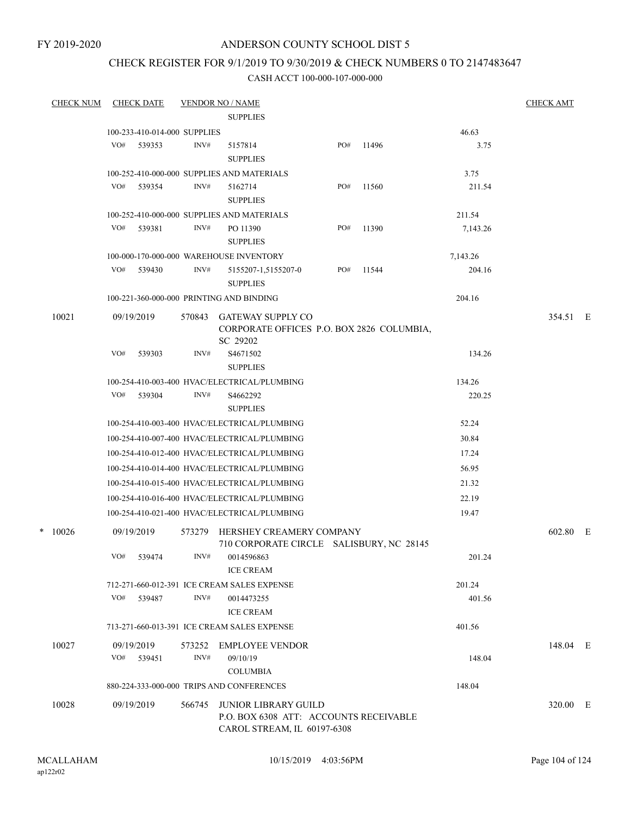FY 2019-2020

### ANDERSON COUNTY SCHOOL DIST 5

### CHECK REGISTER FOR 9/1/2019 TO 9/30/2019 & CHECK NUMBERS 0 TO 2147483647

|  | <b>CHECK NUM</b> |     | <b>CHECK DATE</b>            |        | <b>VENDOR NO / NAME</b>                                                           |     |       |          | <b>CHECK AMT</b> |  |
|--|------------------|-----|------------------------------|--------|-----------------------------------------------------------------------------------|-----|-------|----------|------------------|--|
|  |                  |     |                              |        | <b>SUPPLIES</b>                                                                   |     |       |          |                  |  |
|  |                  |     | 100-233-410-014-000 SUPPLIES |        |                                                                                   |     |       | 46.63    |                  |  |
|  |                  | VO# | 539353                       | INV#   | 5157814<br><b>SUPPLIES</b>                                                        | PO# | 11496 | 3.75     |                  |  |
|  |                  |     |                              |        | 100-252-410-000-000 SUPPLIES AND MATERIALS                                        |     |       | 3.75     |                  |  |
|  |                  |     | VO# 539354                   | INV#   | 5162714<br><b>SUPPLIES</b>                                                        | PO# | 11560 | 211.54   |                  |  |
|  |                  |     |                              |        | 100-252-410-000-000 SUPPLIES AND MATERIALS                                        |     |       | 211.54   |                  |  |
|  |                  | VO# | 539381                       | INV#   | PO 11390<br><b>SUPPLIES</b>                                                       | PO# | 11390 | 7,143.26 |                  |  |
|  |                  |     |                              |        | 100-000-170-000-000 WAREHOUSE INVENTORY                                           |     |       | 7,143.26 |                  |  |
|  |                  | VO# | 539430                       | INV#   | 5155207-1,5155207-0<br><b>SUPPLIES</b>                                            | PO# | 11544 | 204.16   |                  |  |
|  |                  |     |                              |        | 100-221-360-000-000 PRINTING AND BINDING                                          |     |       | 204.16   |                  |  |
|  | 10021            |     | 09/19/2019                   | 570843 | <b>GATEWAY SUPPLY CO</b><br>CORPORATE OFFICES P.O. BOX 2826 COLUMBIA,<br>SC 29202 |     |       |          | 354.51 E         |  |
|  |                  | VO# | 539303                       | INV#   | S <sub>4671502</sub>                                                              |     |       | 134.26   |                  |  |
|  |                  |     |                              |        | <b>SUPPLIES</b>                                                                   |     |       |          |                  |  |
|  |                  |     |                              |        | 100-254-410-003-400 HVAC/ELECTRICAL/PLUMBING                                      |     |       | 134.26   |                  |  |
|  |                  | VO# | 539304                       | INV#   | S4662292<br><b>SUPPLIES</b>                                                       |     |       | 220.25   |                  |  |
|  |                  |     |                              |        | 100-254-410-003-400 HVAC/ELECTRICAL/PLUMBING                                      |     |       | 52.24    |                  |  |
|  |                  |     |                              |        | 100-254-410-007-400 HVAC/ELECTRICAL/PLUMBING                                      |     |       | 30.84    |                  |  |
|  |                  |     |                              |        | 100-254-410-012-400 HVAC/ELECTRICAL/PLUMBING                                      |     |       | 17.24    |                  |  |
|  |                  |     |                              |        | 100-254-410-014-400 HVAC/ELECTRICAL/PLUMBING                                      |     |       | 56.95    |                  |  |
|  |                  |     |                              |        | 100-254-410-015-400 HVAC/ELECTRICAL/PLUMBING                                      |     |       | 21.32    |                  |  |
|  |                  |     |                              |        | 100-254-410-016-400 HVAC/ELECTRICAL/PLUMBING                                      |     |       | 22.19    |                  |  |
|  |                  |     |                              |        | 100-254-410-021-400 HVAC/ELECTRICAL/PLUMBING                                      |     |       | 19.47    |                  |  |
|  | $*$ 10026        |     | 09/19/2019                   | 573279 | HERSHEY CREAMERY COMPANY<br>710 CORPORATE CIRCLE SALISBURY, NC 28145              |     |       |          | 602.80 E         |  |
|  |                  |     | VO# 539474                   | INV#   | 0014596863<br><b>ICE CREAM</b>                                                    |     |       | 201.24   |                  |  |
|  |                  |     |                              |        | 712-271-660-012-391 ICE CREAM SALES EXPENSE                                       |     |       | 201.24   |                  |  |
|  |                  | VO# | 539487                       | INV#   | 0014473255<br><b>ICE CREAM</b>                                                    |     |       | 401.56   |                  |  |
|  |                  |     |                              |        | 713-271-660-013-391 ICE CREAM SALES EXPENSE                                       |     |       | 401.56   |                  |  |
|  | 10027            |     | 09/19/2019<br>$VO#$ 539451   | INV#   | 573252 EMPLOYEE VENDOR<br>09/10/19<br><b>COLUMBIA</b>                             |     |       | 148.04   | 148.04 E         |  |
|  |                  |     |                              |        | 880-224-333-000-000 TRIPS AND CONFERENCES                                         |     |       | 148.04   |                  |  |
|  | 10028            |     | 09/19/2019                   | 566745 | JUNIOR LIBRARY GUILD<br>P.O. BOX 6308 ATT: ACCOUNTS RECEIVABLE                    |     |       |          | 320.00 E         |  |
|  |                  |     |                              |        | CAROL STREAM, IL 60197-6308                                                       |     |       |          |                  |  |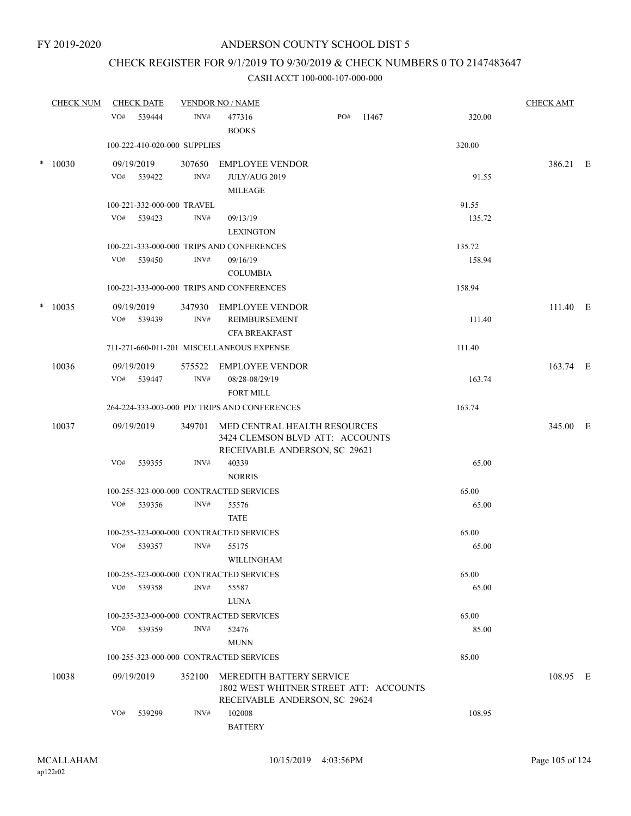## CHECK REGISTER FOR 9/1/2019 TO 9/30/2019 & CHECK NUMBERS 0 TO 2147483647

| <b>CHECK NUM</b> | <b>CHECK DATE</b>                       |                | <b>VENDOR NO / NAME</b>                                                                             |     |       |        | <b>CHECK AMT</b> |  |
|------------------|-----------------------------------------|----------------|-----------------------------------------------------------------------------------------------------|-----|-------|--------|------------------|--|
|                  | VO#<br>539444                           | INV#           | 477316<br><b>BOOKS</b>                                                                              | PO# | 11467 | 320.00 |                  |  |
|                  | 100-222-410-020-000 SUPPLIES            |                |                                                                                                     |     |       | 320.00 |                  |  |
| $*10030$         | 09/19/2019<br>VO# 539422                | 307650<br>INV# | <b>EMPLOYEE VENDOR</b><br>JULY/AUG 2019<br>MILEAGE                                                  |     |       | 91.55  | 386.21 E         |  |
|                  | 100-221-332-000-000 TRAVEL              |                |                                                                                                     |     |       | 91.55  |                  |  |
|                  | VO#<br>539423                           | INV#           | 09/13/19<br><b>LEXINGTON</b>                                                                        |     |       | 135.72 |                  |  |
|                  |                                         |                | 100-221-333-000-000 TRIPS AND CONFERENCES                                                           |     |       | 135.72 |                  |  |
|                  | VO#<br>539450                           | INV#           | 09/16/19<br><b>COLUMBIA</b>                                                                         |     |       | 158.94 |                  |  |
|                  |                                         |                | 100-221-333-000-000 TRIPS AND CONFERENCES                                                           |     |       | 158.94 |                  |  |
| $* 10035$        | 09/19/2019                              |                | 347930 EMPLOYEE VENDOR                                                                              |     |       |        | 111.40 E         |  |
|                  | VO#<br>539439                           | INV#           | REIMBURSEMENT<br><b>CFA BREAKFAST</b>                                                               |     |       | 111.40 |                  |  |
|                  |                                         |                | 711-271-660-011-201 MISCELLANEOUS EXPENSE                                                           |     |       | 111.40 |                  |  |
| 10036            | 09/19/2019<br>VO# 539447                | INV#           | 575522 EMPLOYEE VENDOR<br>08/28-08/29/19<br><b>FORT MILL</b>                                        |     |       | 163.74 | 163.74 E         |  |
|                  |                                         |                | 264-224-333-003-000 PD/ TRIPS AND CONFERENCES                                                       |     |       | 163.74 |                  |  |
| 10037            | 09/19/2019                              | 349701         | MED CENTRAL HEALTH RESOURCES<br>3424 CLEMSON BLVD ATT: ACCOUNTS<br>RECEIVABLE ANDERSON, SC 29621    |     |       |        | 345.00 E         |  |
|                  | VO#<br>539355                           | INV#           | 40339<br><b>NORRIS</b>                                                                              |     |       | 65.00  |                  |  |
|                  | 100-255-323-000-000 CONTRACTED SERVICES |                |                                                                                                     |     |       | 65.00  |                  |  |
|                  | VO#<br>539356                           | INV#           | 55576<br><b>TATE</b>                                                                                |     |       | 65.00  |                  |  |
|                  | 100-255-323-000-000 CONTRACTED SERVICES |                |                                                                                                     |     |       | 65.00  |                  |  |
|                  | VO#<br>539357                           | INV#           | 55175<br>WILLINGHAM                                                                                 |     |       | 65.00  |                  |  |
|                  | 100-255-323-000-000 CONTRACTED SERVICES |                |                                                                                                     |     |       | 65.00  |                  |  |
|                  | VO#<br>539358                           | INV#           | 55587<br>LUNA                                                                                       |     |       | 65.00  |                  |  |
|                  | 100-255-323-000-000 CONTRACTED SERVICES |                |                                                                                                     |     |       | 65.00  |                  |  |
|                  | VO# 539359                              | INV#           | 52476<br><b>MUNN</b>                                                                                |     |       | 85.00  |                  |  |
|                  | 100-255-323-000-000 CONTRACTED SERVICES |                |                                                                                                     |     |       | 85.00  |                  |  |
| 10038            | 09/19/2019                              | 352100         | MEREDITH BATTERY SERVICE<br>1802 WEST WHITNER STREET ATT: ACCOUNTS<br>RECEIVABLE ANDERSON, SC 29624 |     |       |        | 108.95 E         |  |
|                  | VO#<br>539299                           | INV#           | 102008<br><b>BATTERY</b>                                                                            |     |       | 108.95 |                  |  |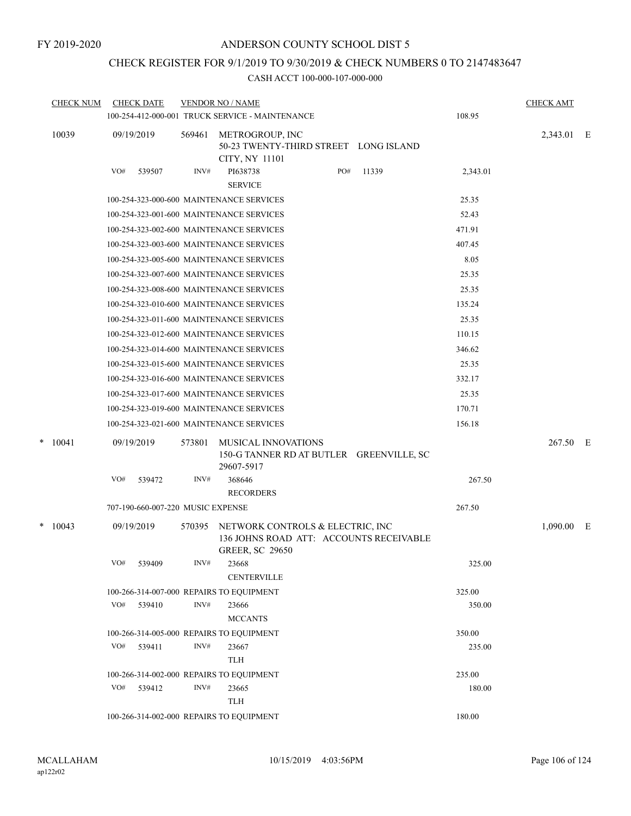### CHECK REGISTER FOR 9/1/2019 TO 9/30/2019 & CHECK NUMBERS 0 TO 2147483647

|  | <b>CHECK NUM</b> |            | <b>CHECK DATE</b>                 |        | <b>VENDOR NO / NAME</b><br>100-254-412-000-001 TRUCK SERVICE - MAINTENANCE |     |                                          | 108.95   | <b>CHECK AMT</b> |  |
|--|------------------|------------|-----------------------------------|--------|----------------------------------------------------------------------------|-----|------------------------------------------|----------|------------------|--|
|  | 10039            |            | 09/19/2019                        | 569461 | METROGROUP, INC<br>50-23 TWENTY-THIRD STREET LONG ISLAND<br>CITY, NY 11101 |     |                                          |          | 2,343.01 E       |  |
|  |                  | VO#        | 539507                            | INV#   | PI638738<br><b>SERVICE</b>                                                 | PO# | 11339                                    | 2,343.01 |                  |  |
|  |                  |            |                                   |        | 100-254-323-000-600 MAINTENANCE SERVICES                                   |     |                                          | 25.35    |                  |  |
|  |                  |            |                                   |        | 100-254-323-001-600 MAINTENANCE SERVICES                                   |     |                                          | 52.43    |                  |  |
|  |                  |            |                                   |        | 100-254-323-002-600 MAINTENANCE SERVICES                                   |     |                                          | 471.91   |                  |  |
|  |                  |            |                                   |        | 100-254-323-003-600 MAINTENANCE SERVICES                                   |     |                                          | 407.45   |                  |  |
|  |                  |            |                                   |        | 100-254-323-005-600 MAINTENANCE SERVICES                                   |     |                                          | 8.05     |                  |  |
|  |                  |            |                                   |        | 100-254-323-007-600 MAINTENANCE SERVICES                                   |     |                                          | 25.35    |                  |  |
|  |                  |            |                                   |        | 100-254-323-008-600 MAINTENANCE SERVICES                                   |     |                                          | 25.35    |                  |  |
|  |                  |            |                                   |        | 100-254-323-010-600 MAINTENANCE SERVICES                                   |     |                                          | 135.24   |                  |  |
|  |                  |            |                                   |        | 100-254-323-011-600 MAINTENANCE SERVICES                                   |     |                                          | 25.35    |                  |  |
|  |                  |            |                                   |        | 100-254-323-012-600 MAINTENANCE SERVICES                                   |     |                                          | 110.15   |                  |  |
|  |                  |            |                                   |        | 100-254-323-014-600 MAINTENANCE SERVICES                                   |     |                                          | 346.62   |                  |  |
|  |                  |            |                                   |        | 100-254-323-015-600 MAINTENANCE SERVICES                                   |     |                                          | 25.35    |                  |  |
|  |                  |            |                                   |        | 100-254-323-016-600 MAINTENANCE SERVICES                                   |     |                                          | 332.17   |                  |  |
|  |                  |            |                                   |        | 100-254-323-017-600 MAINTENANCE SERVICES                                   |     |                                          | 25.35    |                  |  |
|  |                  |            |                                   |        | 100-254-323-019-600 MAINTENANCE SERVICES                                   |     |                                          | 170.71   |                  |  |
|  |                  |            |                                   |        | 100-254-323-021-600 MAINTENANCE SERVICES                                   |     |                                          | 156.18   |                  |  |
|  | $*$ 10041        |            | 09/19/2019                        | 573801 | <b>MUSICAL INNOVATIONS</b><br>29607-5917                                   |     | 150-G TANNER RD AT BUTLER GREENVILLE, SC |          | 267.50 E         |  |
|  |                  | VO#        | 539472                            | INV#   | 368646<br><b>RECORDERS</b>                                                 |     |                                          | 267.50   |                  |  |
|  |                  |            | 707-190-660-007-220 MUSIC EXPENSE |        |                                                                            |     |                                          | 267.50   |                  |  |
|  | $*$ 10043        |            | 09/19/2019                        | 570395 | NETWORK CONTROLS & ELECTRIC, INC                                           |     |                                          |          | $1,090.00$ E     |  |
|  |                  |            |                                   |        | <b>GREER, SC 29650</b>                                                     |     | 136 JOHNS ROAD ATT: ACCOUNTS RECEIVABLE  |          |                  |  |
|  |                  | $\rm VO\#$ | 539409                            | INV#   | 23668<br><b>CENTERVILLE</b>                                                |     |                                          | 325.00   |                  |  |
|  |                  |            |                                   |        | 100-266-314-007-000 REPAIRS TO EQUIPMENT                                   |     |                                          | 325.00   |                  |  |
|  |                  |            | VO# 539410                        | INV#   | 23666<br><b>MCCANTS</b>                                                    |     |                                          | 350.00   |                  |  |
|  |                  |            |                                   |        | 100-266-314-005-000 REPAIRS TO EQUIPMENT                                   |     |                                          | 350.00   |                  |  |
|  |                  | VO#        | 539411                            | INV#   | 23667<br><b>TLH</b>                                                        |     |                                          | 235.00   |                  |  |
|  |                  |            |                                   |        | 100-266-314-002-000 REPAIRS TO EQUIPMENT                                   |     |                                          | 235.00   |                  |  |
|  |                  | VO#        | 539412                            | INV#   | 23665<br><b>TLH</b>                                                        |     |                                          | 180.00   |                  |  |
|  |                  |            |                                   |        | 100-266-314-002-000 REPAIRS TO EQUIPMENT                                   |     |                                          | 180.00   |                  |  |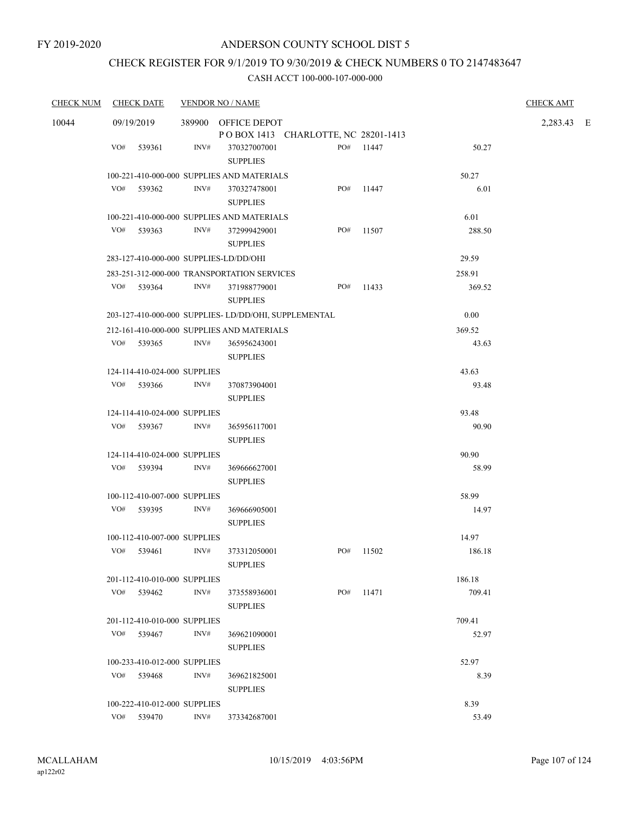### CHECK REGISTER FOR 9/1/2019 TO 9/30/2019 & CHECK NUMBERS 0 TO 2147483647

| <b>CHECK NUM</b> | <b>CHECK DATE</b>            | <b>VENDOR NO / NAME</b>                              |                                     |           |        | <b>CHECK AMT</b> |  |
|------------------|------------------------------|------------------------------------------------------|-------------------------------------|-----------|--------|------------------|--|
| 10044            | 09/19/2019                   | 389900 OFFICE DEPOT                                  |                                     |           |        | 2,283.43 E       |  |
|                  |                              |                                                      | POBOX 1413 CHARLOTTE, NC 28201-1413 |           |        |                  |  |
|                  | VO#<br>539361                | INV#<br>370327007001<br><b>SUPPLIES</b>              | PO#                                 | 11447     | 50.27  |                  |  |
|                  |                              | 100-221-410-000-000 SUPPLIES AND MATERIALS           |                                     |           | 50.27  |                  |  |
|                  | VO#<br>539362                | INV#<br>370327478001<br><b>SUPPLIES</b>              | PO#                                 | 11447     | 6.01   |                  |  |
|                  |                              | 100-221-410-000-000 SUPPLIES AND MATERIALS           |                                     |           | 6.01   |                  |  |
|                  | VO#<br>539363                | INV#<br>372999429001<br><b>SUPPLIES</b>              | PO#                                 | 11507     | 288.50 |                  |  |
|                  |                              | 283-127-410-000-000 SUPPLIES-LD/DD/OHI               |                                     |           | 29.59  |                  |  |
|                  |                              | 283-251-312-000-000 TRANSPORTATION SERVICES          |                                     |           | 258.91 |                  |  |
|                  | VO# 539364                   | INV#<br>371988779001<br><b>SUPPLIES</b>              | PO#                                 | 11433     | 369.52 |                  |  |
|                  |                              | 203-127-410-000-000 SUPPLIES-LD/DD/OHI, SUPPLEMENTAL |                                     |           | 0.00   |                  |  |
|                  |                              | 212-161-410-000-000 SUPPLIES AND MATERIALS           |                                     |           | 369.52 |                  |  |
|                  | VO#<br>539365                | INV#<br>365956243001<br><b>SUPPLIES</b>              |                                     |           | 43.63  |                  |  |
|                  | 124-114-410-024-000 SUPPLIES |                                                      |                                     |           | 43.63  |                  |  |
|                  | VO#<br>539366                | INV#<br>370873904001<br><b>SUPPLIES</b>              |                                     |           | 93.48  |                  |  |
|                  | 124-114-410-024-000 SUPPLIES |                                                      |                                     |           | 93.48  |                  |  |
|                  | VO# 539367                   | INV#<br>365956117001                                 |                                     |           | 90.90  |                  |  |
|                  |                              | <b>SUPPLIES</b>                                      |                                     |           |        |                  |  |
|                  | 124-114-410-024-000 SUPPLIES |                                                      |                                     |           | 90.90  |                  |  |
|                  | VO#<br>539394                | INV#<br>369666627001<br><b>SUPPLIES</b>              |                                     |           | 58.99  |                  |  |
|                  | 100-112-410-007-000 SUPPLIES |                                                      |                                     |           | 58.99  |                  |  |
|                  | VO# 539395                   | INV#<br>369666905001<br><b>SUPPLIES</b>              |                                     |           | 14.97  |                  |  |
|                  | 100-112-410-007-000 SUPPLIES |                                                      |                                     |           | 14.97  |                  |  |
|                  | VO#<br>539461                | INV#<br>373312050001<br><b>SUPPLIES</b>              | PO#                                 | 11502     | 186.18 |                  |  |
|                  | 201-112-410-010-000 SUPPLIES |                                                      |                                     |           | 186.18 |                  |  |
|                  | VO# 539462                   | INV#<br>373558936001<br><b>SUPPLIES</b>              |                                     | PO# 11471 | 709.41 |                  |  |
|                  | 201-112-410-010-000 SUPPLIES |                                                      |                                     |           | 709.41 |                  |  |
|                  | VO#<br>539467                | INV#<br>369621090001                                 |                                     |           | 52.97  |                  |  |
|                  |                              | <b>SUPPLIES</b>                                      |                                     |           |        |                  |  |
|                  | 100-233-410-012-000 SUPPLIES |                                                      |                                     |           | 52.97  |                  |  |
|                  | VO#<br>539468                | INV#<br>369621825001<br><b>SUPPLIES</b>              |                                     |           | 8.39   |                  |  |
|                  | 100-222-410-012-000 SUPPLIES |                                                      |                                     |           | 8.39   |                  |  |
|                  | VO# 539470                   | INV#<br>373342687001                                 |                                     |           | 53.49  |                  |  |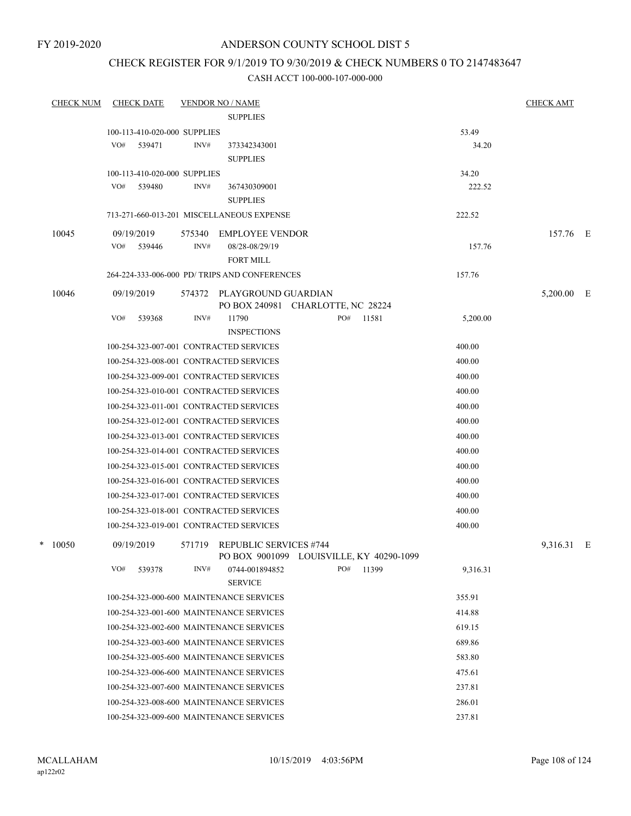### CHECK REGISTER FOR 9/1/2019 TO 9/30/2019 & CHECK NUMBERS 0 TO 2147483647

| <b>CHECK NUM</b> | <b>CHECK DATE</b>                       |        | <b>VENDOR NO / NAME</b>                       |                                          |          | <b>CHECK AMT</b> |  |
|------------------|-----------------------------------------|--------|-----------------------------------------------|------------------------------------------|----------|------------------|--|
|                  |                                         |        | <b>SUPPLIES</b>                               |                                          |          |                  |  |
|                  | 100-113-410-020-000 SUPPLIES            |        |                                               |                                          | 53.49    |                  |  |
|                  | VO#<br>539471                           | INV#   | 373342343001                                  |                                          | 34.20    |                  |  |
|                  |                                         |        | <b>SUPPLIES</b>                               |                                          |          |                  |  |
|                  | 100-113-410-020-000 SUPPLIES            |        |                                               |                                          | 34.20    |                  |  |
|                  | VO#<br>539480                           | INV#   | 367430309001                                  |                                          | 222.52   |                  |  |
|                  |                                         |        | <b>SUPPLIES</b>                               |                                          |          |                  |  |
|                  |                                         |        | 713-271-660-013-201 MISCELLANEOUS EXPENSE     |                                          | 222.52   |                  |  |
| 10045            | 09/19/2019                              | 575340 | <b>EMPLOYEE VENDOR</b>                        |                                          |          | 157.76 E         |  |
|                  | VO#<br>539446                           | INV#   | 08/28-08/29/19                                |                                          | 157.76   |                  |  |
|                  |                                         |        | <b>FORT MILL</b>                              |                                          |          |                  |  |
|                  |                                         |        | 264-224-333-006-000 PD/ TRIPS AND CONFERENCES |                                          | 157.76   |                  |  |
| 10046            | 09/19/2019                              |        | 574372 PLAYGROUND GUARDIAN                    |                                          |          | 5,200.00 E       |  |
|                  |                                         |        | PO BOX 240981 CHARLOTTE, NC 28224             |                                          |          |                  |  |
|                  | VO#<br>539368                           | INV#   | 11790<br><b>INSPECTIONS</b>                   | PO#<br>11581                             | 5,200.00 |                  |  |
|                  | 100-254-323-007-001 CONTRACTED SERVICES |        |                                               |                                          | 400.00   |                  |  |
|                  | 100-254-323-008-001 CONTRACTED SERVICES |        |                                               |                                          | 400.00   |                  |  |
|                  | 100-254-323-009-001 CONTRACTED SERVICES |        |                                               |                                          | 400.00   |                  |  |
|                  | 100-254-323-010-001 CONTRACTED SERVICES |        |                                               |                                          | 400.00   |                  |  |
|                  | 100-254-323-011-001 CONTRACTED SERVICES |        |                                               |                                          | 400.00   |                  |  |
|                  | 100-254-323-012-001 CONTRACTED SERVICES |        |                                               |                                          | 400.00   |                  |  |
|                  | 100-254-323-013-001 CONTRACTED SERVICES |        |                                               |                                          | 400.00   |                  |  |
|                  | 100-254-323-014-001 CONTRACTED SERVICES |        |                                               |                                          | 400.00   |                  |  |
|                  | 100-254-323-015-001 CONTRACTED SERVICES |        |                                               |                                          | 400.00   |                  |  |
|                  | 100-254-323-016-001 CONTRACTED SERVICES |        |                                               |                                          | 400.00   |                  |  |
|                  | 100-254-323-017-001 CONTRACTED SERVICES |        |                                               |                                          | 400.00   |                  |  |
|                  | 100-254-323-018-001 CONTRACTED SERVICES |        |                                               |                                          | 400.00   |                  |  |
|                  | 100-254-323-019-001 CONTRACTED SERVICES |        |                                               |                                          | 400.00   |                  |  |
|                  |                                         |        |                                               |                                          |          |                  |  |
| $*$ 10050        | 09/19/2019                              | 571719 | <b>REPUBLIC SERVICES #744</b>                 | PO BOX 9001099 LOUISVILLE, KY 40290-1099 |          | 9,316.31 E       |  |
|                  | VO#<br>539378                           | INV#   | 0744-001894852                                | PO#<br>11399                             | 9,316.31 |                  |  |
|                  |                                         |        | <b>SERVICE</b>                                |                                          |          |                  |  |
|                  |                                         |        | 100-254-323-000-600 MAINTENANCE SERVICES      |                                          | 355.91   |                  |  |
|                  |                                         |        | 100-254-323-001-600 MAINTENANCE SERVICES      |                                          | 414.88   |                  |  |
|                  |                                         |        | 100-254-323-002-600 MAINTENANCE SERVICES      |                                          | 619.15   |                  |  |
|                  |                                         |        | 100-254-323-003-600 MAINTENANCE SERVICES      |                                          | 689.86   |                  |  |
|                  |                                         |        | 100-254-323-005-600 MAINTENANCE SERVICES      |                                          | 583.80   |                  |  |
|                  |                                         |        | 100-254-323-006-600 MAINTENANCE SERVICES      |                                          | 475.61   |                  |  |
|                  |                                         |        | 100-254-323-007-600 MAINTENANCE SERVICES      |                                          | 237.81   |                  |  |
|                  |                                         |        | 100-254-323-008-600 MAINTENANCE SERVICES      |                                          | 286.01   |                  |  |
|                  |                                         |        | 100-254-323-009-600 MAINTENANCE SERVICES      |                                          | 237.81   |                  |  |
|                  |                                         |        |                                               |                                          |          |                  |  |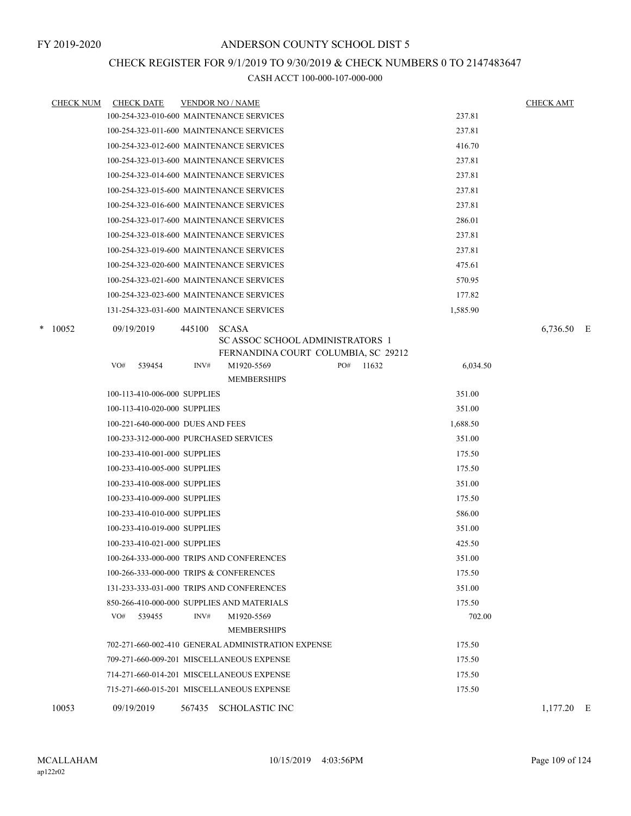### CHECK REGISTER FOR 9/1/2019 TO 9/30/2019 & CHECK NUMBERS 0 TO 2147483647

| <b>CHECK NUM</b> | <b>CHECK DATE</b>                         |        | <b>VENDOR NO / NAME</b>                                 |                                     |          | <b>CHECK AMT</b> |  |
|------------------|-------------------------------------------|--------|---------------------------------------------------------|-------------------------------------|----------|------------------|--|
|                  | 100-254-323-010-600 MAINTENANCE SERVICES  |        |                                                         |                                     | 237.81   |                  |  |
|                  | 100-254-323-011-600 MAINTENANCE SERVICES  |        |                                                         |                                     | 237.81   |                  |  |
|                  | 100-254-323-012-600 MAINTENANCE SERVICES  |        |                                                         |                                     | 416.70   |                  |  |
|                  | 100-254-323-013-600 MAINTENANCE SERVICES  |        |                                                         |                                     | 237.81   |                  |  |
|                  | 100-254-323-014-600 MAINTENANCE SERVICES  |        |                                                         |                                     | 237.81   |                  |  |
|                  | 100-254-323-015-600 MAINTENANCE SERVICES  |        |                                                         |                                     | 237.81   |                  |  |
|                  | 100-254-323-016-600 MAINTENANCE SERVICES  |        |                                                         |                                     | 237.81   |                  |  |
|                  | 100-254-323-017-600 MAINTENANCE SERVICES  |        |                                                         |                                     | 286.01   |                  |  |
|                  | 100-254-323-018-600 MAINTENANCE SERVICES  |        |                                                         |                                     | 237.81   |                  |  |
|                  | 100-254-323-019-600 MAINTENANCE SERVICES  |        |                                                         |                                     | 237.81   |                  |  |
|                  | 100-254-323-020-600 MAINTENANCE SERVICES  |        |                                                         |                                     | 475.61   |                  |  |
|                  | 100-254-323-021-600 MAINTENANCE SERVICES  |        |                                                         |                                     | 570.95   |                  |  |
|                  | 100-254-323-023-600 MAINTENANCE SERVICES  |        |                                                         |                                     | 177.82   |                  |  |
|                  | 131-254-323-031-600 MAINTENANCE SERVICES  |        |                                                         |                                     | 1,585.90 |                  |  |
| $*$ 10052        | 09/19/2019                                | 445100 | <b>SCASA</b><br><b>SC ASSOC SCHOOL ADMINISTRATORS 1</b> | FERNANDINA COURT COLUMBIA, SC 29212 |          | 6,736.50 E       |  |
|                  | VO#<br>539454                             | INV#   | M1920-5569<br><b>MEMBERSHIPS</b>                        | PO#<br>11632                        | 6,034.50 |                  |  |
|                  | 100-113-410-006-000 SUPPLIES              |        |                                                         |                                     | 351.00   |                  |  |
|                  | 100-113-410-020-000 SUPPLIES              |        |                                                         |                                     | 351.00   |                  |  |
|                  | 100-221-640-000-000 DUES AND FEES         |        |                                                         |                                     | 1,688.50 |                  |  |
|                  | 100-233-312-000-000 PURCHASED SERVICES    |        |                                                         |                                     | 351.00   |                  |  |
|                  | 100-233-410-001-000 SUPPLIES              |        |                                                         |                                     | 175.50   |                  |  |
|                  | 100-233-410-005-000 SUPPLIES              |        |                                                         |                                     | 175.50   |                  |  |
|                  | 100-233-410-008-000 SUPPLIES              |        |                                                         |                                     | 351.00   |                  |  |
|                  | 100-233-410-009-000 SUPPLIES              |        |                                                         |                                     | 175.50   |                  |  |
|                  | 100-233-410-010-000 SUPPLIES              |        |                                                         |                                     | 586.00   |                  |  |
|                  | 100-233-410-019-000 SUPPLIES              |        |                                                         |                                     | 351.00   |                  |  |
|                  | 100-233-410-021-000 SUPPLIES              |        |                                                         |                                     | 425.50   |                  |  |
|                  |                                           |        | 100-264-333-000-000 TRIPS AND CONFERENCES               |                                     | 351.00   |                  |  |
|                  | 100-266-333-000-000 TRIPS & CONFERENCES   |        |                                                         |                                     | 175.50   |                  |  |
|                  | 131-233-333-031-000 TRIPS AND CONFERENCES |        |                                                         |                                     | 351.00   |                  |  |
|                  |                                           |        | 850-266-410-000-000 SUPPLIES AND MATERIALS              |                                     | 175.50   |                  |  |
|                  | VO# 539455                                | INV#   | M1920-5569<br><b>MEMBERSHIPS</b>                        |                                     | 702.00   |                  |  |
|                  |                                           |        | 702-271-660-002-410 GENERAL ADMINISTRATION EXPENSE      |                                     | 175.50   |                  |  |
|                  |                                           |        | 709-271-660-009-201 MISCELLANEOUS EXPENSE               |                                     | 175.50   |                  |  |
|                  |                                           |        | 714-271-660-014-201 MISCELLANEOUS EXPENSE               |                                     | 175.50   |                  |  |
|                  |                                           |        | 715-271-660-015-201 MISCELLANEOUS EXPENSE               |                                     | 175.50   |                  |  |
| 10053            | 09/19/2019                                |        | 567435 SCHOLASTIC INC                                   |                                     |          | $1,177.20$ E     |  |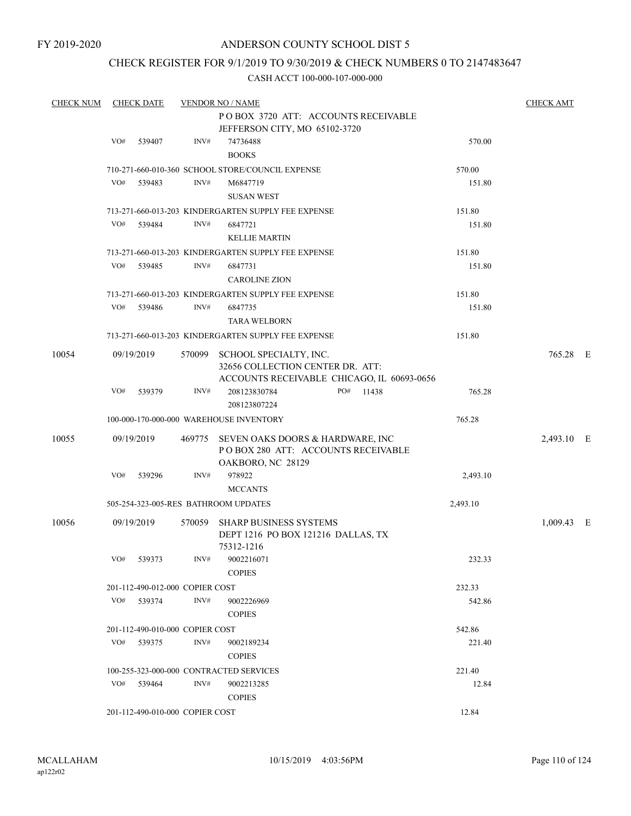### CHECK REGISTER FOR 9/1/2019 TO 9/30/2019 & CHECK NUMBERS 0 TO 2147483647

| <b>CHECK NUM</b> |                                     | <b>CHECK DATE</b>               |        | <b>VENDOR NO / NAME</b>                             |          | <b>CHECK AMT</b> |  |  |  |
|------------------|-------------------------------------|---------------------------------|--------|-----------------------------------------------------|----------|------------------|--|--|--|
|                  | POBOX 3720 ATT: ACCOUNTS RECEIVABLE |                                 |        |                                                     |          |                  |  |  |  |
|                  |                                     |                                 |        | JEFFERSON CITY, MO 65102-3720                       |          |                  |  |  |  |
|                  | VO#                                 | 539407                          | INV#   | 74736488                                            | 570.00   |                  |  |  |  |
|                  |                                     |                                 |        | <b>BOOKS</b>                                        |          |                  |  |  |  |
|                  |                                     |                                 |        | 710-271-660-010-360 SCHOOL STORE/COUNCIL EXPENSE    | 570.00   |                  |  |  |  |
|                  | VO#                                 | 539483                          | INV#   | M6847719                                            | 151.80   |                  |  |  |  |
|                  |                                     |                                 |        | <b>SUSAN WEST</b>                                   |          |                  |  |  |  |
|                  |                                     |                                 |        | 713-271-660-013-203 KINDERGARTEN SUPPLY FEE EXPENSE | 151.80   |                  |  |  |  |
|                  | VO#                                 | 539484                          | INV#   | 6847721                                             | 151.80   |                  |  |  |  |
|                  |                                     |                                 |        | <b>KELLIE MARTIN</b>                                |          |                  |  |  |  |
|                  |                                     |                                 |        | 713-271-660-013-203 KINDERGARTEN SUPPLY FEE EXPENSE | 151.80   |                  |  |  |  |
|                  | VO#                                 | 539485                          | INV#   | 6847731                                             | 151.80   |                  |  |  |  |
|                  |                                     |                                 |        | <b>CAROLINE ZION</b>                                |          |                  |  |  |  |
|                  |                                     |                                 |        | 713-271-660-013-203 KINDERGARTEN SUPPLY FEE EXPENSE | 151.80   |                  |  |  |  |
|                  | VO#                                 | 539486                          | INV#   |                                                     |          |                  |  |  |  |
|                  |                                     |                                 |        | 6847735<br><b>TARA WELBORN</b>                      | 151.80   |                  |  |  |  |
|                  |                                     |                                 |        |                                                     |          |                  |  |  |  |
|                  |                                     |                                 |        | 713-271-660-013-203 KINDERGARTEN SUPPLY FEE EXPENSE | 151.80   |                  |  |  |  |
| 10054            |                                     | 09/19/2019                      | 570099 | SCHOOL SPECIALTY, INC.                              |          | 765.28 E         |  |  |  |
|                  |                                     |                                 |        | 32656 COLLECTION CENTER DR. ATT:                    |          |                  |  |  |  |
|                  |                                     |                                 |        | ACCOUNTS RECEIVABLE CHICAGO, IL 60693-0656          |          |                  |  |  |  |
|                  | VO#                                 | 539379                          | INV#   | 208123830784<br>PO# 11438                           | 765.28   |                  |  |  |  |
|                  |                                     |                                 |        | 208123807224                                        |          |                  |  |  |  |
|                  |                                     |                                 |        | 100-000-170-000-000 WAREHOUSE INVENTORY             | 765.28   |                  |  |  |  |
| 10055            |                                     | 09/19/2019                      |        | 469775 SEVEN OAKS DOORS & HARDWARE, INC             |          | 2,493.10 E       |  |  |  |
|                  |                                     |                                 |        | PO BOX 280 ATT: ACCOUNTS RECEIVABLE                 |          |                  |  |  |  |
|                  |                                     |                                 |        | OAKBORO, NC 28129                                   |          |                  |  |  |  |
|                  | VO#                                 | 539296                          | INV#   | 978922                                              | 2,493.10 |                  |  |  |  |
|                  |                                     |                                 |        | <b>MCCANTS</b>                                      |          |                  |  |  |  |
|                  |                                     |                                 |        | 505-254-323-005-RES BATHROOM UPDATES                | 2,493.10 |                  |  |  |  |
| 10056            |                                     | 09/19/2019                      | 570059 | SHARP BUSINESS SYSTEMS                              |          | $1,009.43$ E     |  |  |  |
|                  |                                     |                                 |        | DEPT 1216 PO BOX 121216 DALLAS, TX                  |          |                  |  |  |  |
|                  |                                     |                                 |        | 75312-1216                                          |          |                  |  |  |  |
|                  |                                     | VO# 539373                      | INV#   | 9002216071                                          | 232.33   |                  |  |  |  |
|                  |                                     |                                 |        | <b>COPIES</b>                                       |          |                  |  |  |  |
|                  |                                     | 201-112-490-012-000 COPIER COST |        |                                                     | 232.33   |                  |  |  |  |
|                  |                                     | VO# 539374                      | INV#   | 9002226969                                          | 542.86   |                  |  |  |  |
|                  |                                     |                                 |        | <b>COPIES</b>                                       |          |                  |  |  |  |
|                  |                                     | 201-112-490-010-000 COPIER COST |        |                                                     | 542.86   |                  |  |  |  |
|                  |                                     | VO# 539375                      | INV#   | 9002189234                                          | 221.40   |                  |  |  |  |
|                  |                                     |                                 |        | <b>COPIES</b>                                       |          |                  |  |  |  |
|                  |                                     |                                 |        | 100-255-323-000-000 CONTRACTED SERVICES             |          |                  |  |  |  |
|                  |                                     |                                 | INV#   |                                                     | 221.40   |                  |  |  |  |
|                  |                                     | VO# 539464                      |        | 9002213285                                          | 12.84    |                  |  |  |  |
|                  |                                     |                                 |        | <b>COPIES</b>                                       |          |                  |  |  |  |
|                  |                                     | 201-112-490-010-000 COPIER COST |        |                                                     | 12.84    |                  |  |  |  |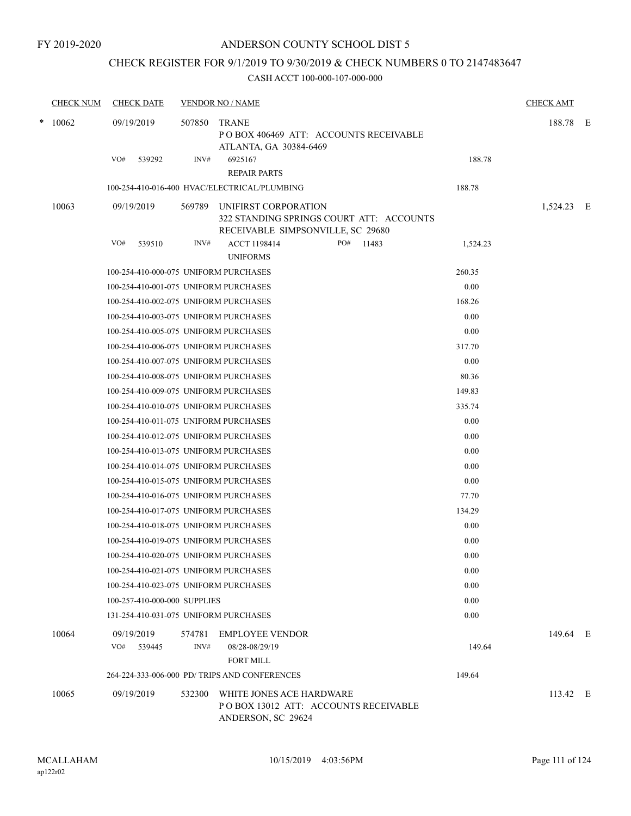### CHECK REGISTER FOR 9/1/2019 TO 9/30/2019 & CHECK NUMBERS 0 TO 2147483647

|        | <b>CHECK NUM</b> | <b>CHECK DATE</b>                     |                | <b>VENDOR NO / NAME</b>                                                                                      |          | <b>CHECK AMT</b> |  |
|--------|------------------|---------------------------------------|----------------|--------------------------------------------------------------------------------------------------------------|----------|------------------|--|
| $\ast$ | 10062            | 09/19/2019                            |                | 507850 TRANE<br>POBOX 406469 ATT: ACCOUNTS RECEIVABLE<br>ATLANTA, GA 30384-6469                              |          | 188.78 E         |  |
|        |                  | VO#<br>539292                         | INV#           | 6925167<br><b>REPAIR PARTS</b>                                                                               | 188.78   |                  |  |
|        |                  |                                       |                | 100-254-410-016-400 HVAC/ELECTRICAL/PLUMBING                                                                 | 188.78   |                  |  |
|        | 10063            | 09/19/2019                            |                | 569789 UNIFIRST CORPORATION<br>322 STANDING SPRINGS COURT ATT: ACCOUNTS<br>RECEIVABLE SIMPSONVILLE, SC 29680 |          | 1,524.23 E       |  |
|        |                  | VO#<br>539510                         | INV#           | <b>ACCT 1198414</b><br>PO# 11483<br><b>UNIFORMS</b>                                                          | 1,524.23 |                  |  |
|        |                  | 100-254-410-000-075 UNIFORM PURCHASES |                |                                                                                                              | 260.35   |                  |  |
|        |                  | 100-254-410-001-075 UNIFORM PURCHASES |                |                                                                                                              | 0.00     |                  |  |
|        |                  | 100-254-410-002-075 UNIFORM PURCHASES |                |                                                                                                              | 168.26   |                  |  |
|        |                  | 100-254-410-003-075 UNIFORM PURCHASES |                |                                                                                                              | 0.00     |                  |  |
|        |                  | 100-254-410-005-075 UNIFORM PURCHASES |                |                                                                                                              | 0.00     |                  |  |
|        |                  | 100-254-410-006-075 UNIFORM PURCHASES |                |                                                                                                              | 317.70   |                  |  |
|        |                  | 100-254-410-007-075 UNIFORM PURCHASES |                |                                                                                                              | 0.00     |                  |  |
|        |                  | 100-254-410-008-075 UNIFORM PURCHASES |                |                                                                                                              | 80.36    |                  |  |
|        |                  | 100-254-410-009-075 UNIFORM PURCHASES |                |                                                                                                              | 149.83   |                  |  |
|        |                  | 100-254-410-010-075 UNIFORM PURCHASES |                |                                                                                                              | 335.74   |                  |  |
|        |                  | 100-254-410-011-075 UNIFORM PURCHASES |                |                                                                                                              | 0.00     |                  |  |
|        |                  | 100-254-410-012-075 UNIFORM PURCHASES |                |                                                                                                              | 0.00     |                  |  |
|        |                  | 100-254-410-013-075 UNIFORM PURCHASES |                |                                                                                                              | 0.00     |                  |  |
|        |                  | 100-254-410-014-075 UNIFORM PURCHASES |                |                                                                                                              | 0.00     |                  |  |
|        |                  | 100-254-410-015-075 UNIFORM PURCHASES |                |                                                                                                              | 0.00     |                  |  |
|        |                  | 100-254-410-016-075 UNIFORM PURCHASES |                |                                                                                                              | 77.70    |                  |  |
|        |                  | 100-254-410-017-075 UNIFORM PURCHASES |                |                                                                                                              | 134.29   |                  |  |
|        |                  | 100-254-410-018-075 UNIFORM PURCHASES |                |                                                                                                              | 0.00     |                  |  |
|        |                  | 100-254-410-019-075 UNIFORM PURCHASES |                |                                                                                                              | 0.00     |                  |  |
|        |                  | 100-254-410-020-075 UNIFORM PURCHASES |                |                                                                                                              | 0.00     |                  |  |
|        |                  | 100-254-410-021-075 UNIFORM PURCHASES |                |                                                                                                              | 0.00     |                  |  |
|        |                  | 100-254-410-023-075 UNIFORM PURCHASES |                |                                                                                                              | 0.00     |                  |  |
|        |                  | 100-257-410-000-000 SUPPLIES          |                |                                                                                                              | 0.00     |                  |  |
|        |                  | 131-254-410-031-075 UNIFORM PURCHASES |                |                                                                                                              | 0.00     |                  |  |
|        | 10064            | 09/19/2019<br>VO#<br>539445           | 574781<br>INV# | <b>EMPLOYEE VENDOR</b><br>08/28-08/29/19<br><b>FORT MILL</b>                                                 | 149.64   | 149.64 E         |  |
|        |                  |                                       |                | 264-224-333-006-000 PD/ TRIPS AND CONFERENCES                                                                | 149.64   |                  |  |
|        | 10065            | 09/19/2019                            | 532300         | WHITE JONES ACE HARDWARE<br>POBOX 13012 ATT: ACCOUNTS RECEIVABLE<br>ANDERSON, SC 29624                       |          | 113.42 E         |  |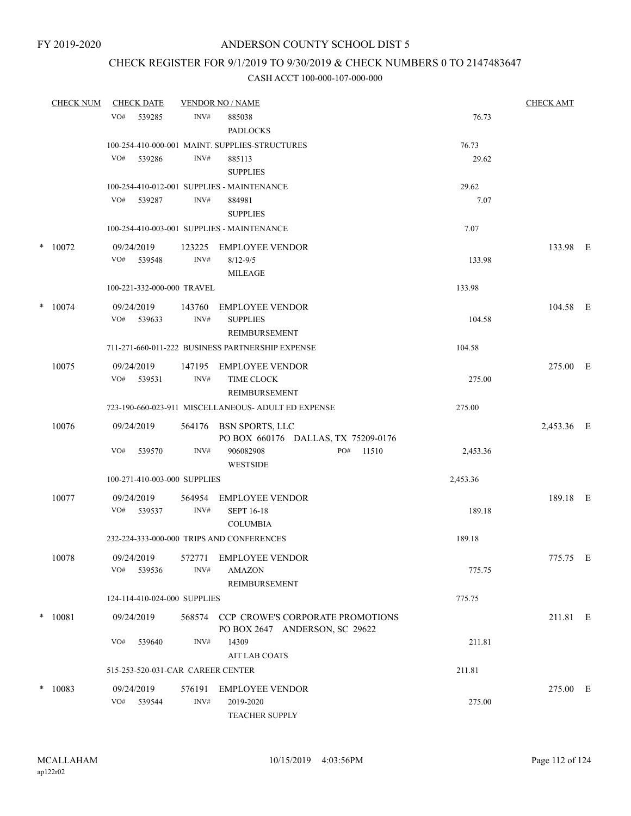### CHECK REGISTER FOR 9/1/2019 TO 9/30/2019 & CHECK NUMBERS 0 TO 2147483647

| <b>CHECK NUM</b> | <b>CHECK DATE</b>                 |                | <b>VENDOR NO / NAME</b>                                                   |          | <b>CHECK AMT</b> |  |
|------------------|-----------------------------------|----------------|---------------------------------------------------------------------------|----------|------------------|--|
|                  | VO#<br>539285                     | INV#           | 885038<br><b>PADLOCKS</b>                                                 | 76.73    |                  |  |
|                  |                                   |                | 100-254-410-000-001 MAINT. SUPPLIES-STRUCTURES                            | 76.73    |                  |  |
|                  | VO#<br>539286                     | INV#           | 885113<br><b>SUPPLIES</b>                                                 | 29.62    |                  |  |
|                  |                                   |                | 100-254-410-012-001 SUPPLIES - MAINTENANCE                                | 29.62    |                  |  |
|                  | VO# 539287                        | INV#           | 884981<br><b>SUPPLIES</b>                                                 | 7.07     |                  |  |
|                  |                                   |                | 100-254-410-003-001 SUPPLIES - MAINTENANCE                                | 7.07     |                  |  |
| $*$ 10072        | 09/24/2019                        | 123225         | <b>EMPLOYEE VENDOR</b>                                                    |          | 133.98 E         |  |
|                  | VO# 539548                        | INV#           | $8/12 - 9/5$<br><b>MILEAGE</b>                                            | 133.98   |                  |  |
|                  | 100-221-332-000-000 TRAVEL        |                |                                                                           | 133.98   |                  |  |
| $*$ 10074        | 09/24/2019<br>VO#<br>539633       | 143760<br>INV# | <b>EMPLOYEE VENDOR</b><br><b>SUPPLIES</b>                                 | 104.58   | 104.58 E         |  |
|                  |                                   |                | <b>REIMBURSEMENT</b>                                                      |          |                  |  |
|                  |                                   |                | 711-271-660-011-222 BUSINESS PARTNERSHIP EXPENSE                          | 104.58   |                  |  |
| 10075            | 09/24/2019<br>VO# 539531          | INV#           | 147195 EMPLOYEE VENDOR<br><b>TIME CLOCK</b><br>REIMBURSEMENT              | 275.00   | 275.00 E         |  |
|                  |                                   |                | 723-190-660-023-911 MISCELLANEOUS- ADULT ED EXPENSE                       | 275.00   |                  |  |
| 10076            | 09/24/2019                        |                | 564176 BSN SPORTS, LLC<br>PO BOX 660176 DALLAS, TX 75209-0176             |          | 2,453.36 E       |  |
|                  | VO#<br>539570                     | INV#           | PO#<br>906082908<br>11510<br><b>WESTSIDE</b>                              | 2,453.36 |                  |  |
|                  | 100-271-410-003-000 SUPPLIES      |                |                                                                           | 2,453.36 |                  |  |
| 10077            | 09/24/2019<br>VO# 539537          | INV#           | 564954 EMPLOYEE VENDOR<br><b>SEPT 16-18</b>                               | 189.18   | 189.18 E         |  |
|                  |                                   |                | <b>COLUMBIA</b>                                                           |          |                  |  |
|                  |                                   |                | 232-224-333-000-000 TRIPS AND CONFERENCES                                 | 189.18   |                  |  |
| 10078            | 09/24/2019<br>VO# 539536          | INV#           | 572771 EMPLOYEE VENDOR<br><b>AMAZON</b>                                   | 775.75   | 775.75 E         |  |
|                  |                                   |                | REIMBURSEMENT                                                             |          |                  |  |
|                  | 124-114-410-024-000 SUPPLIES      |                |                                                                           | 775.75   |                  |  |
| $* 10081$        | 09/24/2019                        |                | 568574 CCP CROWE'S CORPORATE PROMOTIONS<br>PO BOX 2647 ANDERSON, SC 29622 |          | 211.81 E         |  |
|                  | VO#<br>539640                     | INV#           | 14309<br><b>AIT LAB COATS</b>                                             | 211.81   |                  |  |
|                  | 515-253-520-031-CAR CAREER CENTER |                |                                                                           | 211.81   |                  |  |
| $*10083$         | 09/24/2019<br>VO# 539544          | INV#           | 576191 EMPLOYEE VENDOR<br>2019-2020<br><b>TEACHER SUPPLY</b>              | 275.00   | 275.00 E         |  |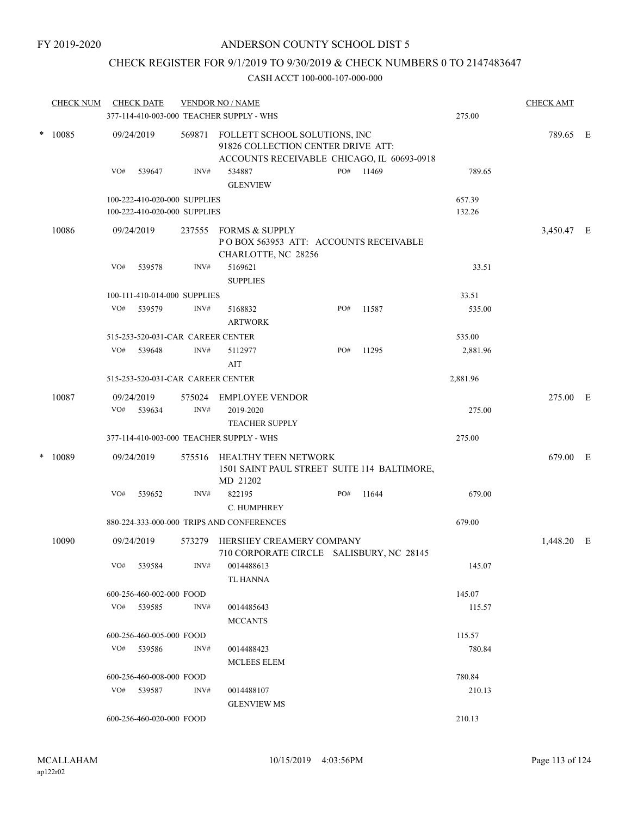### CHECK REGISTER FOR 9/1/2019 TO 9/30/2019 & CHECK NUMBERS 0 TO 2147483647

|        | <b>CHECK NUM</b> |     | <b>CHECK DATE</b>                                            |        | <b>VENDOR NO / NAME</b><br>377-114-410-003-000 TEACHER SUPPLY - WHS                                               |     |       | 275.00           | <b>CHECK AMT</b> |  |
|--------|------------------|-----|--------------------------------------------------------------|--------|-------------------------------------------------------------------------------------------------------------------|-----|-------|------------------|------------------|--|
|        |                  |     |                                                              |        |                                                                                                                   |     |       |                  |                  |  |
|        | * 10085          |     | 09/24/2019                                                   | 569871 | FOLLETT SCHOOL SOLUTIONS, INC<br>91826 COLLECTION CENTER DRIVE ATT:<br>ACCOUNTS RECEIVABLE CHICAGO, IL 60693-0918 |     |       |                  | 789.65 E         |  |
|        |                  | VO# | 539647                                                       | INV#   | 534887<br><b>GLENVIEW</b>                                                                                         | PO# | 11469 | 789.65           |                  |  |
|        |                  |     | 100-222-410-020-000 SUPPLIES<br>100-222-410-020-000 SUPPLIES |        |                                                                                                                   |     |       | 657.39<br>132.26 |                  |  |
|        | 10086            |     | 09/24/2019                                                   | 237555 | FORMS & SUPPLY<br>POBOX 563953 ATT: ACCOUNTS RECEIVABLE<br>CHARLOTTE, NC 28256                                    |     |       |                  | 3,450.47 E       |  |
|        |                  | VO# | 539578                                                       | INV#   | 5169621<br><b>SUPPLIES</b>                                                                                        |     |       | 33.51            |                  |  |
|        |                  |     | 100-111-410-014-000 SUPPLIES                                 |        |                                                                                                                   |     |       | 33.51            |                  |  |
|        |                  | VO# | 539579                                                       | INV#   | 5168832<br><b>ARTWORK</b>                                                                                         | PO# | 11587 | 535.00           |                  |  |
|        |                  |     | 515-253-520-031-CAR CAREER CENTER                            |        |                                                                                                                   |     |       | 535.00           |                  |  |
|        |                  |     | VO# 539648                                                   | INV#   | 5112977<br>AIT                                                                                                    | PO# | 11295 | 2,881.96         |                  |  |
|        |                  |     | 515-253-520-031-CAR CAREER CENTER                            |        |                                                                                                                   |     |       | 2,881.96         |                  |  |
|        | 10087            |     | 09/24/2019                                                   |        | 575024 EMPLOYEE VENDOR                                                                                            |     |       |                  | 275.00 E         |  |
|        |                  | VO# | 539634                                                       | INV#   | 2019-2020<br><b>TEACHER SUPPLY</b>                                                                                |     |       | 275.00           |                  |  |
|        |                  |     |                                                              |        | 377-114-410-003-000 TEACHER SUPPLY - WHS                                                                          |     |       | 275.00           |                  |  |
| $\ast$ | 10089            |     | 09/24/2019                                                   | 575516 | HEALTHY TEEN NETWORK<br>1501 SAINT PAUL STREET SUITE 114 BALTIMORE,<br>MD 21202                                   |     |       |                  | 679.00 E         |  |
|        |                  | VO# | 539652                                                       | INV#   | 822195<br>C. HUMPHREY                                                                                             | PO# | 11644 | 679.00           |                  |  |
|        |                  |     |                                                              |        | 880-224-333-000-000 TRIPS AND CONFERENCES                                                                         |     |       | 679.00           |                  |  |
|        | 10090            |     | 09/24/2019                                                   | 573279 | HERSHEY CREAMERY COMPANY<br>710 CORPORATE CIRCLE SALISBURY, NC 28145                                              |     |       |                  | 1,448.20 E       |  |
|        |                  | VO# | 539584                                                       | INV#   | 0014488613<br>TL HANNA                                                                                            |     |       | 145.07           |                  |  |
|        |                  |     | 600-256-460-002-000 FOOD                                     |        |                                                                                                                   |     |       | 145.07           |                  |  |
|        |                  |     | VO# 539585                                                   | INV#   | 0014485643<br><b>MCCANTS</b>                                                                                      |     |       | 115.57           |                  |  |
|        |                  |     | 600-256-460-005-000 FOOD                                     |        |                                                                                                                   |     |       | 115.57           |                  |  |
|        |                  |     | VO# 539586                                                   | INV#   | 0014488423<br><b>MCLEES ELEM</b>                                                                                  |     |       | 780.84           |                  |  |
|        |                  |     | 600-256-460-008-000 FOOD                                     |        |                                                                                                                   |     |       | 780.84           |                  |  |
|        |                  |     | VO# 539587                                                   | INV#   | 0014488107<br><b>GLENVIEW MS</b>                                                                                  |     |       | 210.13           |                  |  |
|        |                  |     | 600-256-460-020-000 FOOD                                     |        |                                                                                                                   |     |       | 210.13           |                  |  |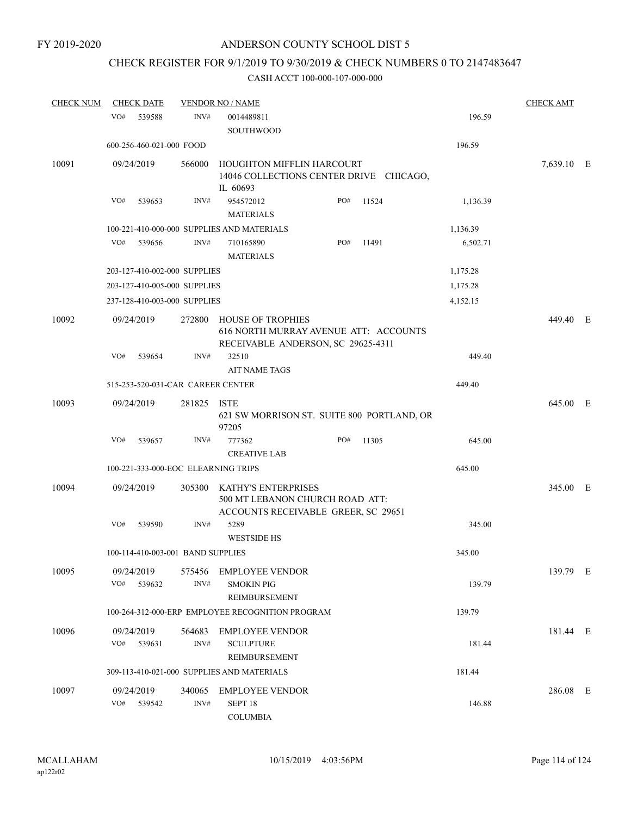### CHECK REGISTER FOR 9/1/2019 TO 9/30/2019 & CHECK NUMBERS 0 TO 2147483647

| <b>CHECK NUM</b> | <b>CHECK DATE</b>                   |                | <b>VENDOR NO / NAME</b>                                                                                 |     |       |          | <b>CHECK AMT</b> |  |
|------------------|-------------------------------------|----------------|---------------------------------------------------------------------------------------------------------|-----|-------|----------|------------------|--|
|                  | VO#<br>539588                       | INV#           | 0014489811<br>SOUTHWOOD                                                                                 |     |       | 196.59   |                  |  |
|                  | 600-256-460-021-000 FOOD            |                |                                                                                                         |     |       | 196.59   |                  |  |
| 10091            | 09/24/2019                          | 566000         | HOUGHTON MIFFLIN HARCOURT<br>14046 COLLECTIONS CENTER DRIVE CHICAGO,<br>IL 60693                        |     |       |          | 7,639.10 E       |  |
|                  | VO#<br>539653                       | INV#           | 954572012<br><b>MATERIALS</b>                                                                           | PO# | 11524 | 1,136.39 |                  |  |
|                  |                                     |                | 100-221-410-000-000 SUPPLIES AND MATERIALS                                                              |     |       | 1,136.39 |                  |  |
|                  | VO#<br>539656                       | INV#           | 710165890<br><b>MATERIALS</b>                                                                           | PO# | 11491 | 6,502.71 |                  |  |
|                  | 203-127-410-002-000 SUPPLIES        |                |                                                                                                         |     |       | 1,175.28 |                  |  |
|                  | 203-127-410-005-000 SUPPLIES        |                |                                                                                                         |     |       | 1,175.28 |                  |  |
|                  | 237-128-410-003-000 SUPPLIES        |                |                                                                                                         |     |       | 4,152.15 |                  |  |
| 10092            | 09/24/2019                          | 272800         | <b>HOUSE OF TROPHIES</b><br>616 NORTH MURRAY AVENUE ATT: ACCOUNTS<br>RECEIVABLE ANDERSON, SC 29625-4311 |     |       |          | 449.40 E         |  |
|                  | VO#<br>539654                       | INV#           | 32510<br><b>AIT NAME TAGS</b>                                                                           |     |       | 449.40   |                  |  |
|                  | 515-253-520-031-CAR CAREER CENTER   |                |                                                                                                         |     |       | 449.40   |                  |  |
| 10093            | 09/24/2019                          | 281825         | <b>ISTE</b><br>621 SW MORRISON ST. SUITE 800 PORTLAND, OR<br>97205                                      |     |       |          | 645.00 E         |  |
|                  | VO#<br>539657                       | INV#           | 777362<br><b>CREATIVE LAB</b>                                                                           | PO# | 11305 | 645.00   |                  |  |
|                  | 100-221-333-000-EOC ELEARNING TRIPS |                |                                                                                                         |     |       | 645.00   |                  |  |
| 10094            | 09/24/2019                          | 305300         | KATHY'S ENTERPRISES<br>500 MT LEBANON CHURCH ROAD ATT:<br>ACCOUNTS RECEIVABLE GREER, SC 29651           |     |       |          | 345.00 E         |  |
|                  | VO#<br>539590                       | INV#           | 5289<br><b>WESTSIDE HS</b>                                                                              |     |       | 345.00   |                  |  |
|                  | 100-114-410-003-001 BAND SUPPLIES   |                |                                                                                                         |     |       | 345.00   |                  |  |
| 10095            | 09/24/2019<br>VO#<br>539632         | 575456<br>INV# | EMPLOYEE VENDOR<br><b>SMOKIN PIG</b><br>REIMBURSEMENT                                                   |     |       | 139.79   | 139.79 E         |  |
|                  |                                     |                | 100-264-312-000-ERP EMPLOYEE RECOGNITION PROGRAM                                                        |     |       | 139.79   |                  |  |
| 10096            | 09/24/2019<br>VO#<br>539631         | 564683<br>INV# | <b>EMPLOYEE VENDOR</b><br><b>SCULPTURE</b><br>REIMBURSEMENT                                             |     |       | 181.44   | 181.44 E         |  |
|                  |                                     |                | 309-113-410-021-000 SUPPLIES AND MATERIALS                                                              |     |       | 181.44   |                  |  |
| 10097            | 09/24/2019<br>VO#<br>539542         | 340065<br>INV# | <b>EMPLOYEE VENDOR</b><br>SEPT 18<br><b>COLUMBIA</b>                                                    |     |       | 146.88   | 286.08 E         |  |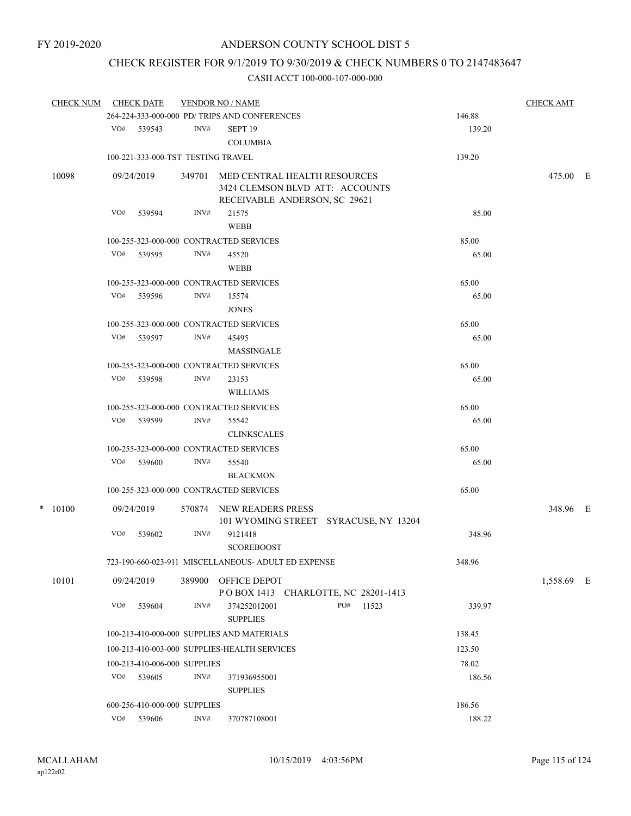## CHECK REGISTER FOR 9/1/2019 TO 9/30/2019 & CHECK NUMBERS 0 TO 2147483647

| <b>CHECK NUM</b> |     | <b>CHECK DATE</b>                  |                | <b>VENDOR NO / NAME</b>                                                                          |        | <b>CHECK AMT</b> |  |
|------------------|-----|------------------------------------|----------------|--------------------------------------------------------------------------------------------------|--------|------------------|--|
|                  |     |                                    |                | 264-224-333-000-000 PD/ TRIPS AND CONFERENCES                                                    | 146.88 |                  |  |
|                  |     | VO# 539543                         | INV#           | SEPT <sub>19</sub><br><b>COLUMBIA</b>                                                            | 139.20 |                  |  |
|                  |     | 100-221-333-000-TST TESTING TRAVEL |                |                                                                                                  | 139.20 |                  |  |
| 10098            |     | 09/24/2019                         | 349701         | MED CENTRAL HEALTH RESOURCES<br>3424 CLEMSON BLVD ATT: ACCOUNTS<br>RECEIVABLE ANDERSON, SC 29621 |        | 475.00 E         |  |
|                  | VO# | 539594                             | INV#           | 21575<br><b>WEBB</b>                                                                             | 85.00  |                  |  |
|                  |     |                                    |                | 100-255-323-000-000 CONTRACTED SERVICES                                                          | 85.00  |                  |  |
|                  | VO# | 539595                             | INV#           | 45520<br>WEBB                                                                                    | 65.00  |                  |  |
|                  |     |                                    |                | 100-255-323-000-000 CONTRACTED SERVICES                                                          | 65.00  |                  |  |
|                  |     | VO# 539596                         | INV#           | 15574<br><b>JONES</b>                                                                            | 65.00  |                  |  |
|                  |     |                                    |                | 100-255-323-000-000 CONTRACTED SERVICES                                                          | 65.00  |                  |  |
|                  |     | VO# 539597                         | INV#           | 45495<br>MASSINGALE                                                                              | 65.00  |                  |  |
|                  |     |                                    |                | 100-255-323-000-000 CONTRACTED SERVICES                                                          | 65.00  |                  |  |
|                  | VO# | 539598                             | INV#           | 23153<br><b>WILLIAMS</b>                                                                         | 65.00  |                  |  |
|                  |     |                                    |                | 100-255-323-000-000 CONTRACTED SERVICES                                                          | 65.00  |                  |  |
|                  | VO# | 539599                             | INV#           | 55542<br><b>CLINKSCALES</b>                                                                      | 65.00  |                  |  |
|                  |     |                                    |                | 100-255-323-000-000 CONTRACTED SERVICES                                                          | 65.00  |                  |  |
|                  |     | VO# 539600                         | INV#           | 55540<br><b>BLACKMON</b>                                                                         | 65.00  |                  |  |
|                  |     |                                    |                | 100-255-323-000-000 CONTRACTED SERVICES                                                          | 65.00  |                  |  |
|                  |     |                                    |                |                                                                                                  |        |                  |  |
| $*$ 10100        |     | 09/24/2019                         | 570874         | NEW READERS PRESS<br>101 WYOMING STREET SYRACUSE, NY 13204                                       |        | 348.96 E         |  |
|                  | VO# | 539602                             | INV#           | 9121418<br><b>SCOREBOOST</b>                                                                     | 348.96 |                  |  |
|                  |     |                                    |                | 723-190-660-023-911 MISCELLANEOUS- ADULT ED EXPENSE                                              | 348.96 |                  |  |
| 10101            |     | 09/24/2019                         |                | 389900 OFFICE DEPOT<br>POBOX 1413 CHARLOTTE, NC 28201-1413                                       |        | 1,558.69 E       |  |
|                  | VO# | 539604                             | INV#           | PO#<br>11523<br>374252012001<br><b>SUPPLIES</b>                                                  | 339.97 |                  |  |
|                  |     |                                    |                | 100-213-410-000-000 SUPPLIES AND MATERIALS                                                       | 138.45 |                  |  |
|                  |     |                                    |                | 100-213-410-003-000 SUPPLIES-HEALTH SERVICES                                                     | 123.50 |                  |  |
|                  |     | 100-213-410-006-000 SUPPLIES       |                |                                                                                                  | 78.02  |                  |  |
|                  | VO# | 539605                             | INV#           | 371936955001<br><b>SUPPLIES</b>                                                                  | 186.56 |                  |  |
|                  |     | 600-256-410-000-000 SUPPLIES       |                |                                                                                                  | 186.56 |                  |  |
|                  |     | VO# 539606                         | $\text{INV}\#$ | 370787108001                                                                                     | 188.22 |                  |  |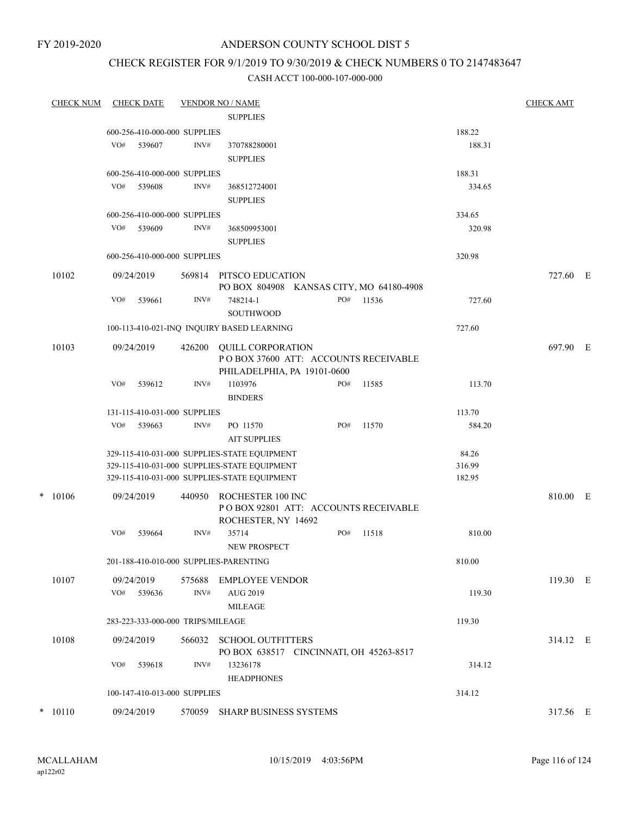FY 2019-2020

### ANDERSON COUNTY SCHOOL DIST 5

### CHECK REGISTER FOR 9/1/2019 TO 9/30/2019 & CHECK NUMBERS 0 TO 2147483647

| <b>CHECK NUM</b> |                 | <b>CHECK DATE</b> |                                   | <b>VENDOR NO / NAME</b>                                             |     |       |        | <b>CHECK AMT</b> |  |  |  |
|------------------|-----------------|-------------------|-----------------------------------|---------------------------------------------------------------------|-----|-------|--------|------------------|--|--|--|
|                  | <b>SUPPLIES</b> |                   |                                   |                                                                     |     |       |        |                  |  |  |  |
|                  |                 |                   | 600-256-410-000-000 SUPPLIES      |                                                                     |     |       | 188.22 |                  |  |  |  |
|                  | VO#             | 539607            | INV#                              | 370788280001                                                        |     |       | 188.31 |                  |  |  |  |
|                  |                 |                   |                                   | <b>SUPPLIES</b>                                                     |     |       |        |                  |  |  |  |
|                  |                 |                   | 600-256-410-000-000 SUPPLIES      |                                                                     |     |       | 188.31 |                  |  |  |  |
|                  | VO#             | 539608            | INV#                              | 368512724001                                                        |     |       | 334.65 |                  |  |  |  |
|                  |                 |                   |                                   | <b>SUPPLIES</b>                                                     |     |       |        |                  |  |  |  |
|                  |                 |                   | 600-256-410-000-000 SUPPLIES      |                                                                     |     |       | 334.65 |                  |  |  |  |
|                  | VO#             | 539609            | INV#                              | 368509953001                                                        |     |       | 320.98 |                  |  |  |  |
|                  |                 |                   |                                   | <b>SUPPLIES</b>                                                     |     |       |        |                  |  |  |  |
|                  |                 |                   | 600-256-410-000-000 SUPPLIES      |                                                                     |     |       | 320.98 |                  |  |  |  |
| 10102            |                 | 09/24/2019        |                                   | 569814 PITSCO EDUCATION                                             |     |       |        | 727.60 E         |  |  |  |
|                  |                 |                   |                                   | PO BOX 804908 KANSAS CITY, MO 64180-4908                            |     |       |        |                  |  |  |  |
|                  | VO#             | 539661            | INV#                              | 748214-1                                                            | PO# | 11536 | 727.60 |                  |  |  |  |
|                  |                 |                   |                                   | SOUTHWOOD                                                           |     |       |        |                  |  |  |  |
|                  |                 |                   |                                   | 100-113-410-021-INQ INQUIRY BASED LEARNING                          |     |       | 727.60 |                  |  |  |  |
|                  |                 |                   |                                   |                                                                     |     |       |        |                  |  |  |  |
| 10103            |                 | 09/24/2019        | 426200                            | <b>OUILL CORPORATION</b><br>POBOX 37600 ATT: ACCOUNTS RECEIVABLE    |     |       |        | 697.90 E         |  |  |  |
|                  |                 |                   |                                   | PHILADELPHIA, PA 19101-0600                                         |     |       |        |                  |  |  |  |
|                  | VO#             | 539612            | INV#                              | 1103976                                                             | PO# | 11585 | 113.70 |                  |  |  |  |
|                  |                 |                   |                                   | <b>BINDERS</b>                                                      |     |       |        |                  |  |  |  |
|                  |                 |                   | 131-115-410-031-000 SUPPLIES      |                                                                     |     |       | 113.70 |                  |  |  |  |
|                  | VO#             | 539663            | INV#                              | PO 11570                                                            | PO# | 11570 | 584.20 |                  |  |  |  |
|                  |                 |                   |                                   | <b>AIT SUPPLIES</b>                                                 |     |       |        |                  |  |  |  |
|                  |                 |                   |                                   | 329-115-410-031-000 SUPPLIES-STATE EQUIPMENT                        |     |       | 84.26  |                  |  |  |  |
|                  |                 |                   |                                   | 329-115-410-031-000 SUPPLIES-STATE EQUIPMENT                        |     |       | 316.99 |                  |  |  |  |
|                  |                 |                   |                                   | 329-115-410-031-000 SUPPLIES-STATE EQUIPMENT                        |     |       | 182.95 |                  |  |  |  |
| $* 10106$        |                 | 09/24/2019        | 440950                            | ROCHESTER 100 INC                                                   |     |       |        | 810.00 E         |  |  |  |
|                  |                 |                   |                                   | PO BOX 92801 ATT: ACCOUNTS RECEIVABLE                               |     |       |        |                  |  |  |  |
|                  |                 |                   |                                   | ROCHESTER, NY 14692                                                 |     |       |        |                  |  |  |  |
|                  | VO#             | 539664            | INV#                              | 35714                                                               | PO# | 11518 | 810.00 |                  |  |  |  |
|                  |                 |                   |                                   | NEW PROSPECT                                                        |     |       |        |                  |  |  |  |
|                  |                 |                   |                                   | 201-188-410-010-000 SUPPLIES-PARENTING                              |     |       | 810.00 |                  |  |  |  |
| 10107            |                 | 09/24/2019        | 575688                            | EMPLOYEE VENDOR                                                     |     |       |        | 119.30 E         |  |  |  |
|                  |                 | VO# 539636        | INV#                              | AUG 2019                                                            |     |       | 119.30 |                  |  |  |  |
|                  |                 |                   |                                   | MILEAGE                                                             |     |       |        |                  |  |  |  |
|                  |                 |                   | 283-223-333-000-000 TRIPS/MILEAGE |                                                                     |     |       | 119.30 |                  |  |  |  |
|                  |                 |                   |                                   |                                                                     |     |       |        |                  |  |  |  |
| 10108            |                 | 09/24/2019        |                                   | 566032 SCHOOL OUTFITTERS<br>PO BOX 638517 CINCINNATI, OH 45263-8517 |     |       |        | 314.12 E         |  |  |  |
|                  | VO#             | 539618            | INV#                              | 13236178                                                            |     |       | 314.12 |                  |  |  |  |
|                  |                 |                   |                                   | <b>HEADPHONES</b>                                                   |     |       |        |                  |  |  |  |
|                  |                 |                   | 100-147-410-013-000 SUPPLIES      |                                                                     |     |       | 314.12 |                  |  |  |  |
|                  |                 |                   |                                   |                                                                     |     |       |        |                  |  |  |  |
| $* 10110$        |                 | 09/24/2019        |                                   | 570059 SHARP BUSINESS SYSTEMS                                       |     |       |        | 317.56 E         |  |  |  |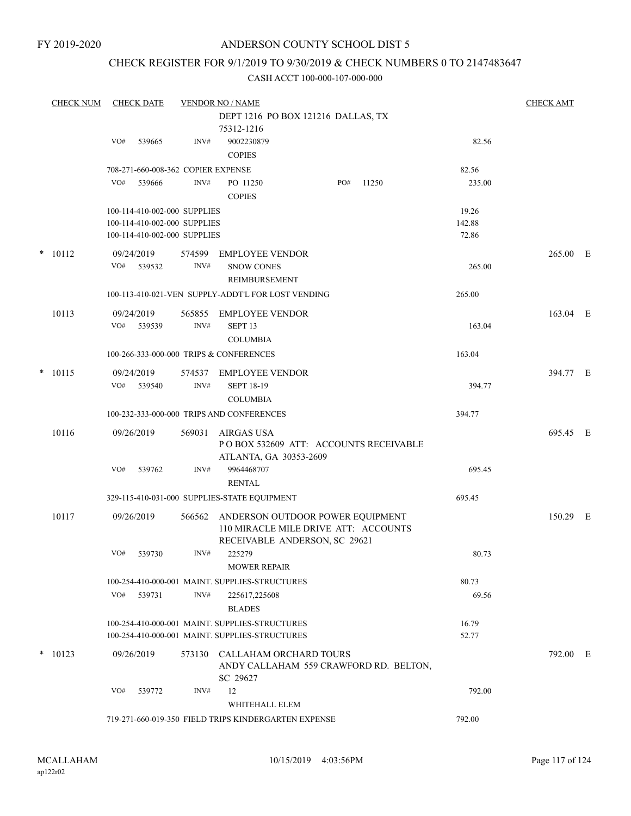### CHECK REGISTER FOR 9/1/2019 TO 9/30/2019 & CHECK NUMBERS 0 TO 2147483647

|        | <b>CHECK NUM</b> |     | <b>CHECK DATE</b> |                                                              | <b>VENDOR NO / NAME</b>                                          |     |       |        | <b>CHECK AMT</b> |  |
|--------|------------------|-----|-------------------|--------------------------------------------------------------|------------------------------------------------------------------|-----|-------|--------|------------------|--|
|        |                  |     |                   |                                                              | DEPT 1216 PO BOX 121216 DALLAS, TX                               |     |       |        |                  |  |
|        |                  |     |                   |                                                              | 75312-1216                                                       |     |       |        |                  |  |
|        |                  | VO# | 539665            | INV#                                                         | 9002230879                                                       |     |       | 82.56  |                  |  |
|        |                  |     |                   |                                                              | <b>COPIES</b>                                                    |     |       |        |                  |  |
|        |                  |     |                   | 708-271-660-008-362 COPIER EXPENSE                           |                                                                  |     |       | 82.56  |                  |  |
|        |                  | VO# | 539666            | INV#                                                         | PO 11250                                                         | PO# | 11250 | 235.00 |                  |  |
|        |                  |     |                   |                                                              | <b>COPIES</b>                                                    |     |       |        |                  |  |
|        |                  |     |                   |                                                              |                                                                  |     |       | 19.26  |                  |  |
|        |                  |     |                   | 100-114-410-002-000 SUPPLIES<br>100-114-410-002-000 SUPPLIES |                                                                  |     |       | 142.88 |                  |  |
|        |                  |     |                   | 100-114-410-002-000 SUPPLIES                                 |                                                                  |     |       | 72.86  |                  |  |
|        |                  |     |                   |                                                              |                                                                  |     |       |        |                  |  |
|        | $* 10112$        |     | 09/24/2019        | 574599                                                       | <b>EMPLOYEE VENDOR</b>                                           |     |       |        | 265.00 E         |  |
|        |                  |     | VO# 539532        | INV#                                                         | <b>SNOW CONES</b>                                                |     |       | 265.00 |                  |  |
|        |                  |     |                   |                                                              | REIMBURSEMENT                                                    |     |       |        |                  |  |
|        |                  |     |                   |                                                              | 100-113-410-021-VEN SUPPLY-ADDT'L FOR LOST VENDING               |     |       | 265.00 |                  |  |
|        | 10113            |     | 09/24/2019        |                                                              | 565855 EMPLOYEE VENDOR                                           |     |       |        | 163.04 E         |  |
|        |                  |     | VO# 539539        | INV#                                                         | SEPT <sub>13</sub>                                               |     |       | 163.04 |                  |  |
|        |                  |     |                   |                                                              | <b>COLUMBIA</b>                                                  |     |       |        |                  |  |
|        |                  |     |                   |                                                              | 100-266-333-000-000 TRIPS & CONFERENCES                          |     |       | 163.04 |                  |  |
|        |                  |     |                   |                                                              |                                                                  |     |       |        |                  |  |
|        | $* 10115$        |     | 09/24/2019        | 574537                                                       | <b>EMPLOYEE VENDOR</b>                                           |     |       |        | 394.77 E         |  |
|        |                  | VO# | 539540            | INV#                                                         | <b>SEPT 18-19</b>                                                |     |       | 394.77 |                  |  |
|        |                  |     |                   |                                                              | <b>COLUMBIA</b>                                                  |     |       |        |                  |  |
|        |                  |     |                   |                                                              | 100-232-333-000-000 TRIPS AND CONFERENCES                        |     |       | 394.77 |                  |  |
|        | 10116            |     | 09/26/2019        | 569031                                                       | AIRGAS USA                                                       |     |       |        | 695.45 E         |  |
|        |                  |     |                   |                                                              | PO BOX 532609 ATT: ACCOUNTS RECEIVABLE                           |     |       |        |                  |  |
|        |                  |     |                   |                                                              | ATLANTA, GA 30353-2609                                           |     |       |        |                  |  |
|        |                  | VO# | 539762            | INV#                                                         | 9964468707                                                       |     |       | 695.45 |                  |  |
|        |                  |     |                   |                                                              | <b>RENTAL</b>                                                    |     |       |        |                  |  |
|        |                  |     |                   |                                                              | 329-115-410-031-000 SUPPLIES-STATE EQUIPMENT                     |     |       | 695.45 |                  |  |
|        | 10117            |     | 09/26/2019        | 566562                                                       | ANDERSON OUTDOOR POWER EQUIPMENT                                 |     |       |        | 150.29 E         |  |
|        |                  |     |                   |                                                              | 110 MIRACLE MILE DRIVE ATT: ACCOUNTS                             |     |       |        |                  |  |
|        |                  |     |                   |                                                              | RECEIVABLE ANDERSON, SC 29621                                    |     |       |        |                  |  |
|        |                  | VO# | 539730            | INV#                                                         | 225279                                                           |     |       | 80.73  |                  |  |
|        |                  |     |                   |                                                              | <b>MOWER REPAIR</b>                                              |     |       |        |                  |  |
|        |                  |     |                   |                                                              | 100-254-410-000-001 MAINT. SUPPLIES-STRUCTURES                   |     |       | 80.73  |                  |  |
|        |                  |     | VO# 539731        | INV#                                                         | 225617,225608                                                    |     |       | 69.56  |                  |  |
|        |                  |     |                   |                                                              | <b>BLADES</b>                                                    |     |       |        |                  |  |
|        |                  |     |                   |                                                              | 100-254-410-000-001 MAINT. SUPPLIES-STRUCTURES                   |     |       | 16.79  |                  |  |
|        |                  |     |                   |                                                              | 100-254-410-000-001 MAINT, SUPPLIES-STRUCTURES                   |     |       | 52.77  |                  |  |
|        |                  |     |                   |                                                              |                                                                  |     |       |        |                  |  |
| $\ast$ | 10123            |     | 09/26/2019        | 573130                                                       | CALLAHAM ORCHARD TOURS<br>ANDY CALLAHAM 559 CRAWFORD RD. BELTON, |     |       |        | 792.00 E         |  |
|        |                  |     |                   |                                                              | SC 29627                                                         |     |       |        |                  |  |
|        |                  | VO# | 539772            | INV#                                                         | 12                                                               |     |       | 792.00 |                  |  |
|        |                  |     |                   |                                                              | WHITEHALL ELEM                                                   |     |       |        |                  |  |
|        |                  |     |                   |                                                              |                                                                  |     |       |        |                  |  |
|        |                  |     |                   |                                                              | 719-271-660-019-350 FIELD TRIPS KINDERGARTEN EXPENSE             |     |       | 792.00 |                  |  |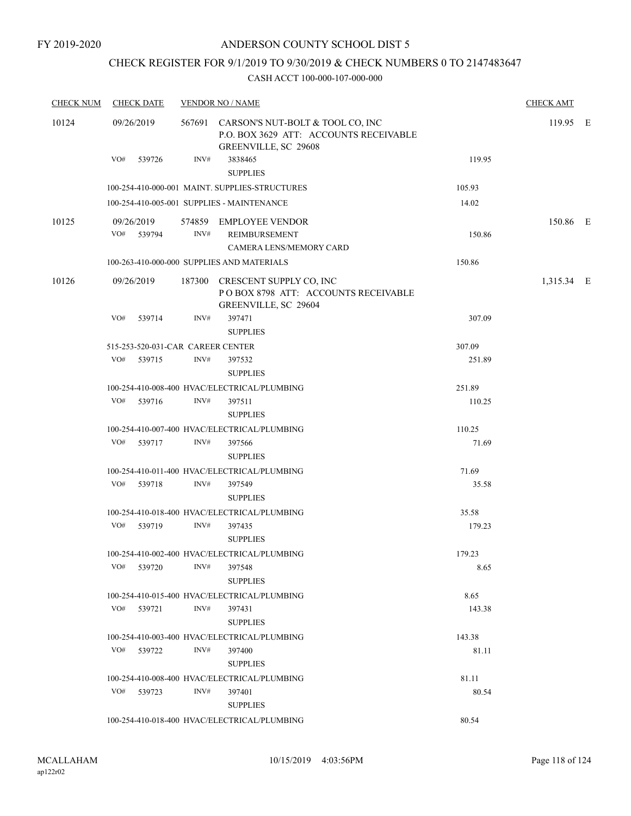### CHECK REGISTER FOR 9/1/2019 TO 9/30/2019 & CHECK NUMBERS 0 TO 2147483647

| <b>CHECK NUM</b> | <b>CHECK DATE</b>                 |      | <b>VENDOR NO / NAME</b>                                                                                   |                | <b>CHECK AMT</b> |  |
|------------------|-----------------------------------|------|-----------------------------------------------------------------------------------------------------------|----------------|------------------|--|
| 10124            | 09/26/2019                        |      | 567691 CARSON'S NUT-BOLT & TOOL CO, INC<br>P.O. BOX 3629 ATT: ACCOUNTS RECEIVABLE<br>GREENVILLE, SC 29608 |                | 119.95 E         |  |
|                  | VO# 539726                        | INV# | 3838465<br><b>SUPPLIES</b>                                                                                | 119.95         |                  |  |
|                  |                                   |      | 100-254-410-000-001 MAINT. SUPPLIES-STRUCTURES                                                            | 105.93         |                  |  |
|                  |                                   |      | 100-254-410-005-001 SUPPLIES - MAINTENANCE                                                                | 14.02          |                  |  |
| 10125            | 09/26/2019<br>VO# 539794          | INV# | 574859 EMPLOYEE VENDOR<br>REIMBURSEMENT<br><b>CAMERA LENS/MEMORY CARD</b>                                 | 150.86         | 150.86 E         |  |
|                  |                                   |      | 100-263-410-000-000 SUPPLIES AND MATERIALS                                                                | 150.86         |                  |  |
| 10126            | 09/26/2019                        |      | 187300 CRESCENT SUPPLY CO, INC<br>POBOX 8798 ATT: ACCOUNTS RECEIVABLE<br>GREENVILLE, SC 29604             |                | 1,315.34 E       |  |
|                  | VO# 539714                        | INV# | 397471<br><b>SUPPLIES</b>                                                                                 | 307.09         |                  |  |
|                  | 515-253-520-031-CAR CAREER CENTER |      |                                                                                                           | 307.09         |                  |  |
|                  | VO# 539715                        | INV# | 397532<br><b>SUPPLIES</b>                                                                                 | 251.89         |                  |  |
|                  |                                   |      | 100-254-410-008-400 HVAC/ELECTRICAL/PLUMBING                                                              | 251.89         |                  |  |
|                  | VO# 539716                        | INV# | 397511<br><b>SUPPLIES</b>                                                                                 | 110.25         |                  |  |
|                  |                                   |      | 100-254-410-007-400 HVAC/ELECTRICAL/PLUMBING                                                              | 110.25         |                  |  |
|                  | VO# 539717                        | INV# | 397566<br><b>SUPPLIES</b>                                                                                 | 71.69          |                  |  |
|                  |                                   |      | 100-254-410-011-400 HVAC/ELECTRICAL/PLUMBING                                                              | 71.69          |                  |  |
|                  | VO# 539718                        | INV# | 397549<br><b>SUPPLIES</b>                                                                                 | 35.58          |                  |  |
|                  |                                   |      | 100-254-410-018-400 HVAC/ELECTRICAL/PLUMBING                                                              | 35.58          |                  |  |
|                  | VO# 539719                        | INV# | 397435<br><b>SUPPLIES</b>                                                                                 | 179.23         |                  |  |
|                  | VO#<br>539720                     | INV# | 100-254-410-002-400 HVAC/ELECTRICAL/PLUMBING<br>397548<br><b>SUPPLIES</b>                                 | 179.23<br>8.65 |                  |  |
|                  |                                   |      | 100-254-410-015-400 HVAC/ELECTRICAL/PLUMBING                                                              | 8.65           |                  |  |
|                  | VO# 539721                        | INV# | 397431<br><b>SUPPLIES</b>                                                                                 | 143.38         |                  |  |
|                  |                                   |      | 100-254-410-003-400 HVAC/ELECTRICAL/PLUMBING                                                              | 143.38         |                  |  |
|                  | VO# 539722                        | INV# | 397400<br><b>SUPPLIES</b>                                                                                 | 81.11          |                  |  |
|                  |                                   |      | 100-254-410-008-400 HVAC/ELECTRICAL/PLUMBING                                                              | 81.11          |                  |  |
|                  | VO# 539723                        | INV# | 397401<br><b>SUPPLIES</b>                                                                                 | 80.54          |                  |  |
|                  |                                   |      | 100-254-410-018-400 HVAC/ELECTRICAL/PLUMBING                                                              | 80.54          |                  |  |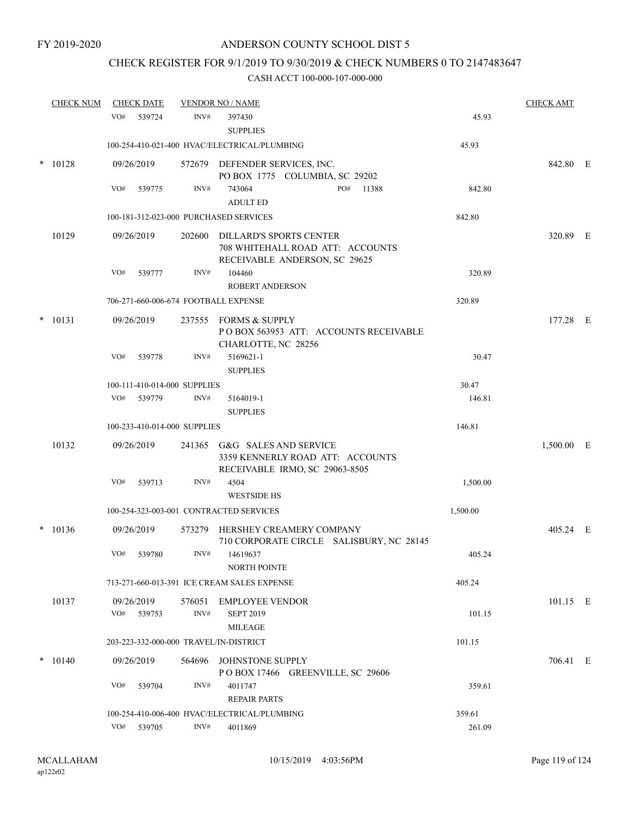### CHECK REGISTER FOR 9/1/2019 TO 9/30/2019 & CHECK NUMBERS 0 TO 2147483647

|        | <u>CHECK NUM</u> |     | <b>CHECK DATE</b>            |        | <b>VENDOR NO / NAME</b>                                                                             |          | <b>CHECK AMT</b> |  |
|--------|------------------|-----|------------------------------|--------|-----------------------------------------------------------------------------------------------------|----------|------------------|--|
|        |                  | VO# | 539724                       | INV#   | 397430<br><b>SUPPLIES</b>                                                                           | 45.93    |                  |  |
|        |                  |     |                              |        | 100-254-410-021-400 HVAC/ELECTRICAL/PLUMBING                                                        | 45.93    |                  |  |
| $\ast$ | 10128            |     | 09/26/2019                   |        | 572679 DEFENDER SERVICES, INC.<br>PO BOX 1775 COLUMBIA, SC 29202                                    |          | 842.80 E         |  |
|        |                  | VO# | 539775                       | INV#   | PO#<br>743064<br>11388<br><b>ADULT ED</b>                                                           | 842.80   |                  |  |
|        |                  |     |                              |        | 100-181-312-023-000 PURCHASED SERVICES                                                              | 842.80   |                  |  |
|        | 10129            |     | 09/26/2019                   | 202600 | <b>DILLARD'S SPORTS CENTER</b><br>708 WHITEHALL ROAD ATT: ACCOUNTS<br>RECEIVABLE ANDERSON, SC 29625 |          | 320.89 E         |  |
|        |                  | VO# | 539777                       | INV#   | 104460                                                                                              | 320.89   |                  |  |
|        |                  |     |                              |        | <b>ROBERT ANDERSON</b>                                                                              |          |                  |  |
|        |                  |     |                              |        | 706-271-660-006-674 FOOTBALL EXPENSE                                                                | 320.89   |                  |  |
| $\ast$ | 10131            |     | 09/26/2019                   |        | 237555 FORMS & SUPPLY<br>POBOX 563953 ATT: ACCOUNTS RECEIVABLE<br>CHARLOTTE, NC 28256               |          | 177.28 E         |  |
|        |                  | VO# | 539778                       | INV#   | 5169621-1<br><b>SUPPLIES</b>                                                                        | 30.47    |                  |  |
|        |                  |     | 100-111-410-014-000 SUPPLIES |        |                                                                                                     | 30.47    |                  |  |
|        |                  | VO# | 539779                       | INV#   | 5164019-1                                                                                           | 146.81   |                  |  |
|        |                  |     |                              |        | <b>SUPPLIES</b>                                                                                     |          |                  |  |
|        |                  |     | 100-233-410-014-000 SUPPLIES |        |                                                                                                     | 146.81   |                  |  |
|        | 10132            |     | 09/26/2019                   | 241365 | G&G SALES AND SERVICE<br>3359 KENNERLY ROAD ATT: ACCOUNTS<br>RECEIVABLE IRMO, SC 29063-8505         |          | 1,500.00 E       |  |
|        |                  | VO# | 539713                       | INV#   | 4504<br><b>WESTSIDE HS</b>                                                                          | 1,500.00 |                  |  |
|        |                  |     |                              |        | 100-254-323-003-001 CONTRACTED SERVICES                                                             | 1,500.00 |                  |  |
| $\ast$ | 10136            |     | 09/26/2019                   | 573279 | HERSHEY CREAMERY COMPANY<br>710 CORPORATE CIRCLE SALISBURY, NC 28145                                |          | 405.24 E         |  |
|        |                  | VO# | 539780                       | INV#   | 14619637<br><b>NORTH POINTE</b>                                                                     | 405.24   |                  |  |
|        |                  |     |                              |        | 713-271-660-013-391 ICE CREAM SALES EXPENSE                                                         | 405.24   |                  |  |
|        | 10137            | VO# | 09/26/2019<br>539753         | INV#   | 576051 EMPLOYEE VENDOR<br><b>SEPT 2019</b><br><b>MILEAGE</b>                                        | 101.15   | $101.15$ E       |  |
|        |                  |     |                              |        | 203-223-332-000-000 TRAVEL/IN-DISTRICT                                                              | 101.15   |                  |  |
| $\ast$ | 10140            |     | 09/26/2019                   | 564696 | JOHNSTONE SUPPLY<br>POBOX 17466 GREENVILLE, SC 29606                                                |          | 706.41 E         |  |
|        |                  | VO# | 539704                       | INV#   | 4011747<br><b>REPAIR PARTS</b>                                                                      | 359.61   |                  |  |
|        |                  |     |                              |        | 100-254-410-006-400 HVAC/ELECTRICAL/PLUMBING                                                        | 359.61   |                  |  |
|        |                  | VO# | 539705                       | INV#   | 4011869                                                                                             | 261.09   |                  |  |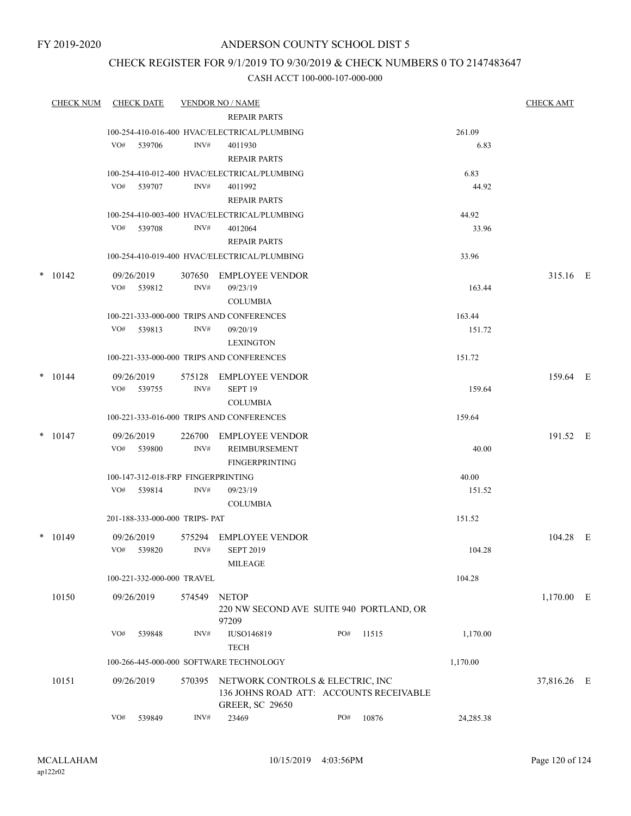### CHECK REGISTER FOR 9/1/2019 TO 9/30/2019 & CHECK NUMBERS 0 TO 2147483647

|        | CHECK NUM |     | <b>CHECK DATE</b>                  |        | <b>VENDOR NO / NAME</b>                                 |     |       |                | <b>CHECK AMT</b> |  |
|--------|-----------|-----|------------------------------------|--------|---------------------------------------------------------|-----|-------|----------------|------------------|--|
|        |           |     |                                    |        | <b>REPAIR PARTS</b>                                     |     |       |                |                  |  |
|        |           |     |                                    |        | 100-254-410-016-400 HVAC/ELECTRICAL/PLUMBING            |     |       | 261.09         |                  |  |
|        |           | VO# | 539706                             | INV#   | 4011930                                                 |     |       | 6.83           |                  |  |
|        |           |     |                                    |        | <b>REPAIR PARTS</b>                                     |     |       |                |                  |  |
|        |           |     |                                    |        | 100-254-410-012-400 HVAC/ELECTRICAL/PLUMBING            |     |       | 6.83           |                  |  |
|        |           |     | VO# 539707                         | INV#   | 4011992                                                 |     |       | 44.92          |                  |  |
|        |           |     |                                    |        | <b>REPAIR PARTS</b>                                     |     |       |                |                  |  |
|        |           | VO# | 539708                             | INV#   | 100-254-410-003-400 HVAC/ELECTRICAL/PLUMBING<br>4012064 |     |       | 44.92<br>33.96 |                  |  |
|        |           |     |                                    |        | <b>REPAIR PARTS</b>                                     |     |       |                |                  |  |
|        |           |     |                                    |        | 100-254-410-019-400 HVAC/ELECTRICAL/PLUMBING            |     |       | 33.96          |                  |  |
| $\ast$ |           |     |                                    |        |                                                         |     |       |                |                  |  |
|        | 10142     | VO# | 09/26/2019<br>539812               | INV#   | 307650 EMPLOYEE VENDOR<br>09/23/19                      |     |       | 163.44         | 315.16 E         |  |
|        |           |     |                                    |        | <b>COLUMBIA</b>                                         |     |       |                |                  |  |
|        |           |     |                                    |        | 100-221-333-000-000 TRIPS AND CONFERENCES               |     |       | 163.44         |                  |  |
|        |           | VO# | 539813                             | INV#   | 09/20/19                                                |     |       | 151.72         |                  |  |
|        |           |     |                                    |        | <b>LEXINGTON</b>                                        |     |       |                |                  |  |
|        |           |     |                                    |        | 100-221-333-000-000 TRIPS AND CONFERENCES               |     |       | 151.72         |                  |  |
|        | $*$ 10144 |     | 09/26/2019                         |        | 575128 EMPLOYEE VENDOR                                  |     |       |                | 159.64 E         |  |
|        |           |     | VO# 539755                         | INV#   | SEPT <sub>19</sub>                                      |     |       | 159.64         |                  |  |
|        |           |     |                                    |        | <b>COLUMBIA</b>                                         |     |       |                |                  |  |
|        |           |     |                                    |        | 100-221-333-016-000 TRIPS AND CONFERENCES               |     |       | 159.64         |                  |  |
|        | $*$ 10147 |     | 09/26/2019                         |        | 226700 EMPLOYEE VENDOR                                  |     |       |                | 191.52 E         |  |
|        |           | VO# | 539800                             | INV#   | REIMBURSEMENT                                           |     |       | 40.00          |                  |  |
|        |           |     |                                    |        | <b>FINGERPRINTING</b>                                   |     |       |                |                  |  |
|        |           |     | 100-147-312-018-FRP FINGERPRINTING |        |                                                         |     |       | 40.00          |                  |  |
|        |           | VO# | 539814                             | INV#   | 09/23/19                                                |     |       | 151.52         |                  |  |
|        |           |     |                                    |        | <b>COLUMBIA</b>                                         |     |       |                |                  |  |
|        |           |     | 201-188-333-000-000 TRIPS- PAT     |        |                                                         |     |       | 151.52         |                  |  |
|        | $*$ 10149 |     | 09/26/2019                         | 575294 | <b>EMPLOYEE VENDOR</b>                                  |     |       |                | 104.28 E         |  |
|        |           |     | VO# 539820                         | INV#   | <b>SEPT 2019</b>                                        |     |       | 104.28         |                  |  |
|        |           |     |                                    |        | MILEAGE                                                 |     |       |                |                  |  |
|        |           |     | 100-221-332-000-000 TRAVEL         |        |                                                         |     |       | 104.28         |                  |  |
|        | 10150     |     | 09/26/2019                         | 574549 | <b>NETOP</b>                                            |     |       |                | $1,170.00$ E     |  |
|        |           |     |                                    |        | 220 NW SECOND AVE SUITE 940 PORTLAND, OR<br>97209       |     |       |                |                  |  |
|        |           | VO# | 539848                             | INV#   | IUSO146819                                              | PO# | 11515 | 1,170.00       |                  |  |
|        |           |     |                                    |        | <b>TECH</b>                                             |     |       |                |                  |  |
|        |           |     |                                    |        | 100-266-445-000-000 SOFTWARE TECHNOLOGY                 |     |       | 1,170.00       |                  |  |
|        | 10151     |     | 09/26/2019                         | 570395 | NETWORK CONTROLS & ELECTRIC, INC                        |     |       |                | 37,816.26 E      |  |
|        |           |     |                                    |        | 136 JOHNS ROAD ATT: ACCOUNTS RECEIVABLE                 |     |       |                |                  |  |
|        |           |     |                                    |        | <b>GREER, SC 29650</b>                                  |     |       |                |                  |  |
|        |           | VO# | 539849                             | INV#   | 23469                                                   | PO# | 10876 | 24,285.38      |                  |  |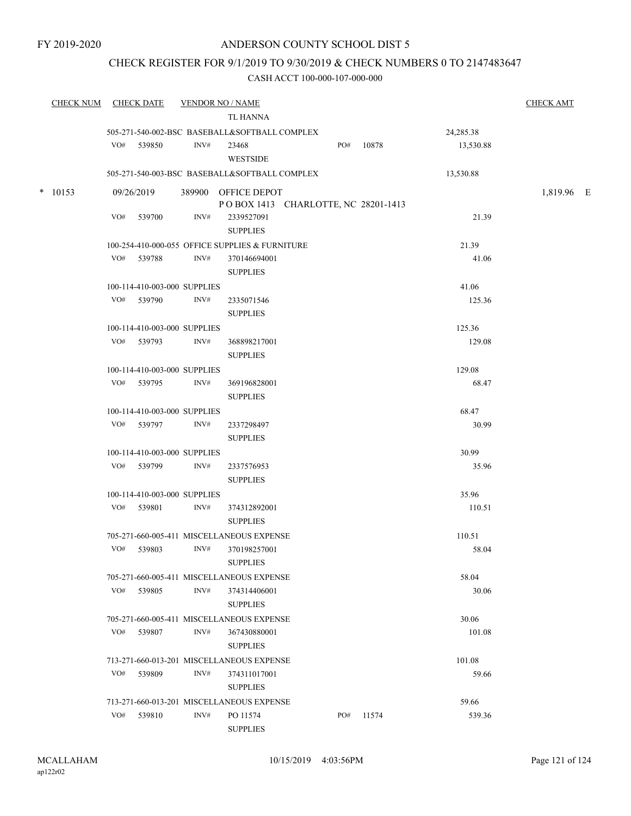### CHECK REGISTER FOR 9/1/2019 TO 9/30/2019 & CHECK NUMBERS 0 TO 2147483647

| <b>CHECK NUM</b> |     | <b>CHECK DATE</b>            |                | <b>VENDOR NO / NAME</b><br>TL HANNA                        |     |       |           | <b>CHECK AMT</b> |  |
|------------------|-----|------------------------------|----------------|------------------------------------------------------------|-----|-------|-----------|------------------|--|
|                  |     |                              |                | 505-271-540-002-BSC BASEBALL&SOFTBALL COMPLEX              |     |       | 24,285.38 |                  |  |
|                  |     | VO# 539850                   | INV#           | 23468<br><b>WESTSIDE</b>                                   | PO# | 10878 | 13,530.88 |                  |  |
|                  |     |                              |                | 505-271-540-003-BSC BASEBALL&SOFTBALL COMPLEX              |     |       | 13,530.88 |                  |  |
| $*$ 10153        |     | 09/26/2019                   |                | 389900 OFFICE DEPOT<br>POBOX 1413 CHARLOTTE, NC 28201-1413 |     |       |           | 1,819.96 E       |  |
|                  |     | VO# 539700                   | INV#           | 2339527091<br><b>SUPPLIES</b>                              |     |       | 21.39     |                  |  |
|                  |     |                              |                | 100-254-410-000-055 OFFICE SUPPLIES & FURNITURE            |     |       | 21.39     |                  |  |
|                  |     | VO# 539788                   | INV#           | 370146694001<br><b>SUPPLIES</b>                            |     |       | 41.06     |                  |  |
|                  |     | 100-114-410-003-000 SUPPLIES |                |                                                            |     |       | 41.06     |                  |  |
|                  |     | VO# 539790                   | INV#           | 2335071546<br><b>SUPPLIES</b>                              |     |       | 125.36    |                  |  |
|                  |     | 100-114-410-003-000 SUPPLIES |                |                                                            |     |       | 125.36    |                  |  |
|                  |     | VO# 539793                   | $\text{INV}\#$ | 368898217001<br><b>SUPPLIES</b>                            |     |       | 129.08    |                  |  |
|                  |     | 100-114-410-003-000 SUPPLIES |                |                                                            |     |       | 129.08    |                  |  |
|                  |     | VO# 539795                   | INV#           | 369196828001<br><b>SUPPLIES</b>                            |     |       | 68.47     |                  |  |
|                  |     | 100-114-410-003-000 SUPPLIES |                |                                                            |     |       | 68.47     |                  |  |
|                  |     | VO# 539797                   | INV#           | 2337298497<br><b>SUPPLIES</b>                              |     |       | 30.99     |                  |  |
|                  |     | 100-114-410-003-000 SUPPLIES |                |                                                            |     |       | 30.99     |                  |  |
|                  |     | VO# 539799                   | INV#           | 2337576953<br><b>SUPPLIES</b>                              |     |       | 35.96     |                  |  |
|                  |     | 100-114-410-003-000 SUPPLIES |                |                                                            |     |       | 35.96     |                  |  |
|                  |     | VO# 539801                   | INV#           | 374312892001<br><b>SUPPLIES</b>                            |     |       | 110.51    |                  |  |
|                  |     |                              |                | 705-271-660-005-411 MISCELLANEOUS EXPENSE                  |     |       | 110.51    |                  |  |
|                  |     | VO# 539803                   | INV#           | 370198257001<br><b>SUPPLIES</b>                            |     |       | 58.04     |                  |  |
|                  |     |                              |                | 705-271-660-005-411 MISCELLANEOUS EXPENSE                  |     |       | 58.04     |                  |  |
|                  | VO# | 539805                       | INV#           | 374314406001<br><b>SUPPLIES</b>                            |     |       | 30.06     |                  |  |
|                  |     |                              |                | 705-271-660-005-411 MISCELLANEOUS EXPENSE                  |     |       | 30.06     |                  |  |
|                  | VO# | 539807                       | INV#           | 367430880001<br><b>SUPPLIES</b>                            |     |       | 101.08    |                  |  |
|                  |     |                              |                | 713-271-660-013-201 MISCELLANEOUS EXPENSE                  |     |       | 101.08    |                  |  |
|                  | VO# | 539809                       | INV#           | 374311017001<br><b>SUPPLIES</b>                            |     |       | 59.66     |                  |  |
|                  |     |                              |                | 713-271-660-013-201 MISCELLANEOUS EXPENSE                  |     |       | 59.66     |                  |  |
|                  | VO# | 539810                       | INV#           | PO 11574<br><b>SUPPLIES</b>                                | PO# | 11574 | 539.36    |                  |  |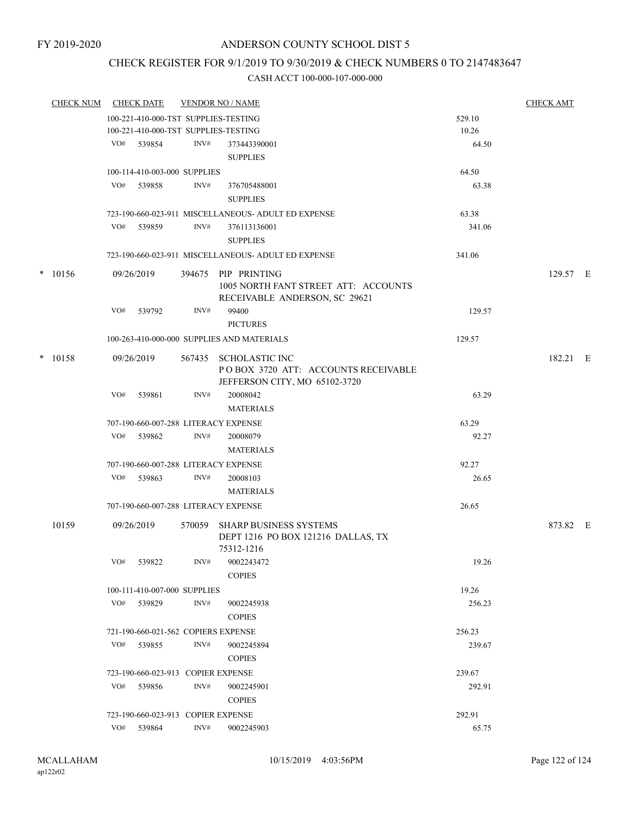### CHECK REGISTER FOR 9/1/2019 TO 9/30/2019 & CHECK NUMBERS 0 TO 2147483647

|  | <b>CHECK NUM</b> |                                     | <b>CHECK DATE</b>                  |      | <b>VENDOR NO / NAME</b>                                                                       |                  | <b>CHECK AMT</b> |  |
|--|------------------|-------------------------------------|------------------------------------|------|-----------------------------------------------------------------------------------------------|------------------|------------------|--|
|  |                  |                                     |                                    |      | 100-221-410-000-TST SUPPLIES-TESTING                                                          | 529.10           |                  |  |
|  |                  |                                     |                                    |      | 100-221-410-000-TST SUPPLIES-TESTING                                                          | 10.26            |                  |  |
|  |                  | VO#                                 | 539854                             | INV# | 373443390001                                                                                  | 64.50            |                  |  |
|  |                  |                                     |                                    |      | <b>SUPPLIES</b>                                                                               |                  |                  |  |
|  |                  |                                     | 100-114-410-003-000 SUPPLIES       |      |                                                                                               | 64.50            |                  |  |
|  |                  |                                     | VO# 539858                         | INV# | 376705488001                                                                                  | 63.38            |                  |  |
|  |                  |                                     |                                    |      | <b>SUPPLIES</b>                                                                               |                  |                  |  |
|  |                  |                                     |                                    |      | 723-190-660-023-911 MISCELLANEOUS- ADULT ED EXPENSE                                           | 63.38            |                  |  |
|  |                  | VO#                                 | 539859                             | INV# | 376113136001                                                                                  | 341.06           |                  |  |
|  |                  |                                     |                                    |      | <b>SUPPLIES</b>                                                                               |                  |                  |  |
|  |                  |                                     |                                    |      | 723-190-660-023-911 MISCELLANEOUS- ADULT ED EXPENSE                                           | 341.06           |                  |  |
|  | $* 10156$        |                                     | 09/26/2019                         |      | 394675 PIP PRINTING                                                                           |                  | 129.57 E         |  |
|  |                  |                                     |                                    |      | 1005 NORTH FANT STREET ATT: ACCOUNTS<br>RECEIVABLE ANDERSON, SC 29621                         |                  |                  |  |
|  |                  | VO#                                 | 539792                             | INV# | 99400<br><b>PICTURES</b>                                                                      | 129.57           |                  |  |
|  |                  |                                     |                                    |      | 100-263-410-000-000 SUPPLIES AND MATERIALS                                                    | 129.57           |                  |  |
|  | $*$ 10158        |                                     | 09/26/2019                         |      | 567435 SCHOLASTIC INC<br>POBOX 3720 ATT: ACCOUNTS RECEIVABLE<br>JEFFERSON CITY, MO 65102-3720 |                  | 182.21 E         |  |
|  |                  | VO#                                 | 539861                             | INV# | 20008042<br><b>MATERIALS</b>                                                                  | 63.29            |                  |  |
|  |                  |                                     |                                    |      | 707-190-660-007-288 LITERACY EXPENSE                                                          | 63.29            |                  |  |
|  |                  | VO#                                 | 539862                             | INV# | 20008079                                                                                      | 92.27            |                  |  |
|  |                  |                                     |                                    |      | <b>MATERIALS</b>                                                                              |                  |                  |  |
|  |                  |                                     |                                    |      | 707-190-660-007-288 LITERACY EXPENSE                                                          | 92.27            |                  |  |
|  |                  | VO#                                 | 539863                             | INV# | 20008103                                                                                      | 26.65            |                  |  |
|  |                  |                                     |                                    |      | <b>MATERIALS</b>                                                                              |                  |                  |  |
|  |                  |                                     |                                    |      | 707-190-660-007-288 LITERACY EXPENSE                                                          | 26.65            |                  |  |
|  | 10159            |                                     | 09/26/2019                         |      | 570059 SHARP BUSINESS SYSTEMS<br>DEPT 1216 PO BOX 121216 DALLAS, TX<br>75312-1216             |                  | 873.82 E         |  |
|  |                  | VO#                                 | 539822                             | INV# | 9002243472                                                                                    | 19.26            |                  |  |
|  |                  |                                     |                                    |      | <b>COPIES</b>                                                                                 |                  |                  |  |
|  |                  |                                     | 100-111-410-007-000 SUPPLIES       |      |                                                                                               | 19.26            |                  |  |
|  |                  | VO#                                 | 539829                             | INV# | 9002245938<br><b>COPIES</b>                                                                   | 256.23           |                  |  |
|  |                  | 721-190-660-021-562 COPIERS EXPENSE |                                    |      |                                                                                               |                  |                  |  |
|  |                  | VO#                                 | 539855                             | INV# | 9002245894                                                                                    | 256.23<br>239.67 |                  |  |
|  |                  |                                     |                                    |      | <b>COPIES</b>                                                                                 |                  |                  |  |
|  |                  |                                     | 723-190-660-023-913 COPIER EXPENSE |      |                                                                                               | 239.67           |                  |  |
|  |                  | VO#                                 | 539856                             | INV# | 9002245901                                                                                    | 292.91           |                  |  |
|  |                  |                                     |                                    |      | <b>COPIES</b>                                                                                 |                  |                  |  |
|  |                  |                                     | 723-190-660-023-913 COPIER EXPENSE |      |                                                                                               | 292.91           |                  |  |
|  |                  |                                     | VO# 539864                         | INV# | 9002245903                                                                                    | 65.75            |                  |  |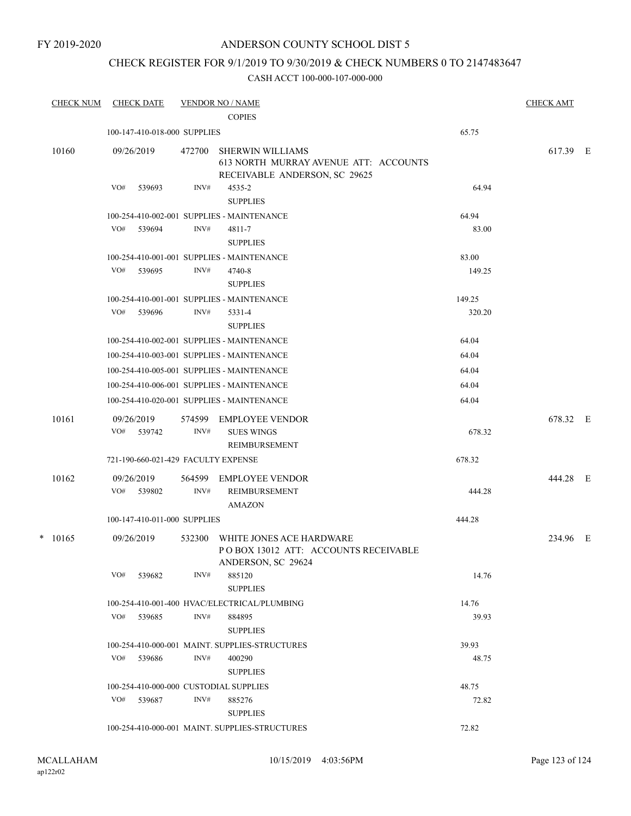FY 2019-2020

### ANDERSON COUNTY SCHOOL DIST 5

### CHECK REGISTER FOR 9/1/2019 TO 9/30/2019 & CHECK NUMBERS 0 TO 2147483647

| <b>CHECK NUM</b> | <b>CHECK DATE</b>                      |        | <b>VENDOR NO / NAME</b><br><b>COPIES</b>                                                          |        | <b>CHECK AMT</b> |  |
|------------------|----------------------------------------|--------|---------------------------------------------------------------------------------------------------|--------|------------------|--|
|                  | 100-147-410-018-000 SUPPLIES           |        |                                                                                                   | 65.75  |                  |  |
|                  |                                        |        |                                                                                                   |        |                  |  |
| 10160            | 09/26/2019                             | 472700 | <b>SHERWIN WILLIAMS</b><br>613 NORTH MURRAY AVENUE ATT: ACCOUNTS<br>RECEIVABLE ANDERSON, SC 29625 |        | 617.39 E         |  |
|                  | VO#<br>539693                          | INV#   | 4535-2<br><b>SUPPLIES</b>                                                                         | 64.94  |                  |  |
|                  |                                        |        | 100-254-410-002-001 SUPPLIES - MAINTENANCE                                                        | 64.94  |                  |  |
|                  | VO# 539694                             | INV#   | 4811-7<br><b>SUPPLIES</b>                                                                         | 83.00  |                  |  |
|                  |                                        |        | 100-254-410-001-001 SUPPLIES - MAINTENANCE                                                        | 83.00  |                  |  |
|                  | VO#<br>539695                          | INV#   | 4740-8<br><b>SUPPLIES</b>                                                                         | 149.25 |                  |  |
|                  |                                        |        | 100-254-410-001-001 SUPPLIES - MAINTENANCE                                                        | 149.25 |                  |  |
|                  | VO#<br>539696                          | INV#   | 5331-4<br><b>SUPPLIES</b>                                                                         | 320.20 |                  |  |
|                  |                                        |        | 100-254-410-002-001 SUPPLIES - MAINTENANCE                                                        | 64.04  |                  |  |
|                  |                                        |        | 100-254-410-003-001 SUPPLIES - MAINTENANCE                                                        | 64.04  |                  |  |
|                  |                                        |        | 100-254-410-005-001 SUPPLIES - MAINTENANCE                                                        | 64.04  |                  |  |
|                  |                                        |        | 100-254-410-006-001 SUPPLIES - MAINTENANCE                                                        | 64.04  |                  |  |
|                  |                                        |        | 100-254-410-020-001 SUPPLIES - MAINTENANCE                                                        | 64.04  |                  |  |
| 10161            | 09/26/2019                             | 574599 | EMPLOYEE VENDOR                                                                                   |        | 678.32 E         |  |
|                  | VO#<br>539742                          | INV#   | <b>SUES WINGS</b><br>REIMBURSEMENT                                                                | 678.32 |                  |  |
|                  | 721-190-660-021-429 FACULTY EXPENSE    |        |                                                                                                   | 678.32 |                  |  |
| 10162            | 09/26/2019                             | 564599 | EMPLOYEE VENDOR                                                                                   |        | 444.28 E         |  |
|                  | VO# 539802                             | INV#   | REIMBURSEMENT<br><b>AMAZON</b>                                                                    | 444.28 |                  |  |
|                  | 100-147-410-011-000 SUPPLIES           |        |                                                                                                   | 444.28 |                  |  |
| $* 10165$        | 09/26/2019                             | 532300 | WHITE JONES ACE HARDWARE<br>POBOX 13012 ATT: ACCOUNTS RECEIVABLE<br>ANDERSON, SC 29624            |        | 234.96 E         |  |
|                  | VO#<br>539682                          | INV#   | 885120<br><b>SUPPLIES</b>                                                                         | 14.76  |                  |  |
|                  |                                        |        | 100-254-410-001-400 HVAC/ELECTRICAL/PLUMBING                                                      | 14.76  |                  |  |
|                  | VO# 539685                             | INV#   | 884895<br><b>SUPPLIES</b>                                                                         | 39.93  |                  |  |
|                  |                                        |        | 100-254-410-000-001 MAINT. SUPPLIES-STRUCTURES                                                    | 39.93  |                  |  |
|                  | VO# 539686                             | INV#   | 400290<br><b>SUPPLIES</b>                                                                         | 48.75  |                  |  |
|                  | 100-254-410-000-000 CUSTODIAL SUPPLIES |        |                                                                                                   | 48.75  |                  |  |
|                  | VO#<br>539687                          | INV#   | 885276<br><b>SUPPLIES</b>                                                                         | 72.82  |                  |  |
|                  |                                        |        | 100-254-410-000-001 MAINT. SUPPLIES-STRUCTURES                                                    | 72.82  |                  |  |
|                  |                                        |        |                                                                                                   |        |                  |  |